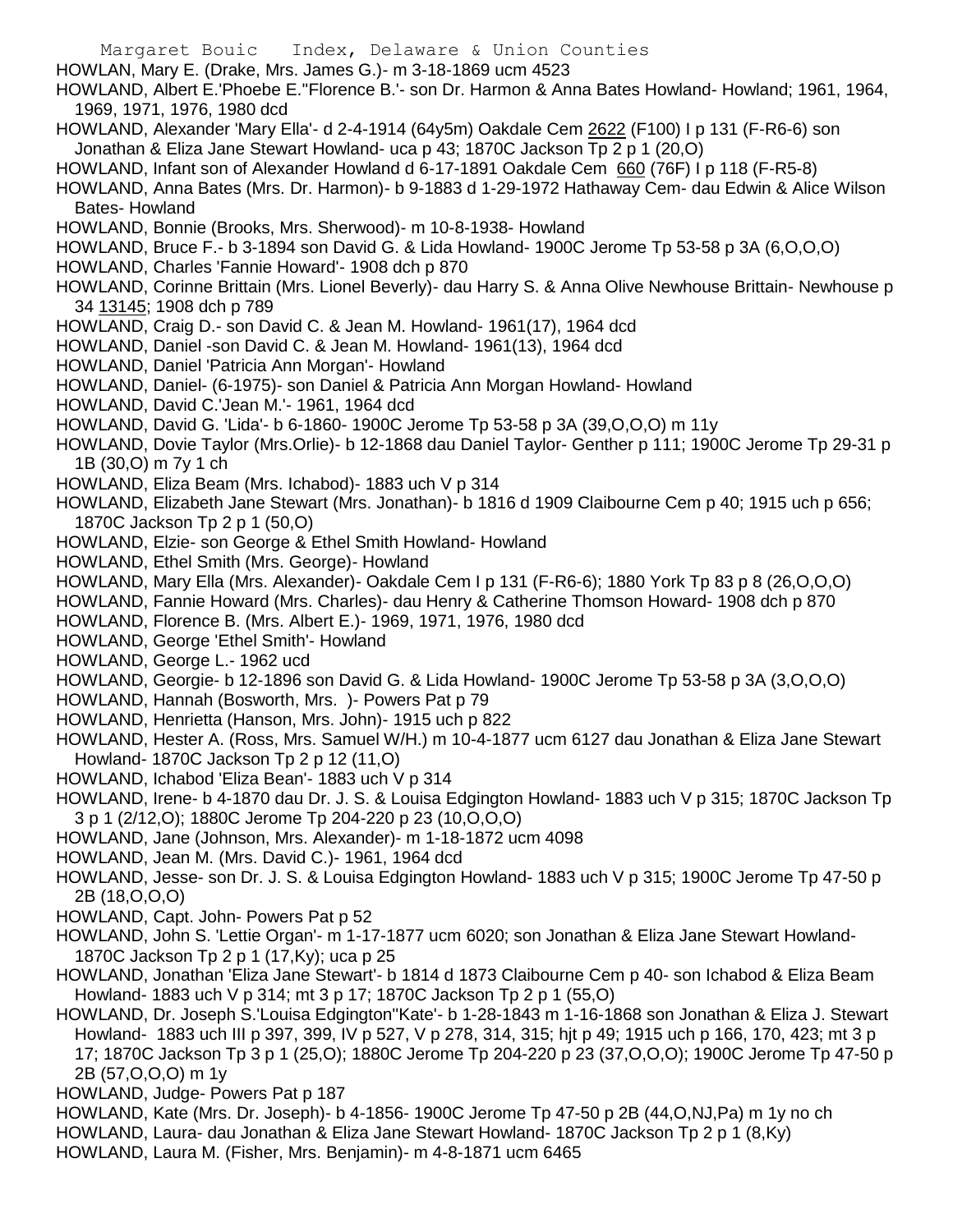Margaret Bouic Index, Delaware & Union Counties HOWLAN, Mary E. (Drake, Mrs. James G.)- m 3-18-1869 ucm 4523 HOWLAND, Albert E.'Phoebe E.''Florence B.'- son Dr. Harmon & Anna Bates Howland- Howland; 1961, 1964, 1969, 1971, 1976, 1980 dcd HOWLAND, Alexander 'Mary Ella'- d 2-4-1914 (64y5m) Oakdale Cem 2622 (F100) I p 131 (F-R6-6) son Jonathan & Eliza Jane Stewart Howland- uca p 43; 1870C Jackson Tp 2 p 1 (20,O) HOWLAND, Infant son of Alexander Howland d 6-17-1891 Oakdale Cem 660 (76F) I p 118 (F-R5-8) HOWLAND, Anna Bates (Mrs. Dr. Harmon)- b 9-1883 d 1-29-1972 Hathaway Cem- dau Edwin & Alice Wilson Bates- Howland HOWLAND, Bonnie (Brooks, Mrs. Sherwood)- m 10-8-1938- Howland HOWLAND, Bruce F.- b 3-1894 son David G. & Lida Howland- 1900C Jerome Tp 53-58 p 3A (6,O,O,O) HOWLAND, Charles 'Fannie Howard'- 1908 dch p 870 HOWLAND, Corinne Brittain (Mrs. Lionel Beverly)- dau Harry S. & Anna Olive Newhouse Brittain- Newhouse p 34 13145; 1908 dch p 789 HOWLAND, Craig D.- son David C. & Jean M. Howland- 1961(17), 1964 dcd HOWLAND, Daniel -son David C. & Jean M. Howland- 1961(13), 1964 dcd HOWLAND, Daniel 'Patricia Ann Morgan'- Howland HOWLAND, Daniel- (6-1975)- son Daniel & Patricia Ann Morgan Howland- Howland HOWLAND, David C.'Jean M.'- 1961, 1964 dcd HOWLAND, David G. 'Lida'- b 6-1860- 1900C Jerome Tp 53-58 p 3A (39,O,O,O) m 11y HOWLAND, Dovie Taylor (Mrs.Orlie)- b 12-1868 dau Daniel Taylor- Genther p 111; 1900C Jerome Tp 29-31 p 1B (30,O) m 7y 1 ch HOWLAND, Eliza Beam (Mrs. Ichabod)- 1883 uch V p 314 HOWLAND, Elizabeth Jane Stewart (Mrs. Jonathan)- b 1816 d 1909 Claibourne Cem p 40; 1915 uch p 656; 1870C Jackson Tp 2 p 1 (50,O) HOWLAND, Elzie- son George & Ethel Smith Howland- Howland HOWLAND, Ethel Smith (Mrs. George)- Howland HOWLAND, Mary Ella (Mrs. Alexander)- Oakdale Cem I p 131 (F-R6-6); 1880 York Tp 83 p 8 (26,O,O,O) HOWLAND, Fannie Howard (Mrs. Charles)- dau Henry & Catherine Thomson Howard- 1908 dch p 870 HOWLAND, Florence B. (Mrs. Albert E.)- 1969, 1971, 1976, 1980 dcd HOWLAND, George 'Ethel Smith'- Howland HOWLAND, George L.- 1962 ucd HOWLAND, Georgie- b 12-1896 son David G. & Lida Howland- 1900C Jerome Tp 53-58 p 3A (3,O,O,O) HOWLAND, Hannah (Bosworth, Mrs. )- Powers Pat p 79 HOWLAND, Henrietta (Hanson, Mrs. John)- 1915 uch p 822 HOWLAND, Hester A. (Ross, Mrs. Samuel W/H.) m 10-4-1877 ucm 6127 dau Jonathan & Eliza Jane Stewart Howland- 1870C Jackson Tp 2 p 12 (11,O) HOWLAND, Ichabod 'Eliza Bean'- 1883 uch V p 314 HOWLAND, Irene- b 4-1870 dau Dr. J. S. & Louisa Edgington Howland- 1883 uch V p 315; 1870C Jackson Tp 3 p 1 (2/12,O); 1880C Jerome Tp 204-220 p 23 (10,O,O,O) HOWLAND, Jane (Johnson, Mrs. Alexander)- m 1-18-1872 ucm 4098 HOWLAND, Jean M. (Mrs. David C.)- 1961, 1964 dcd HOWLAND, Jesse- son Dr. J. S. & Louisa Edgington Howland- 1883 uch V p 315; 1900C Jerome Tp 47-50 p 2B (18,O,O,O) HOWLAND, Capt. John- Powers Pat p 52 HOWLAND, John S. 'Lettie Organ'- m 1-17-1877 ucm 6020; son Jonathan & Eliza Jane Stewart Howland-1870C Jackson Tp 2 p 1 (17,Ky); uca p 25 HOWLAND, Jonathan 'Eliza Jane Stewart'- b 1814 d 1873 Claibourne Cem p 40- son Ichabod & Eliza Beam Howland- 1883 uch V p 314; mt 3 p 17; 1870C Jackson Tp 2 p 1 (55,O)

HOWLAND, Dr. Joseph S.'Louisa Edgington''Kate'- b 1-28-1843 m 1-16-1868 son Jonathan & Eliza J. Stewart Howland- 1883 uch III p 397, 399, IV p 527, V p 278, 314, 315; hjt p 49; 1915 uch p 166, 170, 423; mt 3 p 17; 1870C Jackson Tp 3 p 1 (25,O); 1880C Jerome Tp 204-220 p 23 (37,O,O,O); 1900C Jerome Tp 47-50 p 2B (57,O,O,O) m 1y

HOWLAND, Judge- Powers Pat p 187

HOWLAND, Kate (Mrs. Dr. Joseph)- b 4-1856- 1900C Jerome Tp 47-50 p 2B (44,O,NJ,Pa) m 1y no ch

HOWLAND, Laura- dau Jonathan & Eliza Jane Stewart Howland- 1870C Jackson Tp 2 p 1 (8,Ky)

HOWLAND, Laura M. (Fisher, Mrs. Benjamin)- m 4-8-1871 ucm 6465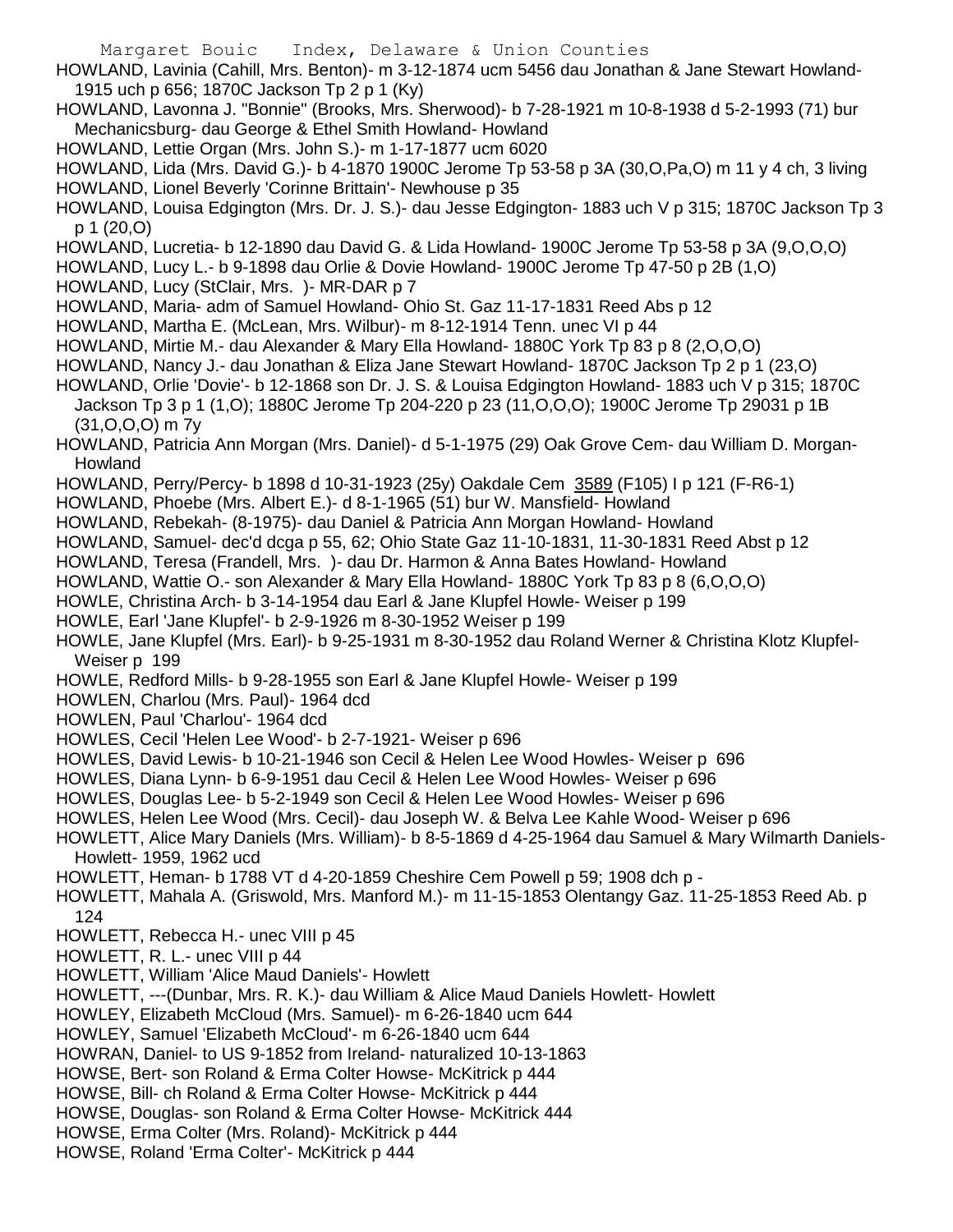- HOWLAND, Lavinia (Cahill, Mrs. Benton)- m 3-12-1874 ucm 5456 dau Jonathan & Jane Stewart Howland-1915 uch p 656; 1870C Jackson Tp 2 p 1 (Ky)
- HOWLAND, Lavonna J. "Bonnie" (Brooks, Mrs. Sherwood)- b 7-28-1921 m 10-8-1938 d 5-2-1993 (71) bur Mechanicsburg- dau George & Ethel Smith Howland- Howland
- HOWLAND, Lettie Organ (Mrs. John S.)- m 1-17-1877 ucm 6020
- HOWLAND, Lida (Mrs. David G.)- b 4-1870 1900C Jerome Tp 53-58 p 3A (30,O,Pa,O) m 11 y 4 ch, 3 living HOWLAND, Lionel Beverly 'Corinne Brittain'- Newhouse p 35
- HOWLAND, Louisa Edgington (Mrs. Dr. J. S.)- dau Jesse Edgington- 1883 uch V p 315; 1870C Jackson Tp 3 p 1 (20,O)
- HOWLAND, Lucretia- b 12-1890 dau David G. & Lida Howland- 1900C Jerome Tp 53-58 p 3A (9,O,O,O)
- HOWLAND, Lucy L.- b 9-1898 dau Orlie & Dovie Howland- 1900C Jerome Tp 47-50 p 2B (1,O)
- HOWLAND, Lucy (StClair, Mrs. )- MR-DAR p 7
- HOWLAND, Maria- adm of Samuel Howland- Ohio St. Gaz 11-17-1831 Reed Abs p 12
- HOWLAND, Martha E. (McLean, Mrs. Wilbur)- m 8-12-1914 Tenn. unec VI p 44
- HOWLAND, Mirtie M.- dau Alexander & Mary Ella Howland- 1880C York Tp 83 p 8 (2,O,O,O)
- HOWLAND, Nancy J.- dau Jonathan & Eliza Jane Stewart Howland- 1870C Jackson Tp 2 p 1 (23,O)
- HOWLAND, Orlie 'Dovie'- b 12-1868 son Dr. J. S. & Louisa Edgington Howland- 1883 uch V p 315; 1870C Jackson Tp 3 p 1 (1,O); 1880C Jerome Tp 204-220 p 23 (11,O,O,O); 1900C Jerome Tp 29031 p 1B (31,O,O,O) m 7y
- HOWLAND, Patricia Ann Morgan (Mrs. Daniel)- d 5-1-1975 (29) Oak Grove Cem- dau William D. Morgan-Howland
- HOWLAND, Perry/Percy- b 1898 d 10-31-1923 (25y) Oakdale Cem 3589 (F105) I p 121 (F-R6-1)
- HOWLAND, Phoebe (Mrs. Albert E.)- d 8-1-1965 (51) bur W. Mansfield- Howland
- HOWLAND, Rebekah- (8-1975)- dau Daniel & Patricia Ann Morgan Howland- Howland
- HOWLAND, Samuel- dec'd dcga p 55, 62; Ohio State Gaz 11-10-1831, 11-30-1831 Reed Abst p 12
- HOWLAND, Teresa (Frandell, Mrs. )- dau Dr. Harmon & Anna Bates Howland- Howland
- HOWLAND, Wattie O.- son Alexander & Mary Ella Howland- 1880C York Tp 83 p 8 (6,O,O,O)
- HOWLE, Christina Arch- b 3-14-1954 dau Earl & Jane Klupfel Howle- Weiser p 199
- HOWLE, Earl 'Jane Klupfel'- b 2-9-1926 m 8-30-1952 Weiser p 199
- HOWLE, Jane Klupfel (Mrs. Earl)- b 9-25-1931 m 8-30-1952 dau Roland Werner & Christina Klotz Klupfel-Weiser p 199
- HOWLE, Redford Mills- b 9-28-1955 son Earl & Jane Klupfel Howle- Weiser p 199
- HOWLEN, Charlou (Mrs. Paul)- 1964 dcd
- HOWLEN, Paul 'Charlou'- 1964 dcd
- HOWLES, Cecil 'Helen Lee Wood'- b 2-7-1921- Weiser p 696
- HOWLES, David Lewis- b 10-21-1946 son Cecil & Helen Lee Wood Howles- Weiser p 696
- HOWLES, Diana Lynn- b 6-9-1951 dau Cecil & Helen Lee Wood Howles- Weiser p 696
- HOWLES, Douglas Lee- b 5-2-1949 son Cecil & Helen Lee Wood Howles- Weiser p 696
- HOWLES, Helen Lee Wood (Mrs. Cecil)- dau Joseph W. & Belva Lee Kahle Wood- Weiser p 696
- HOWLETT, Alice Mary Daniels (Mrs. William)- b 8-5-1869 d 4-25-1964 dau Samuel & Mary Wilmarth Daniels-Howlett- 1959, 1962 ucd
- HOWLETT, Heman- b 1788 VT d 4-20-1859 Cheshire Cem Powell p 59; 1908 dch p -
- HOWLETT, Mahala A. (Griswold, Mrs. Manford M.)- m 11-15-1853 Olentangy Gaz. 11-25-1853 Reed Ab. p 124
- HOWLETT, Rebecca H.- unec VIII p 45
- HOWLETT, R. L.- unec VIII p 44
- HOWLETT, William 'Alice Maud Daniels'- Howlett
- HOWLETT, ---(Dunbar, Mrs. R. K.)- dau William & Alice Maud Daniels Howlett- Howlett
- HOWLEY, Elizabeth McCloud (Mrs. Samuel)- m 6-26-1840 ucm 644
- HOWLEY, Samuel 'Elizabeth McCloud'- m 6-26-1840 ucm 644
- HOWRAN, Daniel- to US 9-1852 from Ireland- naturalized 10-13-1863
- HOWSE, Bert- son Roland & Erma Colter Howse- McKitrick p 444
- HOWSE, Bill- ch Roland & Erma Colter Howse- McKitrick p 444
- HOWSE, Douglas- son Roland & Erma Colter Howse- McKitrick 444
- HOWSE, Erma Colter (Mrs. Roland)- McKitrick p 444
- HOWSE, Roland 'Erma Colter'- McKitrick p 444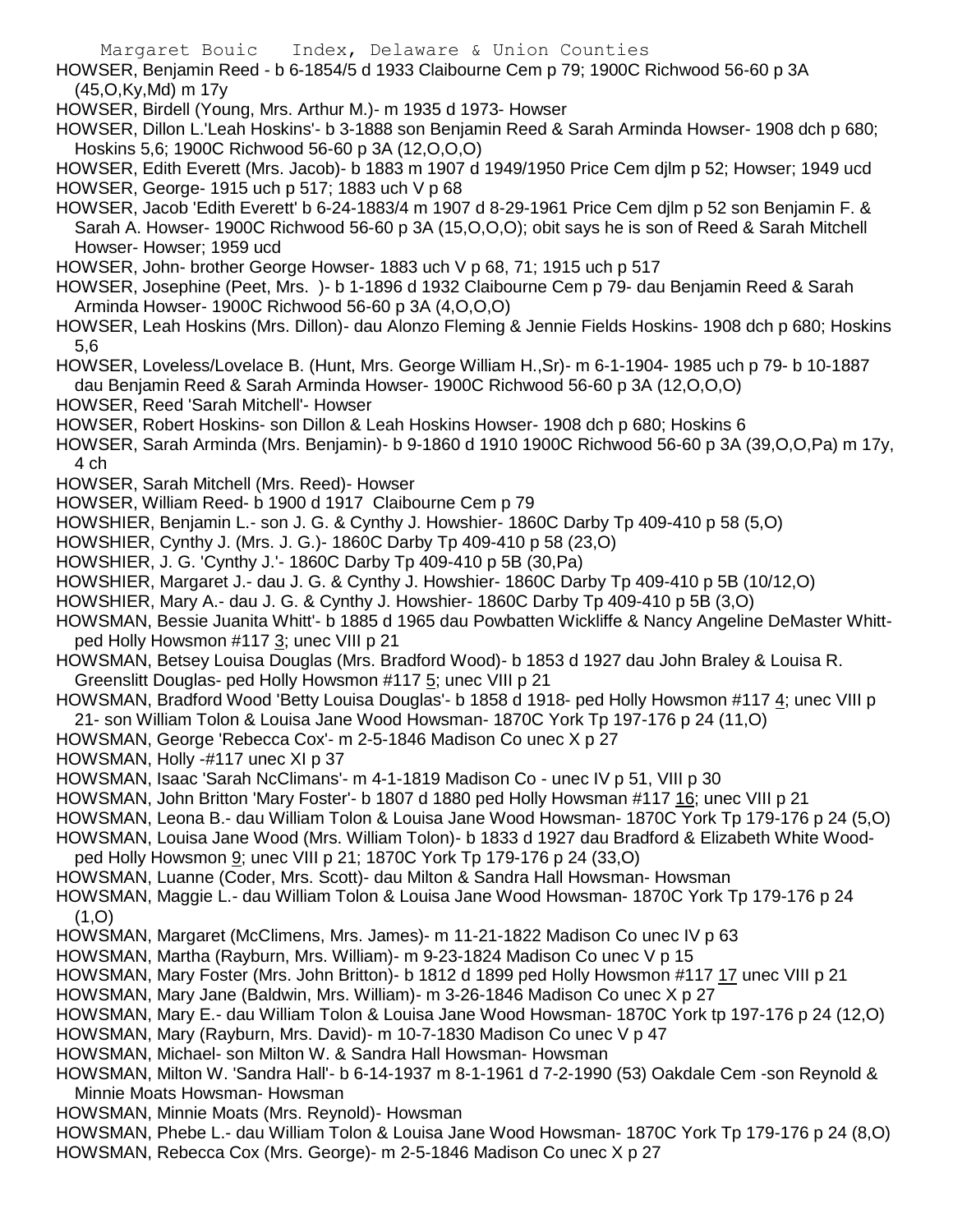HOWSER, Benjamin Reed - b 6-1854/5 d 1933 Claibourne Cem p 79; 1900C Richwood 56-60 p 3A (45,O,Ky,Md) m 17y

HOWSER, Birdell (Young, Mrs. Arthur M.)- m 1935 d 1973- Howser

HOWSER, Dillon L.'Leah Hoskins'- b 3-1888 son Benjamin Reed & Sarah Arminda Howser- 1908 dch p 680; Hoskins 5,6; 1900C Richwood 56-60 p 3A (12,O,O,O)

HOWSER, Edith Everett (Mrs. Jacob)- b 1883 m 1907 d 1949/1950 Price Cem djlm p 52; Howser; 1949 ucd HOWSER, George- 1915 uch p 517; 1883 uch V p 68

HOWSER, Jacob 'Edith Everett' b 6-24-1883/4 m 1907 d 8-29-1961 Price Cem djlm p 52 son Benjamin F. & Sarah A. Howser- 1900C Richwood 56-60 p 3A (15,O,O,O); obit says he is son of Reed & Sarah Mitchell Howser- Howser; 1959 ucd

HOWSER, John- brother George Howser- 1883 uch V p 68, 71; 1915 uch p 517

HOWSER, Josephine (Peet, Mrs. )- b 1-1896 d 1932 Claibourne Cem p 79- dau Benjamin Reed & Sarah Arminda Howser- 1900C Richwood 56-60 p 3A (4,O,O,O)

HOWSER, Leah Hoskins (Mrs. Dillon)- dau Alonzo Fleming & Jennie Fields Hoskins- 1908 dch p 680; Hoskins 5,6

HOWSER, Loveless/Lovelace B. (Hunt, Mrs. George William H.,Sr)- m 6-1-1904- 1985 uch p 79- b 10-1887 dau Benjamin Reed & Sarah Arminda Howser- 1900C Richwood 56-60 p 3A (12,O,O,O)

HOWSER, Reed 'Sarah Mitchell'- Howser

HOWSER, Robert Hoskins- son Dillon & Leah Hoskins Howser- 1908 dch p 680; Hoskins 6

HOWSER, Sarah Arminda (Mrs. Benjamin)- b 9-1860 d 1910 1900C Richwood 56-60 p 3A (39,O,O,Pa) m 17y, 4 ch

- HOWSER, Sarah Mitchell (Mrs. Reed)- Howser
- HOWSER, William Reed- b 1900 d 1917 Claibourne Cem p 79

HOWSHIER, Benjamin L.- son J. G. & Cynthy J. Howshier- 1860C Darby Tp 409-410 p 58 (5,O)

HOWSHIER, Cynthy J. (Mrs. J. G.)- 1860C Darby Tp 409-410 p 58 (23,O)

HOWSHIER, J. G. 'Cynthy J.'- 1860C Darby Tp 409-410 p 5B (30,Pa)

HOWSHIER, Margaret J.- dau J. G. & Cynthy J. Howshier- 1860C Darby Tp 409-410 p 5B (10/12,O)

HOWSHIER, Mary A.- dau J. G. & Cynthy J. Howshier- 1860C Darby Tp 409-410 p 5B (3,O)

HOWSMAN, Bessie Juanita Whitt'- b 1885 d 1965 dau Powbatten Wickliffe & Nancy Angeline DeMaster Whittped Holly Howsmon #117 3; unec VIII p 21

HOWSMAN, Betsey Louisa Douglas (Mrs. Bradford Wood)- b 1853 d 1927 dau John Braley & Louisa R. Greenslitt Douglas- ped Holly Howsmon #117 5; unec VIII p 21

HOWSMAN, Bradford Wood 'Betty Louisa Douglas'- b 1858 d 1918- ped Holly Howsmon #117 4; unec VIII p 21- son William Tolon & Louisa Jane Wood Howsman- 1870C York Tp 197-176 p 24 (11,O)

HOWSMAN, George 'Rebecca Cox'- m 2-5-1846 Madison Co unec X p 27

HOWSMAN, Holly -#117 unec XI p 37

HOWSMAN, Isaac 'Sarah NcClimans'- m 4-1-1819 Madison Co - unec IV p 51, VIII p 30

HOWSMAN, John Britton 'Mary Foster'- b 1807 d 1880 ped Holly Howsman #117 16; unec VIII p 21

HOWSMAN, Leona B.- dau William Tolon & Louisa Jane Wood Howsman- 1870C York Tp 179-176 p 24 (5,O)

HOWSMAN, Louisa Jane Wood (Mrs. William Tolon)- b 1833 d 1927 dau Bradford & Elizabeth White Wood-

ped Holly Howsmon 9; unec VIII p 21; 1870C York Tp 179-176 p 24 (33,O)

HOWSMAN, Luanne (Coder, Mrs. Scott)- dau Milton & Sandra Hall Howsman- Howsman

HOWSMAN, Maggie L.- dau William Tolon & Louisa Jane Wood Howsman- 1870C York Tp 179-176 p 24  $(1, 0)$ 

HOWSMAN, Margaret (McClimens, Mrs. James)- m 11-21-1822 Madison Co unec IV p 63

HOWSMAN, Martha (Rayburn, Mrs. William)- m 9-23-1824 Madison Co unec V p 15

HOWSMAN, Mary Foster (Mrs. John Britton)- b 1812 d 1899 ped Holly Howsmon #117 17 unec VIII p 21

HOWSMAN, Mary Jane (Baldwin, Mrs. William)- m 3-26-1846 Madison Co unec X p 27

HOWSMAN, Mary E.- dau William Tolon & Louisa Jane Wood Howsman- 1870C York tp 197-176 p 24 (12,O)

HOWSMAN, Mary (Rayburn, Mrs. David)- m 10-7-1830 Madison Co unec V p 47

HOWSMAN, Michael- son Milton W. & Sandra Hall Howsman- Howsman

HOWSMAN, Milton W. 'Sandra Hall'- b 6-14-1937 m 8-1-1961 d 7-2-1990 (53) Oakdale Cem -son Reynold & Minnie Moats Howsman- Howsman

HOWSMAN, Minnie Moats (Mrs. Reynold)- Howsman

HOWSMAN, Phebe L.- dau William Tolon & Louisa Jane Wood Howsman- 1870C York Tp 179-176 p 24 (8,O) HOWSMAN, Rebecca Cox (Mrs. George)- m 2-5-1846 Madison Co unec X p 27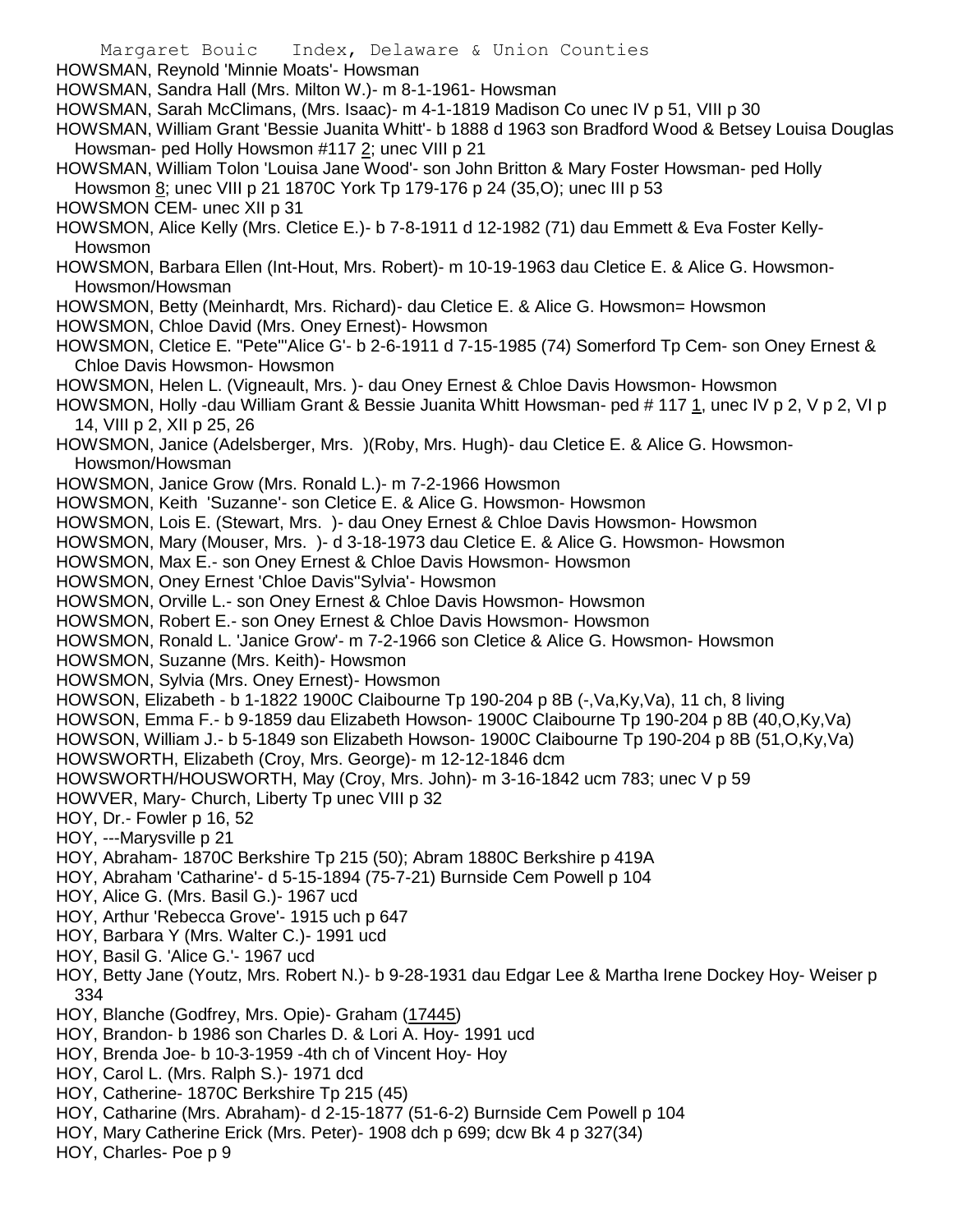- Margaret Bouic Index, Delaware & Union Counties HOWSMAN, Reynold 'Minnie Moats'- Howsman HOWSMAN, Sandra Hall (Mrs. Milton W.)- m 8-1-1961- Howsman HOWSMAN, Sarah McClimans, (Mrs. Isaac)- m 4-1-1819 Madison Co unec IV p 51, VIII p 30 HOWSMAN, William Grant 'Bessie Juanita Whitt'- b 1888 d 1963 son Bradford Wood & Betsey Louisa Douglas Howsman- ped Holly Howsmon #117 2; unec VIII p 21 HOWSMAN, William Tolon 'Louisa Jane Wood'- son John Britton & Mary Foster Howsman- ped Holly Howsmon 8; unec VIII p 21 1870C York Tp 179-176 p 24 (35,O); unec III p 53 HOWSMON CEM- unec XII p 31 HOWSMON, Alice Kelly (Mrs. Cletice E.)- b 7-8-1911 d 12-1982 (71) dau Emmett & Eva Foster Kelly-Howsmon HOWSMON, Barbara Ellen (Int-Hout, Mrs. Robert)- m 10-19-1963 dau Cletice E. & Alice G. Howsmon-Howsmon/Howsman HOWSMON, Betty (Meinhardt, Mrs. Richard)- dau Cletice E. & Alice G. Howsmon= Howsmon HOWSMON, Chloe David (Mrs. Oney Ernest)- Howsmon HOWSMON, Cletice E. "Pete"'Alice G'- b 2-6-1911 d 7-15-1985 (74) Somerford Tp Cem- son Oney Ernest & Chloe Davis Howsmon- Howsmon HOWSMON, Helen L. (Vigneault, Mrs. )- dau Oney Ernest & Chloe Davis Howsmon- Howsmon HOWSMON, Holly -dau William Grant & Bessie Juanita Whitt Howsman- ped # 117 1, unec IV p 2, V p 2, VI p 14, VIII p 2, XII p 25, 26 HOWSMON, Janice (Adelsberger, Mrs. )(Roby, Mrs. Hugh)- dau Cletice E. & Alice G. Howsmon-Howsmon/Howsman HOWSMON, Janice Grow (Mrs. Ronald L.)- m 7-2-1966 Howsmon HOWSMON, Keith 'Suzanne'- son Cletice E. & Alice G. Howsmon- Howsmon HOWSMON, Lois E. (Stewart, Mrs. )- dau Oney Ernest & Chloe Davis Howsmon- Howsmon HOWSMON, Mary (Mouser, Mrs. )- d 3-18-1973 dau Cletice E. & Alice G. Howsmon- Howsmon HOWSMON, Max E.- son Oney Ernest & Chloe Davis Howsmon- Howsmon HOWSMON, Oney Ernest 'Chloe Davis''Sylvia'- Howsmon HOWSMON, Orville L.- son Oney Ernest & Chloe Davis Howsmon- Howsmon HOWSMON, Robert E.- son Oney Ernest & Chloe Davis Howsmon- Howsmon HOWSMON, Ronald L. 'Janice Grow'- m 7-2-1966 son Cletice & Alice G. Howsmon- Howsmon HOWSMON, Suzanne (Mrs. Keith)- Howsmon HOWSMON, Sylvia (Mrs. Oney Ernest)- Howsmon HOWSON, Elizabeth - b 1-1822 1900C Claibourne Tp 190-204 p 8B (-,Va,Ky,Va), 11 ch, 8 living HOWSON, Emma F.- b 9-1859 dau Elizabeth Howson- 1900C Claibourne Tp 190-204 p 8B (40,O,Ky,Va) HOWSON, William J.- b 5-1849 son Elizabeth Howson- 1900C Claibourne Tp 190-204 p 8B (51,O,Ky,Va) HOWSWORTH, Elizabeth (Croy, Mrs. George)- m 12-12-1846 dcm HOWSWORTH/HOUSWORTH, May (Croy, Mrs. John)- m 3-16-1842 ucm 783; unec V p 59 HOWVER, Mary- Church, Liberty Tp unec VIII p 32 HOY, Dr.- Fowler p 16, 52 HOY, ---Marysville p 21 HOY, Abraham- 1870C Berkshire Tp 215 (50); Abram 1880C Berkshire p 419A HOY, Abraham 'Catharine'- d 5-15-1894 (75-7-21) Burnside Cem Powell p 104 HOY, Alice G. (Mrs. Basil G.)- 1967 ucd HOY, Arthur 'Rebecca Grove'- 1915 uch p 647 HOY, Barbara Y (Mrs. Walter C.)- 1991 ucd HOY, Basil G. 'Alice G.'- 1967 ucd HOY, Betty Jane (Youtz, Mrs. Robert N.)- b 9-28-1931 dau Edgar Lee & Martha Irene Dockey Hoy- Weiser p 334 HOY, Blanche (Godfrey, Mrs. Opie)- Graham (17445) HOY, Brandon- b 1986 son Charles D. & Lori A. Hoy- 1991 ucd HOY, Brenda Joe- b 10-3-1959 -4th ch of Vincent Hoy- Hoy HOY, Carol L. (Mrs. Ralph S.)- 1971 dcd HOY, Catherine- 1870C Berkshire Tp 215 (45) HOY, Catharine (Mrs. Abraham)- d 2-15-1877 (51-6-2) Burnside Cem Powell p 104 HOY, Mary Catherine Erick (Mrs. Peter)- 1908 dch p 699; dcw Bk 4 p 327(34)
- HOY, Charles- Poe p 9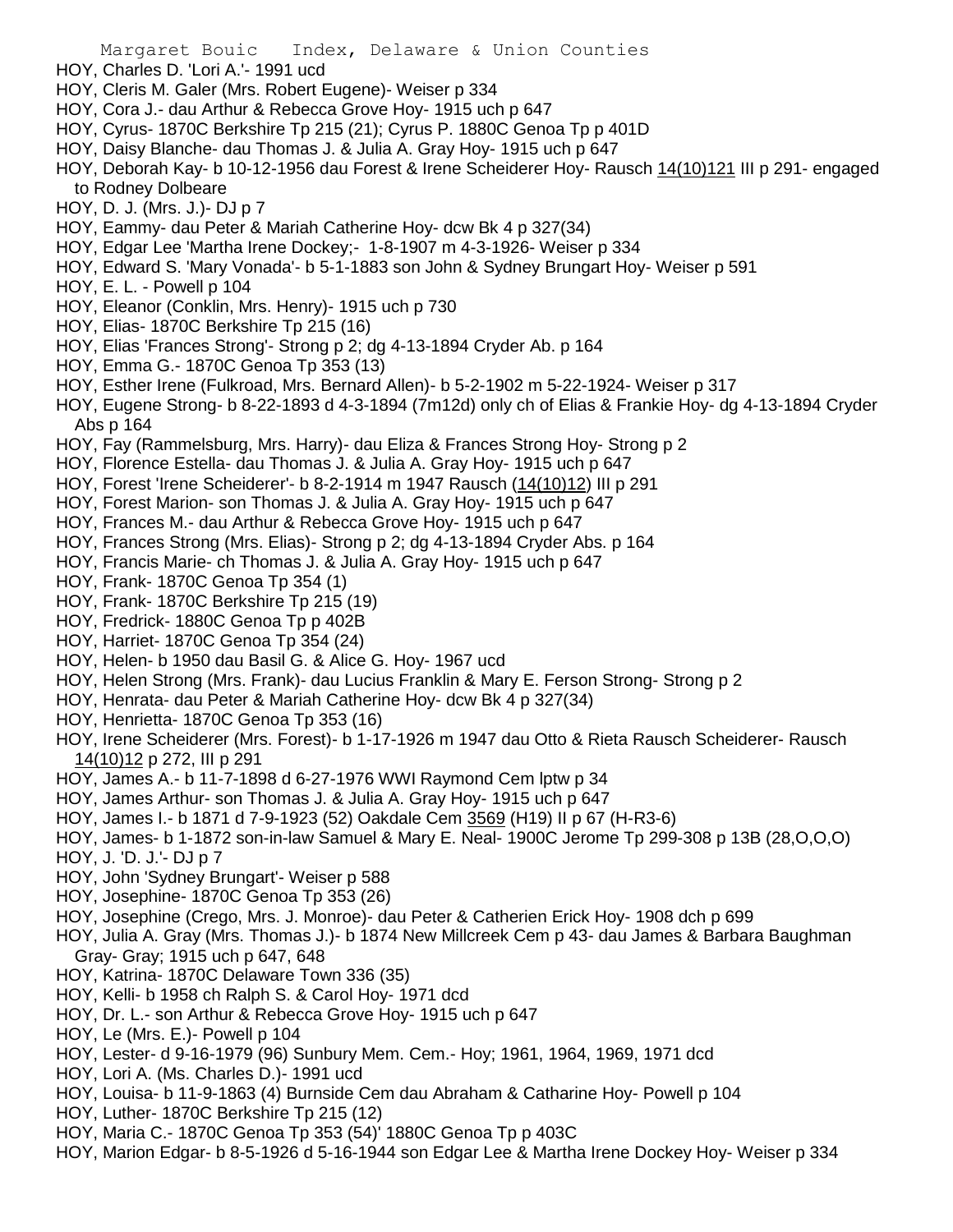- HOY, Charles D. 'Lori A.'- 1991 ucd
- HOY, Cleris M. Galer (Mrs. Robert Eugene)- Weiser p 334
- HOY, Cora J.- dau Arthur & Rebecca Grove Hoy- 1915 uch p 647
- HOY, Cyrus- 1870C Berkshire Tp 215 (21); Cyrus P. 1880C Genoa Tp p 401D
- HOY, Daisy Blanche- dau Thomas J. & Julia A. Gray Hoy- 1915 uch p 647
- HOY, Deborah Kay- b 10-12-1956 dau Forest & Irene Scheiderer Hoy- Rausch 14(10)121 III p 291- engaged to Rodney Dolbeare
- HOY, D. J. (Mrs. J.)- DJ p 7
- HOY, Eammy- dau Peter & Mariah Catherine Hoy- dcw Bk 4 p 327(34)
- HOY, Edgar Lee 'Martha Irene Dockey;- 1-8-1907 m 4-3-1926- Weiser p 334
- HOY, Edward S. 'Mary Vonada'- b 5-1-1883 son John & Sydney Brungart Hoy- Weiser p 591
- HOY, E. L. Powell p 104
- HOY, Eleanor (Conklin, Mrs. Henry)- 1915 uch p 730
- HOY, Elias- 1870C Berkshire Tp 215 (16)
- HOY, Elias 'Frances Strong'- Strong p 2; dg 4-13-1894 Cryder Ab. p 164
- HOY, Emma G.- 1870C Genoa Tp 353 (13)
- HOY, Esther Irene (Fulkroad, Mrs. Bernard Allen)- b 5-2-1902 m 5-22-1924- Weiser p 317
- HOY, Eugene Strong- b 8-22-1893 d 4-3-1894 (7m12d) only ch of Elias & Frankie Hoy- dg 4-13-1894 Cryder Abs p 164
- HOY, Fay (Rammelsburg, Mrs. Harry)- dau Eliza & Frances Strong Hoy- Strong p 2
- HOY, Florence Estella- dau Thomas J. & Julia A. Gray Hoy- 1915 uch p 647
- HOY, Forest 'Irene Scheiderer'- b 8-2-1914 m 1947 Rausch (14(10)12) III p 291
- HOY, Forest Marion- son Thomas J. & Julia A. Gray Hoy- 1915 uch p 647
- HOY, Frances M.- dau Arthur & Rebecca Grove Hoy- 1915 uch p 647
- HOY, Frances Strong (Mrs. Elias)- Strong p 2; dg 4-13-1894 Cryder Abs. p 164
- HOY, Francis Marie- ch Thomas J. & Julia A. Gray Hoy- 1915 uch p 647
- HOY, Frank- 1870C Genoa Tp 354 (1)
- HOY, Frank- 1870C Berkshire Tp 215 (19)
- HOY, Fredrick- 1880C Genoa Tp p 402B
- HOY, Harriet- 1870C Genoa Tp 354 (24)
- HOY, Helen- b 1950 dau Basil G. & Alice G. Hoy- 1967 ucd
- HOY, Helen Strong (Mrs. Frank)- dau Lucius Franklin & Mary E. Ferson Strong- Strong p 2
- HOY, Henrata- dau Peter & Mariah Catherine Hoy- dcw Bk 4 p 327(34)
- HOY, Henrietta- 1870C Genoa Tp 353 (16)
- HOY, Irene Scheiderer (Mrs. Forest)- b 1-17-1926 m 1947 dau Otto & Rieta Rausch Scheiderer- Rausch 14(10)12 p 272, III p 291
- HOY, James A.- b 11-7-1898 d 6-27-1976 WWI Raymond Cem lptw p 34
- HOY, James Arthur- son Thomas J. & Julia A. Gray Hoy- 1915 uch p 647
- HOY, James I.- b 1871 d 7-9-1923 (52) Oakdale Cem 3569 (H19) II p 67 (H-R3-6)
- HOY, James- b 1-1872 son-in-law Samuel & Mary E. Neal- 1900C Jerome Tp 299-308 p 13B (28,O,O,O) HOY, J. 'D. J.'- DJ p 7
- HOY, John 'Sydney Brungart'- Weiser p 588
- HOY, Josephine- 1870C Genoa Tp 353 (26)
- HOY, Josephine (Crego, Mrs. J. Monroe)- dau Peter & Catherien Erick Hoy- 1908 dch p 699
- HOY, Julia A. Gray (Mrs. Thomas J.)- b 1874 New Millcreek Cem p 43- dau James & Barbara Baughman Gray- Gray; 1915 uch p 647, 648
- HOY, Katrina- 1870C Delaware Town 336 (35)
- HOY, Kelli- b 1958 ch Ralph S. & Carol Hoy- 1971 dcd
- HOY, Dr. L.- son Arthur & Rebecca Grove Hoy- 1915 uch p 647
- HOY, Le (Mrs. E.)- Powell p 104
- HOY, Lester- d 9-16-1979 (96) Sunbury Mem. Cem.- Hoy; 1961, 1964, 1969, 1971 dcd
- HOY, Lori A. (Ms. Charles D.)- 1991 ucd
- HOY, Louisa- b 11-9-1863 (4) Burnside Cem dau Abraham & Catharine Hoy- Powell p 104
- HOY, Luther- 1870C Berkshire Tp 215 (12)
- HOY, Maria C.- 1870C Genoa Tp 353 (54)' 1880C Genoa Tp p 403C
- HOY, Marion Edgar- b 8-5-1926 d 5-16-1944 son Edgar Lee & Martha Irene Dockey Hoy- Weiser p 334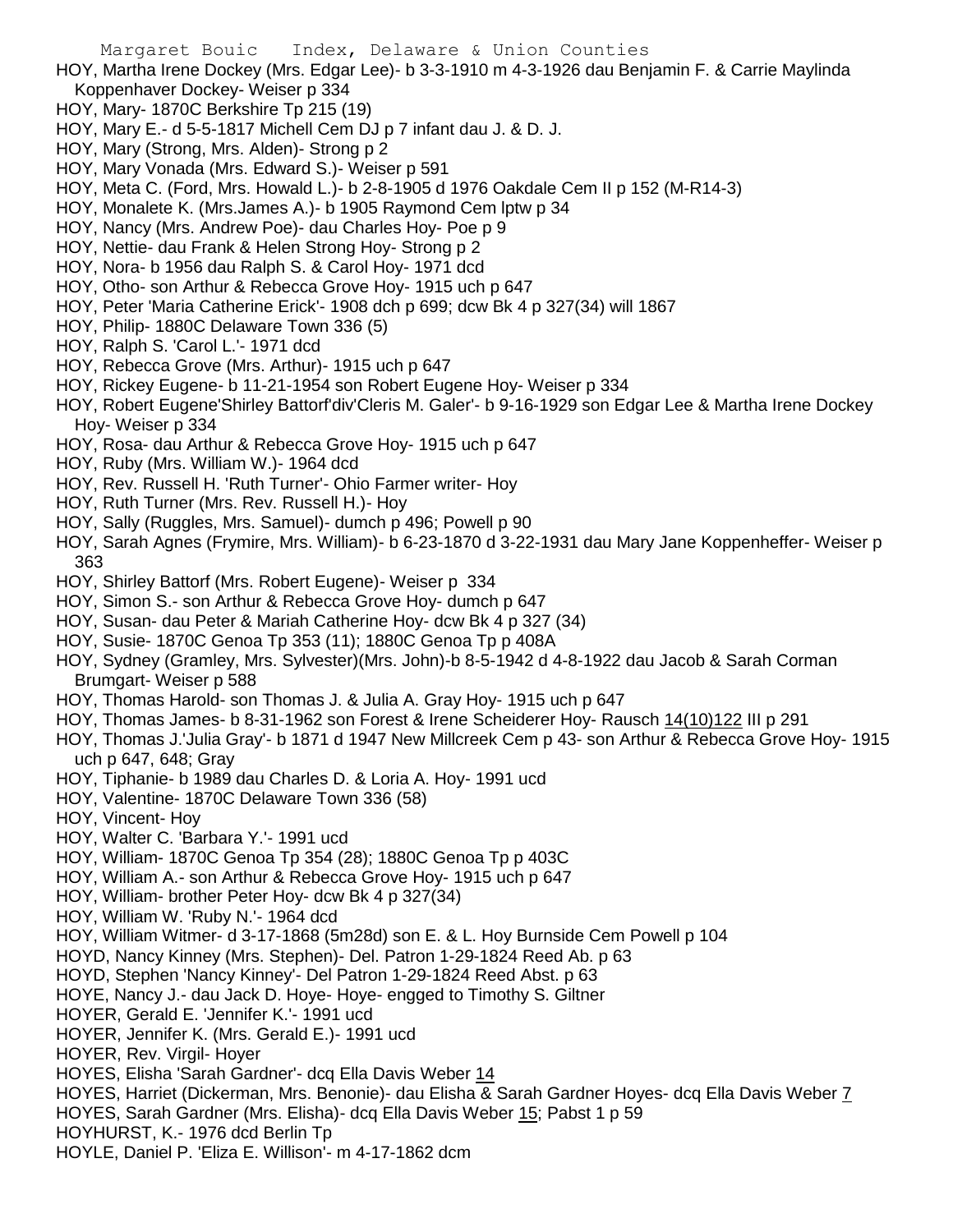- HOY, Martha Irene Dockey (Mrs. Edgar Lee)- b 3-3-1910 m 4-3-1926 dau Benjamin F. & Carrie Maylinda Koppenhaver Dockey- Weiser p 334
- HOY, Mary- 1870C Berkshire Tp 215 (19)
- HOY, Mary E.- d 5-5-1817 Michell Cem DJ p 7 infant dau J. & D. J.
- HOY, Mary (Strong, Mrs. Alden)- Strong p 2
- HOY, Mary Vonada (Mrs. Edward S.)- Weiser p 591
- HOY, Meta C. (Ford, Mrs. Howald L.)- b 2-8-1905 d 1976 Oakdale Cem II p 152 (M-R14-3)
- HOY, Monalete K. (Mrs.James A.)- b 1905 Raymond Cem lptw p 34
- HOY, Nancy (Mrs. Andrew Poe)- dau Charles Hoy- Poe p 9
- HOY, Nettie- dau Frank & Helen Strong Hoy- Strong p 2
- HOY, Nora- b 1956 dau Ralph S. & Carol Hoy- 1971 dcd
- HOY, Otho- son Arthur & Rebecca Grove Hoy- 1915 uch p 647
- HOY, Peter 'Maria Catherine Erick'- 1908 dch p 699; dcw Bk 4 p 327(34) will 1867
- HOY, Philip- 1880C Delaware Town 336 (5)
- HOY, Ralph S. 'Carol L.'- 1971 dcd
- HOY, Rebecca Grove (Mrs. Arthur)- 1915 uch p 647
- HOY, Rickey Eugene- b 11-21-1954 son Robert Eugene Hoy- Weiser p 334
- HOY, Robert Eugene'Shirley Battorf'div'Cleris M. Galer'- b 9-16-1929 son Edgar Lee & Martha Irene Dockey Hoy- Weiser p 334
- HOY, Rosa- dau Arthur & Rebecca Grove Hoy- 1915 uch p 647
- HOY, Ruby (Mrs. William W.)- 1964 dcd
- HOY, Rev. Russell H. 'Ruth Turner'- Ohio Farmer writer- Hoy
- HOY, Ruth Turner (Mrs. Rev. Russell H.)- Hoy
- HOY, Sally (Ruggles, Mrs. Samuel)- dumch p 496; Powell p 90
- HOY, Sarah Agnes (Frymire, Mrs. William)- b 6-23-1870 d 3-22-1931 dau Mary Jane Koppenheffer- Weiser p 363
- HOY, Shirley Battorf (Mrs. Robert Eugene)- Weiser p 334
- HOY, Simon S.- son Arthur & Rebecca Grove Hoy- dumch p 647
- HOY, Susan- dau Peter & Mariah Catherine Hoy- dcw Bk 4 p 327 (34)
- HOY, Susie- 1870C Genoa Tp 353 (11); 1880C Genoa Tp p 408A
- HOY, Sydney (Gramley, Mrs. Sylvester)(Mrs. John)-b 8-5-1942 d 4-8-1922 dau Jacob & Sarah Corman Brumgart- Weiser p 588
- HOY, Thomas Harold- son Thomas J. & Julia A. Gray Hoy- 1915 uch p 647
- HOY, Thomas James- b 8-31-1962 son Forest & Irene Scheiderer Hoy- Rausch 14(10)122 III p 291
- HOY, Thomas J.'Julia Gray'- b 1871 d 1947 New Millcreek Cem p 43- son Arthur & Rebecca Grove Hoy- 1915 uch p 647, 648; Gray
- HOY, Tiphanie- b 1989 dau Charles D. & Loria A. Hoy- 1991 ucd
- HOY, Valentine- 1870C Delaware Town 336 (58)
- HOY, Vincent- Hoy
- HOY, Walter C. 'Barbara Y.'- 1991 ucd
- HOY, William- 1870C Genoa Tp 354 (28); 1880C Genoa Tp p 403C
- HOY, William A.- son Arthur & Rebecca Grove Hoy- 1915 uch p 647
- HOY, William- brother Peter Hoy- dcw Bk 4 p 327(34)
- HOY, William W. 'Ruby N.'- 1964 dcd
- HOY, William Witmer- d 3-17-1868 (5m28d) son E. & L. Hoy Burnside Cem Powell p 104
- HOYD, Nancy Kinney (Mrs. Stephen)- Del. Patron 1-29-1824 Reed Ab. p 63
- HOYD, Stephen 'Nancy Kinney'- Del Patron 1-29-1824 Reed Abst. p 63
- HOYE, Nancy J.- dau Jack D. Hoye- Hoye- engged to Timothy S. Giltner
- HOYER, Gerald E. 'Jennifer K.'- 1991 ucd
- HOYER, Jennifer K. (Mrs. Gerald E.)- 1991 ucd
- HOYER, Rev. Virgil- Hoyer
- HOYES, Elisha 'Sarah Gardner'- dcq Ella Davis Weber 14
- HOYES, Harriet (Dickerman, Mrs. Benonie)- dau Elisha & Sarah Gardner Hoyes- dcq Ella Davis Weber 7
- HOYES, Sarah Gardner (Mrs. Elisha)- dcq Ella Davis Weber 15; Pabst 1 p 59
- HOYHURST, K.- 1976 dcd Berlin Tp
- HOYLE, Daniel P. 'Eliza E. Willison'- m 4-17-1862 dcm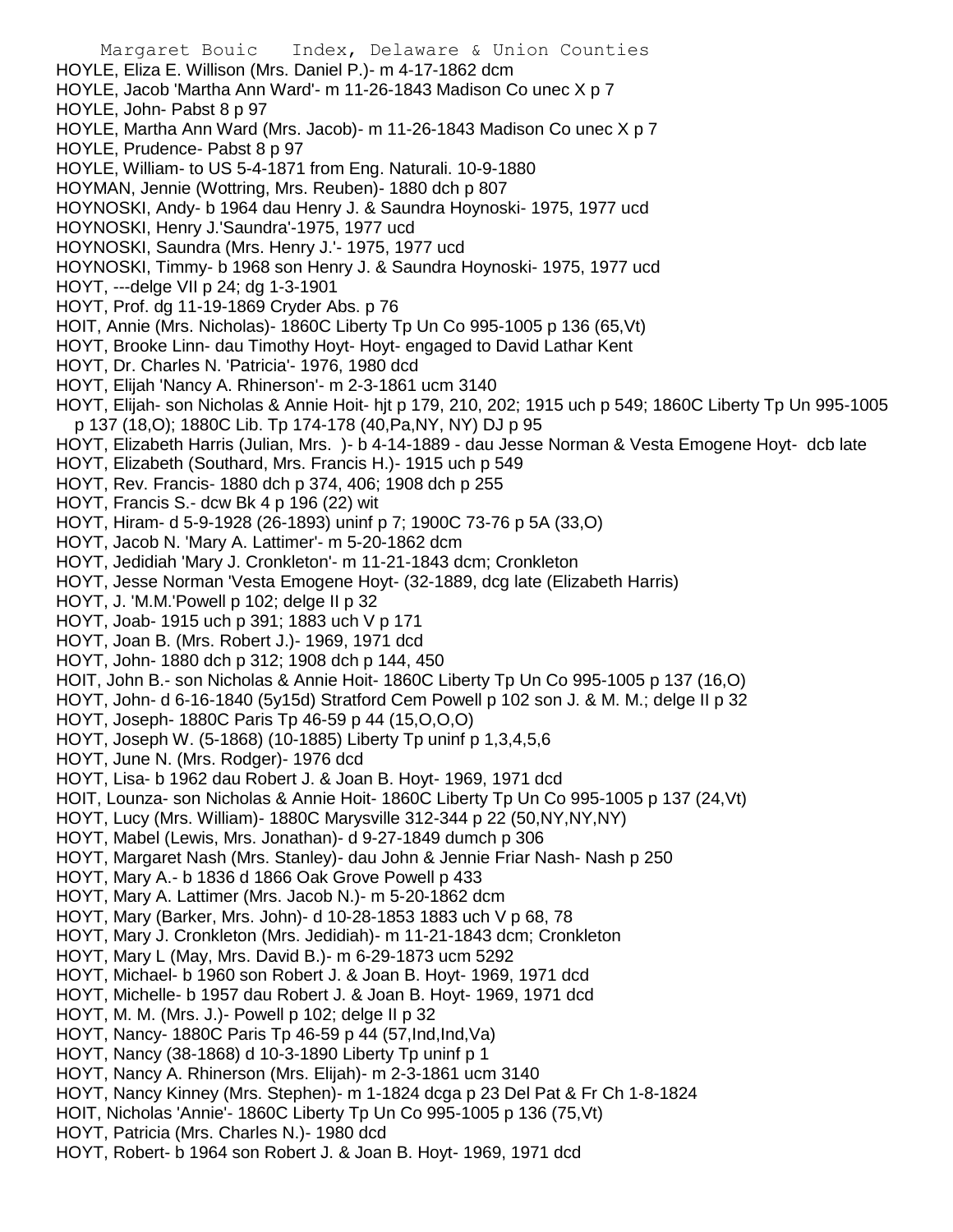Margaret Bouic Index, Delaware & Union Counties HOYLE, Eliza E. Willison (Mrs. Daniel P.)- m 4-17-1862 dcm HOYLE, Jacob 'Martha Ann Ward'- m 11-26-1843 Madison Co unec X p 7 HOYLE, John- Pabst 8 p 97 HOYLE, Martha Ann Ward (Mrs. Jacob)- m 11-26-1843 Madison Co unec X p 7 HOYLE, Prudence- Pabst 8 p 97 HOYLE, William- to US 5-4-1871 from Eng. Naturali. 10-9-1880 HOYMAN, Jennie (Wottring, Mrs. Reuben)- 1880 dch p 807 HOYNOSKI, Andy- b 1964 dau Henry J. & Saundra Hoynoski- 1975, 1977 ucd HOYNOSKI, Henry J.'Saundra'-1975, 1977 ucd HOYNOSKI, Saundra (Mrs. Henry J.'- 1975, 1977 ucd HOYNOSKI, Timmy- b 1968 son Henry J. & Saundra Hoynoski- 1975, 1977 ucd HOYT, ---delge VII p 24; dg 1-3-1901 HOYT, Prof. dg 11-19-1869 Cryder Abs. p 76 HOIT, Annie (Mrs. Nicholas)- 1860C Liberty Tp Un Co 995-1005 p 136 (65,Vt) HOYT, Brooke Linn- dau Timothy Hoyt- Hoyt- engaged to David Lathar Kent HOYT, Dr. Charles N. 'Patricia'- 1976, 1980 dcd HOYT, Elijah 'Nancy A. Rhinerson'- m 2-3-1861 ucm 3140 HOYT, Elijah- son Nicholas & Annie Hoit- hjt p 179, 210, 202; 1915 uch p 549; 1860C Liberty Tp Un 995-1005 p 137 (18,O); 1880C Lib. Tp 174-178 (40,Pa,NY, NY) DJ p 95 HOYT, Elizabeth Harris (Julian, Mrs. )- b 4-14-1889 - dau Jesse Norman & Vesta Emogene Hoyt- dcb late HOYT, Elizabeth (Southard, Mrs. Francis H.)- 1915 uch p 549 HOYT, Rev. Francis- 1880 dch p 374, 406; 1908 dch p 255 HOYT, Francis S.- dcw Bk 4 p 196 (22) wit HOYT, Hiram- d 5-9-1928 (26-1893) uninf p 7; 1900C 73-76 p 5A (33,O) HOYT, Jacob N. 'Mary A. Lattimer'- m 5-20-1862 dcm HOYT, Jedidiah 'Mary J. Cronkleton'- m 11-21-1843 dcm; Cronkleton HOYT, Jesse Norman 'Vesta Emogene Hoyt- (32-1889, dcg late (Elizabeth Harris) HOYT, J. 'M.M.'Powell p 102; delge II p 32 HOYT, Joab- 1915 uch p 391; 1883 uch V p 171 HOYT, Joan B. (Mrs. Robert J.)- 1969, 1971 dcd HOYT, John- 1880 dch p 312; 1908 dch p 144, 450 HOIT, John B.- son Nicholas & Annie Hoit- 1860C Liberty Tp Un Co 995-1005 p 137 (16,O) HOYT, John- d 6-16-1840 (5y15d) Stratford Cem Powell p 102 son J. & M. M.; delge II p 32 HOYT, Joseph- 1880C Paris Tp 46-59 p 44 (15,O,O,O) HOYT, Joseph W. (5-1868) (10-1885) Liberty Tp uninf p 1,3,4,5,6 HOYT, June N. (Mrs. Rodger)- 1976 dcd HOYT, Lisa- b 1962 dau Robert J. & Joan B. Hoyt- 1969, 1971 dcd HOIT, Lounza- son Nicholas & Annie Hoit- 1860C Liberty Tp Un Co 995-1005 p 137 (24,Vt) HOYT, Lucy (Mrs. William)- 1880C Marysville 312-344 p 22 (50,NY,NY,NY) HOYT, Mabel (Lewis, Mrs. Jonathan)- d 9-27-1849 dumch p 306 HOYT, Margaret Nash (Mrs. Stanley)- dau John & Jennie Friar Nash- Nash p 250 HOYT, Mary A.- b 1836 d 1866 Oak Grove Powell p 433 HOYT, Mary A. Lattimer (Mrs. Jacob N.)- m 5-20-1862 dcm HOYT, Mary (Barker, Mrs. John)- d 10-28-1853 1883 uch V p 68, 78 HOYT, Mary J. Cronkleton (Mrs. Jedidiah)- m 11-21-1843 dcm; Cronkleton HOYT, Mary L (May, Mrs. David B.)- m 6-29-1873 ucm 5292 HOYT, Michael- b 1960 son Robert J. & Joan B. Hoyt- 1969, 1971 dcd HOYT, Michelle- b 1957 dau Robert J. & Joan B. Hoyt- 1969, 1971 dcd HOYT, M. M. (Mrs. J.)- Powell p 102; delge II p 32 HOYT, Nancy- 1880C Paris Tp 46-59 p 44 (57,Ind,Ind,Va) HOYT, Nancy (38-1868) d 10-3-1890 Liberty Tp uninf p 1 HOYT, Nancy A. Rhinerson (Mrs. Elijah)- m 2-3-1861 ucm 3140 HOYT, Nancy Kinney (Mrs. Stephen)- m 1-1824 dcga p 23 Del Pat & Fr Ch 1-8-1824 HOIT, Nicholas 'Annie'- 1860C Liberty Tp Un Co 995-1005 p 136 (75,Vt) HOYT, Patricia (Mrs. Charles N.)- 1980 dcd

HOYT, Robert- b 1964 son Robert J. & Joan B. Hoyt- 1969, 1971 dcd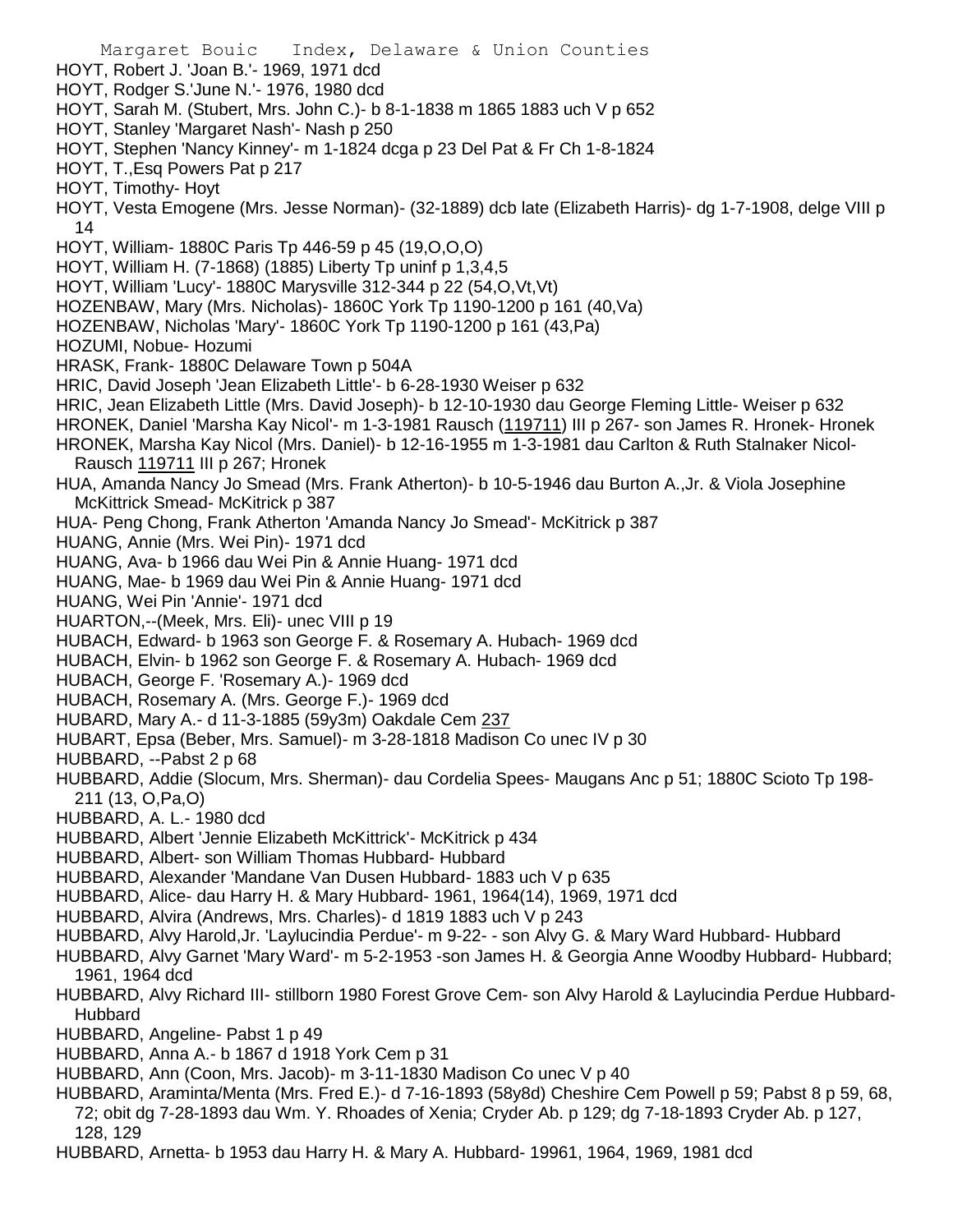Margaret Bouic Index, Delaware & Union Counties HOYT, Robert J. 'Joan B.'- 1969, 1971 dcd HOYT, Rodger S.'June N.'- 1976, 1980 dcd HOYT, Sarah M. (Stubert, Mrs. John C.)- b 8-1-1838 m 1865 1883 uch V p 652 HOYT, Stanley 'Margaret Nash'- Nash p 250 HOYT, Stephen 'Nancy Kinney'- m 1-1824 dcga p 23 Del Pat & Fr Ch 1-8-1824 HOYT, T.,Esq Powers Pat p 217 HOYT, Timothy- Hoyt HOYT, Vesta Emogene (Mrs. Jesse Norman)- (32-1889) dcb late (Elizabeth Harris)- dg 1-7-1908, delge VIII p 14 HOYT, William- 1880C Paris Tp 446-59 p 45 (19,O,O,O) HOYT, William H. (7-1868) (1885) Liberty Tp uninf p 1,3,4,5 HOYT, William 'Lucy'- 1880C Marysville 312-344 p 22 (54,O,Vt,Vt) HOZENBAW, Mary (Mrs. Nicholas)- 1860C York Tp 1190-1200 p 161 (40,Va) HOZENBAW, Nicholas 'Mary'- 1860C York Tp 1190-1200 p 161 (43,Pa) HOZUMI, Nobue- Hozumi HRASK, Frank- 1880C Delaware Town p 504A HRIC, David Joseph 'Jean Elizabeth Little'- b 6-28-1930 Weiser p 632 HRIC, Jean Elizabeth Little (Mrs. David Joseph)- b 12-10-1930 dau George Fleming Little- Weiser p 632 HRONEK, Daniel 'Marsha Kay Nicol'- m 1-3-1981 Rausch (119711) III p 267- son James R. Hronek- Hronek HRONEK, Marsha Kay Nicol (Mrs. Daniel)- b 12-16-1955 m 1-3-1981 dau Carlton & Ruth Stalnaker Nicol-Rausch 119711 III p 267; Hronek HUA, Amanda Nancy Jo Smead (Mrs. Frank Atherton)- b 10-5-1946 dau Burton A.,Jr. & Viola Josephine McKittrick Smead- McKitrick p 387 HUA- Peng Chong, Frank Atherton 'Amanda Nancy Jo Smead'- McKitrick p 387 HUANG, Annie (Mrs. Wei Pin)- 1971 dcd HUANG, Ava- b 1966 dau Wei Pin & Annie Huang- 1971 dcd HUANG, Mae- b 1969 dau Wei Pin & Annie Huang- 1971 dcd HUANG, Wei Pin 'Annie'- 1971 dcd HUARTON,--(Meek, Mrs. Eli)- unec VIII p 19 HUBACH, Edward- b 1963 son George F. & Rosemary A. Hubach- 1969 dcd HUBACH, Elvin- b 1962 son George F. & Rosemary A. Hubach- 1969 dcd HUBACH, George F. 'Rosemary A.)- 1969 dcd HUBACH, Rosemary A. (Mrs. George F.)- 1969 dcd HUBARD, Mary A.- d 11-3-1885 (59y3m) Oakdale Cem 237 HUBART, Epsa (Beber, Mrs. Samuel)- m 3-28-1818 Madison Co unec IV p 30 HUBBARD, --Pabst 2 p 68 HUBBARD, Addie (Slocum, Mrs. Sherman)- dau Cordelia Spees- Maugans Anc p 51; 1880C Scioto Tp 198- 211 (13, O,Pa,O) HUBBARD, A. L.- 1980 dcd HUBBARD, Albert 'Jennie Elizabeth McKittrick'- McKitrick p 434 HUBBARD, Albert- son William Thomas Hubbard- Hubbard HUBBARD, Alexander 'Mandane Van Dusen Hubbard- 1883 uch V p 635 HUBBARD, Alice- dau Harry H. & Mary Hubbard- 1961, 1964(14), 1969, 1971 dcd HUBBARD, Alvira (Andrews, Mrs. Charles)- d 1819 1883 uch V p 243 HUBBARD, Alvy Harold,Jr. 'Laylucindia Perdue'- m 9-22- - son Alvy G. & Mary Ward Hubbard- Hubbard HUBBARD, Alvy Garnet 'Mary Ward'- m 5-2-1953 -son James H. & Georgia Anne Woodby Hubbard- Hubbard; 1961, 1964 dcd HUBBARD, Alvy Richard III- stillborn 1980 Forest Grove Cem- son Alvy Harold & Laylucindia Perdue Hubbard-Hubbard HUBBARD, Angeline- Pabst 1 p 49 HUBBARD, Anna A.- b 1867 d 1918 York Cem p 31 HUBBARD, Ann (Coon, Mrs. Jacob)- m 3-11-1830 Madison Co unec V p 40 HUBBARD, Araminta/Menta (Mrs. Fred E.)- d 7-16-1893 (58y8d) Cheshire Cem Powell p 59; Pabst 8 p 59, 68,

72; obit dg 7-28-1893 dau Wm. Y. Rhoades of Xenia; Cryder Ab. p 129; dg 7-18-1893 Cryder Ab. p 127, 128, 129

HUBBARD, Arnetta- b 1953 dau Harry H. & Mary A. Hubbard- 19961, 1964, 1969, 1981 dcd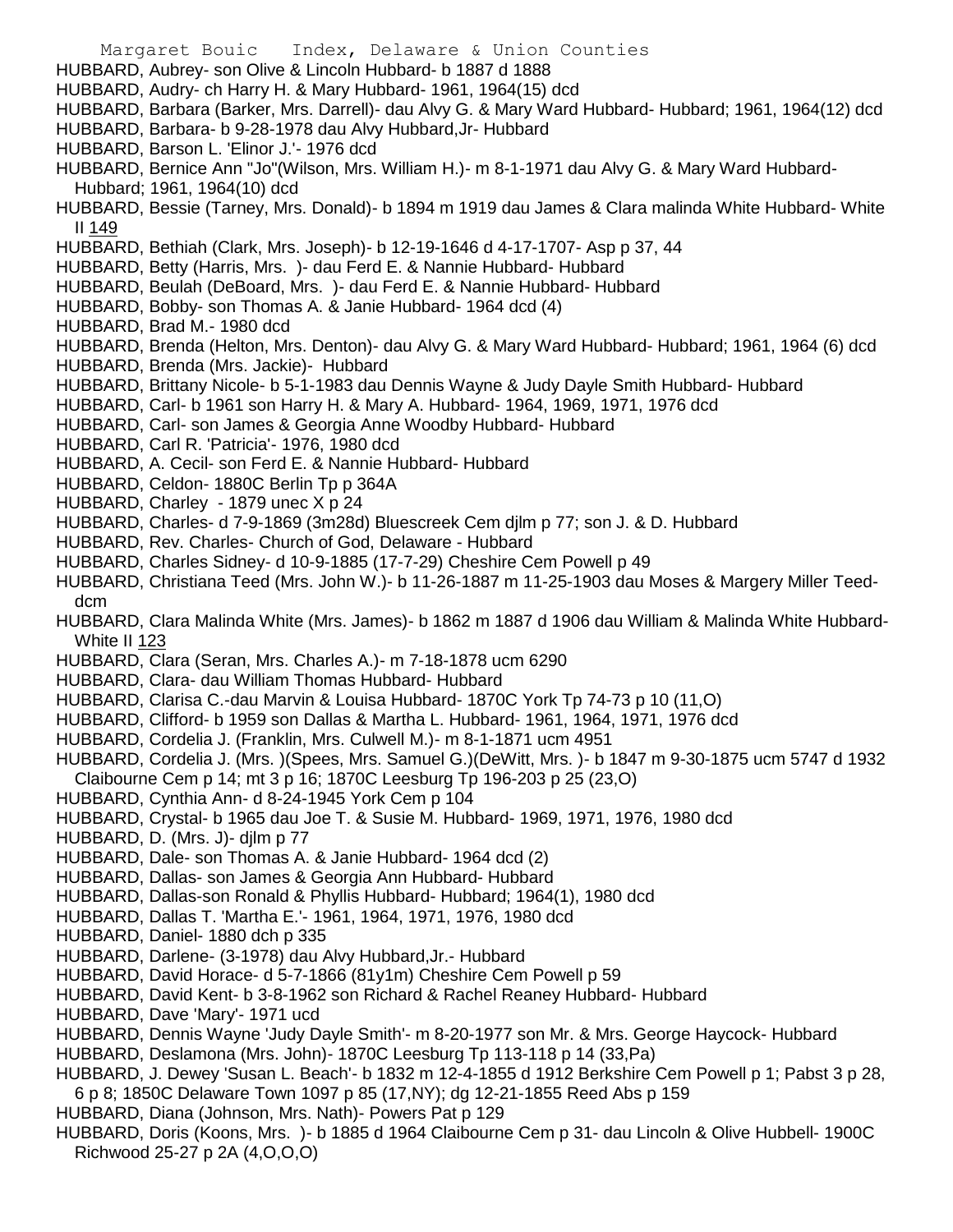- Margaret Bouic Index, Delaware & Union Counties HUBBARD, Aubrey- son Olive & Lincoln Hubbard- b 1887 d 1888 HUBBARD, Audry- ch Harry H. & Mary Hubbard- 1961, 1964(15) dcd HUBBARD, Barbara (Barker, Mrs. Darrell)- dau Alvy G. & Mary Ward Hubbard- Hubbard; 1961, 1964(12) dcd HUBBARD, Barbara- b 9-28-1978 dau Alvy Hubbard,Jr- Hubbard HUBBARD, Barson L. 'Elinor J.'- 1976 dcd HUBBARD, Bernice Ann "Jo"(Wilson, Mrs. William H.)- m 8-1-1971 dau Alvy G. & Mary Ward Hubbard-Hubbard; 1961, 1964(10) dcd HUBBARD, Bessie (Tarney, Mrs. Donald)- b 1894 m 1919 dau James & Clara malinda White Hubbard- White II 149 HUBBARD, Bethiah (Clark, Mrs. Joseph)- b 12-19-1646 d 4-17-1707- Asp p 37, 44 HUBBARD, Betty (Harris, Mrs. )- dau Ferd E. & Nannie Hubbard- Hubbard HUBBARD, Beulah (DeBoard, Mrs. )- dau Ferd E. & Nannie Hubbard- Hubbard HUBBARD, Bobby- son Thomas A. & Janie Hubbard- 1964 dcd (4) HUBBARD, Brad M.- 1980 dcd HUBBARD, Brenda (Helton, Mrs. Denton)- dau Alvy G. & Mary Ward Hubbard- Hubbard; 1961, 1964 (6) dcd HUBBARD, Brenda (Mrs. Jackie)- Hubbard HUBBARD, Brittany Nicole- b 5-1-1983 dau Dennis Wayne & Judy Dayle Smith Hubbard- Hubbard HUBBARD, Carl- b 1961 son Harry H. & Mary A. Hubbard- 1964, 1969, 1971, 1976 dcd HUBBARD, Carl- son James & Georgia Anne Woodby Hubbard- Hubbard HUBBARD, Carl R. 'Patricia'- 1976, 1980 dcd HUBBARD, A. Cecil- son Ferd E. & Nannie Hubbard- Hubbard HUBBARD, Celdon- 1880C Berlin Tp p 364A HUBBARD, Charley - 1879 unec X p 24 HUBBARD, Charles- d 7-9-1869 (3m28d) Bluescreek Cem djlm p 77; son J. & D. Hubbard HUBBARD, Rev. Charles- Church of God, Delaware - Hubbard HUBBARD, Charles Sidney- d 10-9-1885 (17-7-29) Cheshire Cem Powell p 49 HUBBARD, Christiana Teed (Mrs. John W.)- b 11-26-1887 m 11-25-1903 dau Moses & Margery Miller Teeddcm HUBBARD, Clara Malinda White (Mrs. James)- b 1862 m 1887 d 1906 dau William & Malinda White Hubbard-White II 123 HUBBARD, Clara (Seran, Mrs. Charles A.)- m 7-18-1878 ucm 6290 HUBBARD, Clara- dau William Thomas Hubbard- Hubbard HUBBARD, Clarisa C.-dau Marvin & Louisa Hubbard- 1870C York Tp 74-73 p 10 (11,O) HUBBARD, Clifford- b 1959 son Dallas & Martha L. Hubbard- 1961, 1964, 1971, 1976 dcd HUBBARD, Cordelia J. (Franklin, Mrs. Culwell M.)- m 8-1-1871 ucm 4951 HUBBARD, Cordelia J. (Mrs. )(Spees, Mrs. Samuel G.)(DeWitt, Mrs. )- b 1847 m 9-30-1875 ucm 5747 d 1932 Claibourne Cem p 14; mt 3 p 16; 1870C Leesburg Tp 196-203 p 25 (23,O) HUBBARD, Cynthia Ann- d 8-24-1945 York Cem p 104 HUBBARD, Crystal- b 1965 dau Joe T. & Susie M. Hubbard- 1969, 1971, 1976, 1980 dcd HUBBARD, D. (Mrs. J)- djlm p 77 HUBBARD, Dale- son Thomas A. & Janie Hubbard- 1964 dcd (2) HUBBARD, Dallas- son James & Georgia Ann Hubbard- Hubbard
- HUBBARD, Dallas-son Ronald & Phyllis Hubbard- Hubbard; 1964(1), 1980 dcd
- HUBBARD, Dallas T. 'Martha E.'- 1961, 1964, 1971, 1976, 1980 dcd
- HUBBARD, Daniel- 1880 dch p 335
- HUBBARD, Darlene- (3-1978) dau Alvy Hubbard,Jr.- Hubbard
- HUBBARD, David Horace- d 5-7-1866 (81y1m) Cheshire Cem Powell p 59
- HUBBARD, David Kent- b 3-8-1962 son Richard & Rachel Reaney Hubbard- Hubbard
- HUBBARD, Dave 'Mary'- 1971 ucd
- HUBBARD, Dennis Wayne 'Judy Dayle Smith'- m 8-20-1977 son Mr. & Mrs. George Haycock- Hubbard
- HUBBARD, Deslamona (Mrs. John)- 1870C Leesburg Tp 113-118 p 14 (33,Pa)
- HUBBARD, J. Dewey 'Susan L. Beach'- b 1832 m 12-4-1855 d 1912 Berkshire Cem Powell p 1; Pabst 3 p 28, 6 p 8; 1850C Delaware Town 1097 p 85 (17,NY); dg 12-21-1855 Reed Abs p 159
- HUBBARD, Diana (Johnson, Mrs. Nath)- Powers Pat p 129
- HUBBARD, Doris (Koons, Mrs. )- b 1885 d 1964 Claibourne Cem p 31- dau Lincoln & Olive Hubbell- 1900C Richwood 25-27 p 2A (4,O,O,O)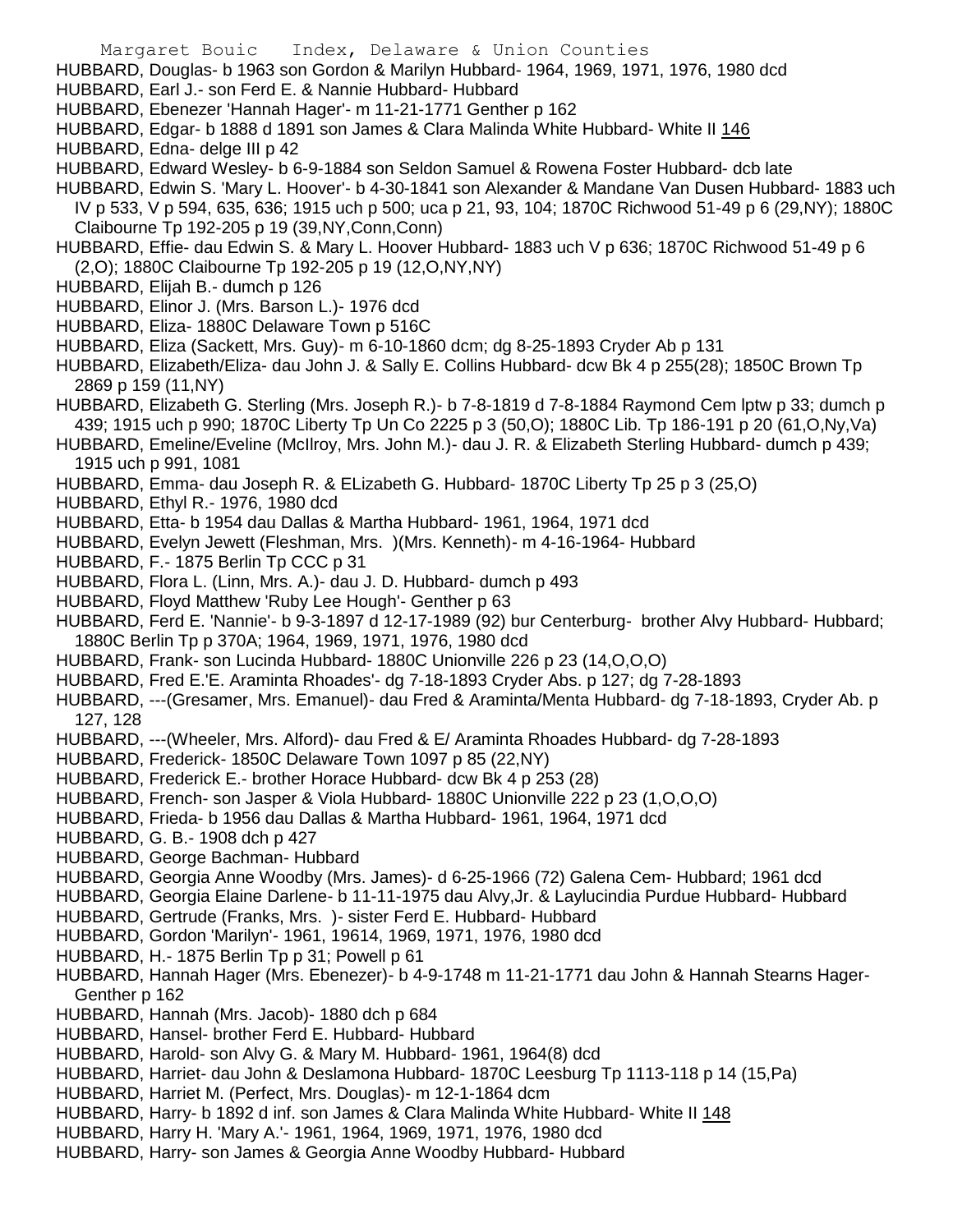HUBBARD, Douglas- b 1963 son Gordon & Marilyn Hubbard- 1964, 1969, 1971, 1976, 1980 dcd

- HUBBARD, Earl J.- son Ferd E. & Nannie Hubbard- Hubbard
- HUBBARD, Ebenezer 'Hannah Hager'- m 11-21-1771 Genther p 162
- HUBBARD, Edgar- b 1888 d 1891 son James & Clara Malinda White Hubbard- White II 146
- HUBBARD, Edna- delge III p 42
- HUBBARD, Edward Wesley- b 6-9-1884 son Seldon Samuel & Rowena Foster Hubbard- dcb late
- HUBBARD, Edwin S. 'Mary L. Hoover'- b 4-30-1841 son Alexander & Mandane Van Dusen Hubbard- 1883 uch IV p 533, V p 594, 635, 636; 1915 uch p 500; uca p 21, 93, 104; 1870C Richwood 51-49 p 6 (29,NY); 1880C
	- Claibourne Tp 192-205 p 19 (39,NY,Conn,Conn)
- HUBBARD, Effie- dau Edwin S. & Mary L. Hoover Hubbard- 1883 uch V p 636; 1870C Richwood 51-49 p 6 (2,O); 1880C Claibourne Tp 192-205 p 19 (12,O,NY,NY)
- HUBBARD, Elijah B.- dumch p 126
- HUBBARD, Elinor J. (Mrs. Barson L.)- 1976 dcd
- HUBBARD, Eliza- 1880C Delaware Town p 516C
- HUBBARD, Eliza (Sackett, Mrs. Guy)- m 6-10-1860 dcm; dg 8-25-1893 Cryder Ab p 131
- HUBBARD, Elizabeth/Eliza- dau John J. & Sally E. Collins Hubbard- dcw Bk 4 p 255(28); 1850C Brown Tp 2869 p 159 (11,NY)
- HUBBARD, Elizabeth G. Sterling (Mrs. Joseph R.)- b 7-8-1819 d 7-8-1884 Raymond Cem lptw p 33; dumch p 439; 1915 uch p 990; 1870C Liberty Tp Un Co 2225 p 3 (50,O); 1880C Lib. Tp 186-191 p 20 (61,O,Ny,Va)
- HUBBARD, Emeline/Eveline (McIlroy, Mrs. John M.)- dau J. R. & Elizabeth Sterling Hubbard- dumch p 439; 1915 uch p 991, 1081
- HUBBARD, Emma- dau Joseph R. & ELizabeth G. Hubbard- 1870C Liberty Tp 25 p 3 (25,O)
- HUBBARD, Ethyl R.- 1976, 1980 dcd
- HUBBARD, Etta- b 1954 dau Dallas & Martha Hubbard- 1961, 1964, 1971 dcd
- HUBBARD, Evelyn Jewett (Fleshman, Mrs. )(Mrs. Kenneth)- m 4-16-1964- Hubbard
- HUBBARD, F.- 1875 Berlin Tp CCC p 31
- HUBBARD, Flora L. (Linn, Mrs. A.)- dau J. D. Hubbard- dumch p 493
- HUBBARD, Floyd Matthew 'Ruby Lee Hough'- Genther p 63
- HUBBARD, Ferd E. 'Nannie'- b 9-3-1897 d 12-17-1989 (92) bur Centerburg- brother Alvy Hubbard- Hubbard; 1880C Berlin Tp p 370A; 1964, 1969, 1971, 1976, 1980 dcd
- HUBBARD, Frank- son Lucinda Hubbard- 1880C Unionville 226 p 23 (14,O,O,O)
- HUBBARD, Fred E.'E. Araminta Rhoades'- dg 7-18-1893 Cryder Abs. p 127; dg 7-28-1893
- HUBBARD, ---(Gresamer, Mrs. Emanuel)- dau Fred & Araminta/Menta Hubbard- dg 7-18-1893, Cryder Ab. p 127, 128
- HUBBARD, ---(Wheeler, Mrs. Alford)- dau Fred & E/ Araminta Rhoades Hubbard- dg 7-28-1893
- HUBBARD, Frederick- 1850C Delaware Town 1097 p 85 (22,NY)
- HUBBARD, Frederick E.- brother Horace Hubbard- dcw Bk 4 p 253 (28)
- HUBBARD, French- son Jasper & Viola Hubbard- 1880C Unionville 222 p 23 (1,O,O,O)
- HUBBARD, Frieda- b 1956 dau Dallas & Martha Hubbard- 1961, 1964, 1971 dcd
- HUBBARD, G. B.- 1908 dch p 427
- HUBBARD, George Bachman- Hubbard
- HUBBARD, Georgia Anne Woodby (Mrs. James)- d 6-25-1966 (72) Galena Cem- Hubbard; 1961 dcd
- HUBBARD, Georgia Elaine Darlene- b 11-11-1975 dau Alvy,Jr. & Laylucindia Purdue Hubbard- Hubbard
- HUBBARD, Gertrude (Franks, Mrs. )- sister Ferd E. Hubbard- Hubbard
- HUBBARD, Gordon 'Marilyn'- 1961, 19614, 1969, 1971, 1976, 1980 dcd
- HUBBARD, H.- 1875 Berlin Tp p 31; Powell p 61
- HUBBARD, Hannah Hager (Mrs. Ebenezer)- b 4-9-1748 m 11-21-1771 dau John & Hannah Stearns Hager-Genther p 162
- HUBBARD, Hannah (Mrs. Jacob)- 1880 dch p 684
- HUBBARD, Hansel- brother Ferd E. Hubbard- Hubbard
- HUBBARD, Harold- son Alvy G. & Mary M. Hubbard- 1961, 1964(8) dcd
- HUBBARD, Harriet- dau John & Deslamona Hubbard- 1870C Leesburg Tp 1113-118 p 14 (15,Pa)
- HUBBARD, Harriet M. (Perfect, Mrs. Douglas)- m 12-1-1864 dcm
- HUBBARD, Harry- b 1892 d inf. son James & Clara Malinda White Hubbard- White II 148
- HUBBARD, Harry H. 'Mary A.'- 1961, 1964, 1969, 1971, 1976, 1980 dcd
- HUBBARD, Harry- son James & Georgia Anne Woodby Hubbard- Hubbard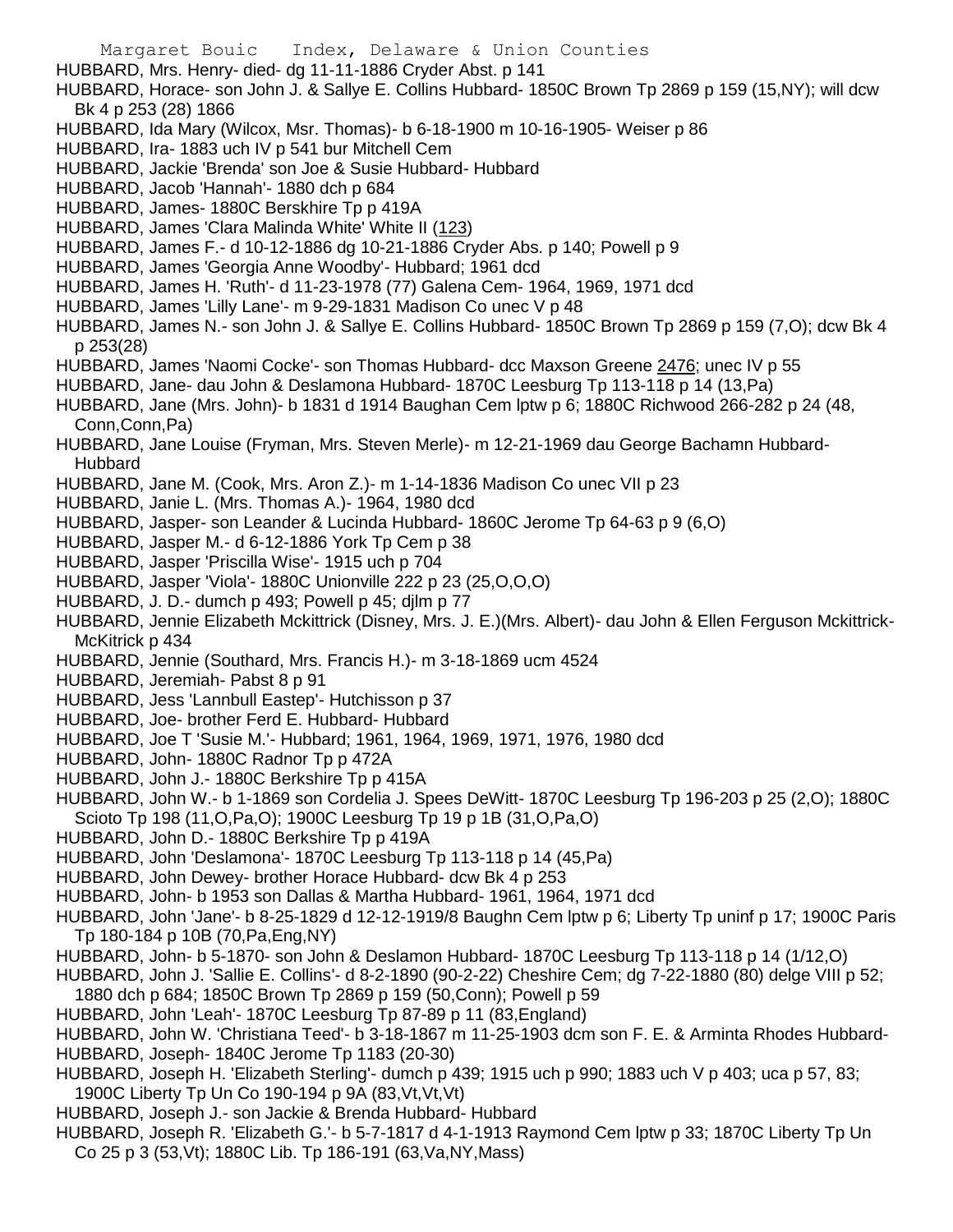Margaret Bouic Index, Delaware & Union Counties HUBBARD, Mrs. Henry- died- dg 11-11-1886 Cryder Abst. p 141 HUBBARD, Horace- son John J. & Sallye E. Collins Hubbard- 1850C Brown Tp 2869 p 159 (15,NY); will dcw Bk 4 p 253 (28) 1866 HUBBARD, Ida Mary (Wilcox, Msr. Thomas)- b 6-18-1900 m 10-16-1905- Weiser p 86 HUBBARD, Ira- 1883 uch IV p 541 bur Mitchell Cem HUBBARD, Jackie 'Brenda' son Joe & Susie Hubbard- Hubbard HUBBARD, Jacob 'Hannah'- 1880 dch p 684 HUBBARD, James- 1880C Berskhire Tp p 419A HUBBARD, James 'Clara Malinda White' White II (123) HUBBARD, James F.- d 10-12-1886 dg 10-21-1886 Cryder Abs. p 140; Powell p 9 HUBBARD, James 'Georgia Anne Woodby'- Hubbard; 1961 dcd HUBBARD, James H. 'Ruth'- d 11-23-1978 (77) Galena Cem- 1964, 1969, 1971 dcd HUBBARD, James 'Lilly Lane'- m 9-29-1831 Madison Co unec V p 48 HUBBARD, James N.- son John J. & Sallye E. Collins Hubbard- 1850C Brown Tp 2869 p 159 (7,O); dcw Bk 4 p 253(28) HUBBARD, James 'Naomi Cocke'- son Thomas Hubbard- dcc Maxson Greene 2476; unec IV p 55 HUBBARD, Jane- dau John & Deslamona Hubbard- 1870C Leesburg Tp 113-118 p 14 (13,Pa) HUBBARD, Jane (Mrs. John)- b 1831 d 1914 Baughan Cem lptw p 6; 1880C Richwood 266-282 p 24 (48, Conn,Conn,Pa) HUBBARD, Jane Louise (Fryman, Mrs. Steven Merle)- m 12-21-1969 dau George Bachamn Hubbard-Hubbard HUBBARD, Jane M. (Cook, Mrs. Aron Z.)- m 1-14-1836 Madison Co unec VII p 23 HUBBARD, Janie L. (Mrs. Thomas A.)- 1964, 1980 dcd HUBBARD, Jasper- son Leander & Lucinda Hubbard- 1860C Jerome Tp 64-63 p 9 (6,O) HUBBARD, Jasper M.- d 6-12-1886 York Tp Cem p 38 HUBBARD, Jasper 'Priscilla Wise'- 1915 uch p 704 HUBBARD, Jasper 'Viola'- 1880C Unionville 222 p 23 (25,O,O,O) HUBBARD, J. D.- dumch p 493; Powell p 45; djlm p 77 HUBBARD, Jennie Elizabeth Mckittrick (Disney, Mrs. J. E.)(Mrs. Albert)- dau John & Ellen Ferguson Mckittrick-McKitrick p 434

- HUBBARD, Jennie (Southard, Mrs. Francis H.)- m 3-18-1869 ucm 4524
- HUBBARD, Jeremiah- Pabst 8 p 91
- HUBBARD, Jess 'Lannbull Eastep'- Hutchisson p 37
- HUBBARD, Joe- brother Ferd E. Hubbard- Hubbard
- HUBBARD, Joe T 'Susie M.'- Hubbard; 1961, 1964, 1969, 1971, 1976, 1980 dcd
- HUBBARD, John- 1880C Radnor Tp p 472A
- HUBBARD, John J.- 1880C Berkshire Tp p 415A
- HUBBARD, John W.- b 1-1869 son Cordelia J. Spees DeWitt- 1870C Leesburg Tp 196-203 p 25 (2,O); 1880C Scioto Tp 198 (11,O,Pa,O); 1900C Leesburg Tp 19 p 1B (31,O,Pa,O)
- HUBBARD, John D.- 1880C Berkshire Tp p 419A
- HUBBARD, John 'Deslamona'- 1870C Leesburg Tp 113-118 p 14 (45,Pa)
- HUBBARD, John Dewey- brother Horace Hubbard- dcw Bk 4 p 253
- HUBBARD, John- b 1953 son Dallas & Martha Hubbard- 1961, 1964, 1971 dcd

HUBBARD, John 'Jane'- b 8-25-1829 d 12-12-1919/8 Baughn Cem lptw p 6; Liberty Tp uninf p 17; 1900C Paris Tp 180-184 p 10B (70,Pa,Eng,NY)

- HUBBARD, John- b 5-1870- son John & Deslamon Hubbard- 1870C Leesburg Tp 113-118 p 14 (1/12,O)
- HUBBARD, John J. 'Sallie E. Collins'- d 8-2-1890 (90-2-22) Cheshire Cem; dg 7-22-1880 (80) delge VIII p 52; 1880 dch p 684; 1850C Brown Tp 2869 p 159 (50,Conn); Powell p 59
- HUBBARD, John 'Leah'- 1870C Leesburg Tp 87-89 p 11 (83,England)

HUBBARD, John W. 'Christiana Teed'- b 3-18-1867 m 11-25-1903 dcm son F. E. & Arminta Rhodes Hubbard-HUBBARD, Joseph- 1840C Jerome Tp 1183 (20-30)

- HUBBARD, Joseph H. 'Elizabeth Sterling'- dumch p 439; 1915 uch p 990; 1883 uch V p 403; uca p 57, 83; 1900C Liberty Tp Un Co 190-194 p 9A (83,Vt,Vt,Vt)
- HUBBARD, Joseph J.- son Jackie & Brenda Hubbard- Hubbard
- HUBBARD, Joseph R. 'Elizabeth G.'- b 5-7-1817 d 4-1-1913 Raymond Cem lptw p 33; 1870C Liberty Tp Un Co 25 p 3 (53,Vt); 1880C Lib. Tp 186-191 (63,Va,NY,Mass)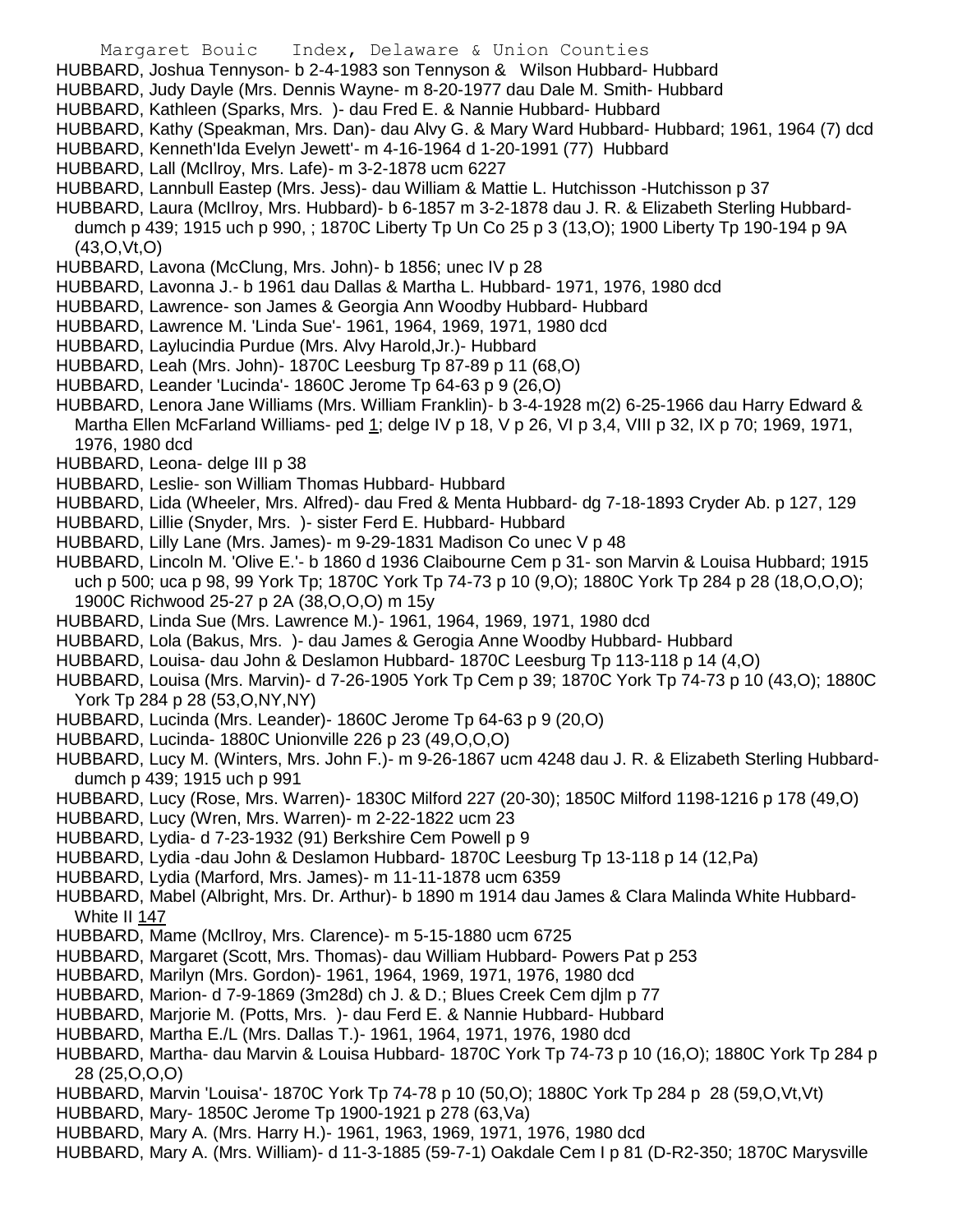HUBBARD, Joshua Tennyson- b 2-4-1983 son Tennyson & Wilson Hubbard- Hubbard

- HUBBARD, Judy Dayle (Mrs. Dennis Wayne- m 8-20-1977 dau Dale M. Smith- Hubbard
- HUBBARD, Kathleen (Sparks, Mrs. )- dau Fred E. & Nannie Hubbard- Hubbard
- HUBBARD, Kathy (Speakman, Mrs. Dan)- dau Alvy G. & Mary Ward Hubbard- Hubbard; 1961, 1964 (7) dcd
- HUBBARD, Kenneth'Ida Evelyn Jewett'- m 4-16-1964 d 1-20-1991 (77) Hubbard
- HUBBARD, Lall (McIlroy, Mrs. Lafe)- m 3-2-1878 ucm 6227
- HUBBARD, Lannbull Eastep (Mrs. Jess)- dau William & Mattie L. Hutchisson -Hutchisson p 37
- HUBBARD, Laura (McIlroy, Mrs. Hubbard)- b 6-1857 m 3-2-1878 dau J. R. & Elizabeth Sterling Hubbarddumch p 439; 1915 uch p 990, ; 1870C Liberty Tp Un Co 25 p 3 (13,O); 1900 Liberty Tp 190-194 p 9A (43,O,Vt,O)
- HUBBARD, Lavona (McClung, Mrs. John)- b 1856; unec IV p 28
- HUBBARD, Lavonna J.- b 1961 dau Dallas & Martha L. Hubbard- 1971, 1976, 1980 dcd
- HUBBARD, Lawrence- son James & Georgia Ann Woodby Hubbard- Hubbard
- HUBBARD, Lawrence M. 'Linda Sue'- 1961, 1964, 1969, 1971, 1980 dcd
- HUBBARD, Laylucindia Purdue (Mrs. Alvy Harold,Jr.)- Hubbard
- HUBBARD, Leah (Mrs. John)- 1870C Leesburg Tp 87-89 p 11 (68,O)
- HUBBARD, Leander 'Lucinda'- 1860C Jerome Tp 64-63 p 9 (26,O)
- HUBBARD, Lenora Jane Williams (Mrs. William Franklin)- b 3-4-1928 m(2) 6-25-1966 dau Harry Edward & Martha Ellen McFarland Williams- ped 1; delge IV p 18, V p 26, VI p 3,4, VIII p 32, IX p 70; 1969, 1971, 1976, 1980 dcd
- HUBBARD, Leona- delge III p 38
- HUBBARD, Leslie- son William Thomas Hubbard- Hubbard
- HUBBARD, Lida (Wheeler, Mrs. Alfred)- dau Fred & Menta Hubbard- dg 7-18-1893 Cryder Ab. p 127, 129
- HUBBARD, Lillie (Snyder, Mrs. )- sister Ferd E. Hubbard- Hubbard
- HUBBARD, Lilly Lane (Mrs. James)- m 9-29-1831 Madison Co unec V p 48
- HUBBARD, Lincoln M. 'Olive E.'- b 1860 d 1936 Claibourne Cem p 31- son Marvin & Louisa Hubbard; 1915 uch p 500; uca p 98, 99 York Tp; 1870C York Tp 74-73 p 10 (9,O); 1880C York Tp 284 p 28 (18,O,O,O); 1900C Richwood 25-27 p 2A (38,O,O,O) m 15y
- HUBBARD, Linda Sue (Mrs. Lawrence M.)- 1961, 1964, 1969, 1971, 1980 dcd
- HUBBARD, Lola (Bakus, Mrs. )- dau James & Gerogia Anne Woodby Hubbard- Hubbard
- HUBBARD, Louisa- dau John & Deslamon Hubbard- 1870C Leesburg Tp 113-118 p 14 (4,O)
- HUBBARD, Louisa (Mrs. Marvin)- d 7-26-1905 York Tp Cem p 39; 1870C York Tp 74-73 p 10 (43,O); 1880C York Tp 284 p 28 (53,O,NY,NY)
- HUBBARD, Lucinda (Mrs. Leander)- 1860C Jerome Tp 64-63 p 9 (20,O)
- HUBBARD, Lucinda- 1880C Unionville 226 p 23 (49,O,O,O)
- HUBBARD, Lucy M. (Winters, Mrs. John F.)- m 9-26-1867 ucm 4248 dau J. R. & Elizabeth Sterling Hubbarddumch p 439; 1915 uch p 991
- HUBBARD, Lucy (Rose, Mrs. Warren)- 1830C Milford 227 (20-30); 1850C Milford 1198-1216 p 178 (49,O)
- HUBBARD, Lucy (Wren, Mrs. Warren)- m 2-22-1822 ucm 23
- HUBBARD, Lydia- d 7-23-1932 (91) Berkshire Cem Powell p 9
- HUBBARD, Lydia -dau John & Deslamon Hubbard- 1870C Leesburg Tp 13-118 p 14 (12,Pa)
- HUBBARD, Lydia (Marford, Mrs. James)- m 11-11-1878 ucm 6359
- HUBBARD, Mabel (Albright, Mrs. Dr. Arthur)- b 1890 m 1914 dau James & Clara Malinda White Hubbard-White II 147
- HUBBARD, Mame (McIlroy, Mrs. Clarence)- m 5-15-1880 ucm 6725
- HUBBARD, Margaret (Scott, Mrs. Thomas)- dau William Hubbard- Powers Pat p 253
- HUBBARD, Marilyn (Mrs. Gordon)- 1961, 1964, 1969, 1971, 1976, 1980 dcd
- HUBBARD, Marion- d 7-9-1869 (3m28d) ch J. & D.; Blues Creek Cem djlm p 77
- HUBBARD, Marjorie M. (Potts, Mrs. )- dau Ferd E. & Nannie Hubbard- Hubbard
- HUBBARD, Martha E./L (Mrs. Dallas T.)- 1961, 1964, 1971, 1976, 1980 dcd
- HUBBARD, Martha- dau Marvin & Louisa Hubbard- 1870C York Tp 74-73 p 10 (16,O); 1880C York Tp 284 p 28 (25,O,O,O)
- HUBBARD, Marvin 'Louisa'- 1870C York Tp 74-78 p 10 (50,O); 1880C York Tp 284 p 28 (59,O,Vt,Vt)
- HUBBARD, Mary- 1850C Jerome Tp 1900-1921 p 278 (63,Va)
- HUBBARD, Mary A. (Mrs. Harry H.)- 1961, 1963, 1969, 1971, 1976, 1980 dcd
- HUBBARD, Mary A. (Mrs. William)- d 11-3-1885 (59-7-1) Oakdale Cem I p 81 (D-R2-350; 1870C Marysville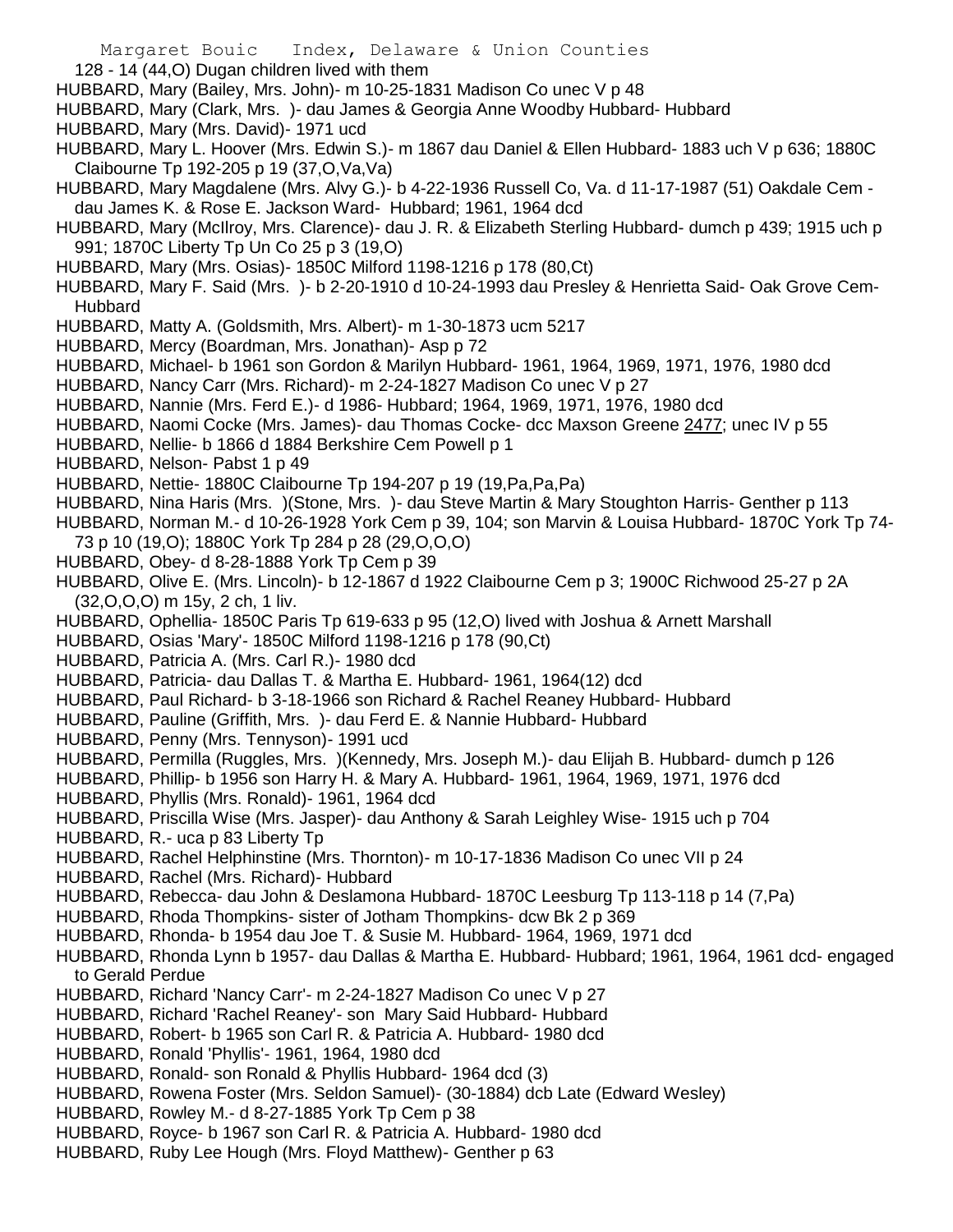128 - 14 (44,O) Dugan children lived with them

- HUBBARD, Mary (Bailey, Mrs. John)- m 10-25-1831 Madison Co unec V p 48
- HUBBARD, Mary (Clark, Mrs. )- dau James & Georgia Anne Woodby Hubbard- Hubbard
- HUBBARD, Mary (Mrs. David)- 1971 ucd
- HUBBARD, Mary L. Hoover (Mrs. Edwin S.)- m 1867 dau Daniel & Ellen Hubbard- 1883 uch V p 636; 1880C Claibourne Tp 192-205 p 19 (37,O,Va,Va)
- HUBBARD, Mary Magdalene (Mrs. Alvy G.)- b 4-22-1936 Russell Co, Va. d 11-17-1987 (51) Oakdale Cem dau James K. & Rose E. Jackson Ward- Hubbard; 1961, 1964 dcd
- HUBBARD, Mary (McIlroy, Mrs. Clarence)- dau J. R. & Elizabeth Sterling Hubbard- dumch p 439; 1915 uch p 991; 1870C Liberty Tp Un Co 25 p 3 (19,O)
- HUBBARD, Mary (Mrs. Osias)- 1850C Milford 1198-1216 p 178 (80,Ct)
- HUBBARD, Mary F. Said (Mrs. )- b 2-20-1910 d 10-24-1993 dau Presley & Henrietta Said- Oak Grove Cem-Hubbard
- HUBBARD, Matty A. (Goldsmith, Mrs. Albert)- m 1-30-1873 ucm 5217
- HUBBARD, Mercy (Boardman, Mrs. Jonathan)- Asp p 72
- HUBBARD, Michael- b 1961 son Gordon & Marilyn Hubbard- 1961, 1964, 1969, 1971, 1976, 1980 dcd
- HUBBARD, Nancy Carr (Mrs. Richard)- m 2-24-1827 Madison Co unec V p 27
- HUBBARD, Nannie (Mrs. Ferd E.)- d 1986- Hubbard; 1964, 1969, 1971, 1976, 1980 dcd
- HUBBARD, Naomi Cocke (Mrs. James)- dau Thomas Cocke- dcc Maxson Greene 2477; unec IV p 55
- HUBBARD, Nellie- b 1866 d 1884 Berkshire Cem Powell p 1
- HUBBARD, Nelson- Pabst 1 p 49
- HUBBARD, Nettie- 1880C Claibourne Tp 194-207 p 19 (19,Pa,Pa,Pa)
- HUBBARD, Nina Haris (Mrs. )(Stone, Mrs. )- dau Steve Martin & Mary Stoughton Harris- Genther p 113
- HUBBARD, Norman M.- d 10-26-1928 York Cem p 39, 104; son Marvin & Louisa Hubbard- 1870C York Tp 74- 73 p 10 (19,O); 1880C York Tp 284 p 28 (29,O,O,O)
- HUBBARD, Obey- d 8-28-1888 York Tp Cem p 39
- HUBBARD, Olive E. (Mrs. Lincoln)- b 12-1867 d 1922 Claibourne Cem p 3; 1900C Richwood 25-27 p 2A (32,O,O,O) m 15y, 2 ch, 1 liv.
- HUBBARD, Ophellia- 1850C Paris Tp 619-633 p 95 (12,O) lived with Joshua & Arnett Marshall
- HUBBARD, Osias 'Mary'- 1850C Milford 1198-1216 p 178 (90,Ct)
- HUBBARD, Patricia A. (Mrs. Carl R.)- 1980 dcd
- HUBBARD, Patricia- dau Dallas T. & Martha E. Hubbard- 1961, 1964(12) dcd
- HUBBARD, Paul Richard- b 3-18-1966 son Richard & Rachel Reaney Hubbard- Hubbard
- HUBBARD, Pauline (Griffith, Mrs. )- dau Ferd E. & Nannie Hubbard- Hubbard
- HUBBARD, Penny (Mrs. Tennyson)- 1991 ucd
- HUBBARD, Permilla (Ruggles, Mrs. )(Kennedy, Mrs. Joseph M.)- dau Elijah B. Hubbard- dumch p 126
- HUBBARD, Phillip- b 1956 son Harry H. & Mary A. Hubbard- 1961, 1964, 1969, 1971, 1976 dcd
- HUBBARD, Phyllis (Mrs. Ronald)- 1961, 1964 dcd
- HUBBARD, Priscilla Wise (Mrs. Jasper)- dau Anthony & Sarah Leighley Wise- 1915 uch p 704
- HUBBARD, R.- uca p 83 Liberty Tp
- HUBBARD, Rachel Helphinstine (Mrs. Thornton)- m 10-17-1836 Madison Co unec VII p 24
- HUBBARD, Rachel (Mrs. Richard)- Hubbard
- HUBBARD, Rebecca- dau John & Deslamona Hubbard- 1870C Leesburg Tp 113-118 p 14 (7,Pa)
- HUBBARD, Rhoda Thompkins- sister of Jotham Thompkins- dcw Bk 2 p 369
- HUBBARD, Rhonda- b 1954 dau Joe T. & Susie M. Hubbard- 1964, 1969, 1971 dcd
- HUBBARD, Rhonda Lynn b 1957- dau Dallas & Martha E. Hubbard- Hubbard; 1961, 1964, 1961 dcd- engaged to Gerald Perdue
- HUBBARD, Richard 'Nancy Carr'- m 2-24-1827 Madison Co unec V p 27
- HUBBARD, Richard 'Rachel Reaney'- son Mary Said Hubbard- Hubbard
- HUBBARD, Robert- b 1965 son Carl R. & Patricia A. Hubbard- 1980 dcd
- HUBBARD, Ronald 'Phyllis'- 1961, 1964, 1980 dcd
- HUBBARD, Ronald- son Ronald & Phyllis Hubbard- 1964 dcd (3)
- HUBBARD, Rowena Foster (Mrs. Seldon Samuel)- (30-1884) dcb Late (Edward Wesley)
- HUBBARD, Rowley M.- d 8-27-1885 York Tp Cem p 38
- HUBBARD, Royce- b 1967 son Carl R. & Patricia A. Hubbard- 1980 dcd
- HUBBARD, Ruby Lee Hough (Mrs. Floyd Matthew)- Genther p 63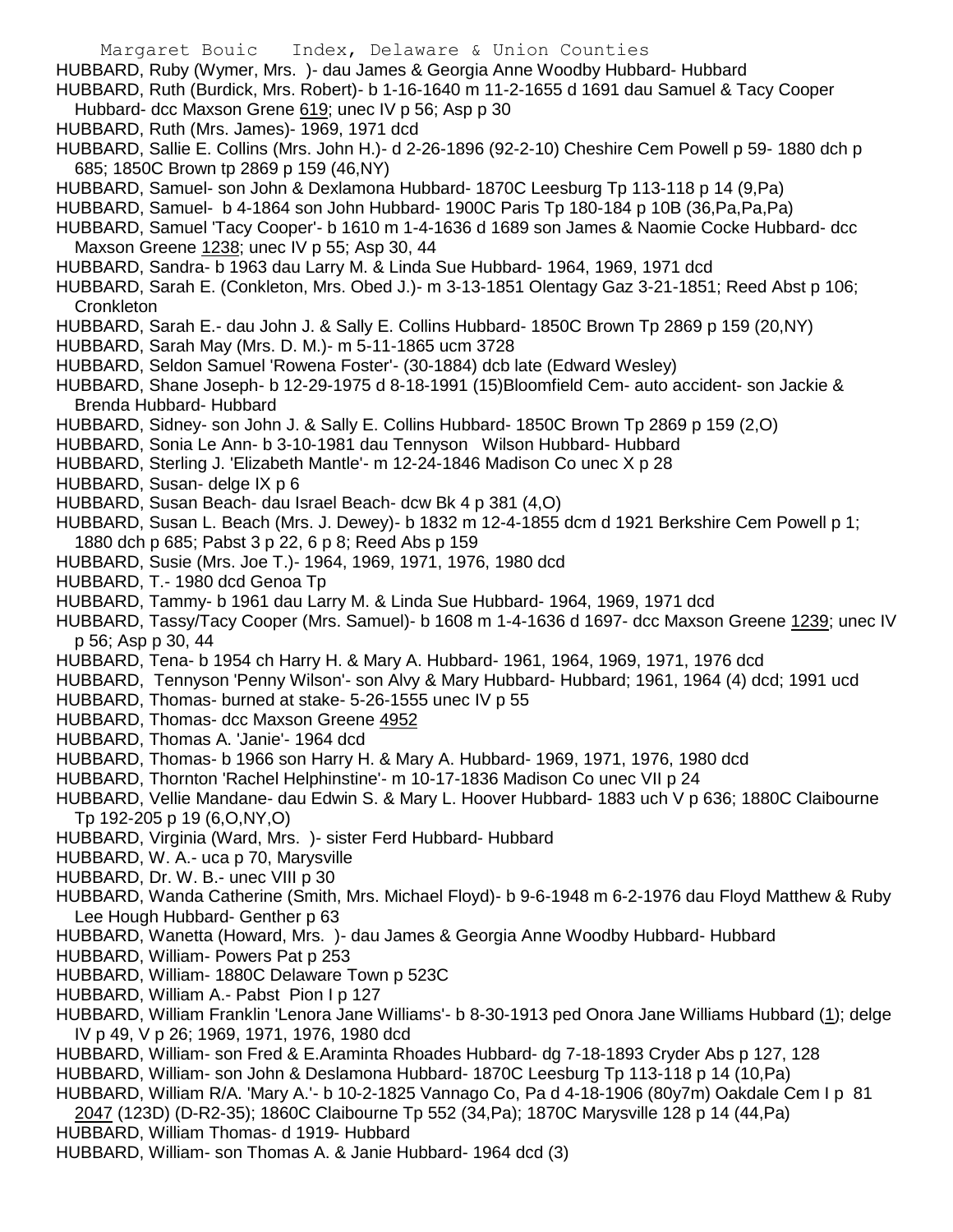Margaret Bouic Index, Delaware & Union Counties HUBBARD, Ruby (Wymer, Mrs. )- dau James & Georgia Anne Woodby Hubbard- Hubbard HUBBARD, Ruth (Burdick, Mrs. Robert)- b 1-16-1640 m 11-2-1655 d 1691 dau Samuel & Tacy Cooper Hubbard- dcc Maxson Grene 619; unec IV p 56; Asp p 30 HUBBARD, Ruth (Mrs. James)- 1969, 1971 dcd HUBBARD, Sallie E. Collins (Mrs. John H.)- d 2-26-1896 (92-2-10) Cheshire Cem Powell p 59- 1880 dch p 685; 1850C Brown tp 2869 p 159 (46,NY) HUBBARD, Samuel- son John & Dexlamona Hubbard- 1870C Leesburg Tp 113-118 p 14 (9,Pa) HUBBARD, Samuel- b 4-1864 son John Hubbard- 1900C Paris Tp 180-184 p 10B (36,Pa,Pa,Pa) HUBBARD, Samuel 'Tacy Cooper'- b 1610 m 1-4-1636 d 1689 son James & Naomie Cocke Hubbard- dcc Maxson Greene 1238; unec IV p 55; Asp 30, 44 HUBBARD, Sandra- b 1963 dau Larry M. & Linda Sue Hubbard- 1964, 1969, 1971 dcd HUBBARD, Sarah E. (Conkleton, Mrs. Obed J.)- m 3-13-1851 Olentagy Gaz 3-21-1851; Reed Abst p 106; **Cronkleton** HUBBARD, Sarah E.- dau John J. & Sally E. Collins Hubbard- 1850C Brown Tp 2869 p 159 (20,NY) HUBBARD, Sarah May (Mrs. D. M.)- m 5-11-1865 ucm 3728 HUBBARD, Seldon Samuel 'Rowena Foster'- (30-1884) dcb late (Edward Wesley) HUBBARD, Shane Joseph- b 12-29-1975 d 8-18-1991 (15)Bloomfield Cem- auto accident- son Jackie & Brenda Hubbard- Hubbard HUBBARD, Sidney- son John J. & Sally E. Collins Hubbard- 1850C Brown Tp 2869 p 159 (2,O) HUBBARD, Sonia Le Ann- b 3-10-1981 dau Tennyson Wilson Hubbard- Hubbard HUBBARD, Sterling J. 'Elizabeth Mantle'- m 12-24-1846 Madison Co unec X p 28 HUBBARD, Susan- delge IX p 6 HUBBARD, Susan Beach- dau Israel Beach- dcw Bk 4 p 381 (4,O) HUBBARD, Susan L. Beach (Mrs. J. Dewey)- b 1832 m 12-4-1855 dcm d 1921 Berkshire Cem Powell p 1; 1880 dch p 685; Pabst 3 p 22, 6 p 8; Reed Abs p 159 HUBBARD, Susie (Mrs. Joe T.)- 1964, 1969, 1971, 1976, 1980 dcd HUBBARD, T.- 1980 dcd Genoa Tp HUBBARD, Tammy- b 1961 dau Larry M. & Linda Sue Hubbard- 1964, 1969, 1971 dcd HUBBARD, Tassy/Tacy Cooper (Mrs. Samuel)- b 1608 m 1-4-1636 d 1697- dcc Maxson Greene 1239; unec IV p 56; Asp p 30, 44 HUBBARD, Tena- b 1954 ch Harry H. & Mary A. Hubbard- 1961, 1964, 1969, 1971, 1976 dcd HUBBARD, Tennyson 'Penny Wilson'- son Alvy & Mary Hubbard- Hubbard; 1961, 1964 (4) dcd; 1991 ucd HUBBARD, Thomas- burned at stake- 5-26-1555 unec IV p 55 HUBBARD, Thomas- dcc Maxson Greene 4952 HUBBARD, Thomas A. 'Janie'- 1964 dcd HUBBARD, Thomas- b 1966 son Harry H. & Mary A. Hubbard- 1969, 1971, 1976, 1980 dcd HUBBARD, Thornton 'Rachel Helphinstine'- m 10-17-1836 Madison Co unec VII p 24 HUBBARD, Vellie Mandane- dau Edwin S. & Mary L. Hoover Hubbard- 1883 uch V p 636; 1880C Claibourne Tp 192-205 p 19 (6,O,NY,O) HUBBARD, Virginia (Ward, Mrs. )- sister Ferd Hubbard- Hubbard

- HUBBARD, W. A.- uca p 70, Marysville
- HUBBARD, Dr. W. B.- unec VIII p 30
- HUBBARD, Wanda Catherine (Smith, Mrs. Michael Floyd)- b 9-6-1948 m 6-2-1976 dau Floyd Matthew & Ruby Lee Hough Hubbard- Genther p 63
- HUBBARD, Wanetta (Howard, Mrs. )- dau James & Georgia Anne Woodby Hubbard- Hubbard
- HUBBARD, William- Powers Pat p 253
- HUBBARD, William- 1880C Delaware Town p 523C
- HUBBARD, William A.- Pabst Pion I p 127
- HUBBARD, William Franklin 'Lenora Jane Williams'- b 8-30-1913 ped Onora Jane Williams Hubbard (1); delge IV p 49, V p 26; 1969, 1971, 1976, 1980 dcd
- HUBBARD, William- son Fred & E.Araminta Rhoades Hubbard- dg 7-18-1893 Cryder Abs p 127, 128
- HUBBARD, William- son John & Deslamona Hubbard- 1870C Leesburg Tp 113-118 p 14 (10,Pa)
- HUBBARD, William R/A. 'Mary A.'- b 10-2-1825 Vannago Co, Pa d 4-18-1906 (80y7m) Oakdale Cem I p 81
- 2047 (123D) (D-R2-35); 1860C Claibourne Tp 552 (34,Pa); 1870C Marysville 128 p 14 (44,Pa)
- HUBBARD, William Thomas- d 1919- Hubbard
- HUBBARD, William- son Thomas A. & Janie Hubbard- 1964 dcd (3)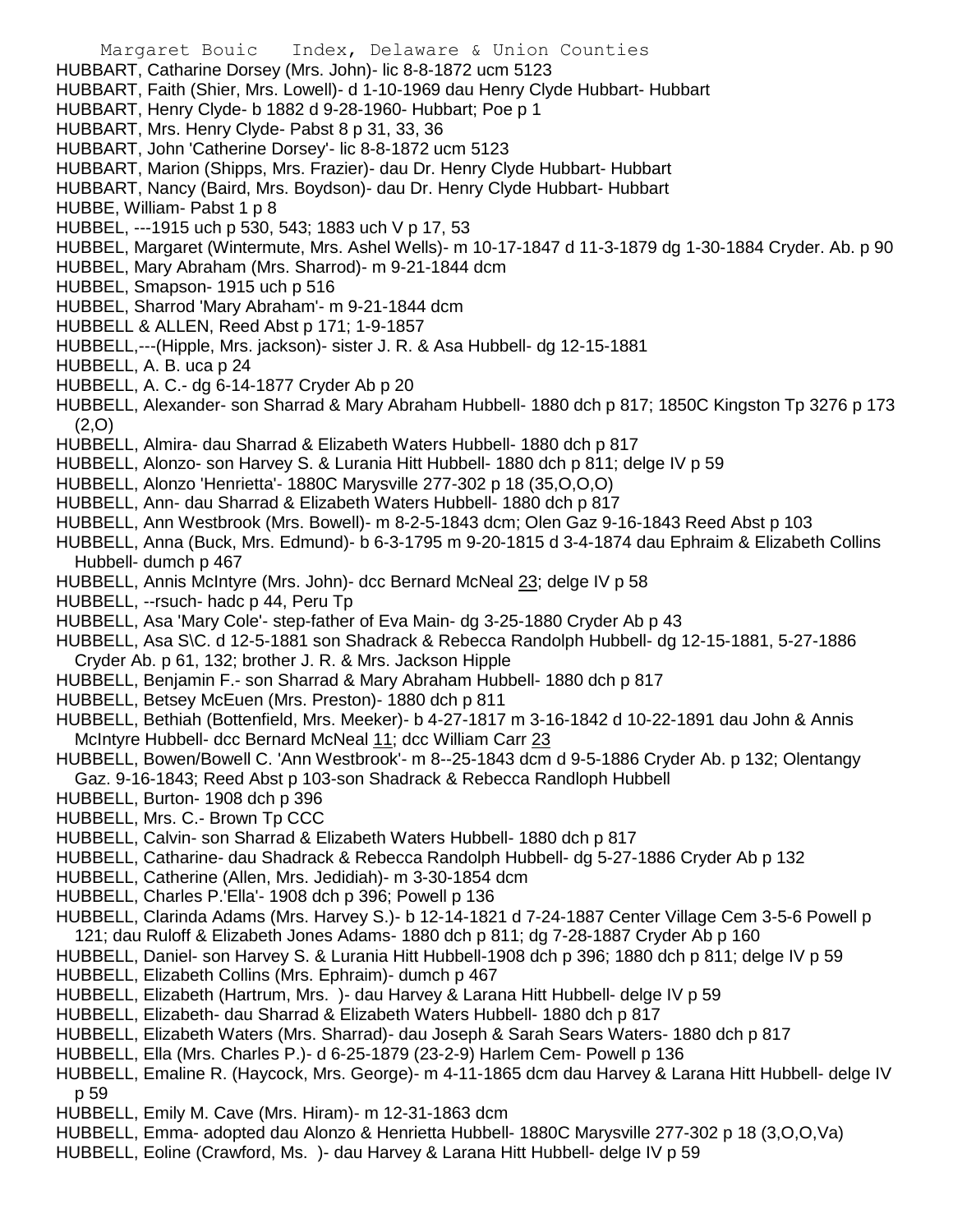- Margaret Bouic Index, Delaware & Union Counties HUBBART, Catharine Dorsey (Mrs. John)- lic 8-8-1872 ucm 5123 HUBBART, Faith (Shier, Mrs. Lowell)- d 1-10-1969 dau Henry Clyde Hubbart- Hubbart HUBBART, Henry Clyde- b 1882 d 9-28-1960- Hubbart; Poe p 1 HUBBART, Mrs. Henry Clyde- Pabst 8 p 31, 33, 36 HUBBART, John 'Catherine Dorsey'- lic 8-8-1872 ucm 5123 HUBBART, Marion (Shipps, Mrs. Frazier)- dau Dr. Henry Clyde Hubbart- Hubbart HUBBART, Nancy (Baird, Mrs. Boydson)- dau Dr. Henry Clyde Hubbart- Hubbart HUBBE, William- Pabst 1 p 8 HUBBEL, ---1915 uch p 530, 543; 1883 uch V p 17, 53 HUBBEL, Margaret (Wintermute, Mrs. Ashel Wells)- m 10-17-1847 d 11-3-1879 dg 1-30-1884 Cryder. Ab. p 90 HUBBEL, Mary Abraham (Mrs. Sharrod)- m 9-21-1844 dcm HUBBEL, Smapson- 1915 uch p 516 HUBBEL, Sharrod 'Mary Abraham'- m 9-21-1844 dcm HUBBELL & ALLEN, Reed Abst p 171; 1-9-1857 HUBBELL,---(Hipple, Mrs. jackson)- sister J. R. & Asa Hubbell- dg 12-15-1881 HUBBELL, A. B. uca p 24 HUBBELL, A. C.- dg 6-14-1877 Cryder Ab p 20 HUBBELL, Alexander- son Sharrad & Mary Abraham Hubbell- 1880 dch p 817; 1850C Kingston Tp 3276 p 173 (2,O) HUBBELL, Almira- dau Sharrad & Elizabeth Waters Hubbell- 1880 dch p 817 HUBBELL, Alonzo- son Harvey S. & Lurania Hitt Hubbell- 1880 dch p 811; delge IV p 59 HUBBELL, Alonzo 'Henrietta'- 1880C Marysville 277-302 p 18 (35,O,O,O) HUBBELL, Ann- dau Sharrad & Elizabeth Waters Hubbell- 1880 dch p 817 HUBBELL, Ann Westbrook (Mrs. Bowell)- m 8-2-5-1843 dcm; Olen Gaz 9-16-1843 Reed Abst p 103 HUBBELL, Anna (Buck, Mrs. Edmund)- b 6-3-1795 m 9-20-1815 d 3-4-1874 dau Ephraim & Elizabeth Collins Hubbell- dumch p 467 HUBBELL, Annis McIntyre (Mrs. John)- dcc Bernard McNeal 23; delge IV p 58 HUBBELL, --rsuch- hadc p 44, Peru Tp HUBBELL, Asa 'Mary Cole'- step-father of Eva Main- dg 3-25-1880 Cryder Ab p 43 HUBBELL, Asa S\C. d 12-5-1881 son Shadrack & Rebecca Randolph Hubbell- dg 12-15-1881, 5-27-1886 Cryder Ab. p 61, 132; brother J. R. & Mrs. Jackson Hipple HUBBELL, Benjamin F.- son Sharrad & Mary Abraham Hubbell- 1880 dch p 817 HUBBELL, Betsey McEuen (Mrs. Preston)- 1880 dch p 811 HUBBELL, Bethiah (Bottenfield, Mrs. Meeker)- b 4-27-1817 m 3-16-1842 d 10-22-1891 dau John & Annis McIntyre Hubbell- dcc Bernard McNeal 11; dcc William Carr 23 HUBBELL, Bowen/Bowell C. 'Ann Westbrook'- m 8--25-1843 dcm d 9-5-1886 Cryder Ab. p 132; Olentangy Gaz. 9-16-1843; Reed Abst p 103-son Shadrack & Rebecca Randloph Hubbell HUBBELL, Burton- 1908 dch p 396 HUBBELL, Mrs. C.- Brown Tp CCC HUBBELL, Calvin- son Sharrad & Elizabeth Waters Hubbell- 1880 dch p 817 HUBBELL, Catharine- dau Shadrack & Rebecca Randolph Hubbell- dg 5-27-1886 Cryder Ab p 132 HUBBELL, Catherine (Allen, Mrs. Jedidiah)- m 3-30-1854 dcm HUBBELL, Charles P.'Ella'- 1908 dch p 396; Powell p 136 HUBBELL, Clarinda Adams (Mrs. Harvey S.)- b 12-14-1821 d 7-24-1887 Center Village Cem 3-5-6 Powell p 121; dau Ruloff & Elizabeth Jones Adams- 1880 dch p 811; dg 7-28-1887 Cryder Ab p 160 HUBBELL, Daniel- son Harvey S. & Lurania Hitt Hubbell-1908 dch p 396; 1880 dch p 811; delge IV p 59 HUBBELL, Elizabeth Collins (Mrs. Ephraim)- dumch p 467 HUBBELL, Elizabeth (Hartrum, Mrs. )- dau Harvey & Larana Hitt Hubbell- delge IV p 59 HUBBELL, Elizabeth- dau Sharrad & Elizabeth Waters Hubbell- 1880 dch p 817
- HUBBELL, Elizabeth Waters (Mrs. Sharrad)- dau Joseph & Sarah Sears Waters- 1880 dch p 817
- HUBBELL, Ella (Mrs. Charles P.)- d 6-25-1879 (23-2-9) Harlem Cem- Powell p 136
- HUBBELL, Emaline R. (Haycock, Mrs. George)- m 4-11-1865 dcm dau Harvey & Larana Hitt Hubbell- delge IV p 59
- HUBBELL, Emily M. Cave (Mrs. Hiram)- m 12-31-1863 dcm
- HUBBELL, Emma- adopted dau Alonzo & Henrietta Hubbell- 1880C Marysville 277-302 p 18 (3,O,O,Va)
- HUBBELL, Eoline (Crawford, Ms. )- dau Harvey & Larana Hitt Hubbell- delge IV p 59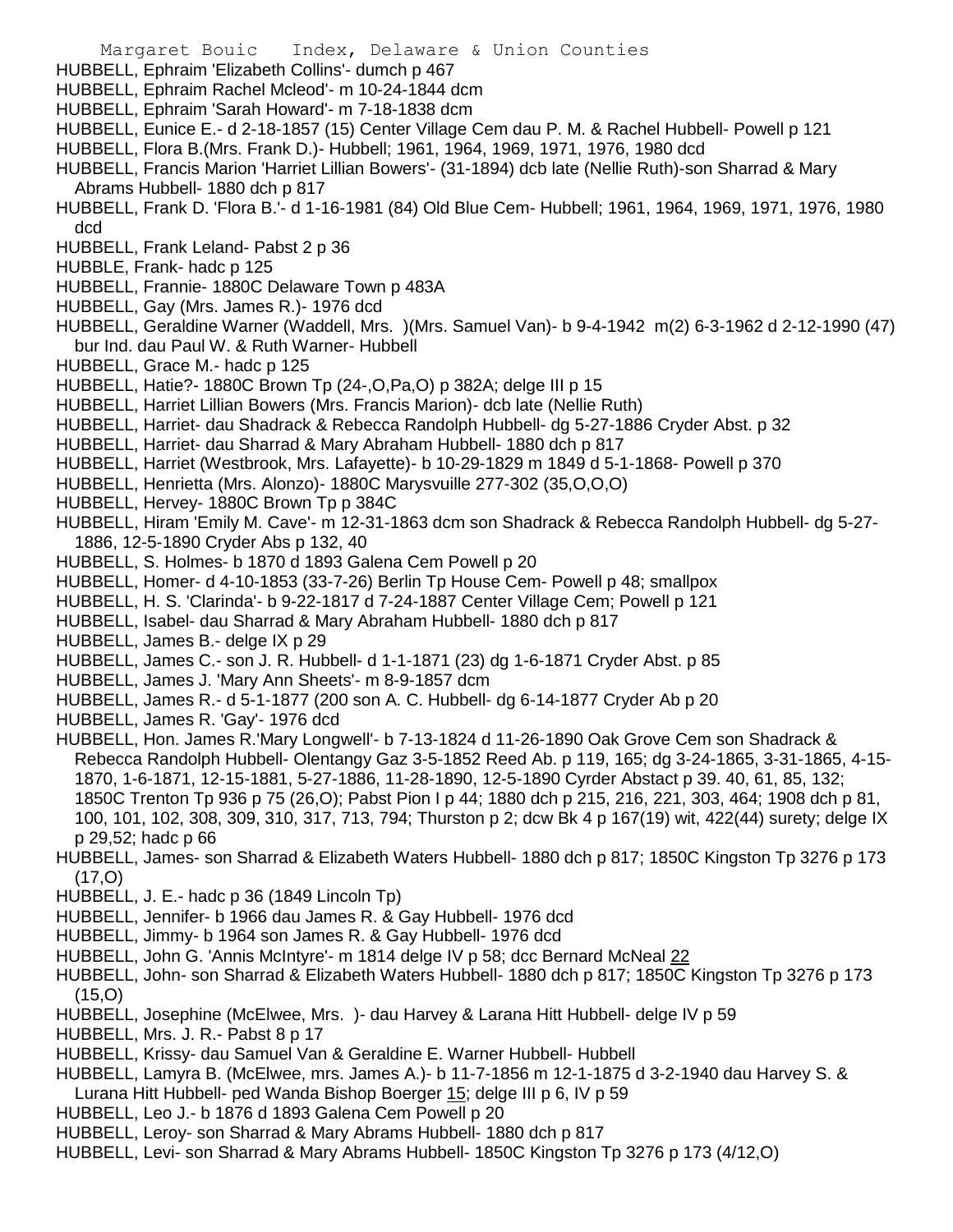- Margaret Bouic Index, Delaware & Union Counties
- HUBBELL, Ephraim 'Elizabeth Collins'- dumch p 467
- HUBBELL, Ephraim Rachel Mcleod'- m 10-24-1844 dcm
- HUBBELL, Ephraim 'Sarah Howard'- m 7-18-1838 dcm
- HUBBELL, Eunice E.- d 2-18-1857 (15) Center Village Cem dau P. M. & Rachel Hubbell- Powell p 121
- HUBBELL, Flora B.(Mrs. Frank D.)- Hubbell; 1961, 1964, 1969, 1971, 1976, 1980 dcd
- HUBBELL, Francis Marion 'Harriet Lillian Bowers'- (31-1894) dcb late (Nellie Ruth)-son Sharrad & Mary Abrams Hubbell- 1880 dch p 817
- HUBBELL, Frank D. 'Flora B.'- d 1-16-1981 (84) Old Blue Cem- Hubbell; 1961, 1964, 1969, 1971, 1976, 1980 dcd
- HUBBELL, Frank Leland- Pabst 2 p 36
- HUBBLE, Frank- hadc p 125
- HUBBELL, Frannie- 1880C Delaware Town p 483A
- HUBBELL, Gay (Mrs. James R.)- 1976 dcd
- HUBBELL, Geraldine Warner (Waddell, Mrs. )(Mrs. Samuel Van)- b 9-4-1942 m(2) 6-3-1962 d 2-12-1990 (47) bur Ind. dau Paul W. & Ruth Warner- Hubbell
- HUBBELL, Grace M.- hadc p 125
- HUBBELL, Hatie?- 1880C Brown Tp (24-,O,Pa,O) p 382A; delge III p 15
- HUBBELL, Harriet Lillian Bowers (Mrs. Francis Marion)- dcb late (Nellie Ruth)
- HUBBELL, Harriet- dau Shadrack & Rebecca Randolph Hubbell- dg 5-27-1886 Cryder Abst. p 32
- HUBBELL, Harriet- dau Sharrad & Mary Abraham Hubbell- 1880 dch p 817
- HUBBELL, Harriet (Westbrook, Mrs. Lafayette)- b 10-29-1829 m 1849 d 5-1-1868- Powell p 370
- HUBBELL, Henrietta (Mrs. Alonzo)- 1880C Marysvuille 277-302 (35,O,O,O)
- HUBBELL, Hervey- 1880C Brown Tp p 384C
- HUBBELL, Hiram 'Emily M. Cave'- m 12-31-1863 dcm son Shadrack & Rebecca Randolph Hubbell- dg 5-27- 1886, 12-5-1890 Cryder Abs p 132, 40
- HUBBELL, S. Holmes- b 1870 d 1893 Galena Cem Powell p 20
- HUBBELL, Homer- d 4-10-1853 (33-7-26) Berlin Tp House Cem- Powell p 48; smallpox
- HUBBELL, H. S. 'Clarinda'- b 9-22-1817 d 7-24-1887 Center Village Cem; Powell p 121
- HUBBELL, Isabel- dau Sharrad & Mary Abraham Hubbell- 1880 dch p 817
- HUBBELL, James B.- delge IX p 29
- HUBBELL, James C.- son J. R. Hubbell- d 1-1-1871 (23) dg 1-6-1871 Cryder Abst. p 85
- HUBBELL, James J. 'Mary Ann Sheets'- m 8-9-1857 dcm
- HUBBELL, James R.- d 5-1-1877 (200 son A. C. Hubbell- dg 6-14-1877 Cryder Ab p 20
- HUBBELL, James R. 'Gay'- 1976 dcd
- HUBBELL, Hon. James R.'Mary Longwell'- b 7-13-1824 d 11-26-1890 Oak Grove Cem son Shadrack & Rebecca Randolph Hubbell- Olentangy Gaz 3-5-1852 Reed Ab. p 119, 165; dg 3-24-1865, 3-31-1865, 4-15- 1870, 1-6-1871, 12-15-1881, 5-27-1886, 11-28-1890, 12-5-1890 Cyrder Abstact p 39. 40, 61, 85, 132; 1850C Trenton Tp 936 p 75 (26,O); Pabst Pion I p 44; 1880 dch p 215, 216, 221, 303, 464; 1908 dch p 81, 100, 101, 102, 308, 309, 310, 317, 713, 794; Thurston p 2; dcw Bk 4 p 167(19) wit, 422(44) surety; delge IX p 29,52; hadc p 66
- HUBBELL, James- son Sharrad & Elizabeth Waters Hubbell- 1880 dch p 817; 1850C Kingston Tp 3276 p 173 (17,O)
- HUBBELL, J. E.- hadc p 36 (1849 Lincoln Tp)
- HUBBELL, Jennifer- b 1966 dau James R. & Gay Hubbell- 1976 dcd
- HUBBELL, Jimmy- b 1964 son James R. & Gay Hubbell- 1976 dcd
- HUBBELL, John G. 'Annis McIntyre'- m 1814 delge IV p 58; dcc Bernard McNeal 22
- HUBBELL, John- son Sharrad & Elizabeth Waters Hubbell- 1880 dch p 817; 1850C Kingston Tp 3276 p 173 (15,O)
- HUBBELL, Josephine (McElwee, Mrs. )- dau Harvey & Larana Hitt Hubbell- delge IV p 59
- HUBBELL, Mrs. J. R.- Pabst 8 p 17
- HUBBELL, Krissy- dau Samuel Van & Geraldine E. Warner Hubbell- Hubbell
- HUBBELL, Lamyra B. (McElwee, mrs. James A.)- b 11-7-1856 m 12-1-1875 d 3-2-1940 dau Harvey S. &
- Lurana Hitt Hubbell- ped Wanda Bishop Boerger 15; delge III p 6, IV p 59
- HUBBELL, Leo J.- b 1876 d 1893 Galena Cem Powell p 20
- HUBBELL, Leroy- son Sharrad & Mary Abrams Hubbell- 1880 dch p 817
- HUBBELL, Levi- son Sharrad & Mary Abrams Hubbell- 1850C Kingston Tp 3276 p 173 (4/12,O)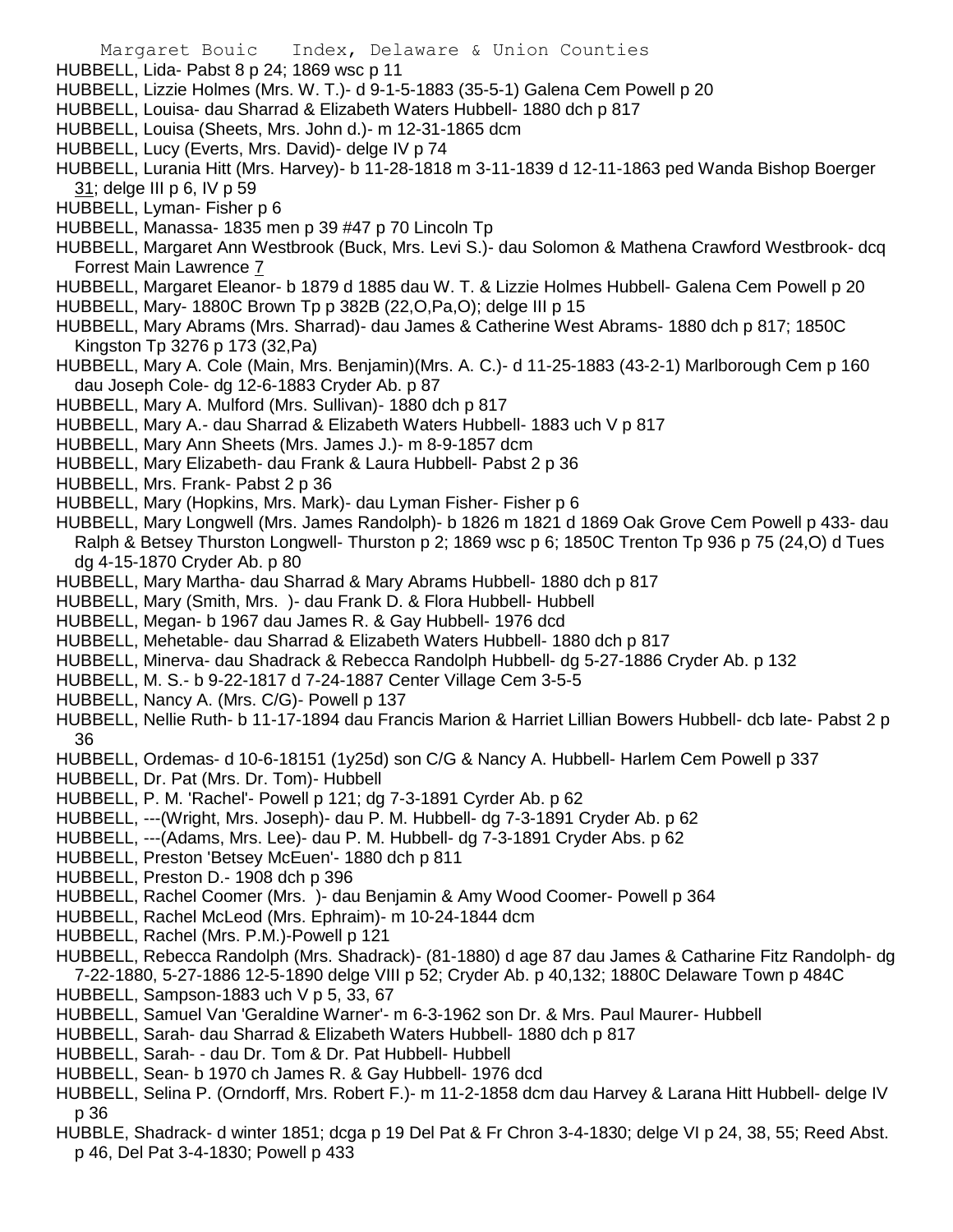- HUBBELL, Lida- Pabst 8 p 24; 1869 wsc p 11
- HUBBELL, Lizzie Holmes (Mrs. W. T.)- d 9-1-5-1883 (35-5-1) Galena Cem Powell p 20
- HUBBELL, Louisa- dau Sharrad & Elizabeth Waters Hubbell- 1880 dch p 817
- HUBBELL, Louisa (Sheets, Mrs. John d.)- m 12-31-1865 dcm
- HUBBELL, Lucy (Everts, Mrs. David)- delge IV p 74
- HUBBELL, Lurania Hitt (Mrs. Harvey)- b 11-28-1818 m 3-11-1839 d 12-11-1863 ped Wanda Bishop Boerger 31; delge III p 6, IV p 59
- HUBBELL, Lyman- Fisher p 6
- HUBBELL, Manassa- 1835 men p 39 #47 p 70 Lincoln Tp
- HUBBELL, Margaret Ann Westbrook (Buck, Mrs. Levi S.)- dau Solomon & Mathena Crawford Westbrook- dcq Forrest Main Lawrence 7
- HUBBELL, Margaret Eleanor- b 1879 d 1885 dau W. T. & Lizzie Holmes Hubbell- Galena Cem Powell p 20
- HUBBELL, Mary- 1880C Brown Tp p 382B (22,O,Pa,O); delge III p 15
- HUBBELL, Mary Abrams (Mrs. Sharrad)- dau James & Catherine West Abrams- 1880 dch p 817; 1850C Kingston Tp 3276 p 173 (32,Pa)
- HUBBELL, Mary A. Cole (Main, Mrs. Benjamin)(Mrs. A. C.)- d 11-25-1883 (43-2-1) Marlborough Cem p 160 dau Joseph Cole- dg 12-6-1883 Cryder Ab. p 87
- HUBBELL, Mary A. Mulford (Mrs. Sullivan)- 1880 dch p 817
- HUBBELL, Mary A.- dau Sharrad & Elizabeth Waters Hubbell- 1883 uch V p 817
- HUBBELL, Mary Ann Sheets (Mrs. James J.)- m 8-9-1857 dcm
- HUBBELL, Mary Elizabeth- dau Frank & Laura Hubbell- Pabst 2 p 36
- HUBBELL, Mrs. Frank- Pabst 2 p 36
- HUBBELL, Mary (Hopkins, Mrs. Mark)- dau Lyman Fisher- Fisher p 6
- HUBBELL, Mary Longwell (Mrs. James Randolph)- b 1826 m 1821 d 1869 Oak Grove Cem Powell p 433- dau Ralph & Betsey Thurston Longwell- Thurston p 2; 1869 wsc p 6; 1850C Trenton Tp 936 p 75 (24,O) d Tues dg 4-15-1870 Cryder Ab. p 80
- HUBBELL, Mary Martha- dau Sharrad & Mary Abrams Hubbell- 1880 dch p 817
- HUBBELL, Mary (Smith, Mrs. )- dau Frank D. & Flora Hubbell- Hubbell
- HUBBELL, Megan- b 1967 dau James R. & Gay Hubbell- 1976 dcd
- HUBBELL, Mehetable- dau Sharrad & Elizabeth Waters Hubbell- 1880 dch p 817
- HUBBELL, Minerva- dau Shadrack & Rebecca Randolph Hubbell- dg 5-27-1886 Cryder Ab. p 132
- HUBBELL, M. S.- b 9-22-1817 d 7-24-1887 Center Village Cem 3-5-5
- HUBBELL, Nancy A. (Mrs. C/G)- Powell p 137
- HUBBELL, Nellie Ruth- b 11-17-1894 dau Francis Marion & Harriet Lillian Bowers Hubbell- dcb late- Pabst 2 p 36
- HUBBELL, Ordemas- d 10-6-18151 (1y25d) son C/G & Nancy A. Hubbell- Harlem Cem Powell p 337
- HUBBELL, Dr. Pat (Mrs. Dr. Tom)- Hubbell
- HUBBELL, P. M. 'Rachel'- Powell p 121; dg 7-3-1891 Cyrder Ab. p 62
- HUBBELL, ---(Wright, Mrs. Joseph)- dau P. M. Hubbell- dg 7-3-1891 Cryder Ab. p 62
- HUBBELL, ---(Adams, Mrs. Lee)- dau P. M. Hubbell- dg 7-3-1891 Cryder Abs. p 62
- HUBBELL, Preston 'Betsey McEuen'- 1880 dch p 811
- HUBBELL, Preston D.- 1908 dch p 396
- HUBBELL, Rachel Coomer (Mrs. )- dau Benjamin & Amy Wood Coomer- Powell p 364
- HUBBELL, Rachel McLeod (Mrs. Ephraim)- m 10-24-1844 dcm
- HUBBELL, Rachel (Mrs. P.M.)-Powell p 121
- HUBBELL, Rebecca Randolph (Mrs. Shadrack)- (81-1880) d age 87 dau James & Catharine Fitz Randolph- dg 7-22-1880, 5-27-1886 12-5-1890 delge VIII p 52; Cryder Ab. p 40,132; 1880C Delaware Town p 484C
- HUBBELL, Sampson-1883 uch V p 5, 33, 67
- HUBBELL, Samuel Van 'Geraldine Warner'- m 6-3-1962 son Dr. & Mrs. Paul Maurer- Hubbell
- HUBBELL, Sarah- dau Sharrad & Elizabeth Waters Hubbell- 1880 dch p 817
- HUBBELL, Sarah- dau Dr. Tom & Dr. Pat Hubbell- Hubbell
- HUBBELL, Sean- b 1970 ch James R. & Gay Hubbell- 1976 dcd
- HUBBELL, Selina P. (Orndorff, Mrs. Robert F.)- m 11-2-1858 dcm dau Harvey & Larana Hitt Hubbell- delge IV p 36
- HUBBLE, Shadrack- d winter 1851; dcga p 19 Del Pat & Fr Chron 3-4-1830; delge VI p 24, 38, 55; Reed Abst. p 46, Del Pat 3-4-1830; Powell p 433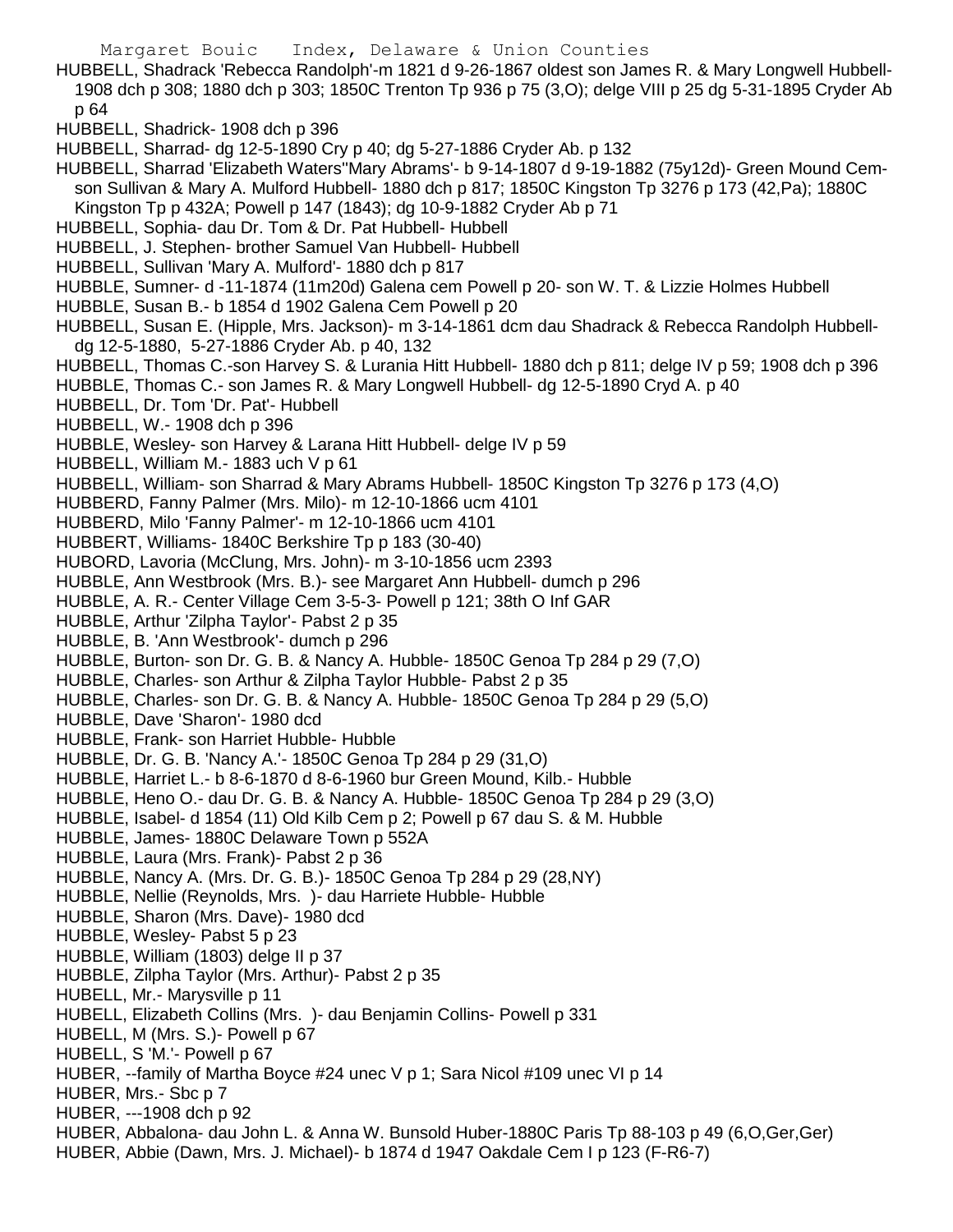- HUBBELL, Shadrack 'Rebecca Randolph'-m 1821 d 9-26-1867 oldest son James R. & Mary Longwell Hubbell-1908 dch p 308; 1880 dch p 303; 1850C Trenton Tp 936 p 75 (3,O); delge VIII p 25 dg 5-31-1895 Cryder Ab p 64
- HUBBELL, Shadrick- 1908 dch p 396
- HUBBELL, Sharrad- dg 12-5-1890 Cry p 40; dg 5-27-1886 Cryder Ab. p 132
- HUBBELL, Sharrad 'Elizabeth Waters''Mary Abrams'- b 9-14-1807 d 9-19-1882 (75y12d)- Green Mound Cemson Sullivan & Mary A. Mulford Hubbell- 1880 dch p 817; 1850C Kingston Tp 3276 p 173 (42,Pa); 1880C Kingston Tp p 432A; Powell p 147 (1843); dg 10-9-1882 Cryder Ab p 71
- HUBBELL, Sophia- dau Dr. Tom & Dr. Pat Hubbell- Hubbell
- HUBBELL, J. Stephen- brother Samuel Van Hubbell- Hubbell
- HUBBELL, Sullivan 'Mary A. Mulford'- 1880 dch p 817
- HUBBLE, Sumner- d -11-1874 (11m20d) Galena cem Powell p 20- son W. T. & Lizzie Holmes Hubbell
- HUBBLE, Susan B.- b 1854 d 1902 Galena Cem Powell p 20
- HUBBELL, Susan E. (Hipple, Mrs. Jackson)- m 3-14-1861 dcm dau Shadrack & Rebecca Randolph Hubbelldg 12-5-1880, 5-27-1886 Cryder Ab. p 40, 132
- HUBBELL, Thomas C.-son Harvey S. & Lurania Hitt Hubbell- 1880 dch p 811; delge IV p 59; 1908 dch p 396
- HUBBLE, Thomas C.- son James R. & Mary Longwell Hubbell- dg 12-5-1890 Cryd A. p 40
- HUBBELL, Dr. Tom 'Dr. Pat'- Hubbell
- HUBBELL, W.- 1908 dch p 396
- HUBBLE, Wesley- son Harvey & Larana Hitt Hubbell- delge IV p 59
- HUBBELL, William M.- 1883 uch V p 61
- HUBBELL, William- son Sharrad & Mary Abrams Hubbell- 1850C Kingston Tp 3276 p 173 (4,O)
- HUBBERD, Fanny Palmer (Mrs. Milo)- m 12-10-1866 ucm 4101
- HUBBERD, Milo 'Fanny Palmer'- m 12-10-1866 ucm 4101
- HUBBERT, Williams- 1840C Berkshire Tp p 183 (30-40)
- HUBORD, Lavoria (McClung, Mrs. John)- m 3-10-1856 ucm 2393
- HUBBLE, Ann Westbrook (Mrs. B.)- see Margaret Ann Hubbell- dumch p 296
- HUBBLE, A. R.- Center Village Cem 3-5-3- Powell p 121; 38th O Inf GAR
- HUBBLE, Arthur 'Zilpha Taylor'- Pabst 2 p 35
- HUBBLE, B. 'Ann Westbrook'- dumch p 296
- HUBBLE, Burton- son Dr. G. B. & Nancy A. Hubble- 1850C Genoa Tp 284 p 29 (7,O)
- HUBBLE, Charles- son Arthur & Zilpha Taylor Hubble- Pabst 2 p 35
- HUBBLE, Charles- son Dr. G. B. & Nancy A. Hubble- 1850C Genoa Tp 284 p 29 (5,O)
- HUBBLE, Dave 'Sharon'- 1980 dcd
- HUBBLE, Frank- son Harriet Hubble- Hubble
- HUBBLE, Dr. G. B. 'Nancy A.'- 1850C Genoa Tp 284 p 29 (31,O)
- HUBBLE, Harriet L.- b 8-6-1870 d 8-6-1960 bur Green Mound, Kilb.- Hubble
- HUBBLE, Heno O.- dau Dr. G. B. & Nancy A. Hubble- 1850C Genoa Tp 284 p 29 (3,O)
- HUBBLE, Isabel- d 1854 (11) Old Kilb Cem p 2; Powell p 67 dau S. & M. Hubble
- HUBBLE, James- 1880C Delaware Town p 552A
- HUBBLE, Laura (Mrs. Frank)- Pabst 2 p 36
- HUBBLE, Nancy A. (Mrs. Dr. G. B.)- 1850C Genoa Tp 284 p 29 (28,NY)
- HUBBLE, Nellie (Reynolds, Mrs. )- dau Harriete Hubble- Hubble
- HUBBLE, Sharon (Mrs. Dave)- 1980 dcd
- HUBBLE, Wesley- Pabst 5 p 23
- HUBBLE, William (1803) delge II p 37
- HUBBLE, Zilpha Taylor (Mrs. Arthur)- Pabst 2 p 35
- HUBELL, Mr.- Marysville p 11
- HUBELL, Elizabeth Collins (Mrs. )- dau Benjamin Collins- Powell p 331
- HUBELL, M (Mrs. S.)- Powell p 67
- HUBELL, S 'M.'- Powell p 67
- HUBER, --family of Martha Boyce #24 unec V p 1; Sara Nicol #109 unec VI p 14
- HUBER, Mrs.- Sbc p 7
- HUBER, ---1908 dch p 92
- HUBER, Abbalona- dau John L. & Anna W. Bunsold Huber-1880C Paris Tp 88-103 p 49 (6,O,Ger,Ger)
- HUBER, Abbie (Dawn, Mrs. J. Michael)- b 1874 d 1947 Oakdale Cem I p 123 (F-R6-7)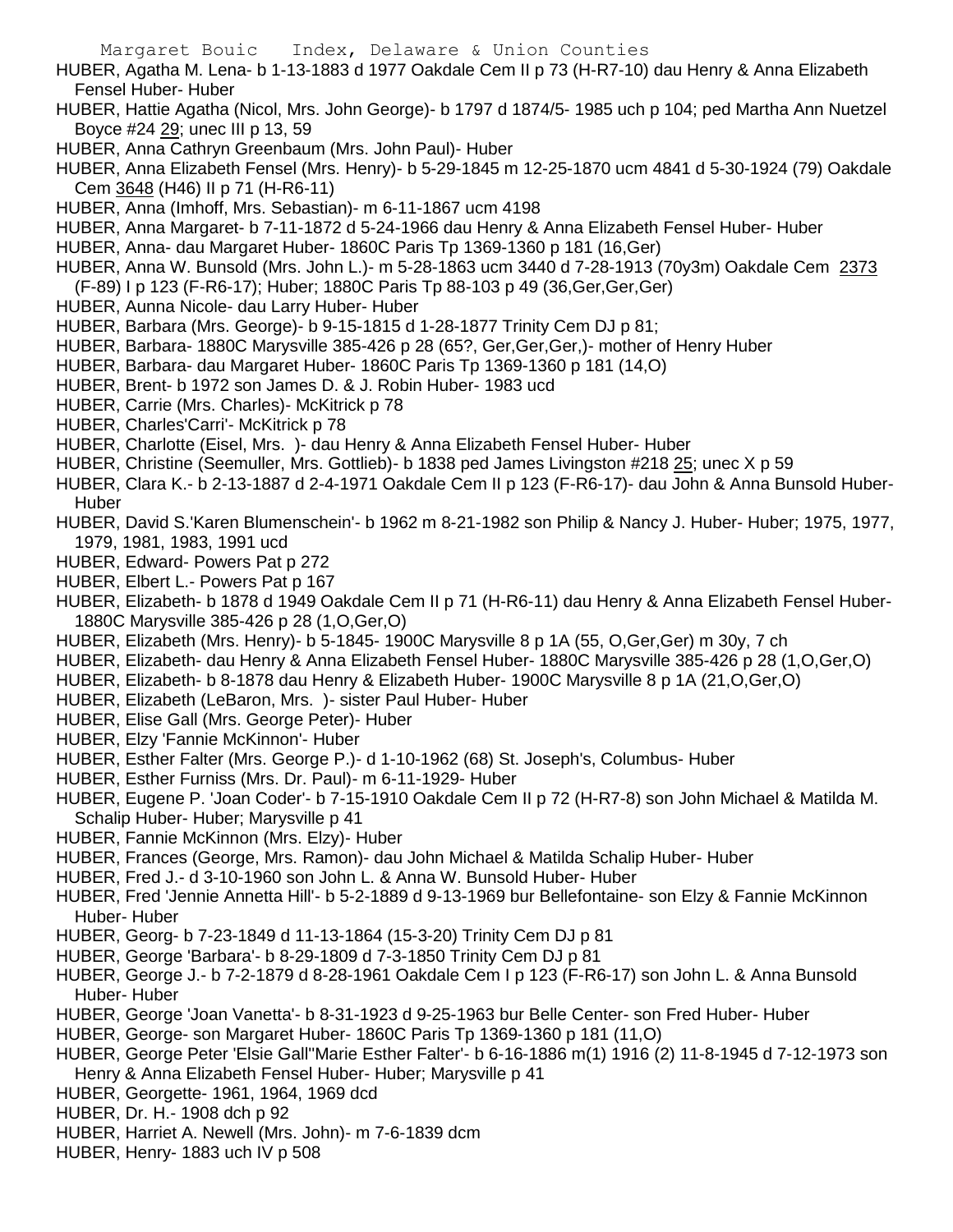HUBER, Agatha M. Lena- b 1-13-1883 d 1977 Oakdale Cem II p 73 (H-R7-10) dau Henry & Anna Elizabeth Fensel Huber- Huber

- HUBER, Hattie Agatha (Nicol, Mrs. John George)- b 1797 d 1874/5- 1985 uch p 104; ped Martha Ann Nuetzel Boyce #24 29; unec III p 13, 59
- HUBER, Anna Cathryn Greenbaum (Mrs. John Paul)- Huber
- HUBER, Anna Elizabeth Fensel (Mrs. Henry)- b 5-29-1845 m 12-25-1870 ucm 4841 d 5-30-1924 (79) Oakdale Cem 3648 (H46) II p 71 (H-R6-11)
- HUBER, Anna (Imhoff, Mrs. Sebastian)- m 6-11-1867 ucm 4198
- HUBER, Anna Margaret- b 7-11-1872 d 5-24-1966 dau Henry & Anna Elizabeth Fensel Huber- Huber
- HUBER, Anna- dau Margaret Huber- 1860C Paris Tp 1369-1360 p 181 (16,Ger)
- HUBER, Anna W. Bunsold (Mrs. John L.)- m 5-28-1863 ucm 3440 d 7-28-1913 (70y3m) Oakdale Cem 2373 (F-89) I p 123 (F-R6-17); Huber; 1880C Paris Tp 88-103 p 49 (36,Ger,Ger,Ger)
- HUBER, Aunna Nicole- dau Larry Huber- Huber
- HUBER, Barbara (Mrs. George)- b 9-15-1815 d 1-28-1877 Trinity Cem DJ p 81;
- HUBER, Barbara- 1880C Marysville 385-426 p 28 (65?, Ger,Ger,Ger,)- mother of Henry Huber
- HUBER, Barbara- dau Margaret Huber- 1860C Paris Tp 1369-1360 p 181 (14,O)
- HUBER, Brent- b 1972 son James D. & J. Robin Huber- 1983 ucd
- HUBER, Carrie (Mrs. Charles)- McKitrick p 78
- HUBER, Charles'Carri'- McKitrick p 78
- HUBER, Charlotte (Eisel, Mrs. )- dau Henry & Anna Elizabeth Fensel Huber- Huber
- HUBER, Christine (Seemuller, Mrs. Gottlieb)- b 1838 ped James Livingston #218 25; unec X p 59
- HUBER, Clara K.- b 2-13-1887 d 2-4-1971 Oakdale Cem II p 123 (F-R6-17)- dau John & Anna Bunsold Huber-**Huber**
- HUBER, David S.'Karen Blumenschein'- b 1962 m 8-21-1982 son Philip & Nancy J. Huber- Huber; 1975, 1977, 1979, 1981, 1983, 1991 ucd
- HUBER, Edward- Powers Pat p 272
- HUBER, Elbert L.- Powers Pat p 167
- HUBER, Elizabeth- b 1878 d 1949 Oakdale Cem II p 71 (H-R6-11) dau Henry & Anna Elizabeth Fensel Huber-1880C Marysville 385-426 p 28 (1,O,Ger,O)
- HUBER, Elizabeth (Mrs. Henry)- b 5-1845- 1900C Marysville 8 p 1A (55, O,Ger,Ger) m 30y, 7 ch
- HUBER, Elizabeth- dau Henry & Anna Elizabeth Fensel Huber- 1880C Marysville 385-426 p 28 (1,O,Ger,O)
- HUBER, Elizabeth- b 8-1878 dau Henry & Elizabeth Huber- 1900C Marysville 8 p 1A (21,O,Ger,O)
- HUBER, Elizabeth (LeBaron, Mrs. )- sister Paul Huber- Huber
- HUBER, Elise Gall (Mrs. George Peter)- Huber
- HUBER, Elzy 'Fannie McKinnon'- Huber
- HUBER, Esther Falter (Mrs. George P.)- d 1-10-1962 (68) St. Joseph's, Columbus- Huber
- HUBER, Esther Furniss (Mrs. Dr. Paul)- m 6-11-1929- Huber
- HUBER, Eugene P. 'Joan Coder'- b 7-15-1910 Oakdale Cem II p 72 (H-R7-8) son John Michael & Matilda M. Schalip Huber- Huber; Marysville p 41
- HUBER, Fannie McKinnon (Mrs. Elzy)- Huber
- HUBER, Frances (George, Mrs. Ramon)- dau John Michael & Matilda Schalip Huber- Huber
- HUBER, Fred J.- d 3-10-1960 son John L. & Anna W. Bunsold Huber- Huber
- HUBER, Fred 'Jennie Annetta Hill'- b 5-2-1889 d 9-13-1969 bur Bellefontaine- son Elzy & Fannie McKinnon Huber- Huber
- HUBER, Georg- b 7-23-1849 d 11-13-1864 (15-3-20) Trinity Cem DJ p 81
- HUBER, George 'Barbara'- b 8-29-1809 d 7-3-1850 Trinity Cem DJ p 81
- HUBER, George J.- b 7-2-1879 d 8-28-1961 Oakdale Cem I p 123 (F-R6-17) son John L. & Anna Bunsold Huber- Huber
- HUBER, George 'Joan Vanetta'- b 8-31-1923 d 9-25-1963 bur Belle Center- son Fred Huber- Huber
- HUBER, George- son Margaret Huber- 1860C Paris Tp 1369-1360 p 181 (11,O)
- HUBER, George Peter 'Elsie Gall''Marie Esther Falter'- b 6-16-1886 m(1) 1916 (2) 11-8-1945 d 7-12-1973 son Henry & Anna Elizabeth Fensel Huber- Huber; Marysville p 41
- HUBER, Georgette- 1961, 1964, 1969 dcd
- HUBER, Dr. H.- 1908 dch p 92
- HUBER, Harriet A. Newell (Mrs. John)- m 7-6-1839 dcm
- HUBER, Henry- 1883 uch IV p 508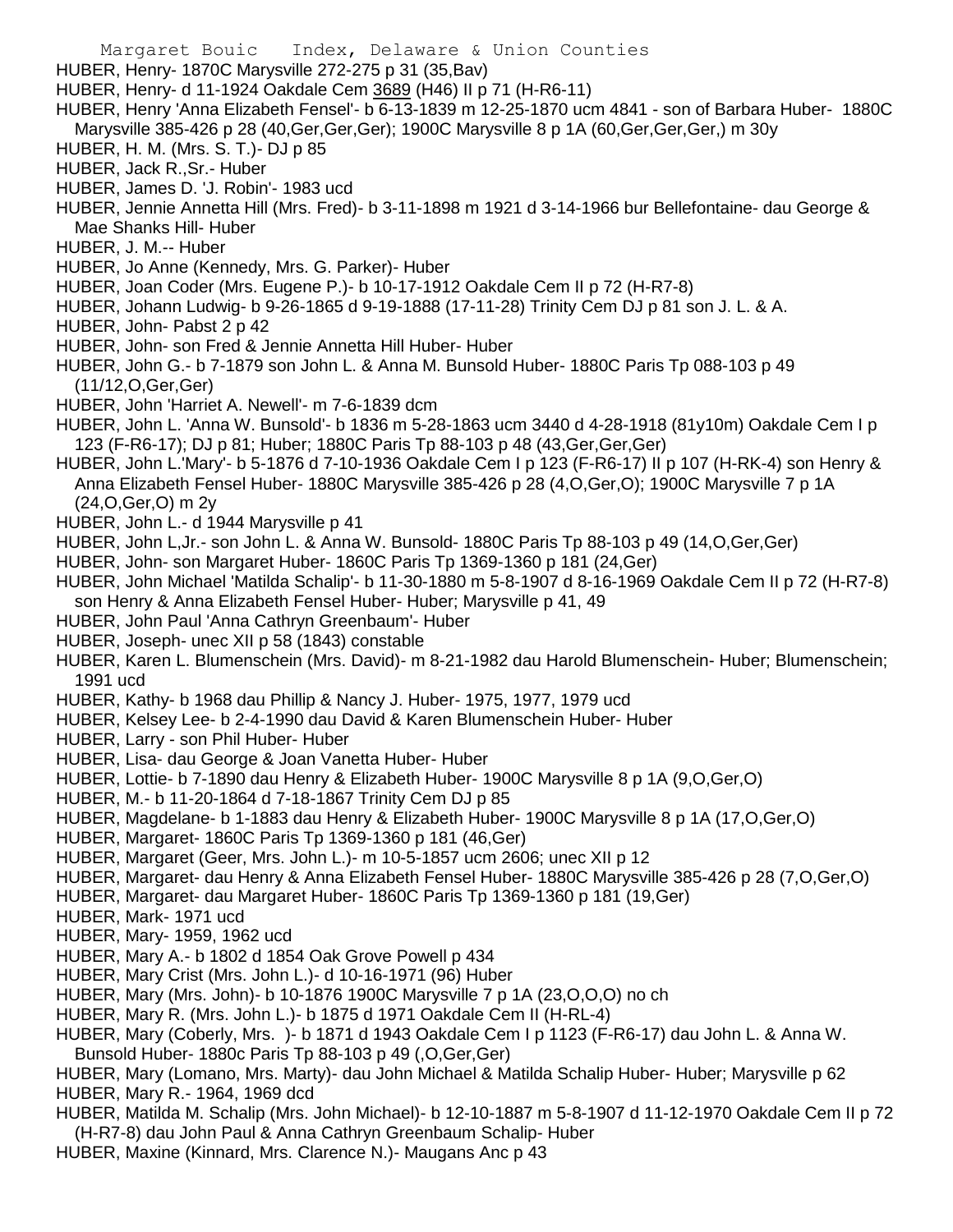HUBER, Henry- 1870C Marysville 272-275 p 31 (35,Bav)

- HUBER, Henry- d 11-1924 Oakdale Cem 3689 (H46) II p 71 (H-R6-11)
- HUBER, Henry 'Anna Elizabeth Fensel'- b 6-13-1839 m 12-25-1870 ucm 4841 son of Barbara Huber- 1880C Marysville 385-426 p 28 (40,Ger,Ger,Ger); 1900C Marysville 8 p 1A (60,Ger,Ger,Ger,) m 30y
- HUBER, H. M. (Mrs. S. T.)- DJ p 85
- HUBER, Jack R.,Sr.- Huber
- HUBER, James D. 'J. Robin'- 1983 ucd
- HUBER, Jennie Annetta Hill (Mrs. Fred)- b 3-11-1898 m 1921 d 3-14-1966 bur Bellefontaine- dau George & Mae Shanks Hill- Huber
- HUBER, J. M.-- Huber
- HUBER, Jo Anne (Kennedy, Mrs. G. Parker)- Huber
- HUBER, Joan Coder (Mrs. Eugene P.)- b 10-17-1912 Oakdale Cem II p 72 (H-R7-8)
- HUBER, Johann Ludwig- b 9-26-1865 d 9-19-1888 (17-11-28) Trinity Cem DJ p 81 son J. L. & A.
- HUBER, John- Pabst 2 p 42
- HUBER, John- son Fred & Jennie Annetta Hill Huber- Huber
- HUBER, John G.- b 7-1879 son John L. & Anna M. Bunsold Huber- 1880C Paris Tp 088-103 p 49 (11/12,O,Ger,Ger)
- HUBER, John 'Harriet A. Newell'- m 7-6-1839 dcm
- HUBER, John L. 'Anna W. Bunsold'- b 1836 m 5-28-1863 ucm 3440 d 4-28-1918 (81y10m) Oakdale Cem I p 123 (F-R6-17); DJ p 81; Huber; 1880C Paris Tp 88-103 p 48 (43,Ger,Ger,Ger)
- HUBER, John L.'Mary'- b 5-1876 d 7-10-1936 Oakdale Cem I p 123 (F-R6-17) II p 107 (H-RK-4) son Henry & Anna Elizabeth Fensel Huber- 1880C Marysville 385-426 p 28 (4,O,Ger,O); 1900C Marysville 7 p 1A (24,O,Ger,O) m 2y
- HUBER, John L.- d 1944 Marysville p 41
- HUBER, John L,Jr.- son John L. & Anna W. Bunsold- 1880C Paris Tp 88-103 p 49 (14,O,Ger,Ger)
- HUBER, John- son Margaret Huber- 1860C Paris Tp 1369-1360 p 181 (24,Ger)
- HUBER, John Michael 'Matilda Schalip'- b 11-30-1880 m 5-8-1907 d 8-16-1969 Oakdale Cem II p 72 (H-R7-8) son Henry & Anna Elizabeth Fensel Huber- Huber; Marysville p 41, 49
- HUBER, John Paul 'Anna Cathryn Greenbaum'- Huber
- HUBER, Joseph- unec XII p 58 (1843) constable
- HUBER, Karen L. Blumenschein (Mrs. David)- m 8-21-1982 dau Harold Blumenschein- Huber; Blumenschein; 1991 ucd
- HUBER, Kathy- b 1968 dau Phillip & Nancy J. Huber- 1975, 1977, 1979 ucd
- HUBER, Kelsey Lee- b 2-4-1990 dau David & Karen Blumenschein Huber- Huber
- HUBER, Larry son Phil Huber- Huber
- HUBER, Lisa- dau George & Joan Vanetta Huber- Huber
- HUBER, Lottie- b 7-1890 dau Henry & Elizabeth Huber- 1900C Marysville 8 p 1A (9,O,Ger,O)
- HUBER, M.- b 11-20-1864 d 7-18-1867 Trinity Cem DJ p 85
- HUBER, Magdelane- b 1-1883 dau Henry & Elizabeth Huber- 1900C Marysville 8 p 1A (17,O,Ger,O)
- HUBER, Margaret- 1860C Paris Tp 1369-1360 p 181 (46,Ger)
- HUBER, Margaret (Geer, Mrs. John L.)- m 10-5-1857 ucm 2606; unec XII p 12
- HUBER, Margaret- dau Henry & Anna Elizabeth Fensel Huber- 1880C Marysville 385-426 p 28 (7,O,Ger,O)
- HUBER, Margaret- dau Margaret Huber- 1860C Paris Tp 1369-1360 p 181 (19,Ger)
- HUBER, Mark- 1971 ucd
- HUBER, Mary- 1959, 1962 ucd
- HUBER, Mary A.- b 1802 d 1854 Oak Grove Powell p 434
- HUBER, Mary Crist (Mrs. John L.)- d 10-16-1971 (96) Huber
- HUBER, Mary (Mrs. John)- b 10-1876 1900C Marysville 7 p 1A (23,O,O,O) no ch
- HUBER, Mary R. (Mrs. John L.)- b 1875 d 1971 Oakdale Cem II (H-RL-4)
- HUBER, Mary (Coberly, Mrs. )- b 1871 d 1943 Oakdale Cem I p 1123 (F-R6-17) dau John L. & Anna W. Bunsold Huber- 1880c Paris Tp 88-103 p 49 (,O,Ger,Ger)
- HUBER, Mary (Lomano, Mrs. Marty)- dau John Michael & Matilda Schalip Huber- Huber; Marysville p 62
- HUBER, Mary R.- 1964, 1969 dcd
- HUBER, Matilda M. Schalip (Mrs. John Michael)- b 12-10-1887 m 5-8-1907 d 11-12-1970 Oakdale Cem II p 72 (H-R7-8) dau John Paul & Anna Cathryn Greenbaum Schalip- Huber
- HUBER, Maxine (Kinnard, Mrs. Clarence N.)- Maugans Anc p 43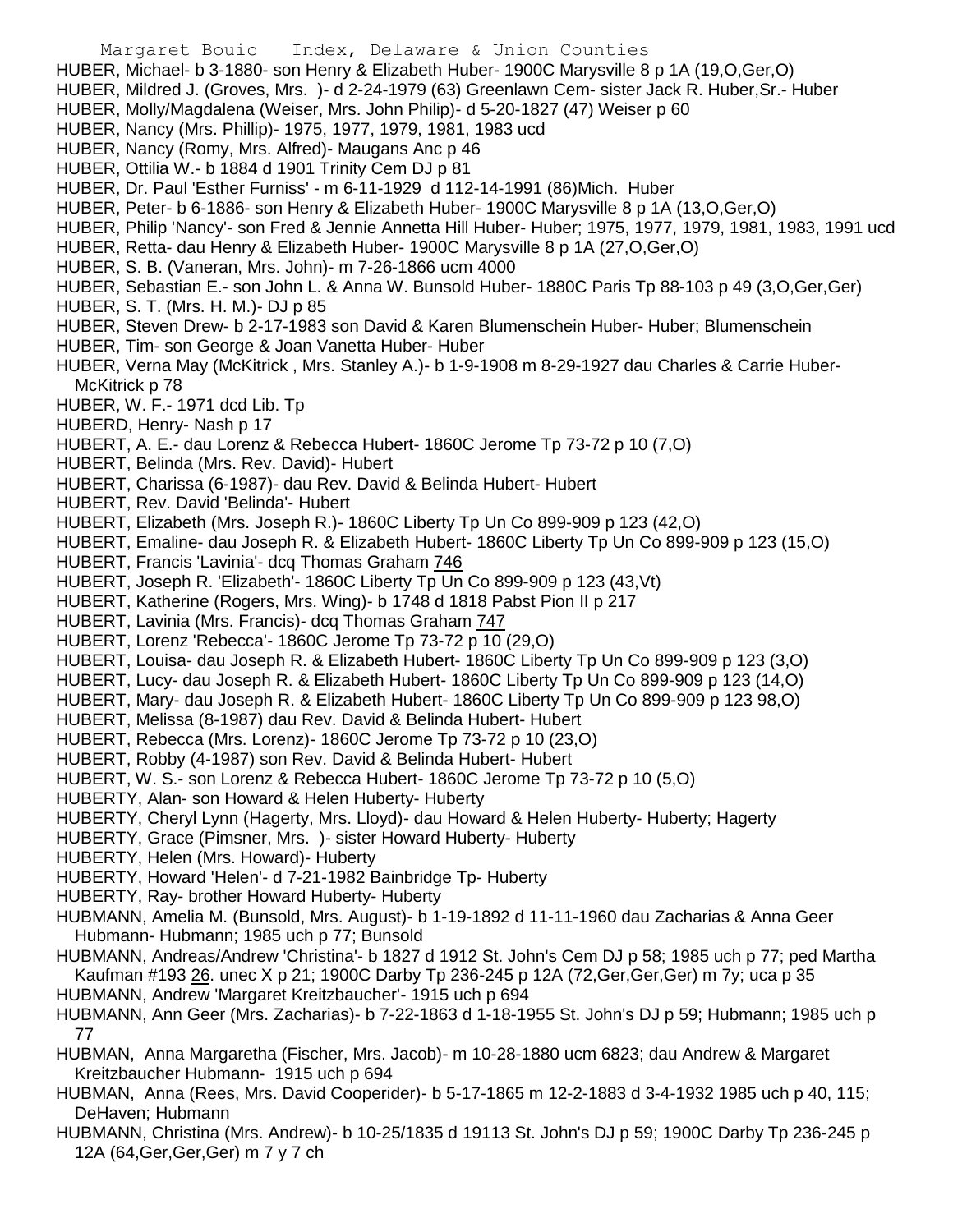- Margaret Bouic Index, Delaware & Union Counties
- HUBER, Michael- b 3-1880- son Henry & Elizabeth Huber- 1900C Marysville 8 p 1A (19,O,Ger,O)
- HUBER, Mildred J. (Groves, Mrs. )- d 2-24-1979 (63) Greenlawn Cem- sister Jack R. Huber,Sr.- Huber
- HUBER, Molly/Magdalena (Weiser, Mrs. John Philip)- d 5-20-1827 (47) Weiser p 60
- HUBER, Nancy (Mrs. Phillip)- 1975, 1977, 1979, 1981, 1983 ucd
- HUBER, Nancy (Romy, Mrs. Alfred)- Maugans Anc p 46
- HUBER, Ottilia W.- b 1884 d 1901 Trinity Cem DJ p 81
- HUBER, Dr. Paul 'Esther Furniss' m 6-11-1929 d 112-14-1991 (86)Mich. Huber
- HUBER, Peter- b 6-1886- son Henry & Elizabeth Huber- 1900C Marysville 8 p 1A (13,O,Ger,O)
- HUBER, Philip 'Nancy'- son Fred & Jennie Annetta Hill Huber- Huber; 1975, 1977, 1979, 1981, 1983, 1991 ucd
- HUBER, Retta- dau Henry & Elizabeth Huber- 1900C Marysville 8 p 1A (27,O,Ger,O)
- HUBER, S. B. (Vaneran, Mrs. John)- m 7-26-1866 ucm 4000
- HUBER, Sebastian E.- son John L. & Anna W. Bunsold Huber- 1880C Paris Tp 88-103 p 49 (3,O,Ger,Ger)
- HUBER, S. T. (Mrs. H. M.)- DJ p 85
- HUBER, Steven Drew- b 2-17-1983 son David & Karen Blumenschein Huber- Huber; Blumenschein
- HUBER, Tim- son George & Joan Vanetta Huber- Huber
- HUBER, Verna May (McKitrick , Mrs. Stanley A.)- b 1-9-1908 m 8-29-1927 dau Charles & Carrie Huber-McKitrick p 78
- HUBER, W. F.- 1971 dcd Lib. Tp
- HUBERD, Henry- Nash p 17
- HUBERT, A. E.- dau Lorenz & Rebecca Hubert- 1860C Jerome Tp 73-72 p 10 (7,O)
- HUBERT, Belinda (Mrs. Rev. David)- Hubert
- HUBERT, Charissa (6-1987)- dau Rev. David & Belinda Hubert- Hubert
- HUBERT, Rev. David 'Belinda'- Hubert
- HUBERT, Elizabeth (Mrs. Joseph R.)- 1860C Liberty Tp Un Co 899-909 p 123 (42,O)
- HUBERT, Emaline- dau Joseph R. & Elizabeth Hubert- 1860C Liberty Tp Un Co 899-909 p 123 (15,O)
- HUBERT, Francis 'Lavinia'- dcq Thomas Graham 746
- HUBERT, Joseph R. 'Elizabeth'- 1860C Liberty Tp Un Co 899-909 p 123 (43,Vt)
- HUBERT, Katherine (Rogers, Mrs. Wing)- b 1748 d 1818 Pabst Pion II p 217
- HUBERT, Lavinia (Mrs. Francis)- dcq Thomas Graham 747
- HUBERT, Lorenz 'Rebecca'- 1860C Jerome Tp 73-72 p 10 (29,O)
- HUBERT, Louisa- dau Joseph R. & Elizabeth Hubert- 1860C Liberty Tp Un Co 899-909 p 123 (3,O)
- HUBERT, Lucy- dau Joseph R. & Elizabeth Hubert- 1860C Liberty Tp Un Co 899-909 p 123 (14,O)
- HUBERT, Mary- dau Joseph R. & Elizabeth Hubert- 1860C Liberty Tp Un Co 899-909 p 123 98,O)
- HUBERT, Melissa (8-1987) dau Rev. David & Belinda Hubert- Hubert
- HUBERT, Rebecca (Mrs. Lorenz)- 1860C Jerome Tp 73-72 p 10 (23,O)
- HUBERT, Robby (4-1987) son Rev. David & Belinda Hubert- Hubert
- HUBERT, W. S.- son Lorenz & Rebecca Hubert- 1860C Jerome Tp 73-72 p 10 (5,O)
- HUBERTY, Alan- son Howard & Helen Huberty- Huberty
- HUBERTY, Cheryl Lynn (Hagerty, Mrs. Lloyd)- dau Howard & Helen Huberty- Huberty; Hagerty
- HUBERTY, Grace (Pimsner, Mrs. )- sister Howard Huberty- Huberty
- HUBERTY, Helen (Mrs. Howard)- Huberty
- HUBERTY, Howard 'Helen'- d 7-21-1982 Bainbridge Tp- Huberty
- HUBERTY, Ray- brother Howard Huberty- Huberty
- HUBMANN, Amelia M. (Bunsold, Mrs. August)- b 1-19-1892 d 11-11-1960 dau Zacharias & Anna Geer Hubmann- Hubmann; 1985 uch p 77; Bunsold
- HUBMANN, Andreas/Andrew 'Christina'- b 1827 d 1912 St. John's Cem DJ p 58; 1985 uch p 77; ped Martha Kaufman #193 26. unec X p 21; 1900C Darby Tp 236-245 p 12A (72, Ger, Ger, Ger) m 7y; uca p 35 HUBMANN, Andrew 'Margaret Kreitzbaucher'- 1915 uch p 694
- HUBMANN, Ann Geer (Mrs. Zacharias)- b 7-22-1863 d 1-18-1955 St. John's DJ p 59; Hubmann; 1985 uch p 77
- HUBMAN, Anna Margaretha (Fischer, Mrs. Jacob)- m 10-28-1880 ucm 6823; dau Andrew & Margaret Kreitzbaucher Hubmann- 1915 uch p 694
- HUBMAN, Anna (Rees, Mrs. David Cooperider)- b 5-17-1865 m 12-2-1883 d 3-4-1932 1985 uch p 40, 115; DeHaven; Hubmann
- HUBMANN, Christina (Mrs. Andrew)- b 10-25/1835 d 19113 St. John's DJ p 59; 1900C Darby Tp 236-245 p 12A (64,Ger,Ger,Ger) m 7 y 7 ch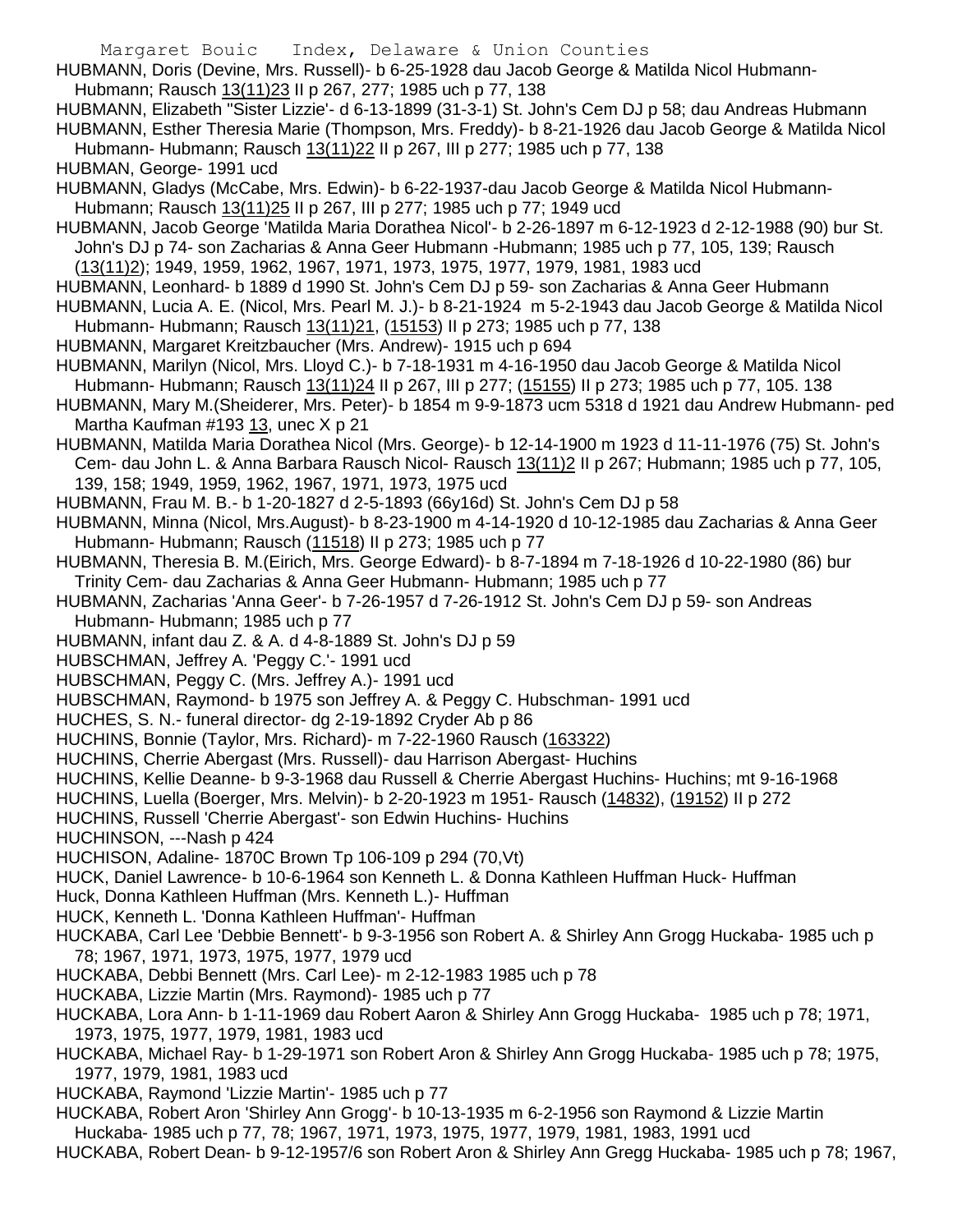- HUBMANN, Doris (Devine, Mrs. Russell)- b 6-25-1928 dau Jacob George & Matilda Nicol Hubmann-Hubmann; Rausch 13(11)23 II p 267, 277; 1985 uch p 77, 138
- HUBMANN, Elizabeth "Sister Lizzie'- d 6-13-1899 (31-3-1) St. John's Cem DJ p 58; dau Andreas Hubmann HUBMANN, Esther Theresia Marie (Thompson, Mrs. Freddy)- b 8-21-1926 dau Jacob George & Matilda Nicol Hubmann- Hubmann; Rausch 13(11)22 II p 267, III p 277; 1985 uch p 77, 138
- HUBMAN, George- 1991 ucd
- HUBMANN, Gladys (McCabe, Mrs. Edwin)- b 6-22-1937-dau Jacob George & Matilda Nicol Hubmann-Hubmann; Rausch 13(11)25 II p 267, III p 277; 1985 uch p 77; 1949 ucd
- HUBMANN, Jacob George 'Matilda Maria Dorathea Nicol'- b 2-26-1897 m 6-12-1923 d 2-12-1988 (90) bur St. John's DJ p 74- son Zacharias & Anna Geer Hubmann -Hubmann; 1985 uch p 77, 105, 139; Rausch (13(11)2); 1949, 1959, 1962, 1967, 1971, 1973, 1975, 1977, 1979, 1981, 1983 ucd
- HUBMANN, Leonhard- b 1889 d 1990 St. John's Cem DJ p 59- son Zacharias & Anna Geer Hubmann
- HUBMANN, Lucia A. E. (Nicol, Mrs. Pearl M. J.)- b 8-21-1924 m 5-2-1943 dau Jacob George & Matilda Nicol Hubmann- Hubmann; Rausch 13(11)21, (15153) II p 273; 1985 uch p 77, 138
- HUBMANN, Margaret Kreitzbaucher (Mrs. Andrew)- 1915 uch p 694
- HUBMANN, Marilyn (Nicol, Mrs. Lloyd C.)- b 7-18-1931 m 4-16-1950 dau Jacob George & Matilda Nicol Hubmann- Hubmann; Rausch 13(11)24 II p 267, III p 277; (15155) II p 273; 1985 uch p 77, 105. 138
- HUBMANN, Mary M.(Sheiderer, Mrs. Peter)- b 1854 m 9-9-1873 ucm 5318 d 1921 dau Andrew Hubmann- ped Martha Kaufman #193 13, unec X p 21
- HUBMANN, Matilda Maria Dorathea Nicol (Mrs. George)- b 12-14-1900 m 1923 d 11-11-1976 (75) St. John's Cem- dau John L. & Anna Barbara Rausch Nicol- Rausch 13(11)2 II p 267; Hubmann; 1985 uch p 77, 105, 139, 158; 1949, 1959, 1962, 1967, 1971, 1973, 1975 ucd
- HUBMANN, Frau M. B.- b 1-20-1827 d 2-5-1893 (66y16d) St. John's Cem DJ p 58
- HUBMANN, Minna (Nicol, Mrs.August)- b 8-23-1900 m 4-14-1920 d 10-12-1985 dau Zacharias & Anna Geer Hubmann- Hubmann; Rausch (11518) II p 273; 1985 uch p 77
- HUBMANN, Theresia B. M.(Eirich, Mrs. George Edward)- b 8-7-1894 m 7-18-1926 d 10-22-1980 (86) bur Trinity Cem- dau Zacharias & Anna Geer Hubmann- Hubmann; 1985 uch p 77
- HUBMANN, Zacharias 'Anna Geer'- b 7-26-1957 d 7-26-1912 St. John's Cem DJ p 59- son Andreas Hubmann- Hubmann; 1985 uch p 77
- HUBMANN, infant dau Z. & A. d 4-8-1889 St. John's DJ p 59
- HUBSCHMAN, Jeffrey A. 'Peggy C.'- 1991 ucd
- HUBSCHMAN, Peggy C. (Mrs. Jeffrey A.)- 1991 ucd
- HUBSCHMAN, Raymond- b 1975 son Jeffrey A. & Peggy C. Hubschman- 1991 ucd
- HUCHES, S. N.- funeral director- dg 2-19-1892 Cryder Ab p 86
- HUCHINS, Bonnie (Taylor, Mrs. Richard)- m 7-22-1960 Rausch (163322)
- HUCHINS, Cherrie Abergast (Mrs. Russell)- dau Harrison Abergast- Huchins
- HUCHINS, Kellie Deanne- b 9-3-1968 dau Russell & Cherrie Abergast Huchins- Huchins; mt 9-16-1968
- HUCHINS, Luella (Boerger, Mrs. Melvin)- b 2-20-1923 m 1951- Rausch (14832), (19152) II p 272
- HUCHINS, Russell 'Cherrie Abergast'- son Edwin Huchins- Huchins
- HUCHINSON, ---Nash p 424
- HUCHISON, Adaline- 1870C Brown Tp 106-109 p 294 (70,Vt)
- HUCK, Daniel Lawrence- b 10-6-1964 son Kenneth L. & Donna Kathleen Huffman Huck- Huffman
- Huck, Donna Kathleen Huffman (Mrs. Kenneth L.)- Huffman
- HUCK, Kenneth L. 'Donna Kathleen Huffman'- Huffman
- HUCKABA, Carl Lee 'Debbie Bennett'- b 9-3-1956 son Robert A. & Shirley Ann Grogg Huckaba- 1985 uch p 78; 1967, 1971, 1973, 1975, 1977, 1979 ucd
- HUCKABA, Debbi Bennett (Mrs. Carl Lee)- m 2-12-1983 1985 uch p 78
- HUCKABA, Lizzie Martin (Mrs. Raymond)- 1985 uch p 77
- HUCKABA, Lora Ann- b 1-11-1969 dau Robert Aaron & Shirley Ann Grogg Huckaba- 1985 uch p 78; 1971, 1973, 1975, 1977, 1979, 1981, 1983 ucd
- HUCKABA, Michael Ray- b 1-29-1971 son Robert Aron & Shirley Ann Grogg Huckaba- 1985 uch p 78; 1975, 1977, 1979, 1981, 1983 ucd
- HUCKABA, Raymond 'Lizzie Martin'- 1985 uch p 77
- HUCKABA, Robert Aron 'Shirley Ann Grogg'- b 10-13-1935 m 6-2-1956 son Raymond & Lizzie Martin Huckaba- 1985 uch p 77, 78; 1967, 1971, 1973, 1975, 1977, 1979, 1981, 1983, 1991 ucd
- HUCKABA, Robert Dean- b 9-12-1957/6 son Robert Aron & Shirley Ann Gregg Huckaba- 1985 uch p 78; 1967,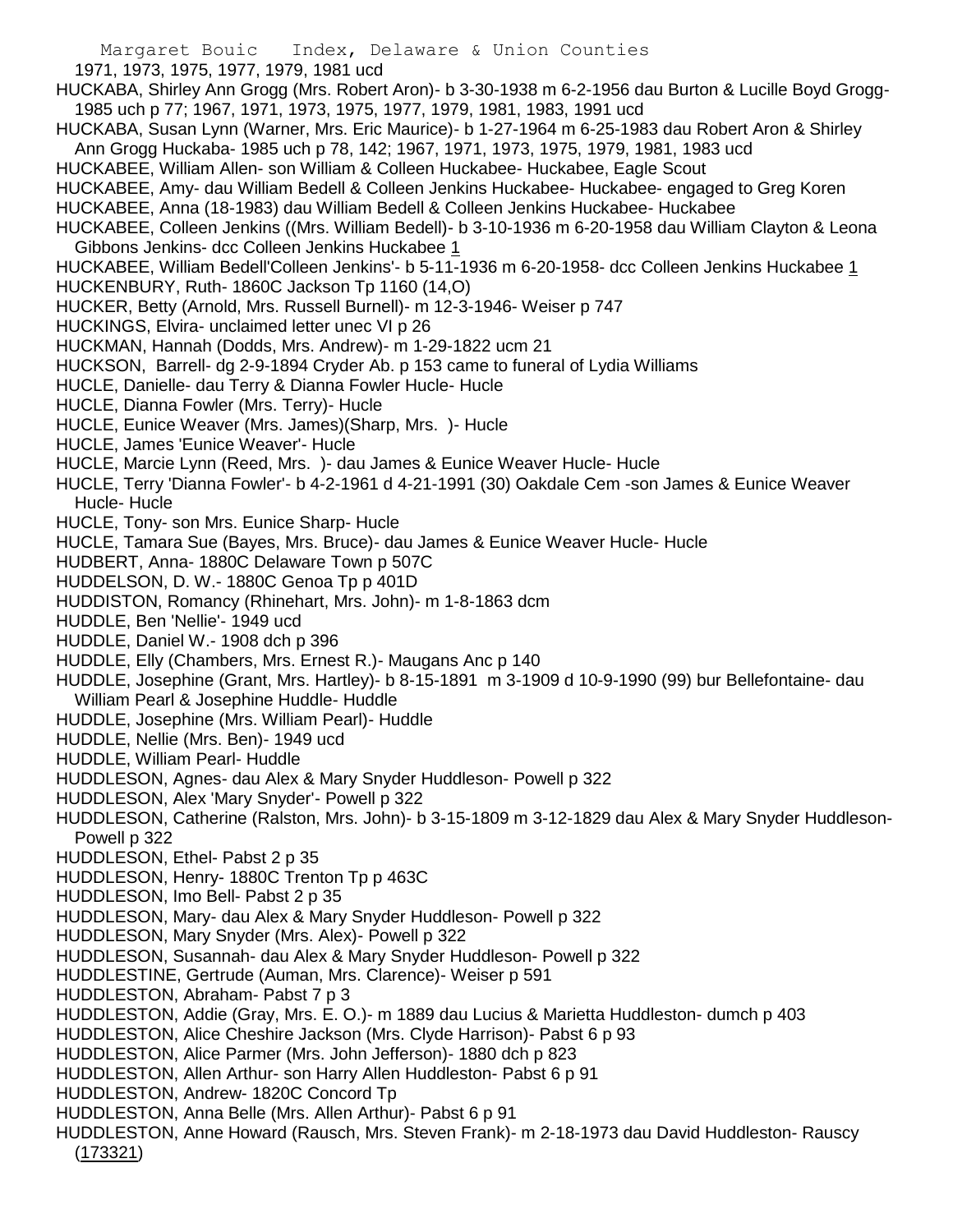1971, 1973, 1975, 1977, 1979, 1981 ucd

- HUCKABA, Shirley Ann Grogg (Mrs. Robert Aron)- b 3-30-1938 m 6-2-1956 dau Burton & Lucille Boyd Grogg-1985 uch p 77; 1967, 1971, 1973, 1975, 1977, 1979, 1981, 1983, 1991 ucd
- HUCKABA, Susan Lynn (Warner, Mrs. Eric Maurice)- b 1-27-1964 m 6-25-1983 dau Robert Aron & Shirley Ann Grogg Huckaba- 1985 uch p 78, 142; 1967, 1971, 1973, 1975, 1979, 1981, 1983 ucd
- HUCKABEE, William Allen- son William & Colleen Huckabee- Huckabee, Eagle Scout
- HUCKABEE, Amy- dau William Bedell & Colleen Jenkins Huckabee- Huckabee- engaged to Greg Koren
- HUCKABEE, Anna (18-1983) dau William Bedell & Colleen Jenkins Huckabee- Huckabee
- HUCKABEE, Colleen Jenkins ((Mrs. William Bedell)- b 3-10-1936 m 6-20-1958 dau William Clayton & Leona Gibbons Jenkins- dcc Colleen Jenkins Huckabee 1

HUCKABEE, William Bedell'Colleen Jenkins'- b 5-11-1936 m 6-20-1958- dcc Colleen Jenkins Huckabee 1 HUCKENBURY, Ruth- 1860C Jackson Tp 1160 (14,O)

- HUCKER, Betty (Arnold, Mrs. Russell Burnell)- m 12-3-1946- Weiser p 747
- HUCKINGS, Elvira- unclaimed letter unec VI p 26
- HUCKMAN, Hannah (Dodds, Mrs. Andrew)- m 1-29-1822 ucm 21
- HUCKSON, Barrell- dg 2-9-1894 Cryder Ab. p 153 came to funeral of Lydia Williams
- HUCLE, Danielle- dau Terry & Dianna Fowler Hucle- Hucle
- HUCLE, Dianna Fowler (Mrs. Terry)- Hucle
- HUCLE, Eunice Weaver (Mrs. James)(Sharp, Mrs. )- Hucle
- HUCLE, James 'Eunice Weaver'- Hucle
- HUCLE, Marcie Lynn (Reed, Mrs. )- dau James & Eunice Weaver Hucle- Hucle
- HUCLE, Terry 'Dianna Fowler'- b 4-2-1961 d 4-21-1991 (30) Oakdale Cem -son James & Eunice Weaver Hucle- Hucle
- HUCLE, Tony- son Mrs. Eunice Sharp- Hucle
- HUCLE, Tamara Sue (Bayes, Mrs. Bruce)- dau James & Eunice Weaver Hucle- Hucle
- HUDBERT, Anna- 1880C Delaware Town p 507C
- HUDDELSON, D. W.- 1880C Genoa Tp p 401D
- HUDDISTON, Romancy (Rhinehart, Mrs. John)- m 1-8-1863 dcm
- HUDDLE, Ben 'Nellie'- 1949 ucd
- HUDDLE, Daniel W.- 1908 dch p 396
- HUDDLE, Elly (Chambers, Mrs. Ernest R.)- Maugans Anc p 140
- HUDDLE, Josephine (Grant, Mrs. Hartley)- b 8-15-1891 m 3-1909 d 10-9-1990 (99) bur Bellefontaine- dau William Pearl & Josephine Huddle- Huddle
- HUDDLE, Josephine (Mrs. William Pearl)- Huddle
- HUDDLE, Nellie (Mrs. Ben)- 1949 ucd
- HUDDLE, William Pearl- Huddle
- HUDDLESON, Agnes- dau Alex & Mary Snyder Huddleson- Powell p 322
- HUDDLESON, Alex 'Mary Snyder'- Powell p 322
- HUDDLESON, Catherine (Ralston, Mrs. John)- b 3-15-1809 m 3-12-1829 dau Alex & Mary Snyder Huddleson-Powell p 322
- HUDDLESON, Ethel- Pabst 2 p 35
- HUDDLESON, Henry- 1880C Trenton Tp p 463C
- HUDDLESON, Imo Bell- Pabst 2 p 35
- HUDDLESON, Mary- dau Alex & Mary Snyder Huddleson- Powell p 322
- HUDDLESON, Mary Snyder (Mrs. Alex)- Powell p 322
- HUDDLESON, Susannah- dau Alex & Mary Snyder Huddleson- Powell p 322
- HUDDLESTINE, Gertrude (Auman, Mrs. Clarence)- Weiser p 591
- HUDDLESTON, Abraham- Pabst 7 p 3
- HUDDLESTON, Addie (Gray, Mrs. E. O.)- m 1889 dau Lucius & Marietta Huddleston- dumch p 403
- HUDDLESTON, Alice Cheshire Jackson (Mrs. Clyde Harrison)- Pabst 6 p 93
- HUDDLESTON, Alice Parmer (Mrs. John Jefferson)- 1880 dch p 823
- HUDDLESTON, Allen Arthur- son Harry Allen Huddleston- Pabst 6 p 91
- HUDDLESTON, Andrew- 1820C Concord Tp
- HUDDLESTON, Anna Belle (Mrs. Allen Arthur)- Pabst 6 p 91
- HUDDLESTON, Anne Howard (Rausch, Mrs. Steven Frank)- m 2-18-1973 dau David Huddleston- Rauscy (173321)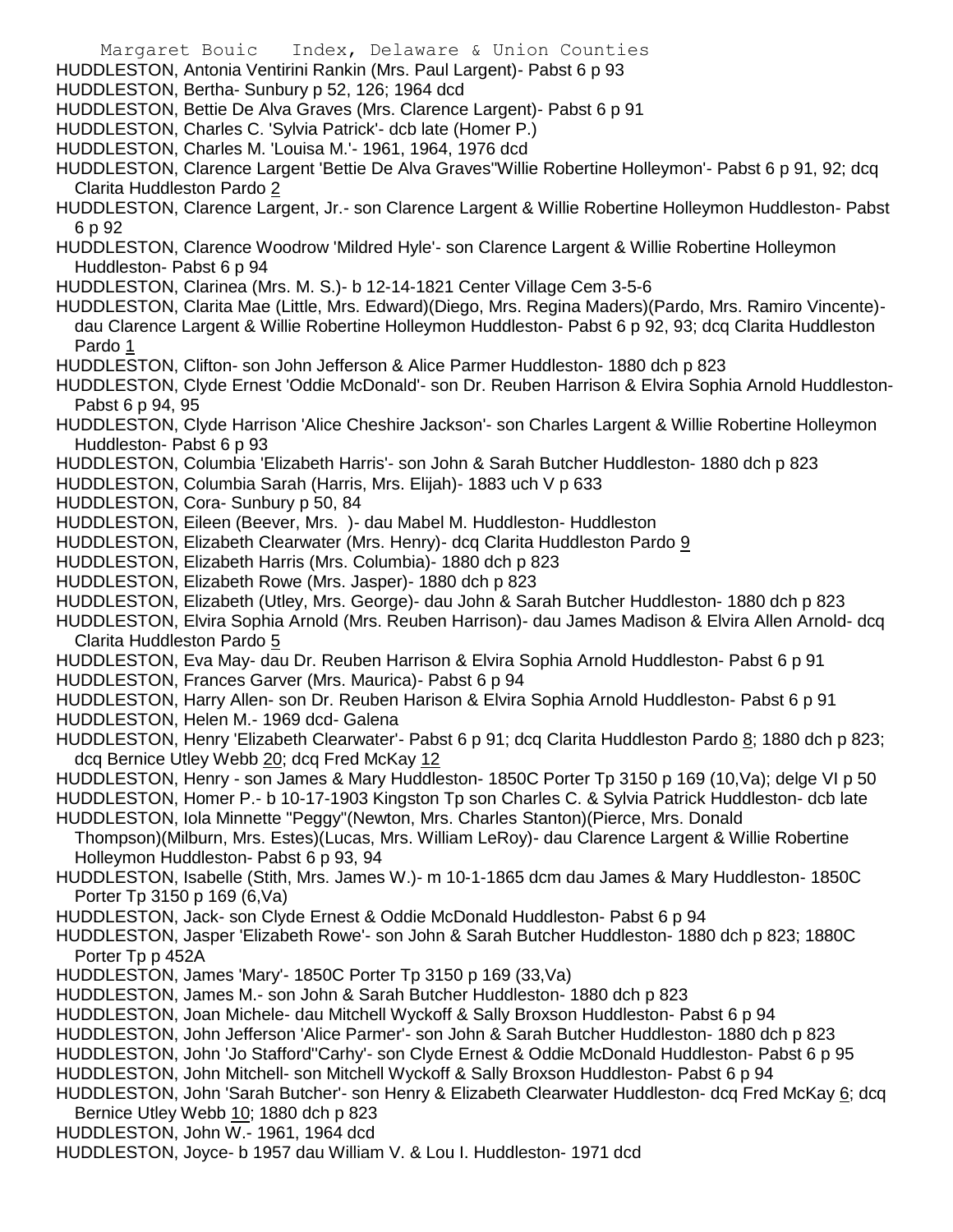- Margaret Bouic Index, Delaware & Union Counties
- HUDDLESTON, Antonia Ventirini Rankin (Mrs. Paul Largent)- Pabst 6 p 93
- HUDDLESTON, Bertha- Sunbury p 52, 126; 1964 dcd
- HUDDLESTON, Bettie De Alva Graves (Mrs. Clarence Largent)- Pabst 6 p 91
- HUDDLESTON, Charles C. 'Sylvia Patrick'- dcb late (Homer P.)
- HUDDLESTON, Charles M. 'Louisa M.'- 1961, 1964, 1976 dcd
- HUDDLESTON, Clarence Largent 'Bettie De Alva Graves''Willie Robertine Holleymon'- Pabst 6 p 91, 92; dcq Clarita Huddleston Pardo 2
- HUDDLESTON, Clarence Largent, Jr.- son Clarence Largent & Willie Robertine Holleymon Huddleston- Pabst 6 p 92
- HUDDLESTON, Clarence Woodrow 'Mildred Hyle'- son Clarence Largent & Willie Robertine Holleymon Huddleston- Pabst 6 p 94
- HUDDLESTON, Clarinea (Mrs. M. S.)- b 12-14-1821 Center Village Cem 3-5-6
- HUDDLESTON, Clarita Mae (Little, Mrs. Edward)(Diego, Mrs. Regina Maders)(Pardo, Mrs. Ramiro Vincente) dau Clarence Largent & Willie Robertine Holleymon Huddleston- Pabst 6 p 92, 93; dcq Clarita Huddleston Pardo 1
- HUDDLESTON, Clifton- son John Jefferson & Alice Parmer Huddleston- 1880 dch p 823
- HUDDLESTON, Clyde Ernest 'Oddie McDonald'- son Dr. Reuben Harrison & Elvira Sophia Arnold Huddleston-Pabst 6 p 94, 95
- HUDDLESTON, Clyde Harrison 'Alice Cheshire Jackson'- son Charles Largent & Willie Robertine Holleymon Huddleston- Pabst 6 p 93
- HUDDLESTON, Columbia 'Elizabeth Harris'- son John & Sarah Butcher Huddleston- 1880 dch p 823
- HUDDLESTON, Columbia Sarah (Harris, Mrs. Elijah)- 1883 uch V p 633
- HUDDLESTON, Cora- Sunbury p 50, 84
- HUDDLESTON, Eileen (Beever, Mrs. )- dau Mabel M. Huddleston- Huddleston
- HUDDLESTON, Elizabeth Clearwater (Mrs. Henry)- dcq Clarita Huddleston Pardo 9
- HUDDLESTON, Elizabeth Harris (Mrs. Columbia)- 1880 dch p 823
- HUDDLESTON, Elizabeth Rowe (Mrs. Jasper)- 1880 dch p 823
- HUDDLESTON, Elizabeth (Utley, Mrs. George)- dau John & Sarah Butcher Huddleston- 1880 dch p 823
- HUDDLESTON, Elvira Sophia Arnold (Mrs. Reuben Harrison)- dau James Madison & Elvira Allen Arnold- dcq Clarita Huddleston Pardo 5
- HUDDLESTON, Eva May- dau Dr. Reuben Harrison & Elvira Sophia Arnold Huddleston- Pabst 6 p 91
- HUDDLESTON, Frances Garver (Mrs. Maurica)- Pabst 6 p 94
- HUDDLESTON, Harry Allen- son Dr. Reuben Harison & Elvira Sophia Arnold Huddleston- Pabst 6 p 91
- HUDDLESTON, Helen M.- 1969 dcd- Galena
- HUDDLESTON, Henry 'Elizabeth Clearwater'- Pabst 6 p 91; dcq Clarita Huddleston Pardo 8; 1880 dch p 823; dcq Bernice Utley Webb 20; dcq Fred McKay 12
- HUDDLESTON, Henry son James & Mary Huddleston- 1850C Porter Tp 3150 p 169 (10,Va); delge VI p 50
- HUDDLESTON, Homer P.- b 10-17-1903 Kingston Tp son Charles C. & Sylvia Patrick Huddleston- dcb late
- HUDDLESTON, Iola Minnette "Peggy"(Newton, Mrs. Charles Stanton)(Pierce, Mrs. Donald
- Thompson)(Milburn, Mrs. Estes)(Lucas, Mrs. William LeRoy)- dau Clarence Largent & Willie Robertine Holleymon Huddleston- Pabst 6 p 93, 94
- HUDDLESTON, Isabelle (Stith, Mrs. James W.)- m 10-1-1865 dcm dau James & Mary Huddleston- 1850C Porter Tp 3150 p 169 (6,Va)
- HUDDLESTON, Jack- son Clyde Ernest & Oddie McDonald Huddleston- Pabst 6 p 94
- HUDDLESTON, Jasper 'Elizabeth Rowe'- son John & Sarah Butcher Huddleston- 1880 dch p 823; 1880C Porter Tp p 452A
- HUDDLESTON, James 'Mary'- 1850C Porter Tp 3150 p 169 (33,Va)
- HUDDLESTON, James M.- son John & Sarah Butcher Huddleston- 1880 dch p 823
- HUDDLESTON, Joan Michele- dau Mitchell Wyckoff & Sally Broxson Huddleston- Pabst 6 p 94
- HUDDLESTON, John Jefferson 'Alice Parmer'- son John & Sarah Butcher Huddleston- 1880 dch p 823
- HUDDLESTON, John 'Jo Stafford''Carhy'- son Clyde Ernest & Oddie McDonald Huddleston- Pabst 6 p 95
- HUDDLESTON, John Mitchell- son Mitchell Wyckoff & Sally Broxson Huddleston- Pabst 6 p 94
- HUDDLESTON, John 'Sarah Butcher'- son Henry & Elizabeth Clearwater Huddleston- dcq Fred McKay 6; dcq Bernice Utley Webb 10; 1880 dch p 823
- HUDDLESTON, John W.- 1961, 1964 dcd
- HUDDLESTON, Joyce- b 1957 dau William V. & Lou I. Huddleston- 1971 dcd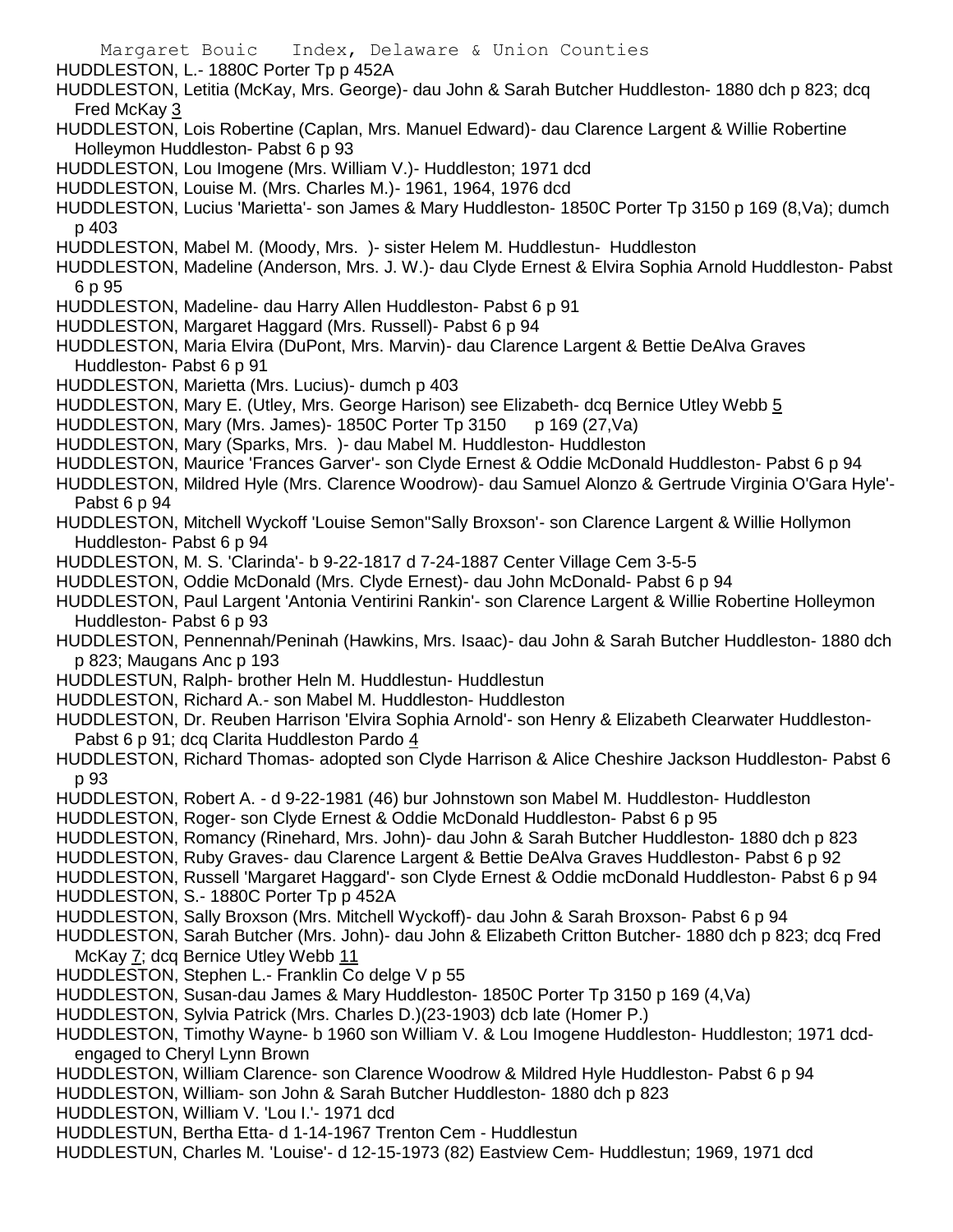Margaret Bouic Index, Delaware & Union Counties HUDDLESTON, L.- 1880C Porter Tp p 452A HUDDLESTON, Letitia (McKay, Mrs. George)- dau John & Sarah Butcher Huddleston- 1880 dch p 823; dcq Fred McKay 3 HUDDLESTON, Lois Robertine (Caplan, Mrs. Manuel Edward)- dau Clarence Largent & Willie Robertine Holleymon Huddleston- Pabst 6 p 93 HUDDLESTON, Lou Imogene (Mrs. William V.)- Huddleston; 1971 dcd HUDDLESTON, Louise M. (Mrs. Charles M.)- 1961, 1964, 1976 dcd HUDDLESTON, Lucius 'Marietta'- son James & Mary Huddleston- 1850C Porter Tp 3150 p 169 (8,Va); dumch p 403 HUDDLESTON, Mabel M. (Moody, Mrs. )- sister Helem M. Huddlestun- Huddleston HUDDLESTON, Madeline (Anderson, Mrs. J. W.)- dau Clyde Ernest & Elvira Sophia Arnold Huddleston- Pabst 6 p 95 HUDDLESTON, Madeline- dau Harry Allen Huddleston- Pabst 6 p 91 HUDDLESTON, Margaret Haggard (Mrs. Russell)- Pabst 6 p 94 HUDDLESTON, Maria Elvira (DuPont, Mrs. Marvin)- dau Clarence Largent & Bettie DeAlva Graves Huddleston- Pabst 6 p 91 HUDDLESTON, Marietta (Mrs. Lucius)- dumch p 403 HUDDLESTON, Mary E. (Utley, Mrs. George Harison) see Elizabeth- dcq Bernice Utley Webb 5 HUDDLESTON, Mary (Mrs. James)- 1850C Porter Tp 3150 p 169 (27, Va) HUDDLESTON, Mary (Sparks, Mrs. )- dau Mabel M. Huddleston- Huddleston HUDDLESTON, Maurice 'Frances Garver'- son Clyde Ernest & Oddie McDonald Huddleston- Pabst 6 p 94 HUDDLESTON, Mildred Hyle (Mrs. Clarence Woodrow)- dau Samuel Alonzo & Gertrude Virginia O'Gara Hyle'- Pabst 6 p 94 HUDDLESTON, Mitchell Wyckoff 'Louise Semon''Sally Broxson'- son Clarence Largent & Willie Hollymon Huddleston- Pabst 6 p 94 HUDDLESTON, M. S. 'Clarinda'- b 9-22-1817 d 7-24-1887 Center Village Cem 3-5-5 HUDDLESTON, Oddie McDonald (Mrs. Clyde Ernest)- dau John McDonald- Pabst 6 p 94 HUDDLESTON, Paul Largent 'Antonia Ventirini Rankin'- son Clarence Largent & Willie Robertine Holleymon Huddleston- Pabst 6 p 93 HUDDLESTON, Pennennah/Peninah (Hawkins, Mrs. Isaac)- dau John & Sarah Butcher Huddleston- 1880 dch p 823; Maugans Anc p 193 HUDDLESTUN, Ralph- brother Heln M. Huddlestun- Huddlestun HUDDLESTON, Richard A.- son Mabel M. Huddleston- Huddleston HUDDLESTON, Dr. Reuben Harrison 'Elvira Sophia Arnold'- son Henry & Elizabeth Clearwater Huddleston-Pabst 6 p 91; dcq Clarita Huddleston Pardo 4 HUDDLESTON, Richard Thomas- adopted son Clyde Harrison & Alice Cheshire Jackson Huddleston- Pabst 6 p 93 HUDDLESTON, Robert A. - d 9-22-1981 (46) bur Johnstown son Mabel M. Huddleston- Huddleston HUDDLESTON, Roger- son Clyde Ernest & Oddie McDonald Huddleston- Pabst 6 p 95 HUDDLESTON, Romancy (Rinehard, Mrs. John)- dau John & Sarah Butcher Huddleston- 1880 dch p 823 HUDDLESTON, Ruby Graves- dau Clarence Largent & Bettie DeAlva Graves Huddleston- Pabst 6 p 92 HUDDLESTON, Russell 'Margaret Haggard'- son Clyde Ernest & Oddie mcDonald Huddleston- Pabst 6 p 94 HUDDLESTON, S.- 1880C Porter Tp p 452A HUDDLESTON, Sally Broxson (Mrs. Mitchell Wyckoff)- dau John & Sarah Broxson- Pabst 6 p 94 HUDDLESTON, Sarah Butcher (Mrs. John)- dau John & Elizabeth Critton Butcher- 1880 dch p 823; dcq Fred McKay 7; dcq Bernice Utley Webb 11 HUDDLESTON, Stephen L.- Franklin Co delge V p 55 HUDDLESTON, Susan-dau James & Mary Huddleston- 1850C Porter Tp 3150 p 169 (4,Va) HUDDLESTON, Sylvia Patrick (Mrs. Charles D.)(23-1903) dcb late (Homer P.) HUDDLESTON, Timothy Wayne- b 1960 son William V. & Lou Imogene Huddleston- Huddleston; 1971 dcdengaged to Cheryl Lynn Brown HUDDLESTON, William Clarence- son Clarence Woodrow & Mildred Hyle Huddleston- Pabst 6 p 94 HUDDLESTON, William- son John & Sarah Butcher Huddleston- 1880 dch p 823 HUDDLESTON, William V. 'Lou I.'- 1971 dcd HUDDLESTUN, Bertha Etta- d 1-14-1967 Trenton Cem - Huddlestun HUDDLESTUN, Charles M. 'Louise'- d 12-15-1973 (82) Eastview Cem- Huddlestun; 1969, 1971 dcd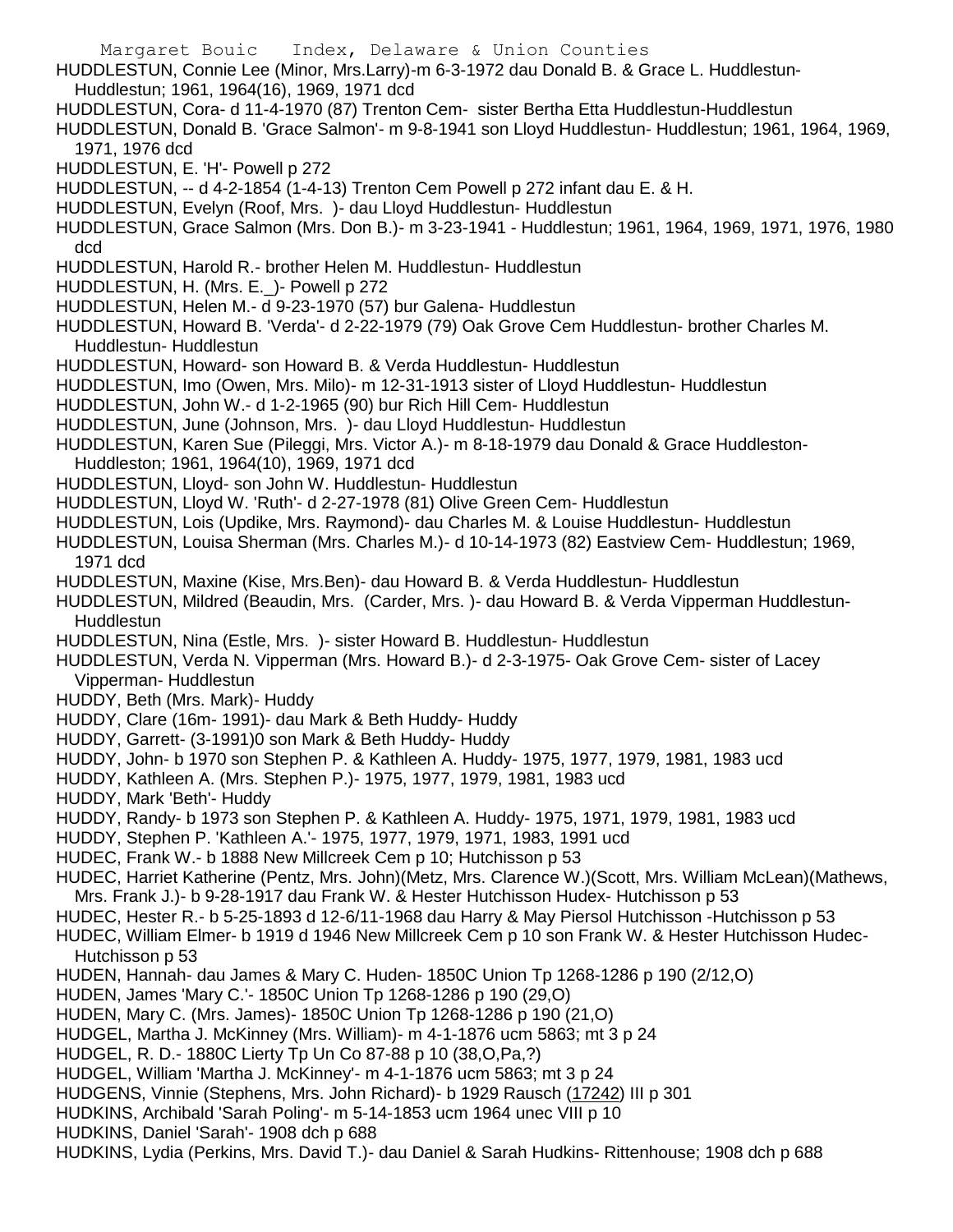- HUDDLESTUN, Connie Lee (Minor, Mrs.Larry)-m 6-3-1972 dau Donald B. & Grace L. Huddlestun-Huddlestun; 1961, 1964(16), 1969, 1971 dcd
- 
- HUDDLESTUN, Cora- d 11-4-1970 (87) Trenton Cem- sister Bertha Etta Huddlestun-Huddlestun
- HUDDLESTUN, Donald B. 'Grace Salmon'- m 9-8-1941 son Lloyd Huddlestun- Huddlestun; 1961, 1964, 1969, 1971, 1976 dcd
- HUDDLESTUN, E. 'H'- Powell p 272
- HUDDLESTUN, -- d 4-2-1854 (1-4-13) Trenton Cem Powell p 272 infant dau E. & H.
- HUDDLESTUN, Evelyn (Roof, Mrs. )- dau Lloyd Huddlestun- Huddlestun
- HUDDLESTUN, Grace Salmon (Mrs. Don B.)- m 3-23-1941 Huddlestun; 1961, 1964, 1969, 1971, 1976, 1980 dcd
- HUDDLESTUN, Harold R.- brother Helen M. Huddlestun- Huddlestun
- HUDDLESTUN, H. (Mrs. E.) Powell p 272
- HUDDLESTUN, Helen M.- d 9-23-1970 (57) bur Galena- Huddlestun
- HUDDLESTUN, Howard B. 'Verda'- d 2-22-1979 (79) Oak Grove Cem Huddlestun- brother Charles M. Huddlestun- Huddlestun
- HUDDLESTUN, Howard- son Howard B. & Verda Huddlestun- Huddlestun
- HUDDLESTUN, Imo (Owen, Mrs. Milo)- m 12-31-1913 sister of Lloyd Huddlestun- Huddlestun
- HUDDLESTUN, John W.- d 1-2-1965 (90) bur Rich Hill Cem- Huddlestun
- HUDDLESTUN, June (Johnson, Mrs. )- dau Lloyd Huddlestun- Huddlestun
- HUDDLESTUN, Karen Sue (Pileggi, Mrs. Victor A.)- m 8-18-1979 dau Donald & Grace Huddleston-Huddleston; 1961, 1964(10), 1969, 1971 dcd
- HUDDLESTUN, Lloyd- son John W. Huddlestun- Huddlestun
- HUDDLESTUN, Lloyd W. 'Ruth'- d 2-27-1978 (81) Olive Green Cem- Huddlestun
- HUDDLESTUN, Lois (Updike, Mrs. Raymond)- dau Charles M. & Louise Huddlestun- Huddlestun
- HUDDLESTUN, Louisa Sherman (Mrs. Charles M.)- d 10-14-1973 (82) Eastview Cem- Huddlestun; 1969, 1971 dcd
- HUDDLESTUN, Maxine (Kise, Mrs.Ben)- dau Howard B. & Verda Huddlestun- Huddlestun
- HUDDLESTUN, Mildred (Beaudin, Mrs. (Carder, Mrs. )- dau Howard B. & Verda Vipperman Huddlestun-Huddlestun
- HUDDLESTUN, Nina (Estle, Mrs. )- sister Howard B. Huddlestun- Huddlestun
- HUDDLESTUN, Verda N. Vipperman (Mrs. Howard B.)- d 2-3-1975- Oak Grove Cem- sister of Lacey Vipperman- Huddlestun
- HUDDY, Beth (Mrs. Mark)- Huddy
- HUDDY, Clare (16m- 1991)- dau Mark & Beth Huddy- Huddy
- HUDDY, Garrett- (3-1991)0 son Mark & Beth Huddy- Huddy
- HUDDY, John- b 1970 son Stephen P. & Kathleen A. Huddy- 1975, 1977, 1979, 1981, 1983 ucd
- HUDDY, Kathleen A. (Mrs. Stephen P.)- 1975, 1977, 1979, 1981, 1983 ucd
- HUDDY, Mark 'Beth'- Huddy
- HUDDY, Randy- b 1973 son Stephen P. & Kathleen A. Huddy- 1975, 1971, 1979, 1981, 1983 ucd
- HUDDY, Stephen P. 'Kathleen A.'- 1975, 1977, 1979, 1971, 1983, 1991 ucd
- HUDEC, Frank W.- b 1888 New Millcreek Cem p 10; Hutchisson p 53
- HUDEC, Harriet Katherine (Pentz, Mrs. John)(Metz, Mrs. Clarence W.)(Scott, Mrs. William McLean)(Mathews, Mrs. Frank J.)- b 9-28-1917 dau Frank W. & Hester Hutchisson Hudex- Hutchisson p 53
- HUDEC, Hester R.- b 5-25-1893 d 12-6/11-1968 dau Harry & May Piersol Hutchisson -Hutchisson p 53
- HUDEC, William Elmer- b 1919 d 1946 New Millcreek Cem p 10 son Frank W. & Hester Hutchisson Hudec-Hutchisson p 53
- HUDEN, Hannah- dau James & Mary C. Huden- 1850C Union Tp 1268-1286 p 190 (2/12,O)
- HUDEN, James 'Mary C.'- 1850C Union Tp 1268-1286 p 190 (29,O)
- HUDEN, Mary C. (Mrs. James)- 1850C Union Tp 1268-1286 p 190 (21,O)
- HUDGEL, Martha J. McKinney (Mrs. William)- m 4-1-1876 ucm 5863; mt 3 p 24
- HUDGEL, R. D.- 1880C Lierty Tp Un Co 87-88 p 10 (38,O,Pa,?)
- HUDGEL, William 'Martha J. McKinney'- m 4-1-1876 ucm 5863; mt 3 p 24
- HUDGENS, Vinnie (Stephens, Mrs. John Richard)- b 1929 Rausch (17242) III p 301
- HUDKINS, Archibald 'Sarah Poling'- m 5-14-1853 ucm 1964 unec VIII p 10
- HUDKINS, Daniel 'Sarah'- 1908 dch p 688
- HUDKINS, Lydia (Perkins, Mrs. David T.)- dau Daniel & Sarah Hudkins- Rittenhouse; 1908 dch p 688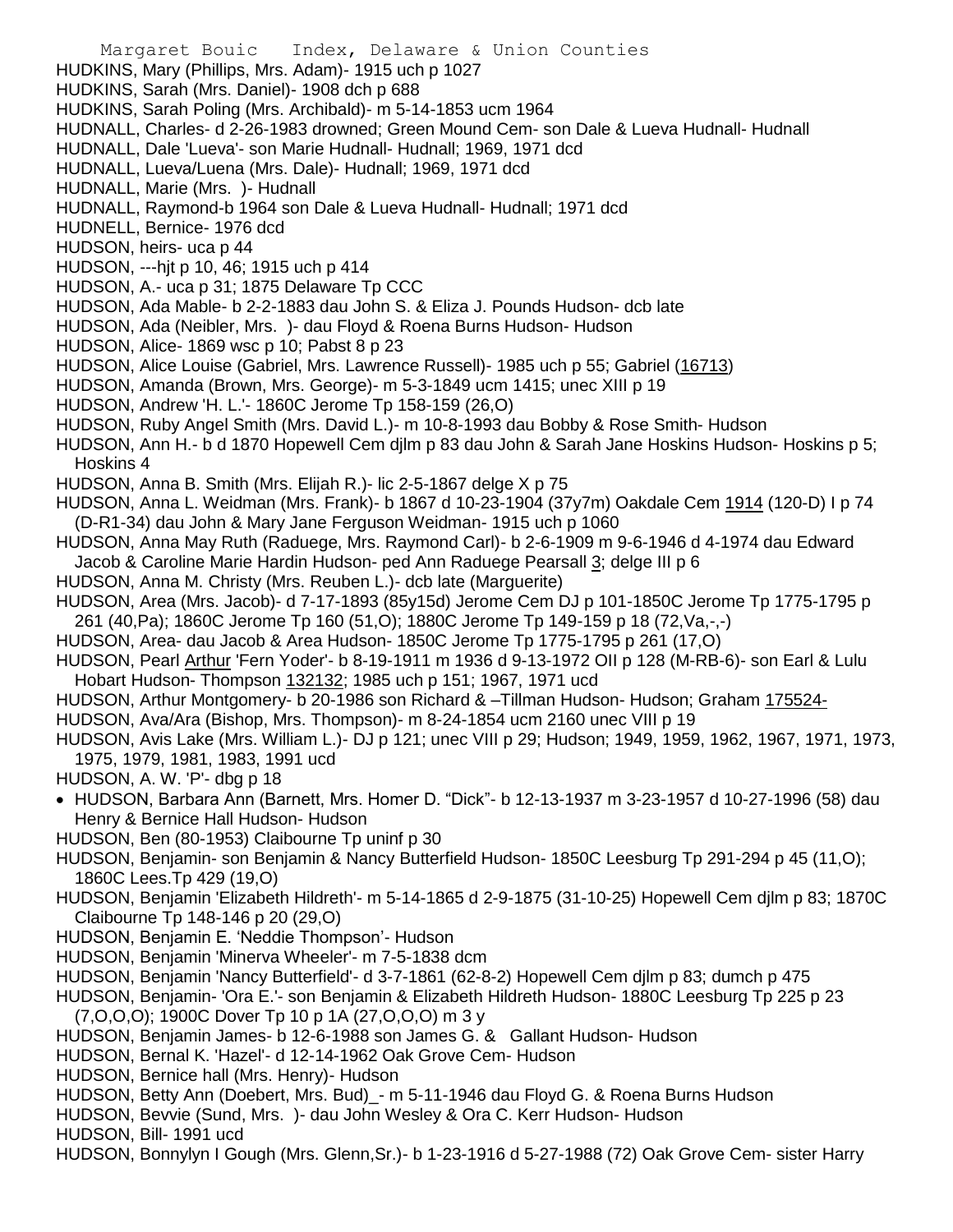- Margaret Bouic Index, Delaware & Union Counties HUDKINS, Mary (Phillips, Mrs. Adam)- 1915 uch p 1027 HUDKINS, Sarah (Mrs. Daniel)- 1908 dch p 688 HUDKINS, Sarah Poling (Mrs. Archibald)- m 5-14-1853 ucm 1964 HUDNALL, Charles- d 2-26-1983 drowned; Green Mound Cem- son Dale & Lueva Hudnall- Hudnall HUDNALL, Dale 'Lueva'- son Marie Hudnall- Hudnall; 1969, 1971 dcd HUDNALL, Lueva/Luena (Mrs. Dale)- Hudnall; 1969, 1971 dcd HUDNALL, Marie (Mrs. )- Hudnall HUDNALL, Raymond-b 1964 son Dale & Lueva Hudnall- Hudnall; 1971 dcd HUDNELL, Bernice- 1976 dcd HUDSON, heirs- uca p 44 HUDSON, ---hjt p 10, 46; 1915 uch p 414 HUDSON, A.- uca p 31; 1875 Delaware Tp CCC HUDSON, Ada Mable- b 2-2-1883 dau John S. & Eliza J. Pounds Hudson- dcb late HUDSON, Ada (Neibler, Mrs. )- dau Floyd & Roena Burns Hudson- Hudson HUDSON, Alice- 1869 wsc p 10; Pabst 8 p 23 HUDSON, Alice Louise (Gabriel, Mrs. Lawrence Russell)- 1985 uch p 55; Gabriel (16713) HUDSON, Amanda (Brown, Mrs. George)- m 5-3-1849 ucm 1415; unec XIII p 19 HUDSON, Andrew 'H. L.'- 1860C Jerome Tp 158-159 (26,O) HUDSON, Ruby Angel Smith (Mrs. David L.)- m 10-8-1993 dau Bobby & Rose Smith- Hudson HUDSON, Ann H.- b d 1870 Hopewell Cem djlm p 83 dau John & Sarah Jane Hoskins Hudson- Hoskins p 5; Hoskins 4 HUDSON, Anna B. Smith (Mrs. Elijah R.)- lic 2-5-1867 delge X p 75 HUDSON, Anna L. Weidman (Mrs. Frank)- b 1867 d 10-23-1904 (37y7m) Oakdale Cem 1914 (120-D) I p 74 (D-R1-34) dau John & Mary Jane Ferguson Weidman- 1915 uch p 1060 HUDSON, Anna May Ruth (Raduege, Mrs. Raymond Carl)- b 2-6-1909 m 9-6-1946 d 4-1974 dau Edward Jacob & Caroline Marie Hardin Hudson- ped Ann Raduege Pearsall 3; delge III p 6 HUDSON, Anna M. Christy (Mrs. Reuben L.)- dcb late (Marguerite) HUDSON, Area (Mrs. Jacob)- d 7-17-1893 (85y15d) Jerome Cem DJ p 101-1850C Jerome Tp 1775-1795 p 261 (40,Pa); 1860C Jerome Tp 160 (51,O); 1880C Jerome Tp 149-159 p 18 (72,Va,-,-) HUDSON, Area- dau Jacob & Area Hudson- 1850C Jerome Tp 1775-1795 p 261 (17,O) HUDSON, Pearl Arthur 'Fern Yoder'- b 8-19-1911 m 1936 d 9-13-1972 OII p 128 (M-RB-6)- son Earl & Lulu Hobart Hudson- Thompson 132132; 1985 uch p 151; 1967, 1971 ucd HUDSON, Arthur Montgomery- b 20-1986 son Richard & –Tillman Hudson- Hudson; Graham 175524- HUDSON, Ava/Ara (Bishop, Mrs. Thompson)- m 8-24-1854 ucm 2160 unec VIII p 19 HUDSON, Avis Lake (Mrs. William L.)- DJ p 121; unec VIII p 29; Hudson; 1949, 1959, 1962, 1967, 1971, 1973, 1975, 1979, 1981, 1983, 1991 ucd HUDSON, A. W. 'P'- dbg p 18 HUDSON, Barbara Ann (Barnett, Mrs. Homer D. "Dick"- b 12-13-1937 m 3-23-1957 d 10-27-1996 (58) dau Henry & Bernice Hall Hudson- Hudson HUDSON, Ben (80-1953) Claibourne Tp uninf p 30 HUDSON, Benjamin- son Benjamin & Nancy Butterfield Hudson- 1850C Leesburg Tp 291-294 p 45 (11,O); 1860C Lees.Tp 429 (19,O) HUDSON, Benjamin 'Elizabeth Hildreth'- m 5-14-1865 d 2-9-1875 (31-10-25) Hopewell Cem djlm p 83; 1870C Claibourne Tp 148-146 p 20 (29,O) HUDSON, Benjamin E. 'Neddie Thompson'- Hudson HUDSON, Benjamin 'Minerva Wheeler'- m 7-5-1838 dcm HUDSON, Benjamin 'Nancy Butterfield'- d 3-7-1861 (62-8-2) Hopewell Cem djlm p 83; dumch p 475 HUDSON, Benjamin- 'Ora E.'- son Benjamin & Elizabeth Hildreth Hudson- 1880C Leesburg Tp 225 p 23
- (7,O,O,O); 1900C Dover Tp 10 p 1A (27,O,O,O) m 3 y
- HUDSON, Benjamin James- b 12-6-1988 son James G. & Gallant Hudson- Hudson
- HUDSON, Bernal K. 'Hazel'- d 12-14-1962 Oak Grove Cem- Hudson
- HUDSON, Bernice hall (Mrs. Henry)- Hudson
- HUDSON, Betty Ann (Doebert, Mrs. Bud)\_- m 5-11-1946 dau Floyd G. & Roena Burns Hudson
- HUDSON, Bevvie (Sund, Mrs. )- dau John Wesley & Ora C. Kerr Hudson- Hudson
- HUDSON, Bill- 1991 ucd
- HUDSON, Bonnylyn I Gough (Mrs. Glenn,Sr.)- b 1-23-1916 d 5-27-1988 (72) Oak Grove Cem- sister Harry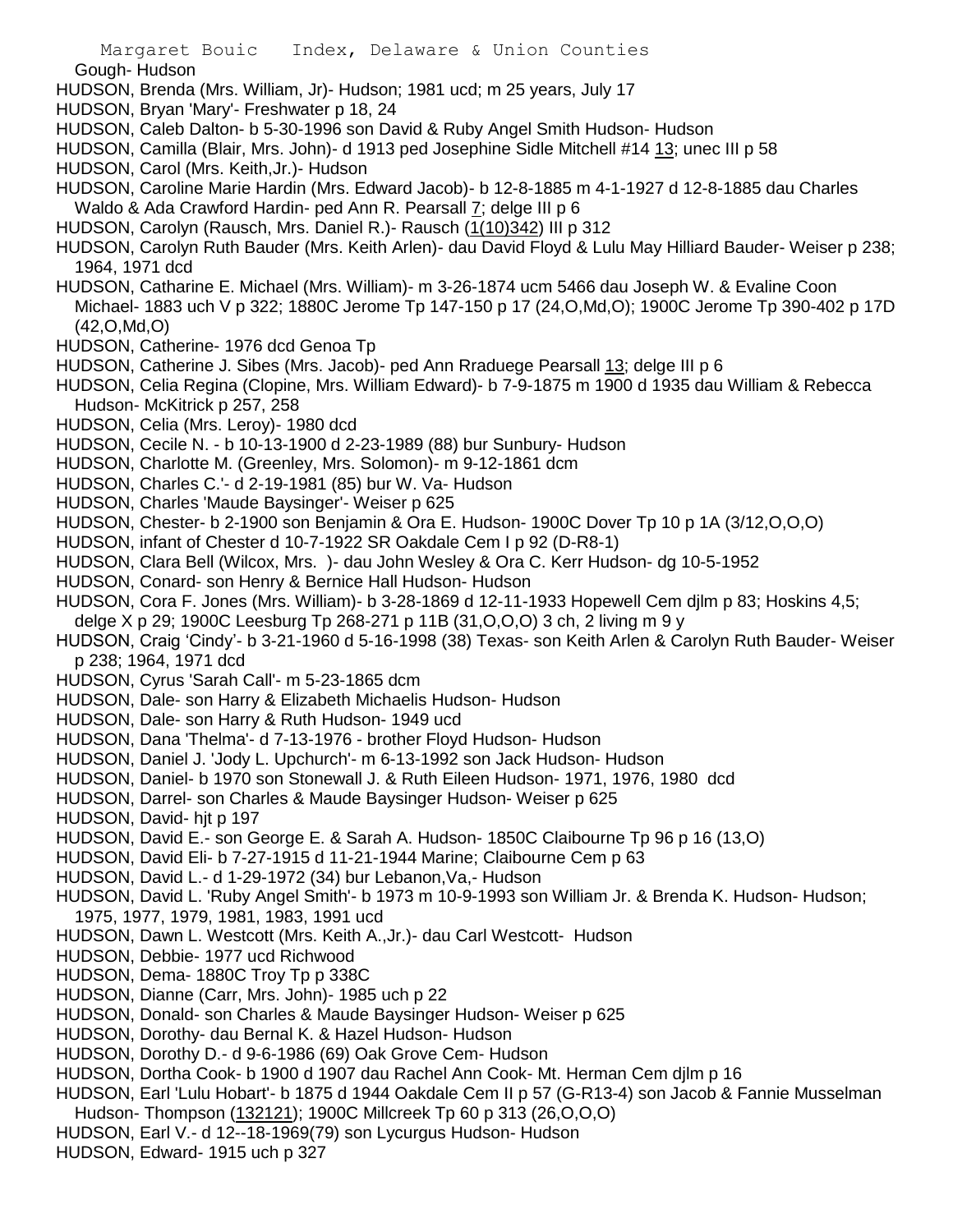Gough- Hudson

- HUDSON, Brenda (Mrs. William, Jr)- Hudson; 1981 ucd; m 25 years, July 17
- HUDSON, Bryan 'Mary'- Freshwater p 18, 24
- HUDSON, Caleb Dalton- b 5-30-1996 son David & Ruby Angel Smith Hudson- Hudson
- HUDSON, Camilla (Blair, Mrs. John)- d 1913 ped Josephine Sidle Mitchell #14 13; unec III p 58
- HUDSON, Carol (Mrs. Keith,Jr.)- Hudson
- HUDSON, Caroline Marie Hardin (Mrs. Edward Jacob)- b 12-8-1885 m 4-1-1927 d 12-8-1885 dau Charles Waldo & Ada Crawford Hardin- ped Ann R. Pearsall 7; delge III p 6
- HUDSON, Carolyn (Rausch, Mrs. Daniel R.)- Rausch (1(10)342) III p 312
- HUDSON, Carolyn Ruth Bauder (Mrs. Keith Arlen)- dau David Floyd & Lulu May Hilliard Bauder- Weiser p 238; 1964, 1971 dcd
- HUDSON, Catharine E. Michael (Mrs. William)- m 3-26-1874 ucm 5466 dau Joseph W. & Evaline Coon Michael- 1883 uch V p 322; 1880C Jerome Tp 147-150 p 17 (24,O,Md,O); 1900C Jerome Tp 390-402 p 17D (42,O,Md,O)
- HUDSON, Catherine- 1976 dcd Genoa Tp
- HUDSON, Catherine J. Sibes (Mrs. Jacob)- ped Ann Rraduege Pearsall 13; delge III p 6
- HUDSON, Celia Regina (Clopine, Mrs. William Edward)- b 7-9-1875 m 1900 d 1935 dau William & Rebecca Hudson- McKitrick p 257, 258
- HUDSON, Celia (Mrs. Leroy)- 1980 dcd
- HUDSON, Cecile N. b 10-13-1900 d 2-23-1989 (88) bur Sunbury- Hudson
- HUDSON, Charlotte M. (Greenley, Mrs. Solomon)- m 9-12-1861 dcm
- HUDSON, Charles C.'- d 2-19-1981 (85) bur W. Va- Hudson
- HUDSON, Charles 'Maude Baysinger'- Weiser p 625
- HUDSON, Chester- b 2-1900 son Benjamin & Ora E. Hudson- 1900C Dover Tp 10 p 1A (3/12,O,O,O)
- HUDSON, infant of Chester d 10-7-1922 SR Oakdale Cem I p 92 (D-R8-1)
- HUDSON, Clara Bell (Wilcox, Mrs. )- dau John Wesley & Ora C. Kerr Hudson- dg 10-5-1952
- HUDSON, Conard- son Henry & Bernice Hall Hudson- Hudson
- HUDSON, Cora F. Jones (Mrs. William)- b 3-28-1869 d 12-11-1933 Hopewell Cem djlm p 83; Hoskins 4,5; delge X p 29; 1900C Leesburg Tp 268-271 p 11B (31,O,O,O) 3 ch, 2 living m 9 y
- HUDSON, Craig 'Cindy'- b 3-21-1960 d 5-16-1998 (38) Texas- son Keith Arlen & Carolyn Ruth Bauder- Weiser p 238; 1964, 1971 dcd
- HUDSON, Cyrus 'Sarah Call'- m 5-23-1865 dcm
- HUDSON, Dale- son Harry & Elizabeth Michaelis Hudson- Hudson
- HUDSON, Dale- son Harry & Ruth Hudson- 1949 ucd
- HUDSON, Dana 'Thelma'- d 7-13-1976 brother Floyd Hudson- Hudson
- HUDSON, Daniel J. 'Jody L. Upchurch'- m 6-13-1992 son Jack Hudson- Hudson
- HUDSON, Daniel- b 1970 son Stonewall J. & Ruth Eileen Hudson- 1971, 1976, 1980 dcd
- HUDSON, Darrel- son Charles & Maude Baysinger Hudson- Weiser p 625
- HUDSON, David- hit p 197
- HUDSON, David E.- son George E. & Sarah A. Hudson- 1850C Claibourne Tp 96 p 16 (13,O)
- HUDSON, David Eli- b 7-27-1915 d 11-21-1944 Marine; Claibourne Cem p 63
- HUDSON, David L.- d 1-29-1972 (34) bur Lebanon,Va,- Hudson
- HUDSON, David L. 'Ruby Angel Smith'- b 1973 m 10-9-1993 son William Jr. & Brenda K. Hudson- Hudson; 1975, 1977, 1979, 1981, 1983, 1991 ucd
- HUDSON, Dawn L. Westcott (Mrs. Keith A.,Jr.)- dau Carl Westcott- Hudson
- HUDSON, Debbie- 1977 ucd Richwood
- HUDSON, Dema- 1880C Troy Tp p 338C
- HUDSON, Dianne (Carr, Mrs. John)- 1985 uch p 22
- HUDSON, Donald- son Charles & Maude Baysinger Hudson- Weiser p 625
- HUDSON, Dorothy- dau Bernal K. & Hazel Hudson- Hudson
- HUDSON, Dorothy D.- d 9-6-1986 (69) Oak Grove Cem- Hudson
- HUDSON, Dortha Cook- b 1900 d 1907 dau Rachel Ann Cook- Mt. Herman Cem djlm p 16
- HUDSON, Earl 'Lulu Hobart'- b 1875 d 1944 Oakdale Cem II p 57 (G-R13-4) son Jacob & Fannie Musselman
- Hudson- Thompson (132121); 1900C Millcreek Tp 60 p 313 (26,O,O,O)
- HUDSON, Earl V.- d 12--18-1969(79) son Lycurgus Hudson- Hudson
- HUDSON, Edward- 1915 uch p 327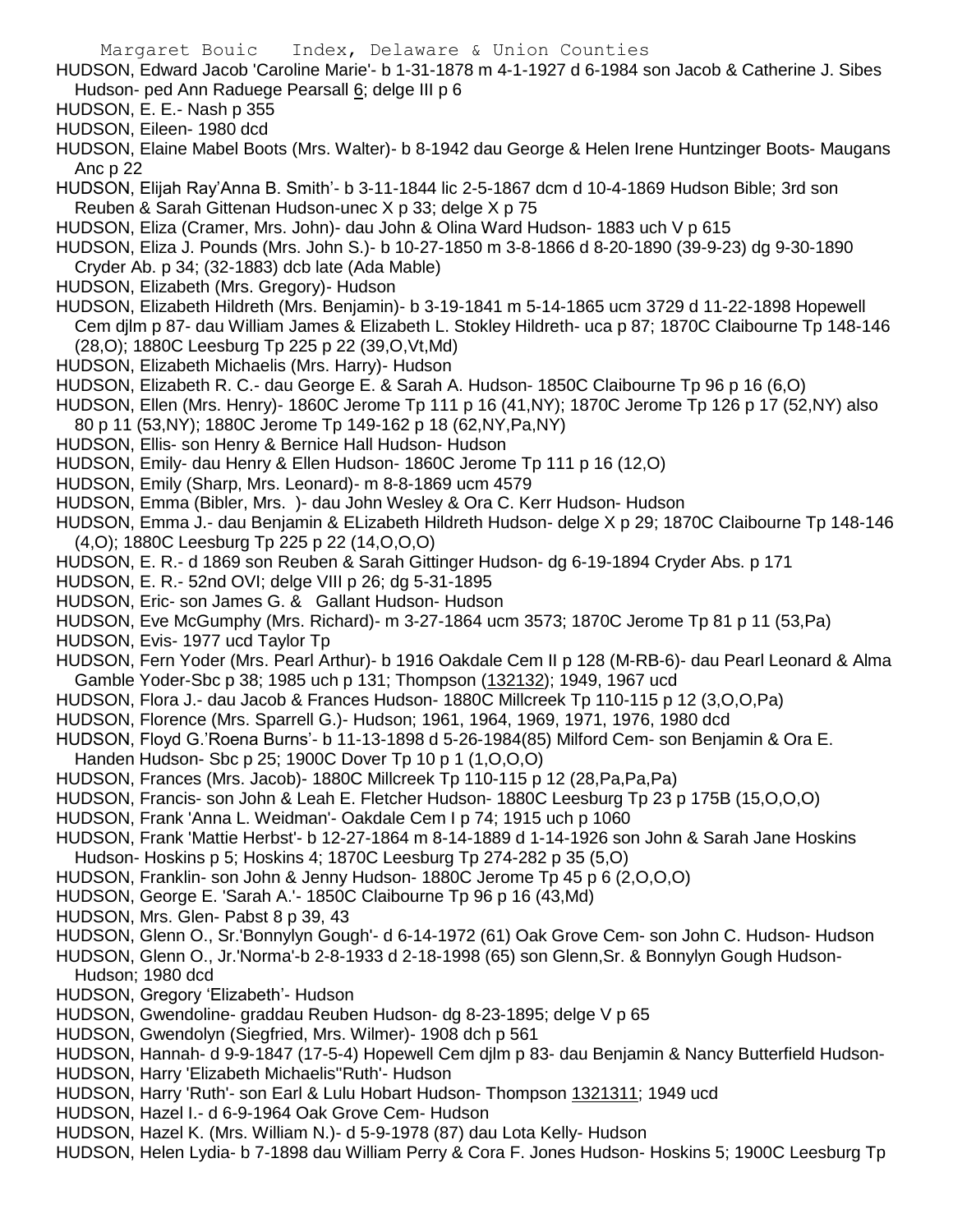- HUDSON, Edward Jacob 'Caroline Marie'- b 1-31-1878 m 4-1-1927 d 6-1984 son Jacob & Catherine J. Sibes Hudson- ped Ann Raduege Pearsall 6; delge III p 6
- HUDSON, E. E.- Nash p 355
- HUDSON, Eileen- 1980 dcd
- HUDSON, Elaine Mabel Boots (Mrs. Walter)- b 8-1942 dau George & Helen Irene Huntzinger Boots- Maugans Anc p 22
- HUDSON, Elijah Ray'Anna B. Smith'- b 3-11-1844 lic 2-5-1867 dcm d 10-4-1869 Hudson Bible; 3rd son Reuben & Sarah Gittenan Hudson-unec X p 33; delge X p 75
- HUDSON, Eliza (Cramer, Mrs. John)- dau John & Olina Ward Hudson- 1883 uch V p 615
- HUDSON, Eliza J. Pounds (Mrs. John S.)- b 10-27-1850 m 3-8-1866 d 8-20-1890 (39-9-23) dg 9-30-1890 Cryder Ab. p 34; (32-1883) dcb late (Ada Mable)
- HUDSON, Elizabeth (Mrs. Gregory)- Hudson
- HUDSON, Elizabeth Hildreth (Mrs. Benjamin)- b 3-19-1841 m 5-14-1865 ucm 3729 d 11-22-1898 Hopewell Cem djlm p 87- dau William James & Elizabeth L. Stokley Hildreth- uca p 87; 1870C Claibourne Tp 148-146 (28,O); 1880C Leesburg Tp 225 p 22 (39,O,Vt,Md)
- HUDSON, Elizabeth Michaelis (Mrs. Harry)- Hudson
- HUDSON, Elizabeth R. C.- dau George E. & Sarah A. Hudson- 1850C Claibourne Tp 96 p 16 (6,O)
- HUDSON, Ellen (Mrs. Henry)- 1860C Jerome Tp 111 p 16 (41,NY); 1870C Jerome Tp 126 p 17 (52,NY) also
- 80 p 11 (53,NY); 1880C Jerome Tp 149-162 p 18 (62,NY,Pa,NY)
- HUDSON, Ellis- son Henry & Bernice Hall Hudson- Hudson
- HUDSON, Emily- dau Henry & Ellen Hudson- 1860C Jerome Tp 111 p 16 (12,O)
- HUDSON, Emily (Sharp, Mrs. Leonard)- m 8-8-1869 ucm 4579
- HUDSON, Emma (Bibler, Mrs. )- dau John Wesley & Ora C. Kerr Hudson- Hudson
- HUDSON, Emma J.- dau Benjamin & ELizabeth Hildreth Hudson- delge X p 29; 1870C Claibourne Tp 148-146 (4,O); 1880C Leesburg Tp 225 p 22 (14,O,O,O)
- HUDSON, E. R.- d 1869 son Reuben & Sarah Gittinger Hudson- dg 6-19-1894 Cryder Abs. p 171
- HUDSON, E. R.- 52nd OVI; delge VIII p 26; dg 5-31-1895
- HUDSON, Eric- son James G. & Gallant Hudson- Hudson
- HUDSON, Eve McGumphy (Mrs. Richard)- m 3-27-1864 ucm 3573; 1870C Jerome Tp 81 p 11 (53,Pa)
- HUDSON, Evis- 1977 ucd Taylor Tp
- HUDSON, Fern Yoder (Mrs. Pearl Arthur)- b 1916 Oakdale Cem II p 128 (M-RB-6)- dau Pearl Leonard & Alma Gamble Yoder-Sbc p 38; 1985 uch p 131; Thompson (132132); 1949, 1967 ucd
- HUDSON, Flora J.- dau Jacob & Frances Hudson- 1880C Millcreek Tp 110-115 p 12 (3,O,O,Pa)
- HUDSON, Florence (Mrs. Sparrell G.)- Hudson; 1961, 1964, 1969, 1971, 1976, 1980 dcd
- HUDSON, Floyd G.'Roena Burns'- b 11-13-1898 d 5-26-1984(85) Milford Cem- son Benjamin & Ora E.
- Handen Hudson- Sbc p 25; 1900C Dover Tp 10 p 1 (1,O,O,O)
- HUDSON, Frances (Mrs. Jacob)- 1880C Millcreek Tp 110-115 p 12 (28,Pa,Pa,Pa)
- HUDSON, Francis- son John & Leah E. Fletcher Hudson- 1880C Leesburg Tp 23 p 175B (15,O,O,O)
- HUDSON, Frank 'Anna L. Weidman'- Oakdale Cem I p 74; 1915 uch p 1060
- HUDSON, Frank 'Mattie Herbst'- b 12-27-1864 m 8-14-1889 d 1-14-1926 son John & Sarah Jane Hoskins Hudson- Hoskins p 5; Hoskins 4; 1870C Leesburg Tp 274-282 p 35 (5,O)
- HUDSON, Franklin- son John & Jenny Hudson- 1880C Jerome Tp 45 p 6 (2,O,O,O)
- HUDSON, George E. 'Sarah A.'- 1850C Claibourne Tp 96 p 16 (43,Md)
- HUDSON, Mrs. Glen- Pabst 8 p 39, 43
- HUDSON, Glenn O., Sr.'Bonnylyn Gough'- d 6-14-1972 (61) Oak Grove Cem- son John C. Hudson- Hudson
- HUDSON, Glenn O., Jr.'Norma'-b 2-8-1933 d 2-18-1998 (65) son Glenn,Sr. & Bonnylyn Gough Hudson-
- Hudson; 1980 dcd
- HUDSON, Gregory 'Elizabeth'- Hudson
- HUDSON, Gwendoline- graddau Reuben Hudson- dg 8-23-1895; delge V p 65
- HUDSON, Gwendolyn (Siegfried, Mrs. Wilmer)- 1908 dch p 561
- HUDSON, Hannah- d 9-9-1847 (17-5-4) Hopewell Cem djlm p 83- dau Benjamin & Nancy Butterfield Hudson-
- HUDSON, Harry 'Elizabeth Michaelis''Ruth'- Hudson
- HUDSON, Harry 'Ruth'- son Earl & Lulu Hobart Hudson- Thompson 1321311; 1949 ucd
- HUDSON, Hazel I.- d 6-9-1964 Oak Grove Cem- Hudson
- HUDSON, Hazel K. (Mrs. William N.)- d 5-9-1978 (87) dau Lota Kelly- Hudson
- HUDSON, Helen Lydia- b 7-1898 dau William Perry & Cora F. Jones Hudson- Hoskins 5; 1900C Leesburg Tp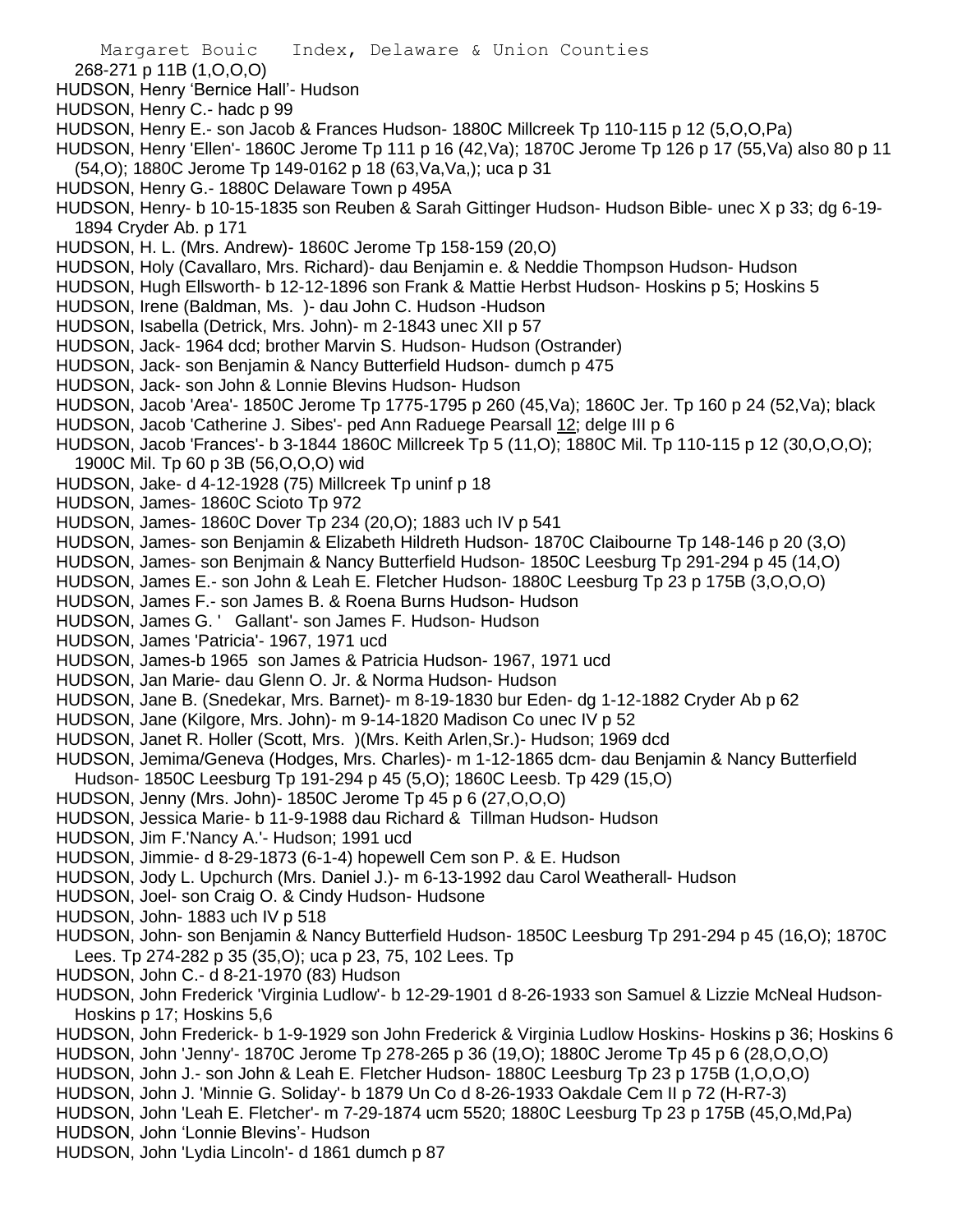- 268-271 p 11B (1,O,O,O)
- HUDSON, Henry 'Bernice Hall'- Hudson
- HUDSON, Henry C.- hadc p 99
- HUDSON, Henry E.- son Jacob & Frances Hudson- 1880C Millcreek Tp 110-115 p 12 (5,O,O,Pa)
- HUDSON, Henry 'Ellen'- 1860C Jerome Tp 111 p 16 (42,Va); 1870C Jerome Tp 126 p 17 (55,Va) also 80 p 11 (54,O); 1880C Jerome Tp 149-0162 p 18 (63,Va,Va,); uca p 31
- HUDSON, Henry G.- 1880C Delaware Town p 495A
- HUDSON, Henry- b 10-15-1835 son Reuben & Sarah Gittinger Hudson- Hudson Bible- unec X p 33; dg 6-19- 1894 Cryder Ab. p 171
- HUDSON, H. L. (Mrs. Andrew)- 1860C Jerome Tp 158-159 (20,O)
- HUDSON, Holy (Cavallaro, Mrs. Richard)- dau Benjamin e. & Neddie Thompson Hudson- Hudson
- HUDSON, Hugh Ellsworth- b 12-12-1896 son Frank & Mattie Herbst Hudson- Hoskins p 5; Hoskins 5
- HUDSON, Irene (Baldman, Ms. )- dau John C. Hudson -Hudson
- HUDSON, Isabella (Detrick, Mrs. John)- m 2-1843 unec XII p 57
- HUDSON, Jack- 1964 dcd; brother Marvin S. Hudson- Hudson (Ostrander)
- HUDSON, Jack- son Benjamin & Nancy Butterfield Hudson- dumch p 475
- HUDSON, Jack- son John & Lonnie Blevins Hudson- Hudson
- HUDSON, Jacob 'Area'- 1850C Jerome Tp 1775-1795 p 260 (45,Va); 1860C Jer. Tp 160 p 24 (52,Va); black
- HUDSON, Jacob 'Catherine J. Sibes'- ped Ann Raduege Pearsall 12; delge III p 6
- HUDSON, Jacob 'Frances'- b 3-1844 1860C Millcreek Tp 5 (11,O); 1880C Mil. Tp 110-115 p 12 (30,O,O,O); 1900C Mil. Tp 60 p 3B (56,O,O,O) wid
- HUDSON, Jake- d 4-12-1928 (75) Millcreek Tp uninf p 18
- HUDSON, James- 1860C Scioto Tp 972
- HUDSON, James- 1860C Dover Tp 234 (20,O); 1883 uch IV p 541
- HUDSON, James- son Benjamin & Elizabeth Hildreth Hudson- 1870C Claibourne Tp 148-146 p 20 (3,O)
- HUDSON, James- son Benjmain & Nancy Butterfield Hudson- 1850C Leesburg Tp 291-294 p 45 (14,O)
- HUDSON, James E.- son John & Leah E. Fletcher Hudson- 1880C Leesburg Tp 23 p 175B (3,O,O,O)
- HUDSON, James F.- son James B. & Roena Burns Hudson- Hudson
- HUDSON, James G. ' Gallant'- son James F. Hudson- Hudson
- HUDSON, James 'Patricia'- 1967, 1971 ucd
- HUDSON, James-b 1965 son James & Patricia Hudson- 1967, 1971 ucd
- HUDSON, Jan Marie- dau Glenn O. Jr. & Norma Hudson- Hudson
- HUDSON, Jane B. (Snedekar, Mrs. Barnet)- m 8-19-1830 bur Eden- dg 1-12-1882 Cryder Ab p 62
- HUDSON, Jane (Kilgore, Mrs. John)- m 9-14-1820 Madison Co unec IV p 52
- HUDSON, Janet R. Holler (Scott, Mrs. )(Mrs. Keith Arlen,Sr.)- Hudson; 1969 dcd
- HUDSON, Jemima/Geneva (Hodges, Mrs. Charles)- m 1-12-1865 dcm- dau Benjamin & Nancy Butterfield
- Hudson- 1850C Leesburg Tp 191-294 p 45 (5,O); 1860C Leesb. Tp 429 (15,O)
- HUDSON, Jenny (Mrs. John)- 1850C Jerome Tp 45 p 6 (27,O,O,O)
- HUDSON, Jessica Marie- b 11-9-1988 dau Richard & Tillman Hudson- Hudson
- HUDSON, Jim F.'Nancy A.'- Hudson; 1991 ucd
- HUDSON, Jimmie- d 8-29-1873 (6-1-4) hopewell Cem son P. & E. Hudson
- HUDSON, Jody L. Upchurch (Mrs. Daniel J.)- m 6-13-1992 dau Carol Weatherall- Hudson
- HUDSON, Joel- son Craig O. & Cindy Hudson- Hudsone
- HUDSON, John- 1883 uch IV p 518
- HUDSON, John- son Benjamin & Nancy Butterfield Hudson- 1850C Leesburg Tp 291-294 p 45 (16,O); 1870C Lees. Tp 274-282 p 35 (35,O); uca p 23, 75, 102 Lees. Tp
- HUDSON, John C.- d 8-21-1970 (83) Hudson
- HUDSON, John Frederick 'Virginia Ludlow'- b 12-29-1901 d 8-26-1933 son Samuel & Lizzie McNeal Hudson-Hoskins p 17; Hoskins 5,6
- HUDSON, John Frederick- b 1-9-1929 son John Frederick & Virginia Ludlow Hoskins- Hoskins p 36; Hoskins 6
- HUDSON, John 'Jenny'- 1870C Jerome Tp 278-265 p 36 (19,O); 1880C Jerome Tp 45 p 6 (28,O,O,O)
- HUDSON, John J.- son John & Leah E. Fletcher Hudson- 1880C Leesburg Tp 23 p 175B (1,O,O,O)
- HUDSON, John J. 'Minnie G. Soliday'- b 1879 Un Co d 8-26-1933 Oakdale Cem II p 72 (H-R7-3)
- HUDSON, John 'Leah E. Fletcher'- m 7-29-1874 ucm 5520; 1880C Leesburg Tp 23 p 175B (45,O,Md,Pa)
- HUDSON, John 'Lonnie Blevins'- Hudson
- HUDSON, John 'Lydia Lincoln'- d 1861 dumch p 87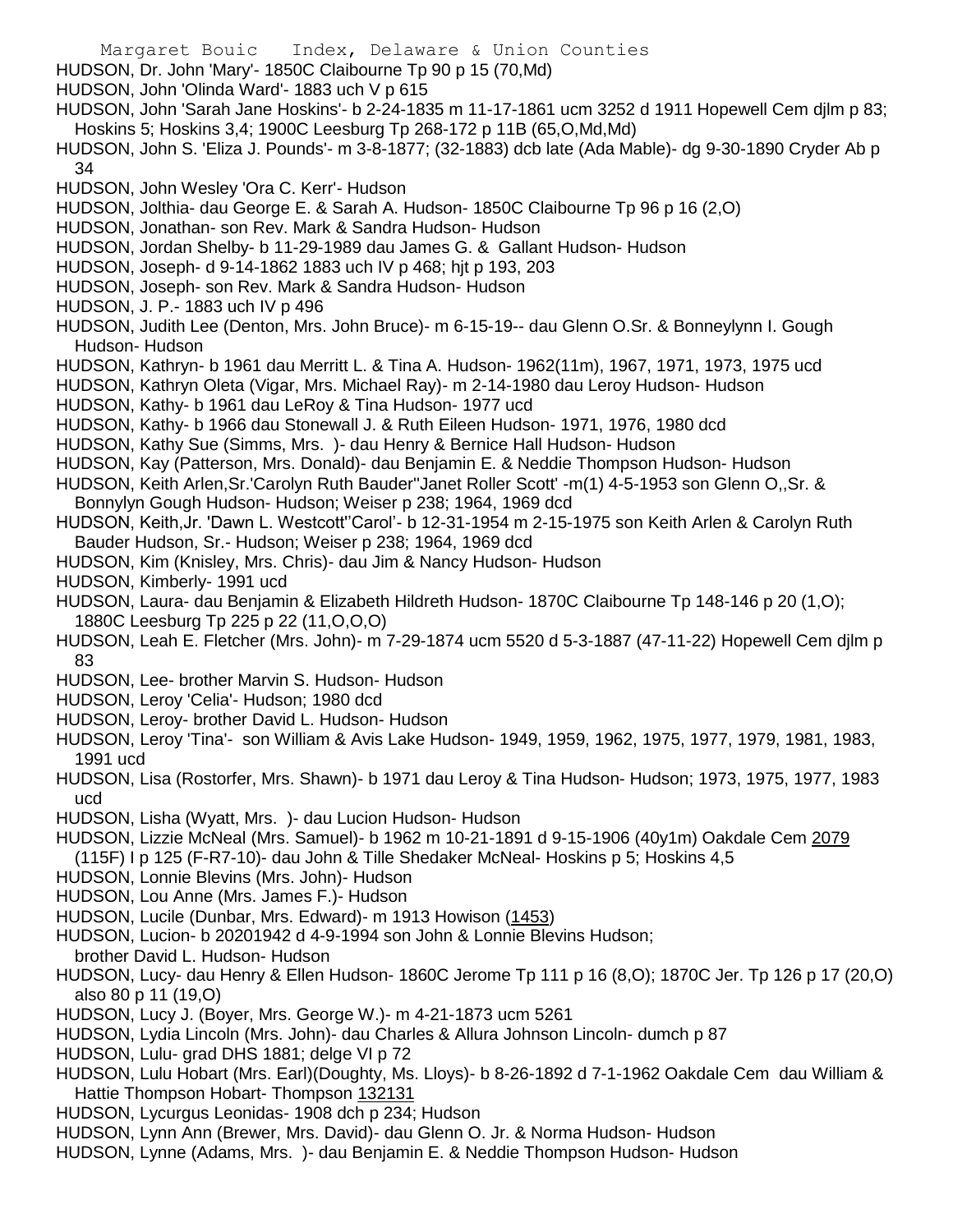- Margaret Bouic Index, Delaware & Union Counties
- HUDSON, Dr. John 'Mary'- 1850C Claibourne Tp 90 p 15 (70,Md)
- HUDSON, John 'Olinda Ward'- 1883 uch V p 615
- HUDSON, John 'Sarah Jane Hoskins'- b 2-24-1835 m 11-17-1861 ucm 3252 d 1911 Hopewell Cem djlm p 83; Hoskins 5; Hoskins 3,4; 1900C Leesburg Tp 268-172 p 11B (65,O,Md,Md)
- HUDSON, John S. 'Eliza J. Pounds'- m 3-8-1877; (32-1883) dcb late (Ada Mable)- dg 9-30-1890 Cryder Ab p 34
- HUDSON, John Wesley 'Ora C. Kerr'- Hudson
- HUDSON, Jolthia- dau George E. & Sarah A. Hudson- 1850C Claibourne Tp 96 p 16 (2,O)
- HUDSON, Jonathan- son Rev. Mark & Sandra Hudson- Hudson
- HUDSON, Jordan Shelby- b 11-29-1989 dau James G. & Gallant Hudson- Hudson
- HUDSON, Joseph- d 9-14-1862 1883 uch IV p 468; hjt p 193, 203
- HUDSON, Joseph- son Rev. Mark & Sandra Hudson- Hudson
- HUDSON, J. P.- 1883 uch IV p 496
- HUDSON, Judith Lee (Denton, Mrs. John Bruce)- m 6-15-19-- dau Glenn O.Sr. & Bonneylynn I. Gough Hudson- Hudson
- HUDSON, Kathryn- b 1961 dau Merritt L. & Tina A. Hudson- 1962(11m), 1967, 1971, 1973, 1975 ucd
- HUDSON, Kathryn Oleta (Vigar, Mrs. Michael Ray)- m 2-14-1980 dau Leroy Hudson- Hudson
- HUDSON, Kathy- b 1961 dau LeRoy & Tina Hudson- 1977 ucd
- HUDSON, Kathy- b 1966 dau Stonewall J. & Ruth Eileen Hudson- 1971, 1976, 1980 dcd
- HUDSON, Kathy Sue (Simms, Mrs. )- dau Henry & Bernice Hall Hudson- Hudson
- HUDSON, Kay (Patterson, Mrs. Donald)- dau Benjamin E. & Neddie Thompson Hudson- Hudson
- HUDSON, Keith Arlen,Sr.'Carolyn Ruth Bauder''Janet Roller Scott' -m(1) 4-5-1953 son Glenn O,,Sr. & Bonnylyn Gough Hudson- Hudson; Weiser p 238; 1964, 1969 dcd
- HUDSON, Keith,Jr. 'Dawn L. Westcott''Carol'- b 12-31-1954 m 2-15-1975 son Keith Arlen & Carolyn Ruth Bauder Hudson, Sr.- Hudson; Weiser p 238; 1964, 1969 dcd
- HUDSON, Kim (Knisley, Mrs. Chris)- dau Jim & Nancy Hudson- Hudson
- HUDSON, Kimberly- 1991 ucd
- HUDSON, Laura- dau Benjamin & Elizabeth Hildreth Hudson- 1870C Claibourne Tp 148-146 p 20 (1,O); 1880C Leesburg Tp 225 p 22 (11,O,O,O)
- HUDSON, Leah E. Fletcher (Mrs. John)- m 7-29-1874 ucm 5520 d 5-3-1887 (47-11-22) Hopewell Cem djlm p 83
- HUDSON, Lee- brother Marvin S. Hudson- Hudson
- HUDSON, Leroy 'Celia'- Hudson; 1980 dcd
- HUDSON, Leroy- brother David L. Hudson- Hudson
- HUDSON, Leroy 'Tina'- son William & Avis Lake Hudson- 1949, 1959, 1962, 1975, 1977, 1979, 1981, 1983, 1991 ucd
- HUDSON, Lisa (Rostorfer, Mrs. Shawn)- b 1971 dau Leroy & Tina Hudson- Hudson; 1973, 1975, 1977, 1983 ucd
- HUDSON, Lisha (Wyatt, Mrs. )- dau Lucion Hudson- Hudson
- HUDSON, Lizzie McNeal (Mrs. Samuel)- b 1962 m 10-21-1891 d 9-15-1906 (40y1m) Oakdale Cem 2079 (115F) I p 125 (F-R7-10)- dau John & Tille Shedaker McNeal- Hoskins p 5; Hoskins 4,5
- HUDSON, Lonnie Blevins (Mrs. John)- Hudson
- HUDSON, Lou Anne (Mrs. James F.)- Hudson
- HUDSON, Lucile (Dunbar, Mrs. Edward)- m 1913 Howison (1453)
- HUDSON, Lucion- b 20201942 d 4-9-1994 son John & Lonnie Blevins Hudson;
- brother David L. Hudson- Hudson
- HUDSON, Lucy- dau Henry & Ellen Hudson- 1860C Jerome Tp 111 p 16 (8,O); 1870C Jer. Tp 126 p 17 (20,O) also 80 p 11 (19,O)
- HUDSON, Lucy J. (Boyer, Mrs. George W.)- m 4-21-1873 ucm 5261
- HUDSON, Lydia Lincoln (Mrs. John)- dau Charles & Allura Johnson Lincoln- dumch p 87
- HUDSON, Lulu- grad DHS 1881; delge VI p 72
- HUDSON, Lulu Hobart (Mrs. Earl)(Doughty, Ms. Lloys)- b 8-26-1892 d 7-1-1962 Oakdale Cem dau William & Hattie Thompson Hobart- Thompson 132131
- HUDSON, Lycurgus Leonidas- 1908 dch p 234; Hudson
- HUDSON, Lynn Ann (Brewer, Mrs. David)- dau Glenn O. Jr. & Norma Hudson- Hudson
- HUDSON, Lynne (Adams, Mrs. )- dau Benjamin E. & Neddie Thompson Hudson- Hudson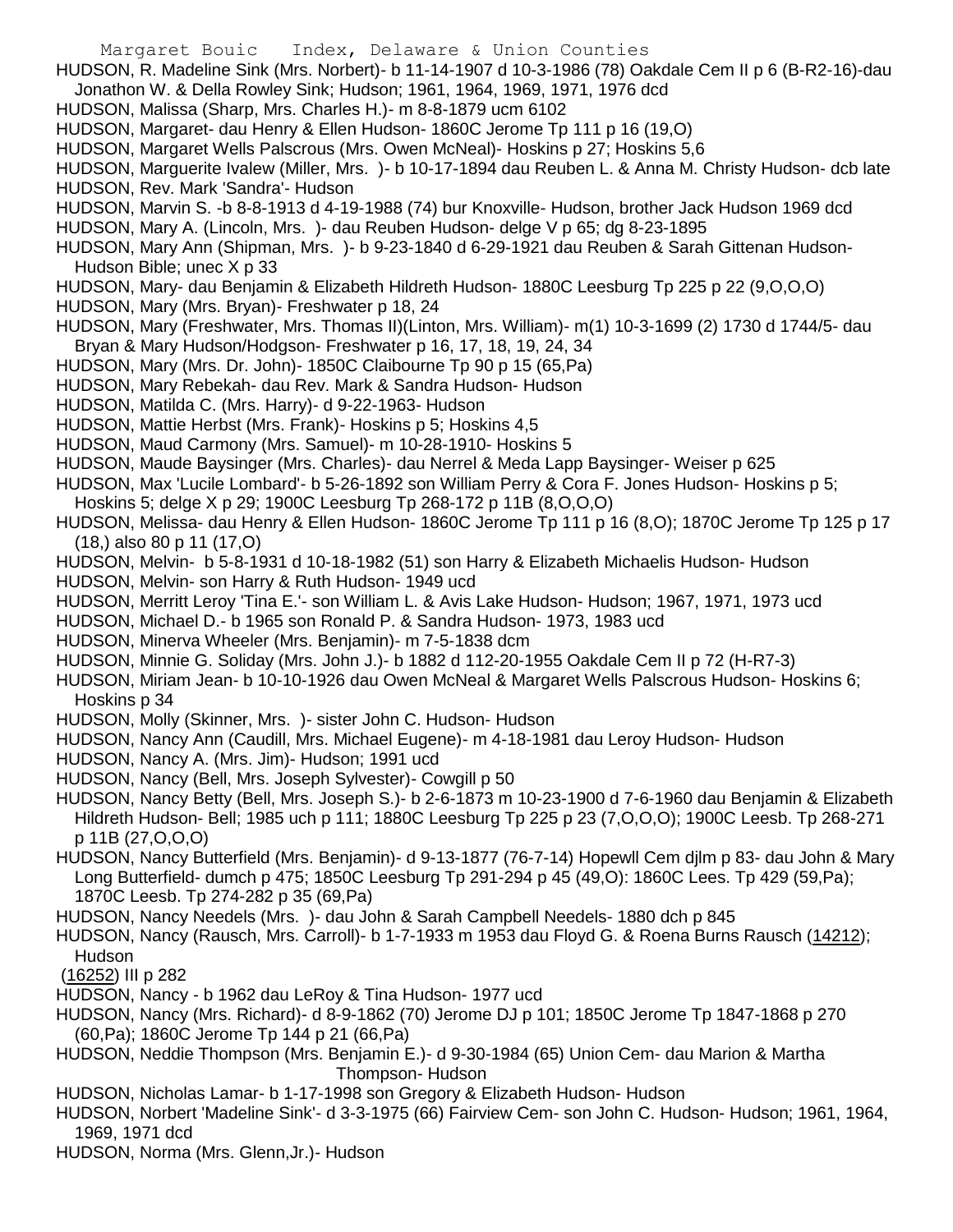- Margaret Bouic Index, Delaware & Union Counties
- HUDSON, R. Madeline Sink (Mrs. Norbert)- b 11-14-1907 d 10-3-1986 (78) Oakdale Cem II p 6 (B-R2-16)-dau Jonathon W. & Della Rowley Sink; Hudson; 1961, 1964, 1969, 1971, 1976 dcd
- HUDSON, Malissa (Sharp, Mrs. Charles H.)- m 8-8-1879 ucm 6102
- HUDSON, Margaret- dau Henry & Ellen Hudson- 1860C Jerome Tp 111 p 16 (19,O)
- HUDSON, Margaret Wells Palscrous (Mrs. Owen McNeal)- Hoskins p 27; Hoskins 5,6

HUDSON, Marguerite Ivalew (Miller, Mrs. )- b 10-17-1894 dau Reuben L. & Anna M. Christy Hudson- dcb late HUDSON, Rev. Mark 'Sandra'- Hudson

- HUDSON, Marvin S. -b 8-8-1913 d 4-19-1988 (74) bur Knoxville- Hudson, brother Jack Hudson 1969 dcd
- HUDSON, Mary A. (Lincoln, Mrs. )- dau Reuben Hudson- delge V p 65; dg 8-23-1895
- HUDSON, Mary Ann (Shipman, Mrs. )- b 9-23-1840 d 6-29-1921 dau Reuben & Sarah Gittenan Hudson-Hudson Bible; unec X p 33
- HUDSON, Mary- dau Benjamin & Elizabeth Hildreth Hudson- 1880C Leesburg Tp 225 p 22 (9,O,O,O)
- HUDSON, Mary (Mrs. Bryan)- Freshwater p 18, 24
- HUDSON, Mary (Freshwater, Mrs. Thomas II)(Linton, Mrs. William)- m(1) 10-3-1699 (2) 1730 d 1744/5- dau
- Bryan & Mary Hudson/Hodgson- Freshwater p 16, 17, 18, 19, 24, 34
- HUDSON, Mary (Mrs. Dr. John)- 1850C Claibourne Tp 90 p 15 (65,Pa)
- HUDSON, Mary Rebekah- dau Rev. Mark & Sandra Hudson- Hudson
- HUDSON, Matilda C. (Mrs. Harry)- d 9-22-1963- Hudson
- HUDSON, Mattie Herbst (Mrs. Frank)- Hoskins p 5; Hoskins 4,5
- HUDSON, Maud Carmony (Mrs. Samuel)- m 10-28-1910- Hoskins 5
- HUDSON, Maude Baysinger (Mrs. Charles)- dau Nerrel & Meda Lapp Baysinger- Weiser p 625
- HUDSON, Max 'Lucile Lombard'- b 5-26-1892 son William Perry & Cora F. Jones Hudson- Hoskins p 5;
- Hoskins 5; delge X p 29; 1900C Leesburg Tp 268-172 p 11B (8,O,O,O)
- HUDSON, Melissa- dau Henry & Ellen Hudson- 1860C Jerome Tp 111 p 16 (8,O); 1870C Jerome Tp 125 p 17 (18,) also 80 p 11 (17,O)
- HUDSON, Melvin- b 5-8-1931 d 10-18-1982 (51) son Harry & Elizabeth Michaelis Hudson- Hudson
- HUDSON, Melvin- son Harry & Ruth Hudson- 1949 ucd
- HUDSON, Merritt Leroy 'Tina E.'- son William L. & Avis Lake Hudson- Hudson; 1967, 1971, 1973 ucd
- HUDSON, Michael D.- b 1965 son Ronald P. & Sandra Hudson- 1973, 1983 ucd
- HUDSON, Minerva Wheeler (Mrs. Benjamin)- m 7-5-1838 dcm
- HUDSON, Minnie G. Soliday (Mrs. John J.)- b 1882 d 112-20-1955 Oakdale Cem II p 72 (H-R7-3)
- HUDSON, Miriam Jean- b 10-10-1926 dau Owen McNeal & Margaret Wells Palscrous Hudson- Hoskins 6; Hoskins p 34
- HUDSON, Molly (Skinner, Mrs. )- sister John C. Hudson- Hudson
- HUDSON, Nancy Ann (Caudill, Mrs. Michael Eugene)- m 4-18-1981 dau Leroy Hudson- Hudson
- HUDSON, Nancy A. (Mrs. Jim)- Hudson; 1991 ucd
- HUDSON, Nancy (Bell, Mrs. Joseph Sylvester)- Cowgill p 50
- HUDSON, Nancy Betty (Bell, Mrs. Joseph S.)- b 2-6-1873 m 10-23-1900 d 7-6-1960 dau Benjamin & Elizabeth Hildreth Hudson- Bell; 1985 uch p 111; 1880C Leesburg Tp 225 p 23 (7,O,O,O); 1900C Leesb. Tp 268-271 p 11B (27,O,O,O)
- HUDSON, Nancy Butterfield (Mrs. Benjamin)- d 9-13-1877 (76-7-14) Hopewll Cem djlm p 83- dau John & Mary Long Butterfield- dumch p 475; 1850C Leesburg Tp 291-294 p 45 (49,O): 1860C Lees. Tp 429 (59,Pa); 1870C Leesb. Tp 274-282 p 35 (69,Pa)
- HUDSON, Nancy Needels (Mrs. )- dau John & Sarah Campbell Needels- 1880 dch p 845
- HUDSON, Nancy (Rausch, Mrs. Carroll)- b 1-7-1933 m 1953 dau Floyd G. & Roena Burns Rausch (14212); Hudson
- (16252) III p 282
- HUDSON, Nancy b 1962 dau LeRoy & Tina Hudson- 1977 ucd
- HUDSON, Nancy (Mrs. Richard)- d 8-9-1862 (70) Jerome DJ p 101; 1850C Jerome Tp 1847-1868 p 270 (60,Pa); 1860C Jerome Tp 144 p 21 (66,Pa)
- HUDSON, Neddie Thompson (Mrs. Benjamin E.)- d 9-30-1984 (65) Union Cem- dau Marion & Martha Thompson- Hudson
- HUDSON, Nicholas Lamar- b 1-17-1998 son Gregory & Elizabeth Hudson- Hudson
- HUDSON, Norbert 'Madeline Sink'- d 3-3-1975 (66) Fairview Cem- son John C. Hudson- Hudson; 1961, 1964, 1969, 1971 dcd
- HUDSON, Norma (Mrs. Glenn,Jr.)- Hudson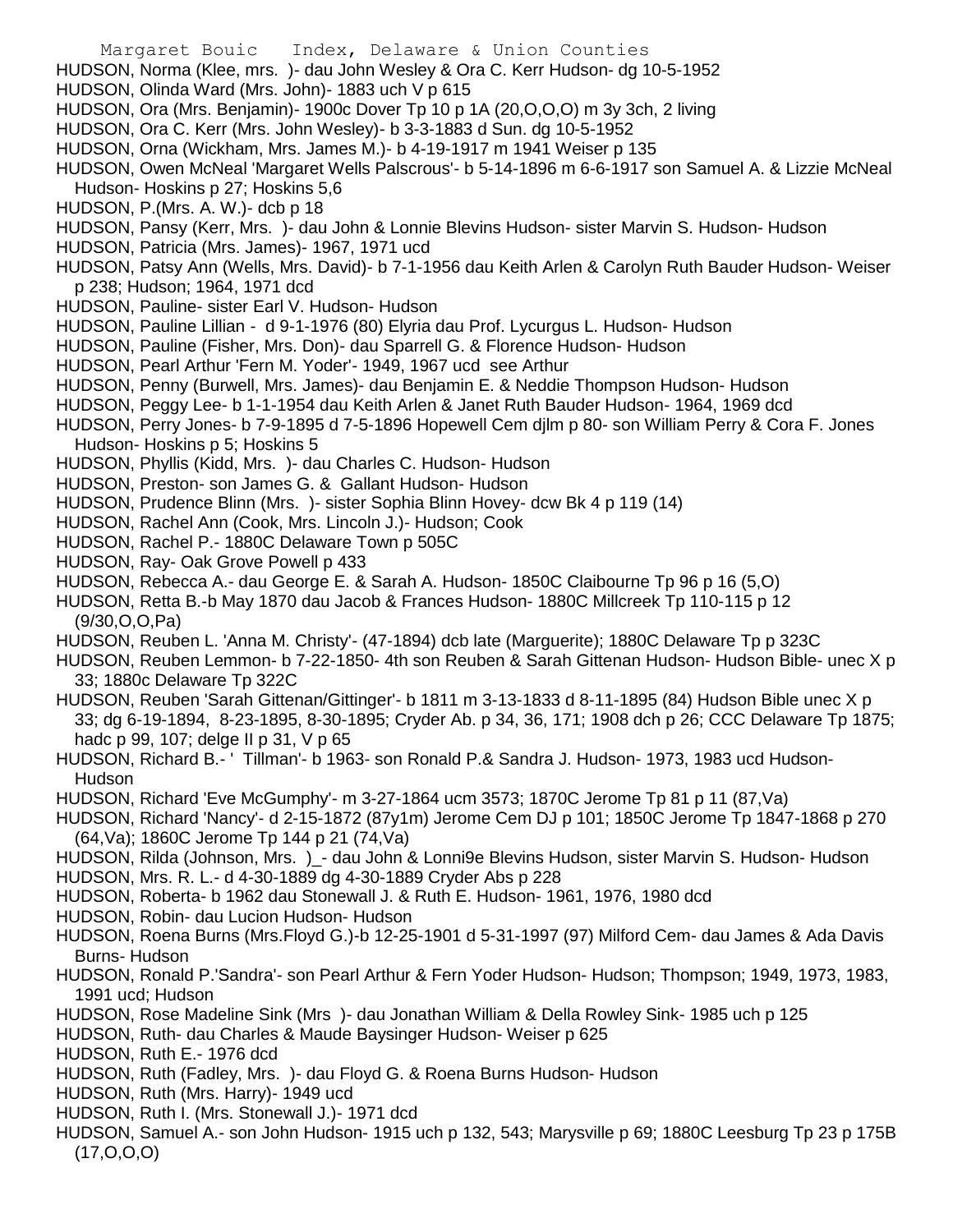- Margaret Bouic Index, Delaware & Union Counties
- HUDSON, Norma (Klee, mrs. )- dau John Wesley & Ora C. Kerr Hudson- dg 10-5-1952
- HUDSON, Olinda Ward (Mrs. John)- 1883 uch V p 615
- HUDSON, Ora (Mrs. Benjamin)- 1900c Dover Tp 10 p 1A (20,O,O,O) m 3y 3ch, 2 living
- HUDSON, Ora C. Kerr (Mrs. John Wesley)- b 3-3-1883 d Sun. dg 10-5-1952
- HUDSON, Orna (Wickham, Mrs. James M.)- b 4-19-1917 m 1941 Weiser p 135
- HUDSON, Owen McNeal 'Margaret Wells Palscrous'- b 5-14-1896 m 6-6-1917 son Samuel A. & Lizzie McNeal Hudson- Hoskins p 27; Hoskins 5,6
- HUDSON, P.(Mrs. A. W.)- dcb p 18
- HUDSON, Pansy (Kerr, Mrs. )- dau John & Lonnie Blevins Hudson- sister Marvin S. Hudson- Hudson
- HUDSON, Patricia (Mrs. James)- 1967, 1971 ucd
- HUDSON, Patsy Ann (Wells, Mrs. David)- b 7-1-1956 dau Keith Arlen & Carolyn Ruth Bauder Hudson- Weiser p 238; Hudson; 1964, 1971 dcd
- HUDSON, Pauline- sister Earl V. Hudson- Hudson
- HUDSON, Pauline Lillian d 9-1-1976 (80) Elyria dau Prof. Lycurgus L. Hudson- Hudson
- HUDSON, Pauline (Fisher, Mrs. Don)- dau Sparrell G. & Florence Hudson- Hudson
- HUDSON, Pearl Arthur 'Fern M. Yoder'- 1949, 1967 ucd see Arthur
- HUDSON, Penny (Burwell, Mrs. James)- dau Benjamin E. & Neddie Thompson Hudson- Hudson
- HUDSON, Peggy Lee- b 1-1-1954 dau Keith Arlen & Janet Ruth Bauder Hudson- 1964, 1969 dcd
- HUDSON, Perry Jones- b 7-9-1895 d 7-5-1896 Hopewell Cem djlm p 80- son William Perry & Cora F. Jones Hudson- Hoskins p 5; Hoskins 5
- HUDSON, Phyllis (Kidd, Mrs. )- dau Charles C. Hudson- Hudson
- HUDSON, Preston- son James G. & Gallant Hudson- Hudson
- HUDSON, Prudence Blinn (Mrs. )- sister Sophia Blinn Hovey- dcw Bk 4 p 119 (14)
- HUDSON, Rachel Ann (Cook, Mrs. Lincoln J.)- Hudson; Cook
- HUDSON, Rachel P.- 1880C Delaware Town p 505C
- HUDSON, Ray- Oak Grove Powell p 433
- HUDSON, Rebecca A.- dau George E. & Sarah A. Hudson- 1850C Claibourne Tp 96 p 16 (5,O)
- HUDSON, Retta B.-b May 1870 dau Jacob & Frances Hudson- 1880C Millcreek Tp 110-115 p 12 (9/30,O,O,Pa)
- HUDSON, Reuben L. 'Anna M. Christy'- (47-1894) dcb late (Marguerite); 1880C Delaware Tp p 323C
- HUDSON, Reuben Lemmon- b 7-22-1850- 4th son Reuben & Sarah Gittenan Hudson- Hudson Bible- unec X p 33; 1880c Delaware Tp 322C
- HUDSON, Reuben 'Sarah Gittenan/Gittinger'- b 1811 m 3-13-1833 d 8-11-1895 (84) Hudson Bible unec X p 33; dg 6-19-1894, 8-23-1895, 8-30-1895; Cryder Ab. p 34, 36, 171; 1908 dch p 26; CCC Delaware Tp 1875; hadc p 99, 107; delge II p 31, V p 65
- HUDSON, Richard B.- ' Tillman'- b 1963- son Ronald P.& Sandra J. Hudson- 1973, 1983 ucd Hudson-Hudson
- HUDSON, Richard 'Eve McGumphy'- m 3-27-1864 ucm 3573; 1870C Jerome Tp 81 p 11 (87,Va)
- HUDSON, Richard 'Nancy'- d 2-15-1872 (87y1m) Jerome Cem DJ p 101; 1850C Jerome Tp 1847-1868 p 270 (64,Va); 1860C Jerome Tp 144 p 21 (74,Va)
- HUDSON, Rilda (Johnson, Mrs. )\_- dau John & Lonni9e Blevins Hudson, sister Marvin S. Hudson- Hudson
- HUDSON, Mrs. R. L.- d 4-30-1889 dg 4-30-1889 Cryder Abs p 228
- HUDSON, Roberta- b 1962 dau Stonewall J. & Ruth E. Hudson- 1961, 1976, 1980 dcd
- HUDSON, Robin- dau Lucion Hudson- Hudson
- HUDSON, Roena Burns (Mrs.Floyd G.)-b 12-25-1901 d 5-31-1997 (97) Milford Cem- dau James & Ada Davis Burns- Hudson
- HUDSON, Ronald P.'Sandra'- son Pearl Arthur & Fern Yoder Hudson- Hudson; Thompson; 1949, 1973, 1983, 1991 ucd; Hudson
- HUDSON, Rose Madeline Sink (Mrs )- dau Jonathan William & Della Rowley Sink- 1985 uch p 125
- HUDSON, Ruth- dau Charles & Maude Baysinger Hudson- Weiser p 625
- HUDSON, Ruth E.- 1976 dcd
- HUDSON, Ruth (Fadley, Mrs. )- dau Floyd G. & Roena Burns Hudson- Hudson
- HUDSON, Ruth (Mrs. Harry)- 1949 ucd
- HUDSON, Ruth I. (Mrs. Stonewall J.)- 1971 dcd
- HUDSON, Samuel A.- son John Hudson- 1915 uch p 132, 543; Marysville p 69; 1880C Leesburg Tp 23 p 175B  $(17, 0, 0, 0)$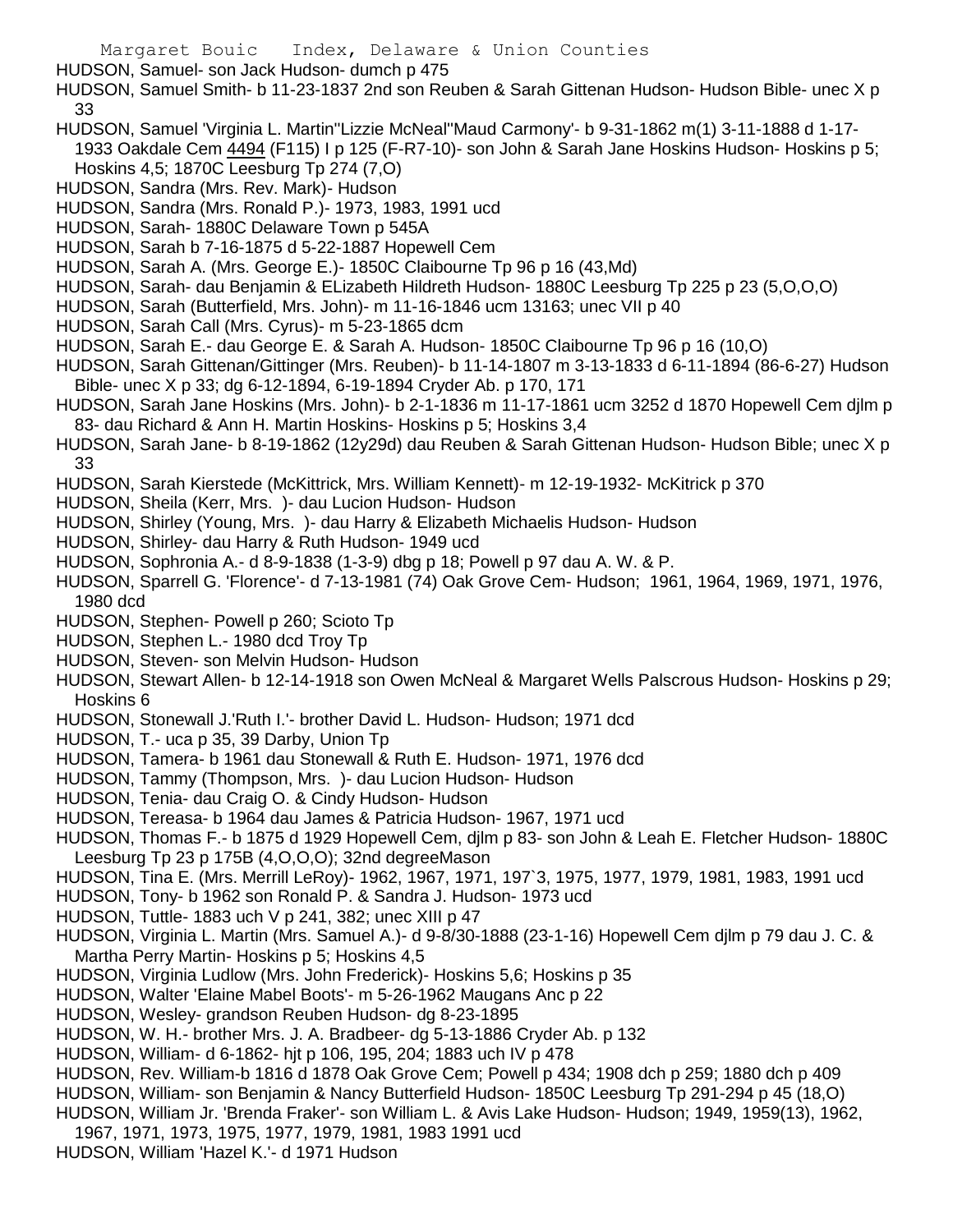HUDSON, Samuel- son Jack Hudson- dumch p 475

- HUDSON, Samuel Smith- b 11-23-1837 2nd son Reuben & Sarah Gittenan Hudson- Hudson Bible- unec X p 33
- HUDSON, Samuel 'Virginia L. Martin''Lizzie McNeal''Maud Carmony'- b 9-31-1862 m(1) 3-11-1888 d 1-17- 1933 Oakdale Cem 4494 (F115) I p 125 (F-R7-10)- son John & Sarah Jane Hoskins Hudson- Hoskins p 5; Hoskins 4,5; 1870C Leesburg Tp 274 (7,O)
- HUDSON, Sandra (Mrs. Rev. Mark)- Hudson
- HUDSON, Sandra (Mrs. Ronald P.)- 1973, 1983, 1991 ucd
- HUDSON, Sarah- 1880C Delaware Town p 545A
- HUDSON, Sarah b 7-16-1875 d 5-22-1887 Hopewell Cem
- HUDSON, Sarah A. (Mrs. George E.)- 1850C Claibourne Tp 96 p 16 (43,Md)
- HUDSON, Sarah- dau Benjamin & ELizabeth Hildreth Hudson- 1880C Leesburg Tp 225 p 23 (5,O,O,O)
- HUDSON, Sarah (Butterfield, Mrs. John)- m 11-16-1846 ucm 13163; unec VII p 40
- HUDSON, Sarah Call (Mrs. Cyrus)- m 5-23-1865 dcm
- HUDSON, Sarah E.- dau George E. & Sarah A. Hudson- 1850C Claibourne Tp 96 p 16 (10,O)
- HUDSON, Sarah Gittenan/Gittinger (Mrs. Reuben)- b 11-14-1807 m 3-13-1833 d 6-11-1894 (86-6-27) Hudson Bible- unec X p 33; dg 6-12-1894, 6-19-1894 Cryder Ab. p 170, 171
- HUDSON, Sarah Jane Hoskins (Mrs. John)- b 2-1-1836 m 11-17-1861 ucm 3252 d 1870 Hopewell Cem djlm p 83- dau Richard & Ann H. Martin Hoskins- Hoskins p 5; Hoskins 3,4
- HUDSON, Sarah Jane- b 8-19-1862 (12y29d) dau Reuben & Sarah Gittenan Hudson- Hudson Bible; unec X p 33
- HUDSON, Sarah Kierstede (McKittrick, Mrs. William Kennett)- m 12-19-1932- McKitrick p 370
- HUDSON, Sheila (Kerr, Mrs. )- dau Lucion Hudson- Hudson
- HUDSON, Shirley (Young, Mrs. )- dau Harry & Elizabeth Michaelis Hudson- Hudson
- HUDSON, Shirley- dau Harry & Ruth Hudson- 1949 ucd
- HUDSON, Sophronia A.- d 8-9-1838 (1-3-9) dbg p 18; Powell p 97 dau A. W. & P.
- HUDSON, Sparrell G. 'Florence'- d 7-13-1981 (74) Oak Grove Cem- Hudson; 1961, 1964, 1969, 1971, 1976, 1980 dcd
- HUDSON, Stephen- Powell p 260; Scioto Tp
- HUDSON, Stephen L.- 1980 dcd Troy Tp
- HUDSON, Steven- son Melvin Hudson- Hudson
- HUDSON, Stewart Allen- b 12-14-1918 son Owen McNeal & Margaret Wells Palscrous Hudson- Hoskins p 29; Hoskins 6
- HUDSON, Stonewall J.'Ruth I.'- brother David L. Hudson- Hudson; 1971 dcd
- HUDSON, T.- uca p 35, 39 Darby, Union Tp
- HUDSON, Tamera- b 1961 dau Stonewall & Ruth E. Hudson- 1971, 1976 dcd
- HUDSON, Tammy (Thompson, Mrs. )- dau Lucion Hudson- Hudson
- HUDSON, Tenia- dau Craig O. & Cindy Hudson- Hudson
- HUDSON, Tereasa- b 1964 dau James & Patricia Hudson- 1967, 1971 ucd
- HUDSON, Thomas F.- b 1875 d 1929 Hopewell Cem, djlm p 83- son John & Leah E. Fletcher Hudson- 1880C Leesburg Tp 23 p 175B (4,O,O,O); 32nd degreeMason
- HUDSON, Tina E. (Mrs. Merrill LeRoy)- 1962, 1967, 1971, 197`3, 1975, 1977, 1979, 1981, 1983, 1991 ucd
- HUDSON, Tony- b 1962 son Ronald P. & Sandra J. Hudson- 1973 ucd
- HUDSON, Tuttle- 1883 uch V p 241, 382; unec XIII p 47
- HUDSON, Virginia L. Martin (Mrs. Samuel A.)- d 9-8/30-1888 (23-1-16) Hopewell Cem djlm p 79 dau J. C. & Martha Perry Martin- Hoskins p 5; Hoskins 4,5
- HUDSON, Virginia Ludlow (Mrs. John Frederick)- Hoskins 5,6; Hoskins p 35
- HUDSON, Walter 'Elaine Mabel Boots'- m 5-26-1962 Maugans Anc p 22
- HUDSON, Wesley- grandson Reuben Hudson- dg 8-23-1895
- HUDSON, W. H.- brother Mrs. J. A. Bradbeer- dg 5-13-1886 Cryder Ab. p 132
- HUDSON, William- d 6-1862- hjt p 106, 195, 204; 1883 uch IV p 478
- HUDSON, Rev. William-b 1816 d 1878 Oak Grove Cem; Powell p 434; 1908 dch p 259; 1880 dch p 409
- HUDSON, William- son Benjamin & Nancy Butterfield Hudson- 1850C Leesburg Tp 291-294 p 45 (18,O)
- HUDSON, William Jr. 'Brenda Fraker'- son William L. & Avis Lake Hudson- Hudson; 1949, 1959(13), 1962,
- 1967, 1971, 1973, 1975, 1977, 1979, 1981, 1983 1991 ucd
- HUDSON, William 'Hazel K.'- d 1971 Hudson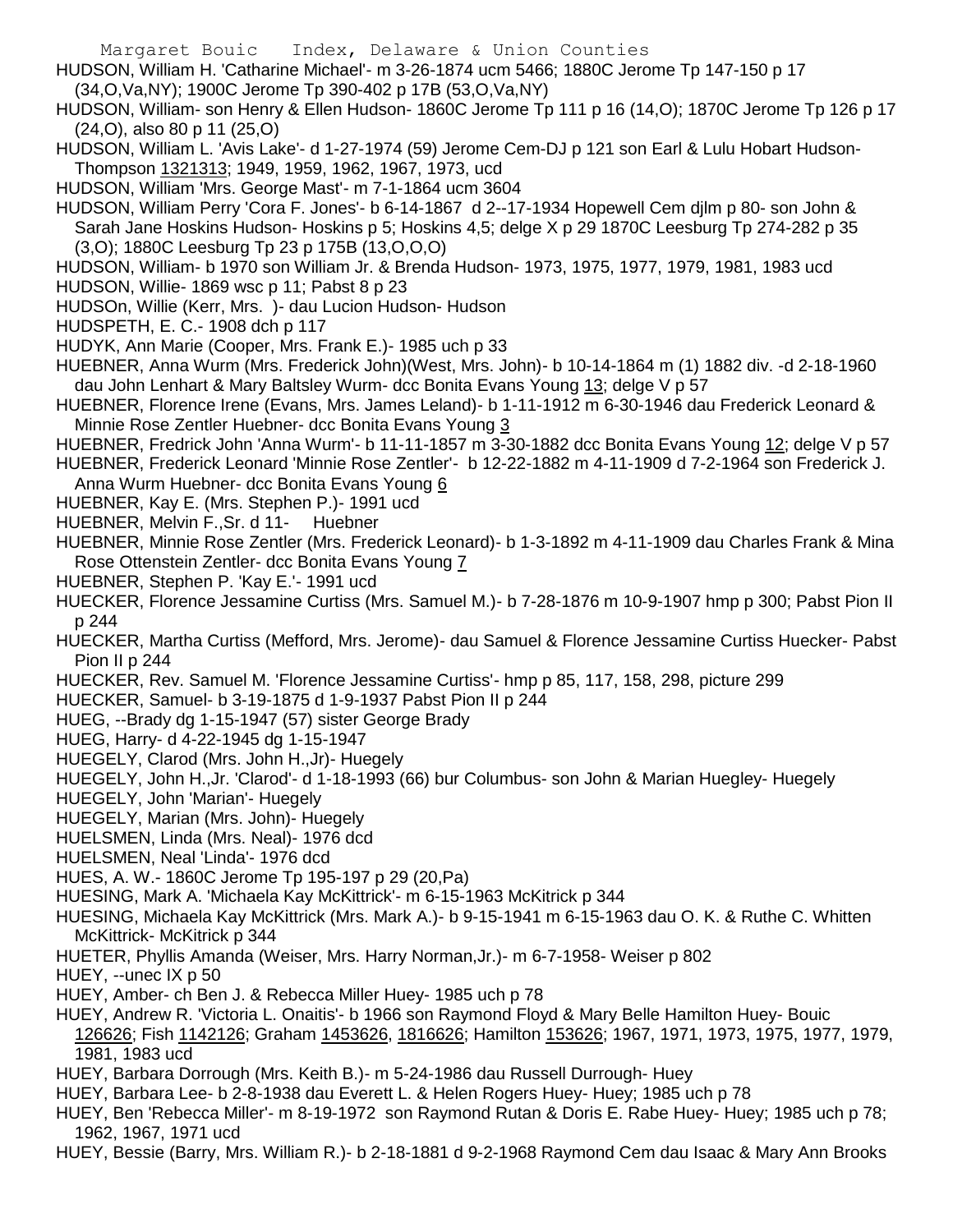- HUDSON, William H. 'Catharine Michael'- m 3-26-1874 ucm 5466; 1880C Jerome Tp 147-150 p 17 (34,O,Va,NY); 1900C Jerome Tp 390-402 p 17B (53,O,Va,NY)
- HUDSON, William- son Henry & Ellen Hudson- 1860C Jerome Tp 111 p 16 (14,O); 1870C Jerome Tp 126 p 17 (24,O), also 80 p 11 (25,O)
- HUDSON, William L. 'Avis Lake'- d 1-27-1974 (59) Jerome Cem-DJ p 121 son Earl & Lulu Hobart Hudson-Thompson 1321313; 1949, 1959, 1962, 1967, 1973, ucd
- HUDSON, William 'Mrs. George Mast'- m 7-1-1864 ucm 3604
- HUDSON, William Perry 'Cora F. Jones'- b 6-14-1867 d 2--17-1934 Hopewell Cem djlm p 80- son John & Sarah Jane Hoskins Hudson- Hoskins p 5; Hoskins 4,5; delge X p 29 1870C Leesburg Tp 274-282 p 35 (3,O); 1880C Leesburg Tp 23 p 175B (13,O,O,O)
- HUDSON, William- b 1970 son William Jr. & Brenda Hudson- 1973, 1975, 1977, 1979, 1981, 1983 ucd
- HUDSON, Willie- 1869 wsc p 11; Pabst 8 p 23
- HUDSOn, Willie (Kerr, Mrs. )- dau Lucion Hudson- Hudson
- HUDSPETH, E. C.- 1908 dch p 117
- HUDYK, Ann Marie (Cooper, Mrs. Frank E.)- 1985 uch p 33
- HUEBNER, Anna Wurm (Mrs. Frederick John)(West, Mrs. John)- b 10-14-1864 m (1) 1882 div. -d 2-18-1960 dau John Lenhart & Mary Baltsley Wurm- dcc Bonita Evans Young 13; delge V p 57
- HUEBNER, Florence Irene (Evans, Mrs. James Leland)- b 1-11-1912 m 6-30-1946 dau Frederick Leonard & Minnie Rose Zentler Huebner- dcc Bonita Evans Young 3
- HUEBNER, Fredrick John 'Anna Wurm'- b 11-11-1857 m 3-30-1882 dcc Bonita Evans Young 12; delge V p 57
- HUEBNER, Frederick Leonard 'Minnie Rose Zentler'- b 12-22-1882 m 4-11-1909 d 7-2-1964 son Frederick J.
- Anna Wurm Huebner- dcc Bonita Evans Young 6
- HUEBNER, Kay E. (Mrs. Stephen P.)- 1991 ucd
- HUEBNER, Melvin F.,Sr. d 11- Huebner
- HUEBNER, Minnie Rose Zentler (Mrs. Frederick Leonard)- b 1-3-1892 m 4-11-1909 dau Charles Frank & Mina Rose Ottenstein Zentler- dcc Bonita Evans Young 7
- HUEBNER, Stephen P. 'Kay E.'- 1991 ucd
- HUECKER, Florence Jessamine Curtiss (Mrs. Samuel M.)- b 7-28-1876 m 10-9-1907 hmp p 300; Pabst Pion II p 244
- HUECKER, Martha Curtiss (Mefford, Mrs. Jerome)- dau Samuel & Florence Jessamine Curtiss Huecker- Pabst Pion II p 244
- HUECKER, Rev. Samuel M. 'Florence Jessamine Curtiss'- hmp p 85, 117, 158, 298, picture 299
- HUECKER, Samuel- b 3-19-1875 d 1-9-1937 Pabst Pion II p 244
- HUEG, --Brady dg 1-15-1947 (57) sister George Brady
- HUEG, Harry- d 4-22-1945 dg 1-15-1947
- HUEGELY, Clarod (Mrs. John H.,Jr)- Huegely
- HUEGELY, John H.,Jr. 'Clarod'- d 1-18-1993 (66) bur Columbus- son John & Marian Huegley- Huegely
- HUEGELY, John 'Marian'- Huegely
- HUEGELY, Marian (Mrs. John)- Huegely
- HUELSMEN, Linda (Mrs. Neal)- 1976 dcd
- HUELSMEN, Neal 'Linda'- 1976 dcd
- HUES, A. W.- 1860C Jerome Tp 195-197 p 29 (20,Pa)
- HUESING, Mark A. 'Michaela Kay McKittrick'- m 6-15-1963 McKitrick p 344
- HUESING, Michaela Kay McKittrick (Mrs. Mark A.)- b 9-15-1941 m 6-15-1963 dau O. K. & Ruthe C. Whitten McKittrick- McKitrick p 344
- HUETER, Phyllis Amanda (Weiser, Mrs. Harry Norman,Jr.)- m 6-7-1958- Weiser p 802
- HUEY, --unec IX p 50
- HUEY, Amber- ch Ben J. & Rebecca Miller Huey- 1985 uch p 78
- HUEY, Andrew R. 'Victoria L. Onaitis'- b 1966 son Raymond Floyd & Mary Belle Hamilton Huey- Bouic
- 126626; Fish 1142126; Graham 1453626, 1816626; Hamilton 153626; 1967, 1971, 1973, 1975, 1977, 1979, 1981, 1983 ucd
- HUEY, Barbara Dorrough (Mrs. Keith B.)- m 5-24-1986 dau Russell Durrough- Huey
- HUEY, Barbara Lee- b 2-8-1938 dau Everett L. & Helen Rogers Huey- Huey; 1985 uch p 78
- HUEY, Ben 'Rebecca Miller'- m 8-19-1972 son Raymond Rutan & Doris E. Rabe Huey- Huey; 1985 uch p 78; 1962, 1967, 1971 ucd
- HUEY, Bessie (Barry, Mrs. William R.)- b 2-18-1881 d 9-2-1968 Raymond Cem dau Isaac & Mary Ann Brooks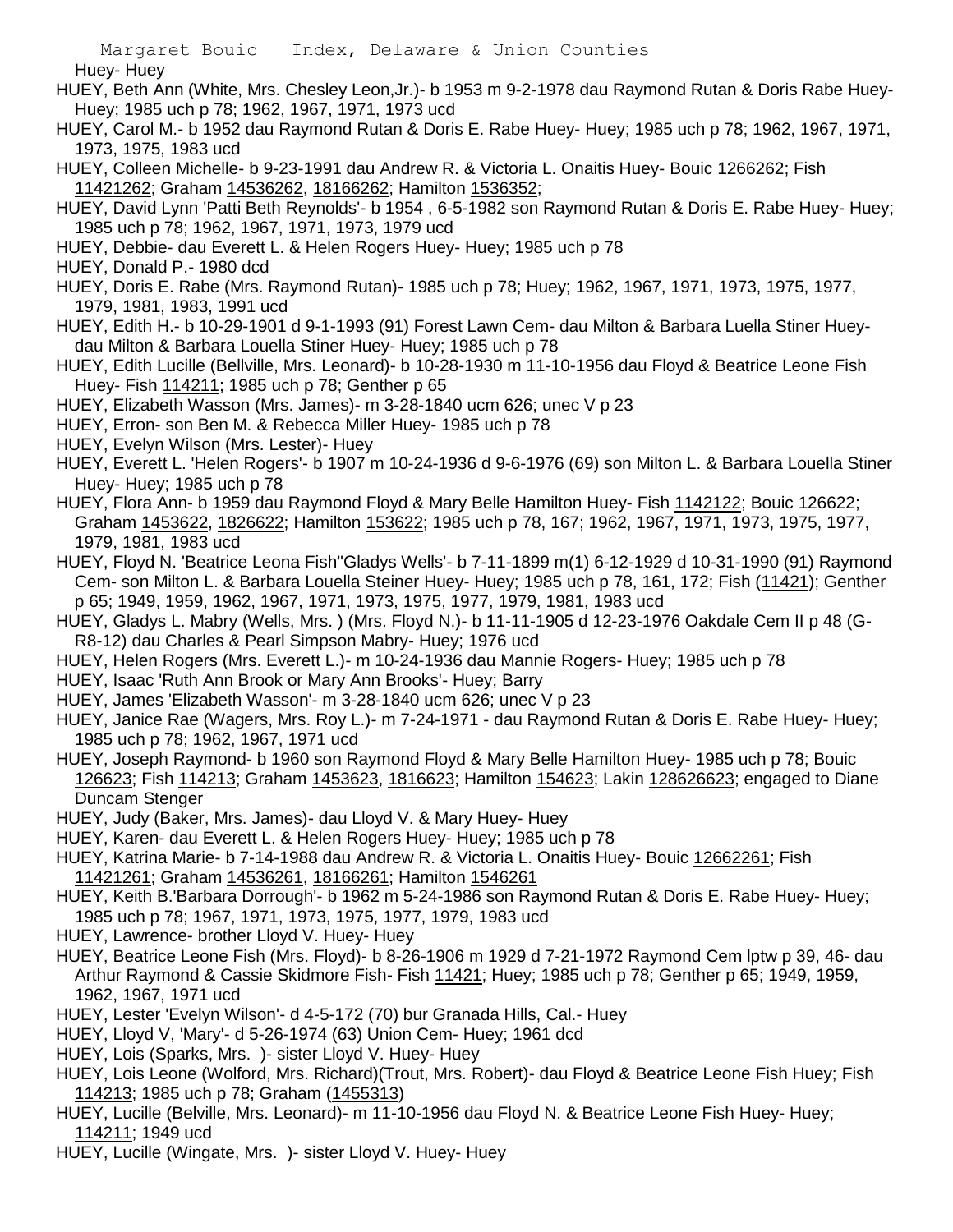Huey- Huey

- HUEY, Beth Ann (White, Mrs. Chesley Leon,Jr.)- b 1953 m 9-2-1978 dau Raymond Rutan & Doris Rabe Huey-Huey; 1985 uch p 78; 1962, 1967, 1971, 1973 ucd
- HUEY, Carol M.- b 1952 dau Raymond Rutan & Doris E. Rabe Huey- Huey; 1985 uch p 78; 1962, 1967, 1971, 1973, 1975, 1983 ucd
- HUEY, Colleen Michelle- b 9-23-1991 dau Andrew R. & Victoria L. Onaitis Huey- Bouic 1266262; Fish 11421262; Graham 14536262, 18166262; Hamilton 1536352;
- HUEY, David Lynn 'Patti Beth Reynolds'- b 1954 , 6-5-1982 son Raymond Rutan & Doris E. Rabe Huey- Huey; 1985 uch p 78; 1962, 1967, 1971, 1973, 1979 ucd
- HUEY, Debbie- dau Everett L. & Helen Rogers Huey- Huey; 1985 uch p 78
- HUEY, Donald P.- 1980 dcd
- HUEY, Doris E. Rabe (Mrs. Raymond Rutan)- 1985 uch p 78; Huey; 1962, 1967, 1971, 1973, 1975, 1977, 1979, 1981, 1983, 1991 ucd
- HUEY, Edith H.- b 10-29-1901 d 9-1-1993 (91) Forest Lawn Cem- dau Milton & Barbara Luella Stiner Hueydau Milton & Barbara Louella Stiner Huey- Huey; 1985 uch p 78
- HUEY, Edith Lucille (Bellville, Mrs. Leonard)- b 10-28-1930 m 11-10-1956 dau Floyd & Beatrice Leone Fish Huey- Fish 114211; 1985 uch p 78; Genther p 65
- HUEY, Elizabeth Wasson (Mrs. James)- m 3-28-1840 ucm 626; unec V p 23
- HUEY, Erron- son Ben M. & Rebecca Miller Huey- 1985 uch p 78
- HUEY, Evelyn Wilson (Mrs. Lester)- Huey
- HUEY, Everett L. 'Helen Rogers'- b 1907 m 10-24-1936 d 9-6-1976 (69) son Milton L. & Barbara Louella Stiner Huey- Huey; 1985 uch p 78
- HUEY, Flora Ann- b 1959 dau Raymond Floyd & Mary Belle Hamilton Huey- Fish 1142122; Bouic 126622; Graham 1453622, 1826622; Hamilton 153622; 1985 uch p 78, 167; 1962, 1967, 1971, 1973, 1975, 1977, 1979, 1981, 1983 ucd
- HUEY, Floyd N. 'Beatrice Leona Fish''Gladys Wells'- b 7-11-1899 m(1) 6-12-1929 d 10-31-1990 (91) Raymond Cem- son Milton L. & Barbara Louella Steiner Huey- Huey; 1985 uch p 78, 161, 172; Fish (11421); Genther p 65; 1949, 1959, 1962, 1967, 1971, 1973, 1975, 1977, 1979, 1981, 1983 ucd
- HUEY, Gladys L. Mabry (Wells, Mrs. ) (Mrs. Floyd N.)- b 11-11-1905 d 12-23-1976 Oakdale Cem II p 48 (G-R8-12) dau Charles & Pearl Simpson Mabry- Huey; 1976 ucd
- HUEY, Helen Rogers (Mrs. Everett L.)- m 10-24-1936 dau Mannie Rogers- Huey; 1985 uch p 78
- HUEY, Isaac 'Ruth Ann Brook or Mary Ann Brooks'- Huey; Barry
- HUEY, James 'Elizabeth Wasson'- m 3-28-1840 ucm 626; unec V p 23
- HUEY, Janice Rae (Wagers, Mrs. Roy L.)- m 7-24-1971 dau Raymond Rutan & Doris E. Rabe Huey- Huey; 1985 uch p 78; 1962, 1967, 1971 ucd
- HUEY, Joseph Raymond- b 1960 son Raymond Floyd & Mary Belle Hamilton Huey- 1985 uch p 78; Bouic 126623; Fish 114213; Graham 1453623, 1816623; Hamilton 154623; Lakin 128626623; engaged to Diane Duncam Stenger
- HUEY, Judy (Baker, Mrs. James)- dau Lloyd V. & Mary Huey- Huey
- HUEY, Karen- dau Everett L. & Helen Rogers Huey- Huey; 1985 uch p 78
- HUEY, Katrina Marie- b 7-14-1988 dau Andrew R. & Victoria L. Onaitis Huey- Bouic 12662261; Fish 11421261; Graham 14536261, 18166261; Hamilton 1546261
- HUEY, Keith B.'Barbara Dorrough'- b 1962 m 5-24-1986 son Raymond Rutan & Doris E. Rabe Huey- Huey; 1985 uch p 78; 1967, 1971, 1973, 1975, 1977, 1979, 1983 ucd
- HUEY, Lawrence- brother Lloyd V. Huey- Huey
- HUEY, Beatrice Leone Fish (Mrs. Floyd)- b 8-26-1906 m 1929 d 7-21-1972 Raymond Cem lptw p 39, 46- dau Arthur Raymond & Cassie Skidmore Fish- Fish 11421; Huey; 1985 uch p 78; Genther p 65; 1949, 1959, 1962, 1967, 1971 ucd
- HUEY, Lester 'Evelyn Wilson'- d 4-5-172 (70) bur Granada Hills, Cal.- Huey
- HUEY, Lloyd V, 'Mary'- d 5-26-1974 (63) Union Cem- Huey; 1961 dcd
- HUEY, Lois (Sparks, Mrs. )- sister Lloyd V. Huey- Huey
- HUEY, Lois Leone (Wolford, Mrs. Richard)(Trout, Mrs. Robert)- dau Floyd & Beatrice Leone Fish Huey; Fish 114213; 1985 uch p 78; Graham (1455313)
- HUEY, Lucille (Belville, Mrs. Leonard)- m 11-10-1956 dau Floyd N. & Beatrice Leone Fish Huey- Huey; 114211; 1949 ucd
- HUEY, Lucille (Wingate, Mrs. )- sister Lloyd V. Huey- Huey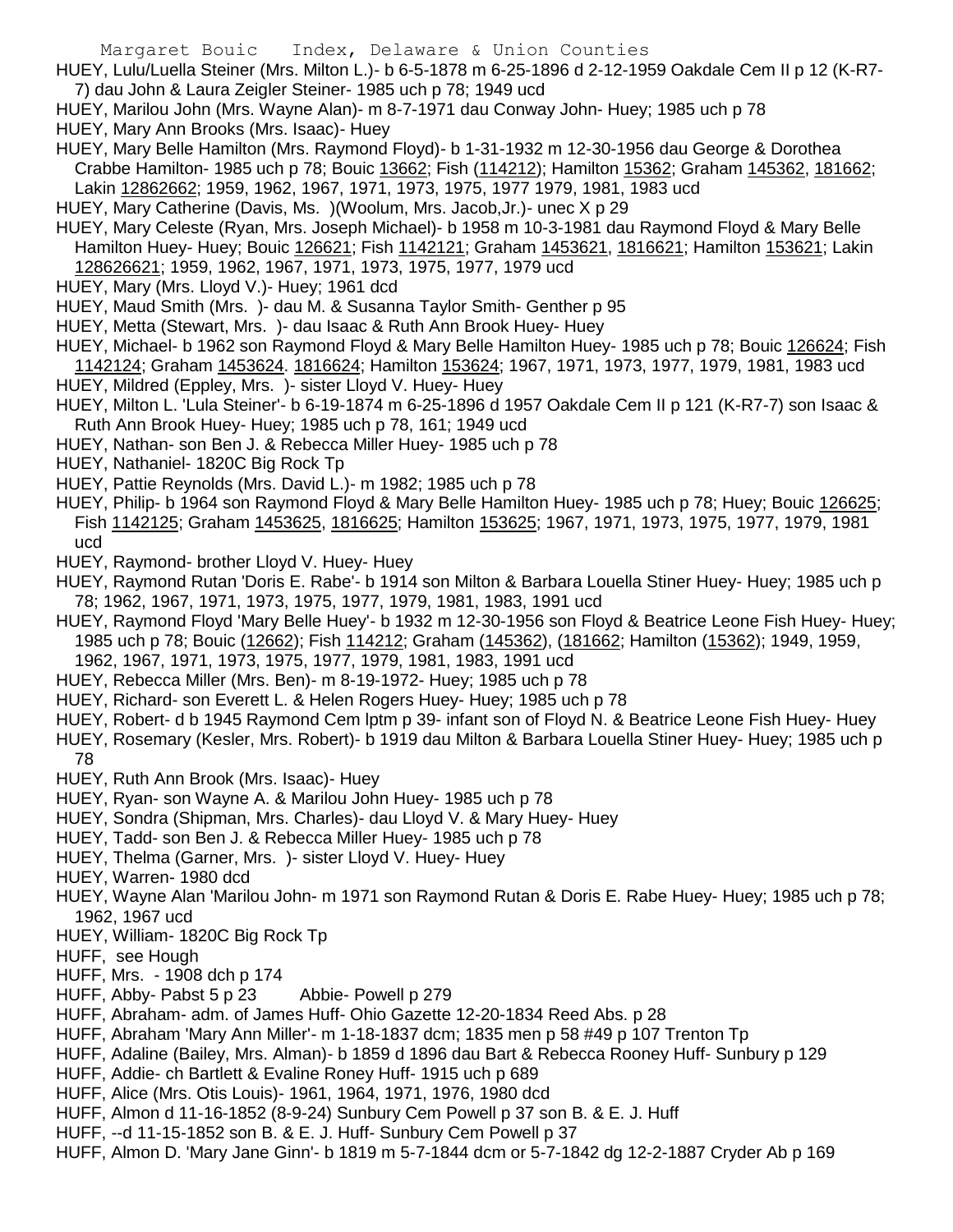- HUEY, Lulu/Luella Steiner (Mrs. Milton L.)- b 6-5-1878 m 6-25-1896 d 2-12-1959 Oakdale Cem II p 12 (K-R7- 7) dau John & Laura Zeigler Steiner- 1985 uch p 78; 1949 ucd
- HUEY, Marilou John (Mrs. Wayne Alan)- m 8-7-1971 dau Conway John- Huey; 1985 uch p 78
- HUEY, Mary Ann Brooks (Mrs. Isaac)- Huey
- HUEY, Mary Belle Hamilton (Mrs. Raymond Floyd)- b 1-31-1932 m 12-30-1956 dau George & Dorothea Crabbe Hamilton- 1985 uch p 78; Bouic 13662; Fish (114212); Hamilton 15362; Graham 145362, 181662; Lakin 12862662; 1959, 1962, 1967, 1971, 1973, 1975, 1977 1979, 1981, 1983 ucd
- HUEY, Mary Catherine (Davis, Ms. )(Woolum, Mrs. Jacob,Jr.)- unec X p 29
- HUEY, Mary Celeste (Ryan, Mrs. Joseph Michael)- b 1958 m 10-3-1981 dau Raymond Floyd & Mary Belle Hamilton Huey- Huey; Bouic 126621; Fish 1142121; Graham 1453621, 1816621; Hamilton 153621; Lakin 128626621; 1959, 1962, 1967, 1971, 1973, 1975, 1977, 1979 ucd
- HUEY, Mary (Mrs. Lloyd V.)- Huey; 1961 dcd
- HUEY, Maud Smith (Mrs. )- dau M. & Susanna Taylor Smith- Genther p 95
- HUEY, Metta (Stewart, Mrs. )- dau Isaac & Ruth Ann Brook Huey- Huey
- HUEY, Michael- b 1962 son Raymond Floyd & Mary Belle Hamilton Huey- 1985 uch p 78; Bouic 126624; Fish 1142124; Graham 1453624. 1816624; Hamilton 153624; 1967, 1971, 1973, 1977, 1979, 1981, 1983 ucd
- HUEY, Mildred (Eppley, Mrs. )- sister Lloyd V. Huey- Huey
- HUEY, Milton L. 'Lula Steiner'- b 6-19-1874 m 6-25-1896 d 1957 Oakdale Cem II p 121 (K-R7-7) son Isaac & Ruth Ann Brook Huey- Huey; 1985 uch p 78, 161; 1949 ucd
- HUEY, Nathan- son Ben J. & Rebecca Miller Huey- 1985 uch p 78
- HUEY, Nathaniel- 1820C Big Rock Tp
- HUEY, Pattie Reynolds (Mrs. David L.)- m 1982; 1985 uch p 78
- HUEY, Philip- b 1964 son Raymond Floyd & Mary Belle Hamilton Huey- 1985 uch p 78; Huey; Bouic 126625; Fish 1142125; Graham 1453625, 1816625; Hamilton 153625; 1967, 1971, 1973, 1975, 1977, 1979, 1981 ucd
- HUEY, Raymond- brother Lloyd V. Huey- Huey
- HUEY, Raymond Rutan 'Doris E. Rabe'- b 1914 son Milton & Barbara Louella Stiner Huey- Huey; 1985 uch p 78; 1962, 1967, 1971, 1973, 1975, 1977, 1979, 1981, 1983, 1991 ucd
- HUEY, Raymond Floyd 'Mary Belle Huey'- b 1932 m 12-30-1956 son Floyd & Beatrice Leone Fish Huey- Huey; 1985 uch p 78; Bouic (12662); Fish 114212; Graham (145362), (181662; Hamilton (15362); 1949, 1959, 1962, 1967, 1971, 1973, 1975, 1977, 1979, 1981, 1983, 1991 ucd
- HUEY, Rebecca Miller (Mrs. Ben)- m 8-19-1972- Huey; 1985 uch p 78
- HUEY, Richard- son Everett L. & Helen Rogers Huey- Huey; 1985 uch p 78
- HUEY, Robert- d b 1945 Raymond Cem lptm p 39- infant son of Floyd N. & Beatrice Leone Fish Huey- Huey
- HUEY, Rosemary (Kesler, Mrs. Robert)- b 1919 dau Milton & Barbara Louella Stiner Huey- Huey; 1985 uch p 78
- HUEY, Ruth Ann Brook (Mrs. Isaac)- Huey
- HUEY, Ryan- son Wayne A. & Marilou John Huey- 1985 uch p 78
- HUEY, Sondra (Shipman, Mrs. Charles)- dau Lloyd V. & Mary Huey- Huey
- HUEY, Tadd- son Ben J. & Rebecca Miller Huey- 1985 uch p 78
- HUEY, Thelma (Garner, Mrs. )- sister Lloyd V. Huey- Huey
- HUEY, Warren- 1980 dcd
- HUEY, Wayne Alan 'Marilou John- m 1971 son Raymond Rutan & Doris E. Rabe Huey- Huey; 1985 uch p 78; 1962, 1967 ucd
- HUEY, William- 1820C Big Rock Tp
- HUFF, see Hough
- HUFF, Mrs. 1908 dch p 174
- HUFF, Abby- Pabst 5 p 23 Abbie- Powell p 279
- HUFF, Abraham- adm. of James Huff- Ohio Gazette 12-20-1834 Reed Abs. p 28
- HUFF, Abraham 'Mary Ann Miller'- m 1-18-1837 dcm; 1835 men p 58 #49 p 107 Trenton Tp
- HUFF, Adaline (Bailey, Mrs. Alman)- b 1859 d 1896 dau Bart & Rebecca Rooney Huff- Sunbury p 129
- HUFF, Addie- ch Bartlett & Evaline Roney Huff- 1915 uch p 689
- HUFF, Alice (Mrs. Otis Louis)- 1961, 1964, 1971, 1976, 1980 dcd
- HUFF, Almon d 11-16-1852 (8-9-24) Sunbury Cem Powell p 37 son B. & E. J. Huff
- HUFF, --d 11-15-1852 son B. & E. J. Huff- Sunbury Cem Powell p 37
- HUFF, Almon D. 'Mary Jane Ginn'- b 1819 m 5-7-1844 dcm or 5-7-1842 dg 12-2-1887 Cryder Ab p 169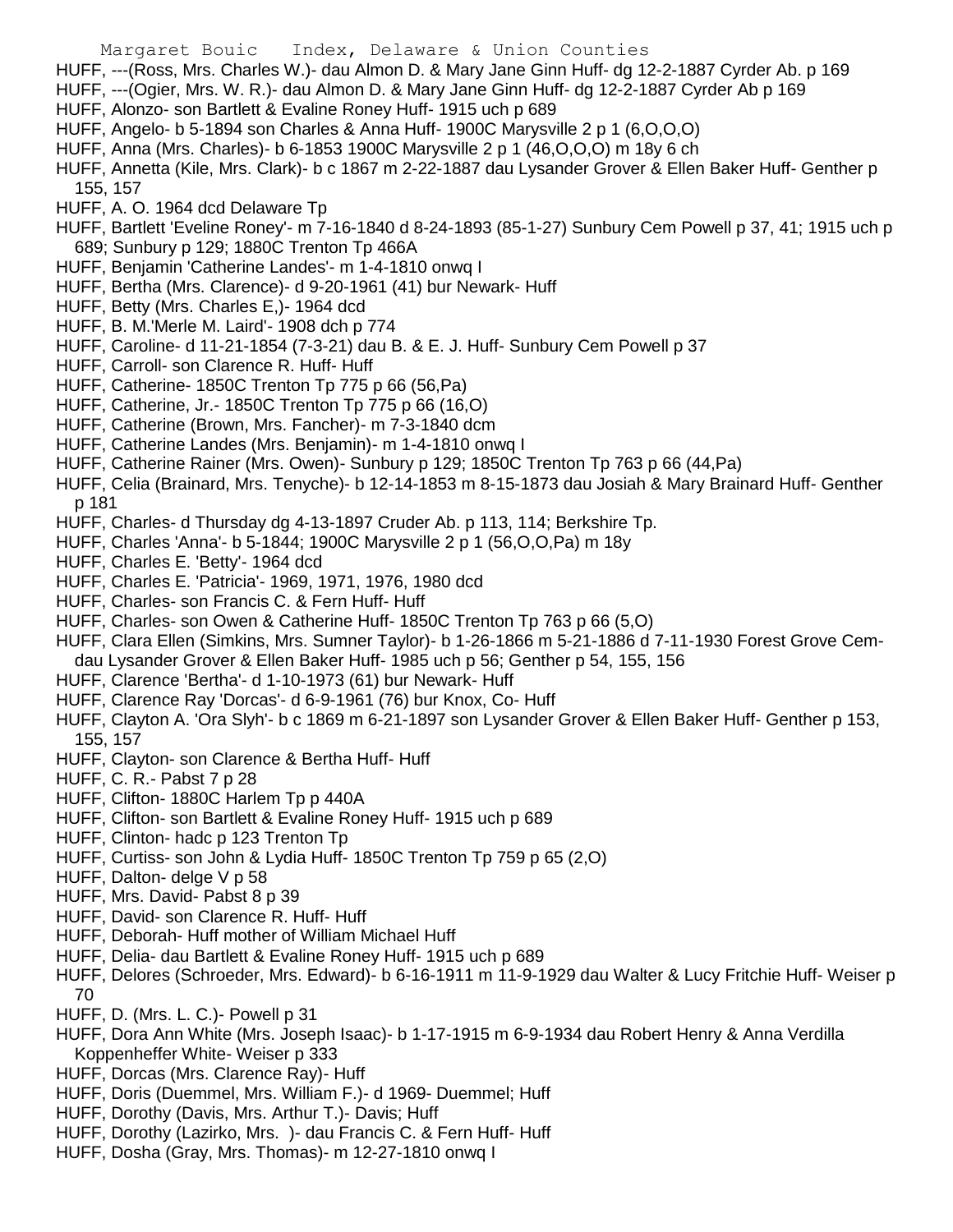HUFF, ---(Ross, Mrs. Charles W.)- dau Almon D. & Mary Jane Ginn Huff- dg 12-2-1887 Cyrder Ab. p 169

- HUFF, ---(Ogier, Mrs. W. R.)- dau Almon D. & Mary Jane Ginn Huff- dg 12-2-1887 Cyrder Ab p 169
- HUFF, Alonzo- son Bartlett & Evaline Roney Huff- 1915 uch p 689
- HUFF, Angelo- b 5-1894 son Charles & Anna Huff- 1900C Marysville 2 p 1 (6,O,O,O)
- HUFF, Anna (Mrs. Charles)- b 6-1853 1900C Marysville 2 p 1 (46,O,O,O) m 18y 6 ch
- HUFF, Annetta (Kile, Mrs. Clark)- b c 1867 m 2-22-1887 dau Lysander Grover & Ellen Baker Huff- Genther p 155, 157
- HUFF, A. O. 1964 dcd Delaware Tp
- HUFF, Bartlett 'Eveline Roney'- m 7-16-1840 d 8-24-1893 (85-1-27) Sunbury Cem Powell p 37, 41; 1915 uch p 689; Sunbury p 129; 1880C Trenton Tp 466A
- HUFF, Benjamin 'Catherine Landes'- m 1-4-1810 onwq I
- HUFF, Bertha (Mrs. Clarence)- d 9-20-1961 (41) bur Newark- Huff
- HUFF, Betty (Mrs. Charles E,)- 1964 dcd
- HUFF, B. M.'Merle M. Laird'- 1908 dch p 774
- HUFF, Caroline- d 11-21-1854 (7-3-21) dau B. & E. J. Huff- Sunbury Cem Powell p 37
- HUFF, Carroll- son Clarence R. Huff- Huff
- HUFF, Catherine- 1850C Trenton Tp 775 p 66 (56,Pa)
- HUFF, Catherine, Jr.- 1850C Trenton Tp 775 p 66 (16,O)
- HUFF, Catherine (Brown, Mrs. Fancher)- m 7-3-1840 dcm
- HUFF, Catherine Landes (Mrs. Benjamin)- m 1-4-1810 onwq I
- HUFF, Catherine Rainer (Mrs. Owen)- Sunbury p 129; 1850C Trenton Tp 763 p 66 (44,Pa)
- HUFF, Celia (Brainard, Mrs. Tenyche)- b 12-14-1853 m 8-15-1873 dau Josiah & Mary Brainard Huff- Genther p 181
- HUFF, Charles- d Thursday dg 4-13-1897 Cruder Ab. p 113, 114; Berkshire Tp.
- HUFF, Charles 'Anna'- b 5-1844; 1900C Marysville 2 p 1 (56,O,O,Pa) m 18y
- HUFF, Charles E. 'Betty'- 1964 dcd
- HUFF, Charles E. 'Patricia'- 1969, 1971, 1976, 1980 dcd
- HUFF, Charles- son Francis C. & Fern Huff- Huff
- HUFF, Charles- son Owen & Catherine Huff- 1850C Trenton Tp 763 p 66 (5,O)
- HUFF, Clara Ellen (Simkins, Mrs. Sumner Taylor)- b 1-26-1866 m 5-21-1886 d 7-11-1930 Forest Grove Cemdau Lysander Grover & Ellen Baker Huff- 1985 uch p 56; Genther p 54, 155, 156
- HUFF, Clarence 'Bertha'- d 1-10-1973 (61) bur Newark- Huff
- HUFF, Clarence Ray 'Dorcas'- d 6-9-1961 (76) bur Knox, Co- Huff
- HUFF, Clayton A. 'Ora Slyh'- b c 1869 m 6-21-1897 son Lysander Grover & Ellen Baker Huff- Genther p 153, 155, 157
- HUFF, Clayton- son Clarence & Bertha Huff- Huff
- HUFF, C. R.- Pabst 7 p 28
- HUFF, Clifton- 1880C Harlem Tp p 440A
- HUFF, Clifton- son Bartlett & Evaline Roney Huff- 1915 uch p 689
- HUFF, Clinton- hadc p 123 Trenton Tp
- HUFF, Curtiss- son John & Lydia Huff- 1850C Trenton Tp 759 p 65 (2,O)
- HUFF, Dalton- delge V p 58
- HUFF, Mrs. David- Pabst 8 p 39
- HUFF, David- son Clarence R. Huff- Huff
- HUFF, Deborah- Huff mother of William Michael Huff
- HUFF, Delia- dau Bartlett & Evaline Roney Huff- 1915 uch p 689
- HUFF, Delores (Schroeder, Mrs. Edward)- b 6-16-1911 m 11-9-1929 dau Walter & Lucy Fritchie Huff- Weiser p 70
- HUFF, D. (Mrs. L. C.) Powell p 31
- HUFF, Dora Ann White (Mrs. Joseph Isaac)- b 1-17-1915 m 6-9-1934 dau Robert Henry & Anna Verdilla Koppenheffer White- Weiser p 333
- HUFF, Dorcas (Mrs. Clarence Ray)- Huff
- HUFF, Doris (Duemmel, Mrs. William F.)- d 1969- Duemmel; Huff
- HUFF, Dorothy (Davis, Mrs. Arthur T.)- Davis; Huff
- HUFF, Dorothy (Lazirko, Mrs. )- dau Francis C. & Fern Huff- Huff
- HUFF, Dosha (Gray, Mrs. Thomas)- m 12-27-1810 onwq I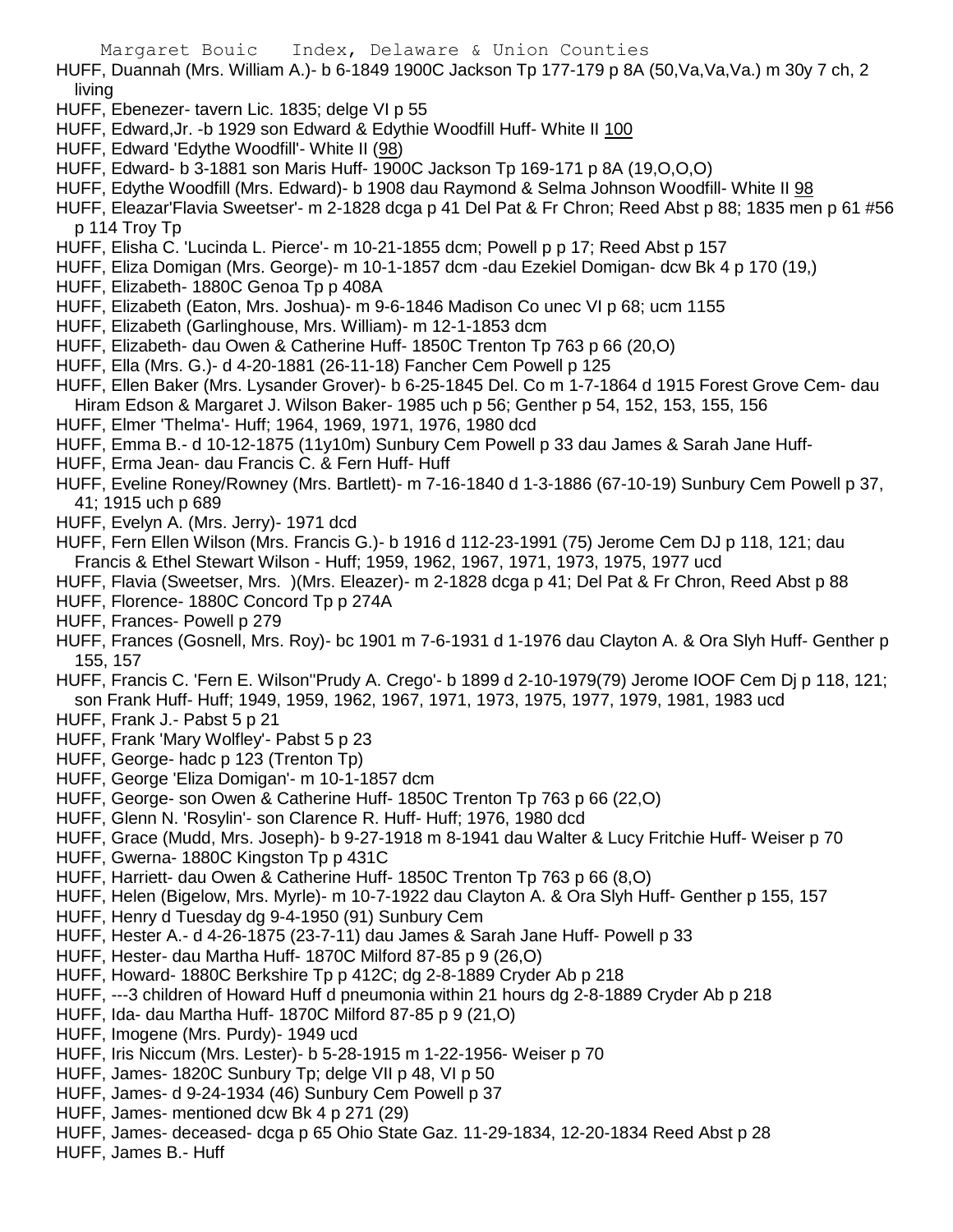- HUFF, Duannah (Mrs. William A.)- b 6-1849 1900C Jackson Tp 177-179 p 8A (50,Va,Va,Va.) m 30y 7 ch, 2 living
- HUFF, Ebenezer- tavern Lic. 1835; delge VI p 55
- HUFF, Edward,Jr. -b 1929 son Edward & Edythie Woodfill Huff- White II 100
- HUFF, Edward 'Edythe Woodfill'- White II (98)
- HUFF, Edward- b 3-1881 son Maris Huff- 1900C Jackson Tp 169-171 p 8A (19,O,O,O)
- HUFF, Edythe Woodfill (Mrs. Edward)- b 1908 dau Raymond & Selma Johnson Woodfill- White II 98
- HUFF, Eleazar'Flavia Sweetser'- m 2-1828 dcga p 41 Del Pat & Fr Chron; Reed Abst p 88; 1835 men p 61 #56 p 114 Troy Tp
- HUFF, Elisha C. 'Lucinda L. Pierce'- m 10-21-1855 dcm; Powell p p 17; Reed Abst p 157
- HUFF, Eliza Domigan (Mrs. George)- m 10-1-1857 dcm -dau Ezekiel Domigan- dcw Bk 4 p 170 (19,)
- HUFF, Elizabeth- 1880C Genoa Tp p 408A
- HUFF, Elizabeth (Eaton, Mrs. Joshua)- m 9-6-1846 Madison Co unec VI p 68; ucm 1155
- HUFF, Elizabeth (Garlinghouse, Mrs. William)- m 12-1-1853 dcm
- HUFF, Elizabeth- dau Owen & Catherine Huff- 1850C Trenton Tp 763 p 66 (20,O)
- HUFF, Ella (Mrs. G.)- d 4-20-1881 (26-11-18) Fancher Cem Powell p 125
- HUFF, Ellen Baker (Mrs. Lysander Grover)- b 6-25-1845 Del. Co m 1-7-1864 d 1915 Forest Grove Cem- dau Hiram Edson & Margaret J. Wilson Baker- 1985 uch p 56; Genther p 54, 152, 153, 155, 156
- HUFF, Elmer 'Thelma'- Huff; 1964, 1969, 1971, 1976, 1980 dcd
- HUFF, Emma B.- d 10-12-1875 (11y10m) Sunbury Cem Powell p 33 dau James & Sarah Jane Huff-
- HUFF, Erma Jean- dau Francis C. & Fern Huff- Huff
- HUFF, Eveline Roney/Rowney (Mrs. Bartlett)- m 7-16-1840 d 1-3-1886 (67-10-19) Sunbury Cem Powell p 37, 41; 1915 uch p 689
- HUFF, Evelyn A. (Mrs. Jerry)- 1971 dcd
- HUFF, Fern Ellen Wilson (Mrs. Francis G.)- b 1916 d 112-23-1991 (75) Jerome Cem DJ p 118, 121; dau Francis & Ethel Stewart Wilson - Huff; 1959, 1962, 1967, 1971, 1973, 1975, 1977 ucd
- HUFF, Flavia (Sweetser, Mrs. )(Mrs. Eleazer)- m 2-1828 dcga p 41; Del Pat & Fr Chron, Reed Abst p 88
- HUFF, Florence- 1880C Concord Tp p 274A
- HUFF, Frances- Powell p 279
- HUFF, Frances (Gosnell, Mrs. Roy)- bc 1901 m 7-6-1931 d 1-1976 dau Clayton A. & Ora Slyh Huff- Genther p 155, 157
- HUFF, Francis C. 'Fern E. Wilson''Prudy A. Crego'- b 1899 d 2-10-1979(79) Jerome IOOF Cem Dj p 118, 121; son Frank Huff- Huff; 1949, 1959, 1962, 1967, 1971, 1973, 1975, 1977, 1979, 1981, 1983 ucd
- HUFF, Frank J.- Pabst 5 p 21
- HUFF, Frank 'Mary Wolfley'- Pabst 5 p 23
- HUFF, George- hadc p 123 (Trenton Tp)
- HUFF, George 'Eliza Domigan'- m 10-1-1857 dcm
- HUFF, George- son Owen & Catherine Huff- 1850C Trenton Tp 763 p 66 (22,O)
- HUFF, Glenn N. 'Rosylin'- son Clarence R. Huff- Huff; 1976, 1980 dcd
- HUFF, Grace (Mudd, Mrs. Joseph)- b 9-27-1918 m 8-1941 dau Walter & Lucy Fritchie Huff- Weiser p 70
- HUFF, Gwerna-1880C Kingston Tp p 431C
- HUFF, Harriett- dau Owen & Catherine Huff- 1850C Trenton Tp 763 p 66 (8,O)
- HUFF, Helen (Bigelow, Mrs. Myrle)- m 10-7-1922 dau Clayton A. & Ora Slyh Huff- Genther p 155, 157
- HUFF, Henry d Tuesday dg 9-4-1950 (91) Sunbury Cem
- HUFF, Hester A.- d 4-26-1875 (23-7-11) dau James & Sarah Jane Huff- Powell p 33
- HUFF, Hester- dau Martha Huff- 1870C Milford 87-85 p 9 (26,O)
- HUFF, Howard- 1880C Berkshire Tp p 412C; dg 2-8-1889 Cryder Ab p 218
- HUFF, ---3 children of Howard Huff d pneumonia within 21 hours dg 2-8-1889 Cryder Ab p 218
- HUFF, Ida- dau Martha Huff- 1870C Milford 87-85 p 9 (21,O)
- HUFF, Imogene (Mrs. Purdy)- 1949 ucd
- HUFF, Iris Niccum (Mrs. Lester)- b 5-28-1915 m 1-22-1956- Weiser p 70
- HUFF, James- 1820C Sunbury Tp; delge VII p 48, VI p 50
- HUFF, James- d 9-24-1934 (46) Sunbury Cem Powell p 37
- HUFF, James- mentioned dcw Bk 4 p 271 (29)
- HUFF, James- deceased- dcga p 65 Ohio State Gaz. 11-29-1834, 12-20-1834 Reed Abst p 28
- HUFF, James B.- Huff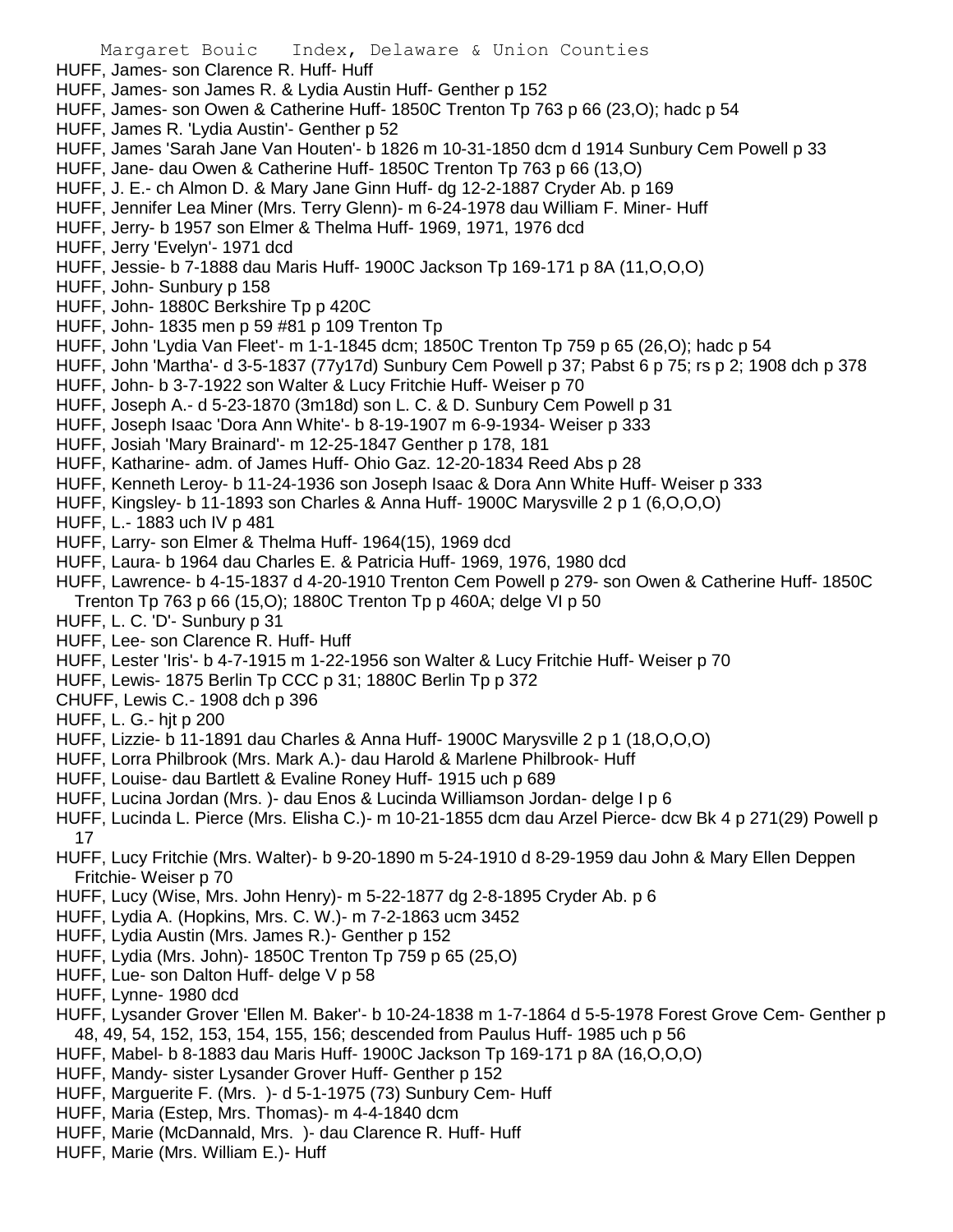- Margaret Bouic Index, Delaware & Union Counties HUFF, James- son Clarence R. Huff- Huff HUFF, James- son James R. & Lydia Austin Huff- Genther p 152 HUFF, James- son Owen & Catherine Huff- 1850C Trenton Tp 763 p 66 (23,O); hadc p 54 HUFF, James R. 'Lydia Austin'- Genther p 52 HUFF, James 'Sarah Jane Van Houten'- b 1826 m 10-31-1850 dcm d 1914 Sunbury Cem Powell p 33 HUFF, Jane- dau Owen & Catherine Huff- 1850C Trenton Tp 763 p 66 (13,O) HUFF, J. E.- ch Almon D. & Mary Jane Ginn Huff- dg 12-2-1887 Cryder Ab. p 169 HUFF, Jennifer Lea Miner (Mrs. Terry Glenn)- m 6-24-1978 dau William F. Miner- Huff HUFF, Jerry- b 1957 son Elmer & Thelma Huff- 1969, 1971, 1976 dcd HUFF, Jerry 'Evelyn'- 1971 dcd HUFF, Jessie- b 7-1888 dau Maris Huff- 1900C Jackson Tp 169-171 p 8A (11,O,O,O) HUFF, John- Sunbury p 158 HUFF, John- 1880C Berkshire Tp p 420C HUFF, John- 1835 men p 59 #81 p 109 Trenton Tp HUFF, John 'Lydia Van Fleet'- m 1-1-1845 dcm; 1850C Trenton Tp 759 p 65 (26,O); hadc p 54 HUFF, John 'Martha'- d 3-5-1837 (77y17d) Sunbury Cem Powell p 37; Pabst 6 p 75; rs p 2; 1908 dch p 378 HUFF, John- b 3-7-1922 son Walter & Lucy Fritchie Huff- Weiser p 70 HUFF, Joseph A.- d 5-23-1870 (3m18d) son L. C. & D. Sunbury Cem Powell p 31 HUFF, Joseph Isaac 'Dora Ann White'- b 8-19-1907 m 6-9-1934- Weiser p 333 HUFF, Josiah 'Mary Brainard'- m 12-25-1847 Genther p 178, 181 HUFF, Katharine- adm. of James Huff- Ohio Gaz. 12-20-1834 Reed Abs p 28 HUFF, Kenneth Leroy- b 11-24-1936 son Joseph Isaac & Dora Ann White Huff- Weiser p 333 HUFF, Kingsley- b 11-1893 son Charles & Anna Huff- 1900C Marysville 2 p 1 (6,O,O,O) HUFF, L.- 1883 uch IV p 481 HUFF, Larry- son Elmer & Thelma Huff- 1964(15), 1969 dcd HUFF, Laura- b 1964 dau Charles E. & Patricia Huff- 1969, 1976, 1980 dcd HUFF, Lawrence- b 4-15-1837 d 4-20-1910 Trenton Cem Powell p 279- son Owen & Catherine Huff- 1850C Trenton Tp 763 p 66 (15,O); 1880C Trenton Tp p 460A; delge VI p 50 HUFF, L. C. 'D'- Sunbury p 31 HUFF, Lee- son Clarence R. Huff- Huff HUFF, Lester 'Iris'- b 4-7-1915 m 1-22-1956 son Walter & Lucy Fritchie Huff- Weiser p 70 HUFF, Lewis- 1875 Berlin Tp CCC p 31; 1880C Berlin Tp p 372 CHUFF, Lewis C.- 1908 dch p 396 HUFF, L. G.- hjt p 200 HUFF, Lizzie- b 11-1891 dau Charles & Anna Huff- 1900C Marysville 2 p 1 (18,O,O,O) HUFF, Lorra Philbrook (Mrs. Mark A.)- dau Harold & Marlene Philbrook- Huff HUFF, Louise- dau Bartlett & Evaline Roney Huff- 1915 uch p 689 HUFF, Lucina Jordan (Mrs. )- dau Enos & Lucinda Williamson Jordan- delge I p 6 HUFF, Lucinda L. Pierce (Mrs. Elisha C.)- m 10-21-1855 dcm dau Arzel Pierce- dcw Bk 4 p 271(29) Powell p 17 HUFF, Lucy Fritchie (Mrs. Walter)- b 9-20-1890 m 5-24-1910 d 8-29-1959 dau John & Mary Ellen Deppen Fritchie- Weiser p 70 HUFF, Lucy (Wise, Mrs. John Henry)- m 5-22-1877 dg 2-8-1895 Cryder Ab. p 6
	- HUFF, Lydia A. (Hopkins, Mrs. C. W.)- m 7-2-1863 ucm 3452
	- HUFF, Lydia Austin (Mrs. James R.)- Genther p 152
	- HUFF, Lydia (Mrs. John)- 1850C Trenton Tp 759 p 65 (25,O)
	- HUFF, Lue- son Dalton Huff- delge V p 58
	- HUFF, Lynne- 1980 dcd
	- HUFF, Lysander Grover 'Ellen M. Baker'- b 10-24-1838 m 1-7-1864 d 5-5-1978 Forest Grove Cem- Genther p 48, 49, 54, 152, 153, 154, 155, 156; descended from Paulus Huff- 1985 uch p 56
	- HUFF, Mabel- b 8-1883 dau Maris Huff- 1900C Jackson Tp 169-171 p 8A (16,O,O,O)
	- HUFF, Mandy- sister Lysander Grover Huff- Genther p 152
	- HUFF, Marguerite F. (Mrs. )- d 5-1-1975 (73) Sunbury Cem- Huff
	- HUFF, Maria (Estep, Mrs. Thomas)- m 4-4-1840 dcm
	- HUFF, Marie (McDannald, Mrs. )- dau Clarence R. Huff- Huff
	- HUFF, Marie (Mrs. William E.)- Huff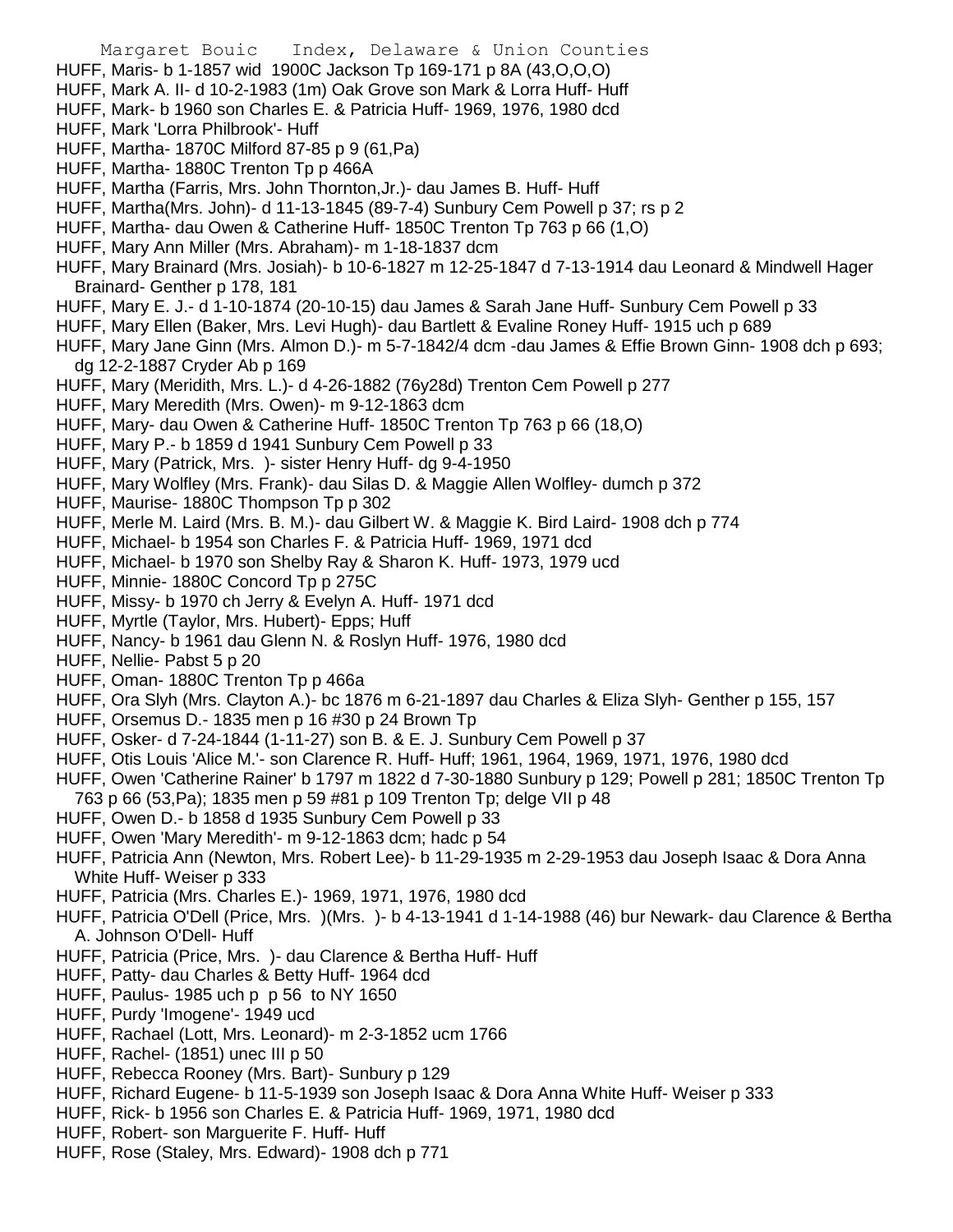Margaret Bouic Index, Delaware & Union Counties HUFF, Maris- b 1-1857 wid 1900C Jackson Tp 169-171 p 8A (43,O,O,O) HUFF, Mark A. II- d 10-2-1983 (1m) Oak Grove son Mark & Lorra Huff- Huff HUFF, Mark- b 1960 son Charles E. & Patricia Huff- 1969, 1976, 1980 dcd HUFF, Mark 'Lorra Philbrook'- Huff HUFF, Martha- 1870C Milford 87-85 p 9 (61,Pa) HUFF, Martha- 1880C Trenton Tp p 466A HUFF, Martha (Farris, Mrs. John Thornton,Jr.)- dau James B. Huff- Huff HUFF, Martha(Mrs. John)- d 11-13-1845 (89-7-4) Sunbury Cem Powell p 37; rs p 2 HUFF, Martha- dau Owen & Catherine Huff- 1850C Trenton Tp 763 p 66 (1,O) HUFF, Mary Ann Miller (Mrs. Abraham)- m 1-18-1837 dcm HUFF, Mary Brainard (Mrs. Josiah)- b 10-6-1827 m 12-25-1847 d 7-13-1914 dau Leonard & Mindwell Hager Brainard- Genther p 178, 181 HUFF, Mary E. J.- d 1-10-1874 (20-10-15) dau James & Sarah Jane Huff- Sunbury Cem Powell p 33 HUFF, Mary Ellen (Baker, Mrs. Levi Hugh)- dau Bartlett & Evaline Roney Huff- 1915 uch p 689 HUFF, Mary Jane Ginn (Mrs. Almon D.)- m 5-7-1842/4 dcm -dau James & Effie Brown Ginn- 1908 dch p 693; dg 12-2-1887 Cryder Ab p 169 HUFF, Mary (Meridith, Mrs. L.)- d 4-26-1882 (76y28d) Trenton Cem Powell p 277 HUFF, Mary Meredith (Mrs. Owen)- m 9-12-1863 dcm HUFF, Mary- dau Owen & Catherine Huff- 1850C Trenton Tp 763 p 66 (18,O) HUFF, Mary P.- b 1859 d 1941 Sunbury Cem Powell p 33 HUFF, Mary (Patrick, Mrs. )- sister Henry Huff- dg 9-4-1950 HUFF, Mary Wolfley (Mrs. Frank)- dau Silas D. & Maggie Allen Wolfley- dumch p 372 HUFF, Maurise- 1880C Thompson Tp p 302 HUFF, Merle M. Laird (Mrs. B. M.)- dau Gilbert W. & Maggie K. Bird Laird- 1908 dch p 774 HUFF, Michael- b 1954 son Charles F. & Patricia Huff- 1969, 1971 dcd HUFF, Michael- b 1970 son Shelby Ray & Sharon K. Huff- 1973, 1979 ucd HUFF, Minnie- 1880C Concord Tp p 275C HUFF, Missy- b 1970 ch Jerry & Evelyn A. Huff- 1971 dcd HUFF, Myrtle (Taylor, Mrs. Hubert)- Epps; Huff HUFF, Nancy- b 1961 dau Glenn N. & Roslyn Huff- 1976, 1980 dcd HUFF, Nellie- Pabst 5 p 20

- HUFF, Oman- 1880C Trenton Tp p 466a
- HUFF, Ora Slyh (Mrs. Clayton A.)- bc 1876 m 6-21-1897 dau Charles & Eliza Slyh- Genther p 155, 157
- HUFF, Orsemus D.- 1835 men p 16 #30 p 24 Brown Tp
- HUFF, Osker- d 7-24-1844 (1-11-27) son B. & E. J. Sunbury Cem Powell p 37
- HUFF, Otis Louis 'Alice M.'- son Clarence R. Huff- Huff; 1961, 1964, 1969, 1971, 1976, 1980 dcd
- HUFF, Owen 'Catherine Rainer' b 1797 m 1822 d 7-30-1880 Sunbury p 129; Powell p 281; 1850C Trenton Tp 763 p 66 (53,Pa); 1835 men p 59 #81 p 109 Trenton Tp; delge VII p 48
- HUFF, Owen D.- b 1858 d 1935 Sunbury Cem Powell p 33
- HUFF, Owen 'Mary Meredith'- m 9-12-1863 dcm; hadc p 54
- HUFF, Patricia Ann (Newton, Mrs. Robert Lee)- b 11-29-1935 m 2-29-1953 dau Joseph Isaac & Dora Anna White Huff- Weiser p 333
- HUFF, Patricia (Mrs. Charles E.)- 1969, 1971, 1976, 1980 dcd
- HUFF, Patricia O'Dell (Price, Mrs. )(Mrs. )- b 4-13-1941 d 1-14-1988 (46) bur Newark- dau Clarence & Bertha A. Johnson O'Dell- Huff
- HUFF, Patricia (Price, Mrs. )- dau Clarence & Bertha Huff- Huff
- HUFF, Patty- dau Charles & Betty Huff- 1964 dcd
- HUFF, Paulus- 1985 uch p p 56 to NY 1650
- HUFF, Purdy 'Imogene'- 1949 ucd
- HUFF, Rachael (Lott, Mrs. Leonard)- m 2-3-1852 ucm 1766
- HUFF, Rachel- (1851) unec III p 50
- HUFF, Rebecca Rooney (Mrs. Bart)- Sunbury p 129
- HUFF, Richard Eugene- b 11-5-1939 son Joseph Isaac & Dora Anna White Huff- Weiser p 333
- HUFF, Rick- b 1956 son Charles E. & Patricia Huff- 1969, 1971, 1980 dcd
- HUFF, Robert- son Marguerite F. Huff- Huff
- HUFF, Rose (Staley, Mrs. Edward)- 1908 dch p 771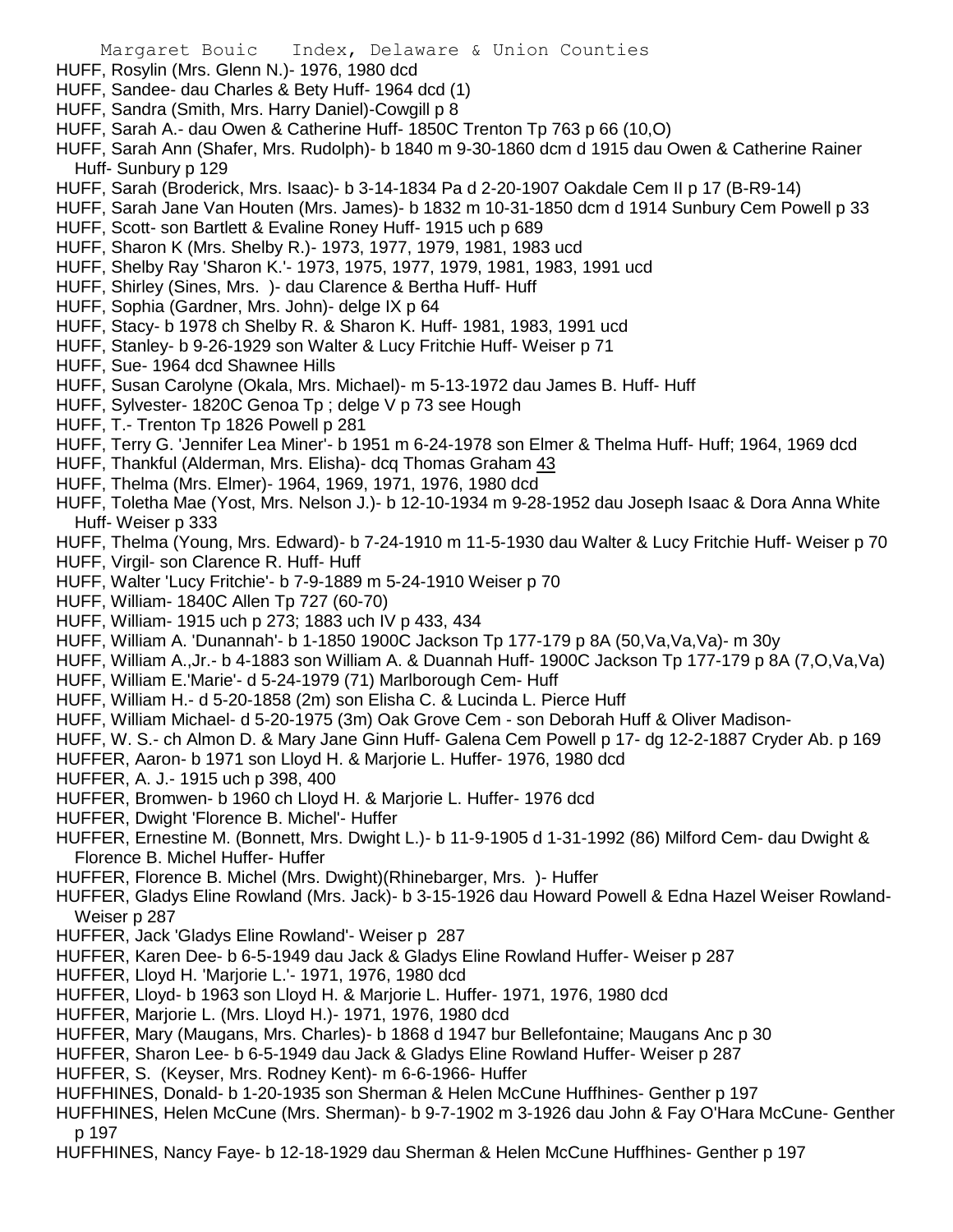- HUFF, Rosylin (Mrs. Glenn N.)- 1976, 1980 dcd
- HUFF, Sandee- dau Charles & Bety Huff- 1964 dcd (1)
- HUFF, Sandra (Smith, Mrs. Harry Daniel)-Cowgill p 8
- HUFF, Sarah A.- dau Owen & Catherine Huff- 1850C Trenton Tp 763 p 66 (10,O)
- HUFF, Sarah Ann (Shafer, Mrs. Rudolph)- b 1840 m 9-30-1860 dcm d 1915 dau Owen & Catherine Rainer Huff- Sunbury p 129
- HUFF, Sarah (Broderick, Mrs. Isaac)- b 3-14-1834 Pa d 2-20-1907 Oakdale Cem II p 17 (B-R9-14)
- HUFF, Sarah Jane Van Houten (Mrs. James)- b 1832 m 10-31-1850 dcm d 1914 Sunbury Cem Powell p 33
- HUFF, Scott- son Bartlett & Evaline Roney Huff- 1915 uch p 689
- HUFF, Sharon K (Mrs. Shelby R.)- 1973, 1977, 1979, 1981, 1983 ucd
- HUFF, Shelby Ray 'Sharon K.'- 1973, 1975, 1977, 1979, 1981, 1983, 1991 ucd
- HUFF, Shirley (Sines, Mrs. )- dau Clarence & Bertha Huff- Huff
- HUFF, Sophia (Gardner, Mrs. John)- delge IX p 64
- HUFF, Stacy- b 1978 ch Shelby R. & Sharon K. Huff- 1981, 1983, 1991 ucd
- HUFF, Stanley- b 9-26-1929 son Walter & Lucy Fritchie Huff- Weiser p 71
- HUFF, Sue- 1964 dcd Shawnee Hills
- HUFF, Susan Carolyne (Okala, Mrs. Michael)- m 5-13-1972 dau James B. Huff- Huff
- HUFF, Sylvester- 1820C Genoa Tp ; delge V p 73 see Hough
- HUFF, T.- Trenton Tp 1826 Powell p 281
- HUFF, Terry G. 'Jennifer Lea Miner'- b 1951 m 6-24-1978 son Elmer & Thelma Huff- Huff; 1964, 1969 dcd
- HUFF, Thankful (Alderman, Mrs. Elisha)- dcq Thomas Graham 43
- HUFF, Thelma (Mrs. Elmer)- 1964, 1969, 1971, 1976, 1980 dcd
- HUFF, Toletha Mae (Yost, Mrs. Nelson J.)- b 12-10-1934 m 9-28-1952 dau Joseph Isaac & Dora Anna White Huff- Weiser p 333
- HUFF, Thelma (Young, Mrs. Edward)- b 7-24-1910 m 11-5-1930 dau Walter & Lucy Fritchie Huff- Weiser p 70
- HUFF, Virgil- son Clarence R. Huff- Huff
- HUFF, Walter 'Lucy Fritchie'- b 7-9-1889 m 5-24-1910 Weiser p 70
- HUFF, William- 1840C Allen Tp 727 (60-70)
- HUFF, William- 1915 uch p 273; 1883 uch IV p 433, 434
- HUFF, William A. 'Dunannah'- b 1-1850 1900C Jackson Tp 177-179 p 8A (50,Va,Va,Va)- m 30y
- HUFF, William A.,Jr.- b 4-1883 son William A. & Duannah Huff- 1900C Jackson Tp 177-179 p 8A (7,O,Va,Va)
- HUFF, William E.'Marie'- d 5-24-1979 (71) Marlborough Cem- Huff
- HUFF, William H.- d 5-20-1858 (2m) son Elisha C. & Lucinda L. Pierce Huff
- HUFF, William Michael- d 5-20-1975 (3m) Oak Grove Cem son Deborah Huff & Oliver Madison-
- HUFF, W. S.- ch Almon D. & Mary Jane Ginn Huff- Galena Cem Powell p 17- dg 12-2-1887 Cryder Ab. p 169
- HUFFER, Aaron- b 1971 son Lloyd H. & Marjorie L. Huffer- 1976, 1980 dcd
- HUFFER, A. J.- 1915 uch p 398, 400
- HUFFER, Bromwen- b 1960 ch Lloyd H. & Marjorie L. Huffer- 1976 dcd
- HUFFER, Dwight 'Florence B. Michel'- Huffer
- HUFFER, Ernestine M. (Bonnett, Mrs. Dwight L.)- b 11-9-1905 d 1-31-1992 (86) Milford Cem- dau Dwight & Florence B. Michel Huffer- Huffer
- HUFFER, Florence B. Michel (Mrs. Dwight)(Rhinebarger, Mrs. )- Huffer
- HUFFER, Gladys Eline Rowland (Mrs. Jack)- b 3-15-1926 dau Howard Powell & Edna Hazel Weiser Rowland-Weiser p 287
- HUFFER, Jack 'Gladys Eline Rowland'- Weiser p 287
- HUFFER, Karen Dee- b 6-5-1949 dau Jack & Gladys Eline Rowland Huffer- Weiser p 287
- HUFFER, Lloyd H. 'Marjorie L.'- 1971, 1976, 1980 dcd
- HUFFER, Lloyd- b 1963 son Lloyd H. & Marjorie L. Huffer- 1971, 1976, 1980 dcd
- HUFFER, Marjorie L. (Mrs. Lloyd H.)- 1971, 1976, 1980 dcd
- HUFFER, Mary (Maugans, Mrs. Charles)- b 1868 d 1947 bur Bellefontaine; Maugans Anc p 30
- HUFFER, Sharon Lee- b 6-5-1949 dau Jack & Gladys Eline Rowland Huffer- Weiser p 287
- HUFFER, S. (Keyser, Mrs. Rodney Kent)- m 6-6-1966- Huffer
- HUFFHINES, Donald- b 1-20-1935 son Sherman & Helen McCune Huffhines- Genther p 197
- HUFFHINES, Helen McCune (Mrs. Sherman)- b 9-7-1902 m 3-1926 dau John & Fay O'Hara McCune- Genther p 197
- HUFFHINES, Nancy Faye- b 12-18-1929 dau Sherman & Helen McCune Huffhines- Genther p 197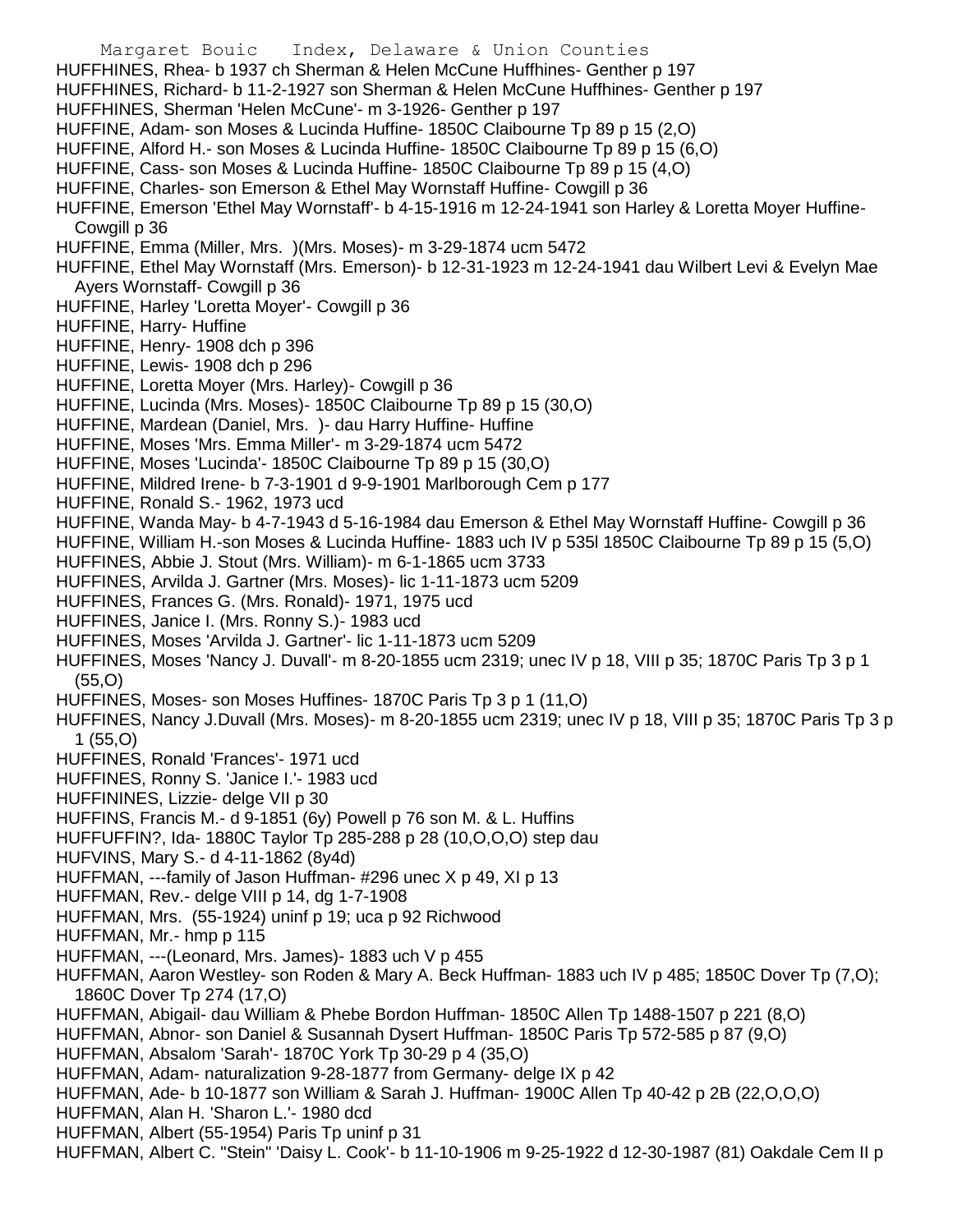- Margaret Bouic Index, Delaware & Union Counties
- HUFFHINES, Rhea- b 1937 ch Sherman & Helen McCune Huffhines- Genther p 197
- HUFFHINES, Richard- b 11-2-1927 son Sherman & Helen McCune Huffhines- Genther p 197
- HUFFHINES, Sherman 'Helen McCune'- m 3-1926- Genther p 197
- HUFFINE, Adam- son Moses & Lucinda Huffine- 1850C Claibourne Tp 89 p 15 (2,O)
- HUFFINE, Alford H.- son Moses & Lucinda Huffine- 1850C Claibourne Tp 89 p 15 (6,O)
- HUFFINE, Cass- son Moses & Lucinda Huffine- 1850C Claibourne Tp 89 p 15 (4,O)
- HUFFINE, Charles- son Emerson & Ethel May Wornstaff Huffine- Cowgill p 36
- HUFFINE, Emerson 'Ethel May Wornstaff'- b 4-15-1916 m 12-24-1941 son Harley & Loretta Moyer Huffine-Cowgill p 36
- HUFFINE, Emma (Miller, Mrs. )(Mrs. Moses)- m 3-29-1874 ucm 5472
- HUFFINE, Ethel May Wornstaff (Mrs. Emerson)- b 12-31-1923 m 12-24-1941 dau Wilbert Levi & Evelyn Mae Avers Wornstaff- Cowgill p 36
- HUFFINE, Harley 'Loretta Moyer'- Cowgill p 36
- HUFFINE, Harry- Huffine
- HUFFINE, Henry- 1908 dch p 396
- HUFFINE, Lewis- 1908 dch p 296
- HUFFINE, Loretta Moyer (Mrs. Harley)- Cowgill p 36
- HUFFINE, Lucinda (Mrs. Moses)- 1850C Claibourne Tp 89 p 15 (30,O)
- HUFFINE, Mardean (Daniel, Mrs. )- dau Harry Huffine- Huffine
- HUFFINE, Moses 'Mrs. Emma Miller'- m 3-29-1874 ucm 5472
- HUFFINE, Moses 'Lucinda'- 1850C Claibourne Tp 89 p 15 (30,O)
- HUFFINE, Mildred Irene- b 7-3-1901 d 9-9-1901 Marlborough Cem p 177
- HUFFINE, Ronald S.- 1962, 1973 ucd
- HUFFINE, Wanda May- b 4-7-1943 d 5-16-1984 dau Emerson & Ethel May Wornstaff Huffine- Cowgill p 36
- HUFFINE, William H.-son Moses & Lucinda Huffine- 1883 uch IV p 535l 1850C Claibourne Tp 89 p 15 (5,O)
- HUFFINES, Abbie J. Stout (Mrs. William)- m 6-1-1865 ucm 3733
- HUFFINES, Arvilda J. Gartner (Mrs. Moses)- lic 1-11-1873 ucm 5209
- HUFFINES, Frances G. (Mrs. Ronald)- 1971, 1975 ucd
- HUFFINES, Janice I. (Mrs. Ronny S.)- 1983 ucd
- HUFFINES, Moses 'Arvilda J. Gartner'- lic 1-11-1873 ucm 5209
- HUFFINES, Moses 'Nancy J. Duvall'- m 8-20-1855 ucm 2319; unec IV p 18, VIII p 35; 1870C Paris Tp 3 p 1 (55,O)
- HUFFINES, Moses- son Moses Huffines- 1870C Paris Tp 3 p 1 (11,O)
- HUFFINES, Nancy J.Duvall (Mrs. Moses)- m 8-20-1855 ucm 2319; unec IV p 18, VIII p 35; 1870C Paris Tp 3 p 1 (55,O)
- HUFFINES, Ronald 'Frances'- 1971 ucd
- HUFFINES, Ronny S. 'Janice I.'- 1983 ucd
- HUFFININES, Lizzie- delge VII p 30
- HUFFINS, Francis M.- d 9-1851 (6y) Powell p 76 son M. & L. Huffins
- HUFFUFFIN?, Ida- 1880C Taylor Tp 285-288 p 28 (10,O,O,O) step dau
- HUFVINS, Mary S.- d 4-11-1862 (8y4d)
- HUFFMAN, ---family of Jason Huffman- #296 unec X p 49, XI p 13
- HUFFMAN, Rev.- delge VIII p 14, dg 1-7-1908
- HUFFMAN, Mrs. (55-1924) uninf p 19; uca p 92 Richwood
- HUFFMAN, Mr.- hmp p 115
- HUFFMAN, ---(Leonard, Mrs. James)- 1883 uch V p 455
- HUFFMAN, Aaron Westley- son Roden & Mary A. Beck Huffman- 1883 uch IV p 485; 1850C Dover Tp (7,O); 1860C Dover Tp 274 (17,O)
- HUFFMAN, Abigail- dau William & Phebe Bordon Huffman- 1850C Allen Tp 1488-1507 p 221 (8,O)
- HUFFMAN, Abnor- son Daniel & Susannah Dysert Huffman- 1850C Paris Tp 572-585 p 87 (9,O)
- HUFFMAN, Absalom 'Sarah'- 1870C York Tp 30-29 p 4 (35,O)
- HUFFMAN, Adam- naturalization 9-28-1877 from Germany- delge IX p 42
- HUFFMAN, Ade- b 10-1877 son William & Sarah J. Huffman- 1900C Allen Tp 40-42 p 2B (22,O,O,O)
- HUFFMAN, Alan H. 'Sharon L.'- 1980 dcd
- HUFFMAN, Albert (55-1954) Paris Tp uninf p 31
- HUFFMAN, Albert C. "Stein" 'Daisy L. Cook'- b 11-10-1906 m 9-25-1922 d 12-30-1987 (81) Oakdale Cem II p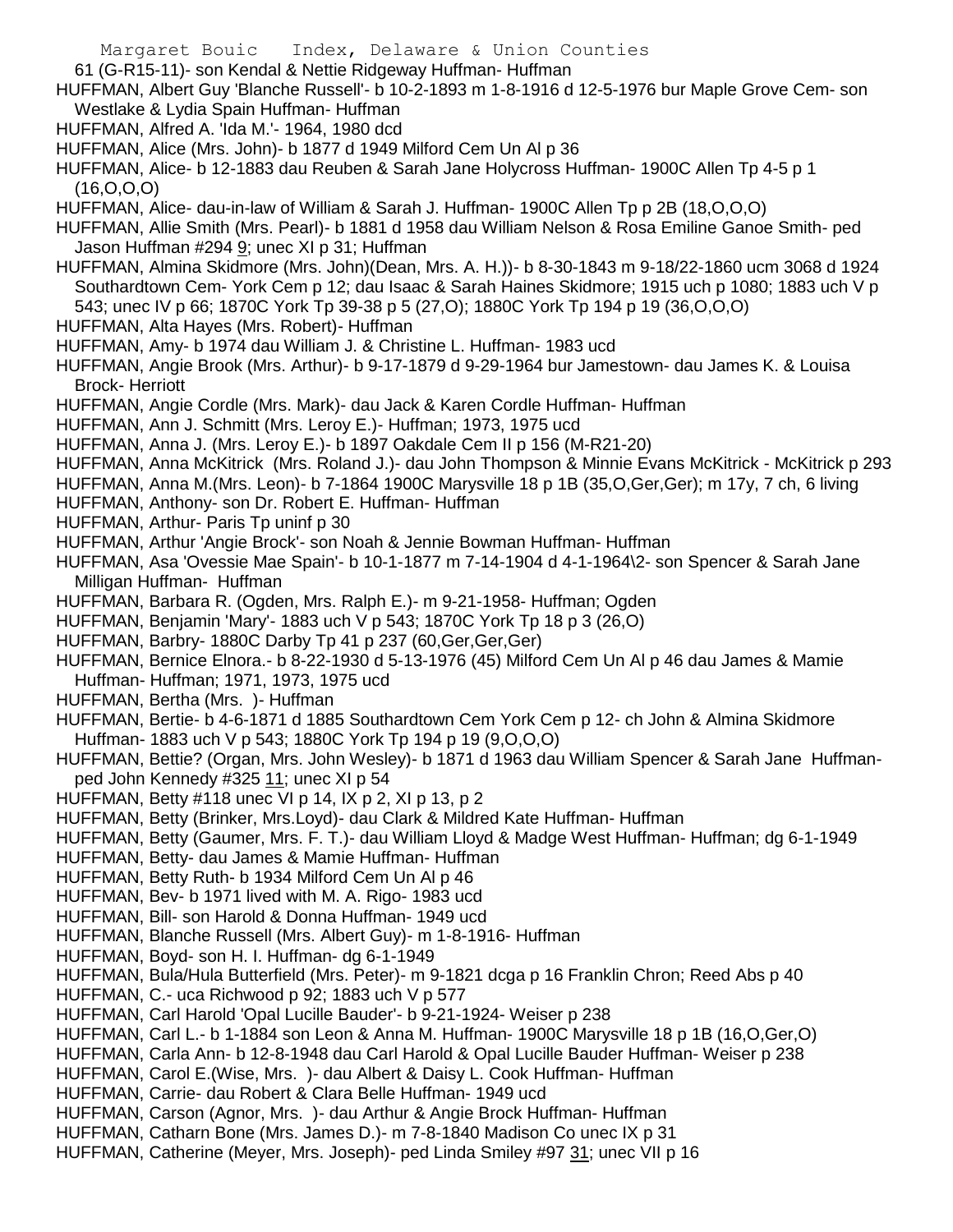- 61 (G-R15-11)- son Kendal & Nettie Ridgeway Huffman- Huffman
- HUFFMAN, Albert Guy 'Blanche Russell'- b 10-2-1893 m 1-8-1916 d 12-5-1976 bur Maple Grove Cem- son Westlake & Lydia Spain Huffman- Huffman
- HUFFMAN, Alfred A. 'Ida M.'- 1964, 1980 dcd
- HUFFMAN, Alice (Mrs. John)- b 1877 d 1949 Milford Cem Un Al p 36
- HUFFMAN, Alice- b 12-1883 dau Reuben & Sarah Jane Holycross Huffman- 1900C Allen Tp 4-5 p 1 (16,O,O,O)
- HUFFMAN, Alice- dau-in-law of William & Sarah J. Huffman- 1900C Allen Tp p 2B (18,O,O,O)
- HUFFMAN, Allie Smith (Mrs. Pearl)- b 1881 d 1958 dau William Nelson & Rosa Emiline Ganoe Smith- ped Jason Huffman #294 9; unec XI p 31; Huffman
- HUFFMAN, Almina Skidmore (Mrs. John)(Dean, Mrs. A. H.))- b 8-30-1843 m 9-18/22-1860 ucm 3068 d 1924 Southardtown Cem- York Cem p 12; dau Isaac & Sarah Haines Skidmore; 1915 uch p 1080; 1883 uch V p 543; unec IV p 66; 1870C York Tp 39-38 p 5 (27,O); 1880C York Tp 194 p 19 (36,O,O,O)
- HUFFMAN, Alta Hayes (Mrs. Robert)- Huffman
- HUFFMAN, Amy- b 1974 dau William J. & Christine L. Huffman- 1983 ucd
- HUFFMAN, Angie Brook (Mrs. Arthur)- b 9-17-1879 d 9-29-1964 bur Jamestown- dau James K. & Louisa Brock- Herriott
- HUFFMAN, Angie Cordle (Mrs. Mark)- dau Jack & Karen Cordle Huffman- Huffman
- HUFFMAN, Ann J. Schmitt (Mrs. Leroy E.)- Huffman; 1973, 1975 ucd
- HUFFMAN, Anna J. (Mrs. Leroy E.)- b 1897 Oakdale Cem II p 156 (M-R21-20)
- HUFFMAN, Anna McKitrick (Mrs. Roland J.)- dau John Thompson & Minnie Evans McKitrick McKitrick p 293
- HUFFMAN, Anna M.(Mrs. Leon)- b 7-1864 1900C Marysville 18 p 1B (35,O,Ger,Ger); m 17y, 7 ch, 6 living
- HUFFMAN, Anthony- son Dr. Robert E. Huffman- Huffman
- HUFFMAN, Arthur- Paris Tp uninf p 30
- HUFFMAN, Arthur 'Angie Brock'- son Noah & Jennie Bowman Huffman- Huffman
- HUFFMAN, Asa 'Ovessie Mae Spain'- b 10-1-1877 m 7-14-1904 d 4-1-1964\2- son Spencer & Sarah Jane Milligan Huffman- Huffman
- HUFFMAN, Barbara R. (Ogden, Mrs. Ralph E.)- m 9-21-1958- Huffman; Ogden
- HUFFMAN, Benjamin 'Mary'- 1883 uch V p 543; 1870C York Tp 18 p 3 (26,O)
- HUFFMAN, Barbry- 1880C Darby Tp 41 p 237 (60,Ger,Ger,Ger)
- HUFFMAN, Bernice Elnora.- b 8-22-1930 d 5-13-1976 (45) Milford Cem Un Al p 46 dau James & Mamie
- Huffman- Huffman; 1971, 1973, 1975 ucd
- HUFFMAN, Bertha (Mrs. )- Huffman
- HUFFMAN, Bertie- b 4-6-1871 d 1885 Southardtown Cem York Cem p 12- ch John & Almina Skidmore Huffman- 1883 uch V p 543; 1880C York Tp 194 p 19 (9,O,O,O)
- HUFFMAN, Bettie? (Organ, Mrs. John Wesley)- b 1871 d 1963 dau William Spencer & Sarah Jane Huffmanped John Kennedy #325 11; unec XI p 54
- HUFFMAN, Betty #118 unec VI p 14, IX p 2, XI p 13, p 2
- HUFFMAN, Betty (Brinker, Mrs.Loyd)- dau Clark & Mildred Kate Huffman- Huffman
- HUFFMAN, Betty (Gaumer, Mrs. F. T.)- dau William Lloyd & Madge West Huffman- Huffman; dg 6-1-1949
- HUFFMAN, Betty- dau James & Mamie Huffman- Huffman
- HUFFMAN, Betty Ruth- b 1934 Milford Cem Un Al p 46
- HUFFMAN, Bev- b 1971 lived with M. A. Rigo- 1983 ucd
- HUFFMAN, Bill- son Harold & Donna Huffman- 1949 ucd
- HUFFMAN, Blanche Russell (Mrs. Albert Guy)- m 1-8-1916- Huffman
- HUFFMAN, Boyd- son H. I. Huffman- dg 6-1-1949
- HUFFMAN, Bula/Hula Butterfield (Mrs. Peter)- m 9-1821 dcga p 16 Franklin Chron; Reed Abs p 40
- HUFFMAN, C.- uca Richwood p 92; 1883 uch V p 577
- HUFFMAN, Carl Harold 'Opal Lucille Bauder'- b 9-21-1924- Weiser p 238
- HUFFMAN, Carl L.- b 1-1884 son Leon & Anna M. Huffman- 1900C Marysville 18 p 1B (16,O,Ger,O)
- HUFFMAN, Carla Ann- b 12-8-1948 dau Carl Harold & Opal Lucille Bauder Huffman- Weiser p 238
- HUFFMAN, Carol E.(Wise, Mrs. )- dau Albert & Daisy L. Cook Huffman- Huffman
- HUFFMAN, Carrie- dau Robert & Clara Belle Huffman- 1949 ucd
- HUFFMAN, Carson (Agnor, Mrs. )- dau Arthur & Angie Brock Huffman- Huffman
- HUFFMAN, Catharn Bone (Mrs. James D.)- m 7-8-1840 Madison Co unec IX p 31
- HUFFMAN, Catherine (Meyer, Mrs. Joseph)- ped Linda Smiley #97 31; unec VII p 16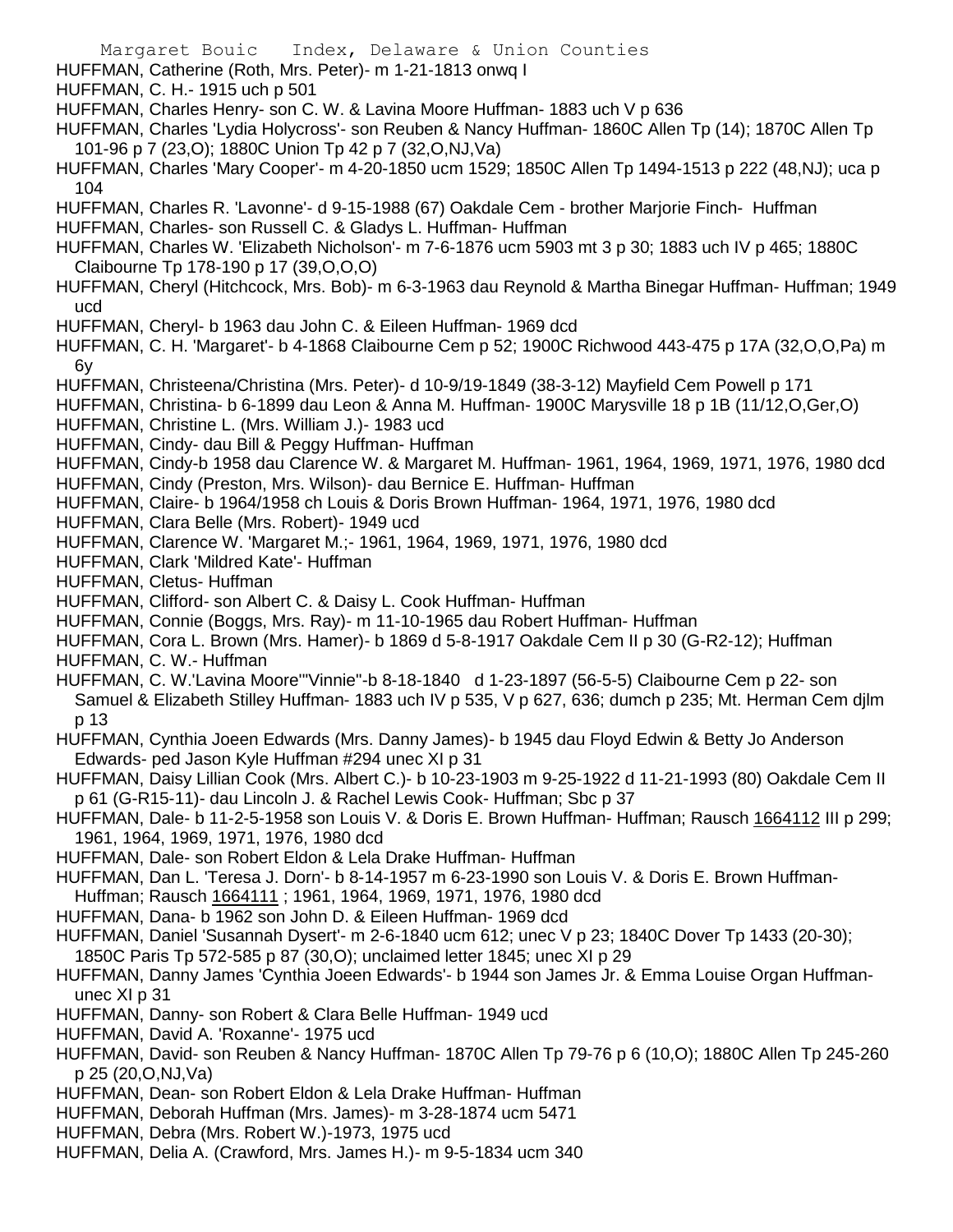- Margaret Bouic Index, Delaware & Union Counties
- HUFFMAN, Catherine (Roth, Mrs. Peter)- m 1-21-1813 onwq I
- HUFFMAN, C. H.- 1915 uch p 501
- HUFFMAN, Charles Henry- son C. W. & Lavina Moore Huffman- 1883 uch V p 636
- HUFFMAN, Charles 'Lydia Holycross'- son Reuben & Nancy Huffman- 1860C Allen Tp (14); 1870C Allen Tp 101-96 p 7 (23,O); 1880C Union Tp 42 p 7 (32,O,NJ,Va)
- HUFFMAN, Charles 'Mary Cooper'- m 4-20-1850 ucm 1529; 1850C Allen Tp 1494-1513 p 222 (48,NJ); uca p 104
- HUFFMAN, Charles R. 'Lavonne'- d 9-15-1988 (67) Oakdale Cem brother Marjorie Finch- Huffman
- HUFFMAN, Charles- son Russell C. & Gladys L. Huffman- Huffman
- HUFFMAN, Charles W. 'Elizabeth Nicholson'- m 7-6-1876 ucm 5903 mt 3 p 30; 1883 uch IV p 465; 1880C Claibourne Tp 178-190 p 17 (39,O,O,O)
- HUFFMAN, Cheryl (Hitchcock, Mrs. Bob)- m 6-3-1963 dau Reynold & Martha Binegar Huffman- Huffman; 1949 ucd
- HUFFMAN, Cheryl- b 1963 dau John C. & Eileen Huffman- 1969 dcd
- HUFFMAN, C. H. 'Margaret'- b 4-1868 Claibourne Cem p 52; 1900C Richwood 443-475 p 17A (32,O,O,Pa) m 6y
- HUFFMAN, Christeena/Christina (Mrs. Peter)- d 10-9/19-1849 (38-3-12) Mayfield Cem Powell p 171
- HUFFMAN, Christina- b 6-1899 dau Leon & Anna M. Huffman- 1900C Marysville 18 p 1B (11/12,O,Ger,O)
- HUFFMAN, Christine L. (Mrs. William J.)- 1983 ucd
- HUFFMAN, Cindy- dau Bill & Peggy Huffman- Huffman
- HUFFMAN, Cindy-b 1958 dau Clarence W. & Margaret M. Huffman- 1961, 1964, 1969, 1971, 1976, 1980 dcd
- HUFFMAN, Cindy (Preston, Mrs. Wilson)- dau Bernice E. Huffman- Huffman
- HUFFMAN, Claire- b 1964/1958 ch Louis & Doris Brown Huffman- 1964, 1971, 1976, 1980 dcd
- HUFFMAN, Clara Belle (Mrs. Robert)- 1949 ucd
- HUFFMAN, Clarence W. 'Margaret M.;- 1961, 1964, 1969, 1971, 1976, 1980 dcd
- HUFFMAN, Clark 'Mildred Kate'- Huffman
- HUFFMAN, Cletus- Huffman
- HUFFMAN, Clifford- son Albert C. & Daisy L. Cook Huffman- Huffman
- HUFFMAN, Connie (Boggs, Mrs. Ray)- m 11-10-1965 dau Robert Huffman- Huffman
- HUFFMAN, Cora L. Brown (Mrs. Hamer)- b 1869 d 5-8-1917 Oakdale Cem II p 30 (G-R2-12); Huffman
- HUFFMAN, C. W.- Huffman
- HUFFMAN, C. W.'Lavina Moore'"Vinnie"-b 8-18-1840 d 1-23-1897 (56-5-5) Claibourne Cem p 22- son Samuel & Elizabeth Stilley Huffman- 1883 uch IV p 535, V p 627, 636; dumch p 235; Mt. Herman Cem djlm p 13
- HUFFMAN, Cynthia Joeen Edwards (Mrs. Danny James)- b 1945 dau Floyd Edwin & Betty Jo Anderson Edwards- ped Jason Kyle Huffman #294 unec XI p 31
- HUFFMAN, Daisy Lillian Cook (Mrs. Albert C.)- b 10-23-1903 m 9-25-1922 d 11-21-1993 (80) Oakdale Cem II p 61 (G-R15-11)- dau Lincoln J. & Rachel Lewis Cook- Huffman; Sbc p 37
- HUFFMAN, Dale- b 11-2-5-1958 son Louis V. & Doris E. Brown Huffman- Huffman; Rausch 1664112 III p 299; 1961, 1964, 1969, 1971, 1976, 1980 dcd
- HUFFMAN, Dale- son Robert Eldon & Lela Drake Huffman- Huffman
- HUFFMAN, Dan L. 'Teresa J. Dorn'- b 8-14-1957 m 6-23-1990 son Louis V. & Doris E. Brown Huffman-Huffman; Rausch 1664111 ; 1961, 1964, 1969, 1971, 1976, 1980 dcd
- HUFFMAN, Dana- b 1962 son John D. & Eileen Huffman- 1969 dcd
- HUFFMAN, Daniel 'Susannah Dysert'- m 2-6-1840 ucm 612; unec V p 23; 1840C Dover Tp 1433 (20-30); 1850C Paris Tp 572-585 p 87 (30,O); unclaimed letter 1845; unec XI p 29
- HUFFMAN, Danny James 'Cynthia Joeen Edwards'- b 1944 son James Jr. & Emma Louise Organ Huffmanunec XI p 31
- HUFFMAN, Danny- son Robert & Clara Belle Huffman- 1949 ucd
- HUFFMAN, David A. 'Roxanne'- 1975 ucd
- HUFFMAN, David- son Reuben & Nancy Huffman- 1870C Allen Tp 79-76 p 6 (10,O); 1880C Allen Tp 245-260 p 25 (20,O,NJ,Va)
- HUFFMAN, Dean- son Robert Eldon & Lela Drake Huffman- Huffman
- HUFFMAN, Deborah Huffman (Mrs. James)- m 3-28-1874 ucm 5471
- HUFFMAN, Debra (Mrs. Robert W.)-1973, 1975 ucd
- HUFFMAN, Delia A. (Crawford, Mrs. James H.)- m 9-5-1834 ucm 340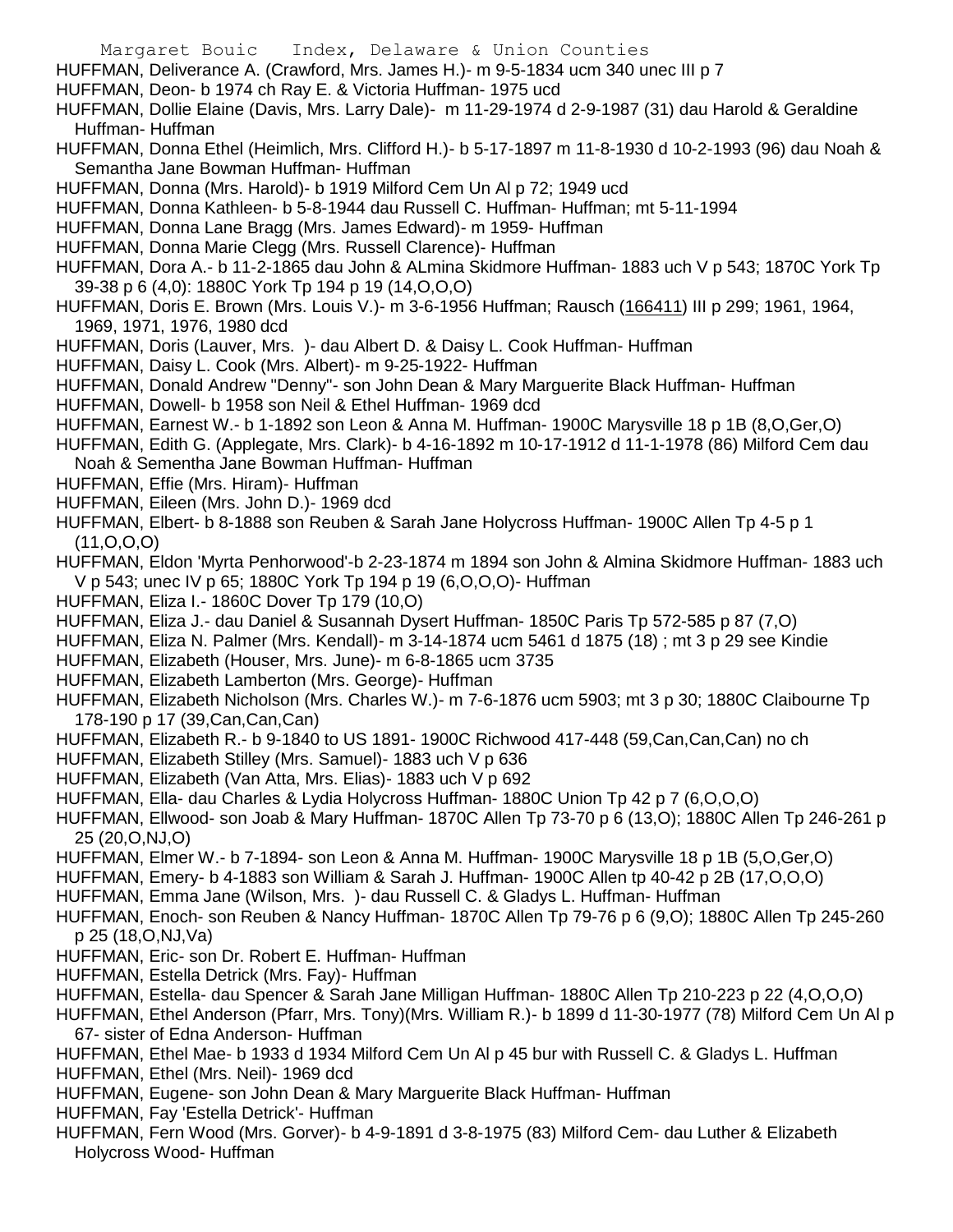- Margaret Bouic Index, Delaware & Union Counties
- HUFFMAN, Deliverance A. (Crawford, Mrs. James H.)- m 9-5-1834 ucm 340 unec III p 7
- HUFFMAN, Deon- b 1974 ch Ray E. & Victoria Huffman- 1975 ucd
- HUFFMAN, Dollie Elaine (Davis, Mrs. Larry Dale)- m 11-29-1974 d 2-9-1987 (31) dau Harold & Geraldine Huffman- Huffman
- HUFFMAN, Donna Ethel (Heimlich, Mrs. Clifford H.)- b 5-17-1897 m 11-8-1930 d 10-2-1993 (96) dau Noah & Semantha Jane Bowman Huffman- Huffman
- HUFFMAN, Donna (Mrs. Harold)- b 1919 Milford Cem Un Al p 72; 1949 ucd
- HUFFMAN, Donna Kathleen- b 5-8-1944 dau Russell C. Huffman- Huffman; mt 5-11-1994
- HUFFMAN, Donna Lane Bragg (Mrs. James Edward)- m 1959- Huffman
- HUFFMAN, Donna Marie Clegg (Mrs. Russell Clarence)- Huffman
- HUFFMAN, Dora A.- b 11-2-1865 dau John & ALmina Skidmore Huffman- 1883 uch V p 543; 1870C York Tp 39-38 p 6 (4,0): 1880C York Tp 194 p 19 (14,O,O,O)
- HUFFMAN, Doris E. Brown (Mrs. Louis V.)- m 3-6-1956 Huffman; Rausch (166411) III p 299; 1961, 1964, 1969, 1971, 1976, 1980 dcd
- HUFFMAN, Doris (Lauver, Mrs. )- dau Albert D. & Daisy L. Cook Huffman- Huffman
- HUFFMAN, Daisy L. Cook (Mrs. Albert)- m 9-25-1922- Huffman
- HUFFMAN, Donald Andrew "Denny"- son John Dean & Mary Marguerite Black Huffman- Huffman
- HUFFMAN, Dowell- b 1958 son Neil & Ethel Huffman- 1969 dcd
- HUFFMAN, Earnest W.- b 1-1892 son Leon & Anna M. Huffman- 1900C Marysville 18 p 1B (8,O,Ger,O)
- HUFFMAN, Edith G. (Applegate, Mrs. Clark)- b 4-16-1892 m 10-17-1912 d 11-1-1978 (86) Milford Cem dau Noah & Sementha Jane Bowman Huffman- Huffman
- HUFFMAN, Effie (Mrs. Hiram)- Huffman
- HUFFMAN, Eileen (Mrs. John D.)- 1969 dcd
- HUFFMAN, Elbert- b 8-1888 son Reuben & Sarah Jane Holycross Huffman- 1900C Allen Tp 4-5 p 1 (11,O,O,O)
- HUFFMAN, Eldon 'Myrta Penhorwood'-b 2-23-1874 m 1894 son John & Almina Skidmore Huffman- 1883 uch V p 543; unec IV p 65; 1880C York Tp 194 p 19 (6,O,O,O)- Huffman
- HUFFMAN, Eliza I.- 1860C Dover Tp 179 (10,O)
- HUFFMAN, Eliza J.- dau Daniel & Susannah Dysert Huffman- 1850C Paris Tp 572-585 p 87 (7,O)
- HUFFMAN, Eliza N. Palmer (Mrs. Kendall)- m 3-14-1874 ucm 5461 d 1875 (18) ; mt 3 p 29 see Kindie
- HUFFMAN, Elizabeth (Houser, Mrs. June)- m 6-8-1865 ucm 3735
- HUFFMAN, Elizabeth Lamberton (Mrs. George)- Huffman
- HUFFMAN, Elizabeth Nicholson (Mrs. Charles W.)- m 7-6-1876 ucm 5903; mt 3 p 30; 1880C Claibourne Tp 178-190 p 17 (39,Can,Can,Can)
- HUFFMAN, Elizabeth R.- b 9-1840 to US 1891- 1900C Richwood 417-448 (59,Can,Can,Can) no ch
- HUFFMAN, Elizabeth Stilley (Mrs. Samuel)- 1883 uch V p 636
- HUFFMAN, Elizabeth (Van Atta, Mrs. Elias)- 1883 uch V p 692
- HUFFMAN, Ella- dau Charles & Lydia Holycross Huffman- 1880C Union Tp 42 p 7 (6,O,O,O)
- HUFFMAN, Ellwood- son Joab & Mary Huffman- 1870C Allen Tp 73-70 p 6 (13,O); 1880C Allen Tp 246-261 p 25 (20,O,NJ,O)
- HUFFMAN, Elmer W.- b 7-1894- son Leon & Anna M. Huffman- 1900C Marysville 18 p 1B (5,O,Ger,O)
- HUFFMAN, Emery- b 4-1883 son William & Sarah J. Huffman- 1900C Allen tp 40-42 p 2B (17,O,O,O)
- HUFFMAN, Emma Jane (Wilson, Mrs. )- dau Russell C. & Gladys L. Huffman- Huffman
- HUFFMAN, Enoch- son Reuben & Nancy Huffman- 1870C Allen Tp 79-76 p 6 (9,O); 1880C Allen Tp 245-260 p 25 (18,O,NJ,Va)
- HUFFMAN, Eric- son Dr. Robert E. Huffman- Huffman
- HUFFMAN, Estella Detrick (Mrs. Fay)- Huffman
- HUFFMAN, Estella- dau Spencer & Sarah Jane Milligan Huffman- 1880C Allen Tp 210-223 p 22 (4,O,O,O)
- HUFFMAN, Ethel Anderson (Pfarr, Mrs. Tony)(Mrs. William R.)- b 1899 d 11-30-1977 (78) Milford Cem Un Al p 67- sister of Edna Anderson- Huffman
- HUFFMAN, Ethel Mae- b 1933 d 1934 Milford Cem Un Al p 45 bur with Russell C. & Gladys L. Huffman
- HUFFMAN, Ethel (Mrs. Neil)- 1969 dcd
- HUFFMAN, Eugene- son John Dean & Mary Marguerite Black Huffman- Huffman
- HUFFMAN, Fay 'Estella Detrick'- Huffman
- HUFFMAN, Fern Wood (Mrs. Gorver)- b 4-9-1891 d 3-8-1975 (83) Milford Cem- dau Luther & Elizabeth Holycross Wood- Huffman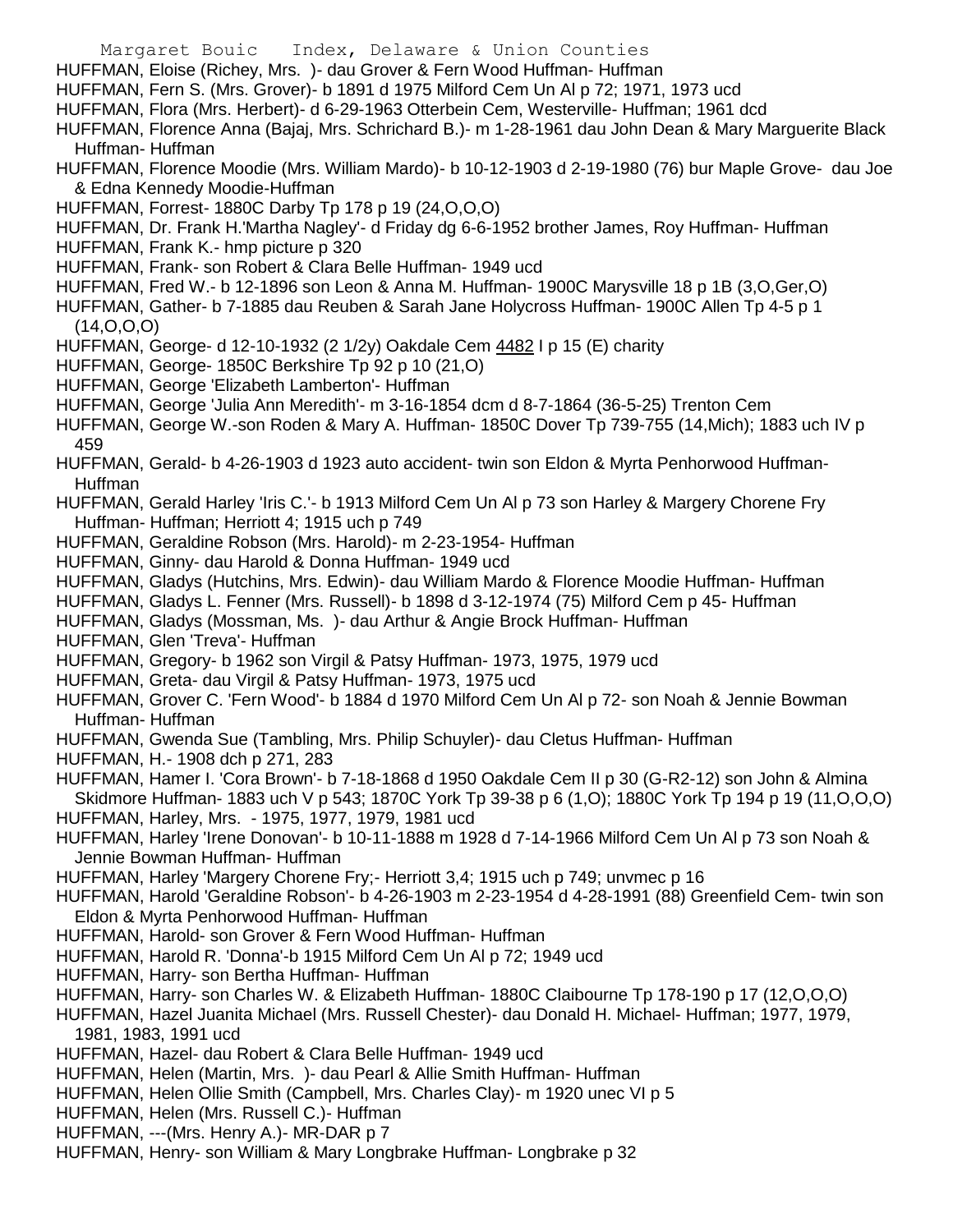- Margaret Bouic Index, Delaware & Union Counties HUFFMAN, Eloise (Richey, Mrs. )- dau Grover & Fern Wood Huffman- Huffman HUFFMAN, Fern S. (Mrs. Grover)- b 1891 d 1975 Milford Cem Un Al p 72; 1971, 1973 ucd HUFFMAN, Flora (Mrs. Herbert)- d 6-29-1963 Otterbein Cem, Westerville- Huffman; 1961 dcd HUFFMAN, Florence Anna (Bajaj, Mrs. Schrichard B.)- m 1-28-1961 dau John Dean & Mary Marguerite Black Huffman- Huffman HUFFMAN, Florence Moodie (Mrs. William Mardo)- b 10-12-1903 d 2-19-1980 (76) bur Maple Grove- dau Joe & Edna Kennedy Moodie-Huffman HUFFMAN, Forrest- 1880C Darby Tp 178 p 19 (24,O,O,O) HUFFMAN, Dr. Frank H.'Martha Nagley'- d Friday dg 6-6-1952 brother James, Roy Huffman- Huffman HUFFMAN, Frank K.- hmp picture p 320 HUFFMAN, Frank- son Robert & Clara Belle Huffman- 1949 ucd HUFFMAN, Fred W.- b 12-1896 son Leon & Anna M. Huffman- 1900C Marysville 18 p 1B (3,O,Ger,O) HUFFMAN, Gather- b 7-1885 dau Reuben & Sarah Jane Holycross Huffman- 1900C Allen Tp 4-5 p 1 (14,O,O,O) HUFFMAN, George- d 12-10-1932 (2 1/2y) Oakdale Cem 4482 I p 15 (E) charity HUFFMAN, George- 1850C Berkshire Tp 92 p 10 (21,O) HUFFMAN, George 'Elizabeth Lamberton'- Huffman HUFFMAN, George 'Julia Ann Meredith'- m 3-16-1854 dcm d 8-7-1864 (36-5-25) Trenton Cem HUFFMAN, George W.-son Roden & Mary A. Huffman- 1850C Dover Tp 739-755 (14,Mich); 1883 uch IV p 459 HUFFMAN, Gerald- b 4-26-1903 d 1923 auto accident- twin son Eldon & Myrta Penhorwood Huffman-Huffman HUFFMAN, Gerald Harley 'Iris C.'- b 1913 Milford Cem Un Al p 73 son Harley & Margery Chorene Fry Huffman- Huffman; Herriott 4; 1915 uch p 749 HUFFMAN, Geraldine Robson (Mrs. Harold)- m 2-23-1954- Huffman HUFFMAN, Ginny- dau Harold & Donna Huffman- 1949 ucd HUFFMAN, Gladys (Hutchins, Mrs. Edwin)- dau William Mardo & Florence Moodie Huffman- Huffman HUFFMAN, Gladys L. Fenner (Mrs. Russell)- b 1898 d 3-12-1974 (75) Milford Cem p 45- Huffman HUFFMAN, Gladys (Mossman, Ms. )- dau Arthur & Angie Brock Huffman- Huffman
	- HUFFMAN, Glen 'Treva'- Huffman
	- HUFFMAN, Gregory- b 1962 son Virgil & Patsy Huffman- 1973, 1975, 1979 ucd
	- HUFFMAN, Greta- dau Virgil & Patsy Huffman- 1973, 1975 ucd
	- HUFFMAN, Grover C. 'Fern Wood'- b 1884 d 1970 Milford Cem Un Al p 72- son Noah & Jennie Bowman Huffman- Huffman
	- HUFFMAN, Gwenda Sue (Tambling, Mrs. Philip Schuyler)- dau Cletus Huffman- Huffman
	- HUFFMAN, H.- 1908 dch p 271, 283
	- HUFFMAN, Hamer I. 'Cora Brown'- b 7-18-1868 d 1950 Oakdale Cem II p 30 (G-R2-12) son John & Almina Skidmore Huffman- 1883 uch V p 543; 1870C York Tp 39-38 p 6 (1,O); 1880C York Tp 194 p 19 (11,O,O,O)
	- HUFFMAN, Harley, Mrs. 1975, 1977, 1979, 1981 ucd
	- HUFFMAN, Harley 'Irene Donovan'- b 10-11-1888 m 1928 d 7-14-1966 Milford Cem Un Al p 73 son Noah & Jennie Bowman Huffman- Huffman
	- HUFFMAN, Harley 'Margery Chorene Fry;- Herriott 3,4; 1915 uch p 749; unvmec p 16
	- HUFFMAN, Harold 'Geraldine Robson'- b 4-26-1903 m 2-23-1954 d 4-28-1991 (88) Greenfield Cem- twin son Eldon & Myrta Penhorwood Huffman- Huffman
	- HUFFMAN, Harold- son Grover & Fern Wood Huffman- Huffman
	- HUFFMAN, Harold R. 'Donna'-b 1915 Milford Cem Un Al p 72; 1949 ucd
	- HUFFMAN, Harry- son Bertha Huffman- Huffman
- HUFFMAN, Harry- son Charles W. & Elizabeth Huffman- 1880C Claibourne Tp 178-190 p 17 (12,O,O,O)
- HUFFMAN, Hazel Juanita Michael (Mrs. Russell Chester)- dau Donald H. Michael- Huffman; 1977, 1979, 1981, 1983, 1991 ucd
- HUFFMAN, Hazel- dau Robert & Clara Belle Huffman- 1949 ucd
- HUFFMAN, Helen (Martin, Mrs. )- dau Pearl & Allie Smith Huffman- Huffman
- HUFFMAN, Helen Ollie Smith (Campbell, Mrs. Charles Clay)- m 1920 unec VI p 5
- HUFFMAN, Helen (Mrs. Russell C.)- Huffman
- HUFFMAN, ---(Mrs. Henry A.)- MR-DAR p 7
- HUFFMAN, Henry- son William & Mary Longbrake Huffman- Longbrake p 32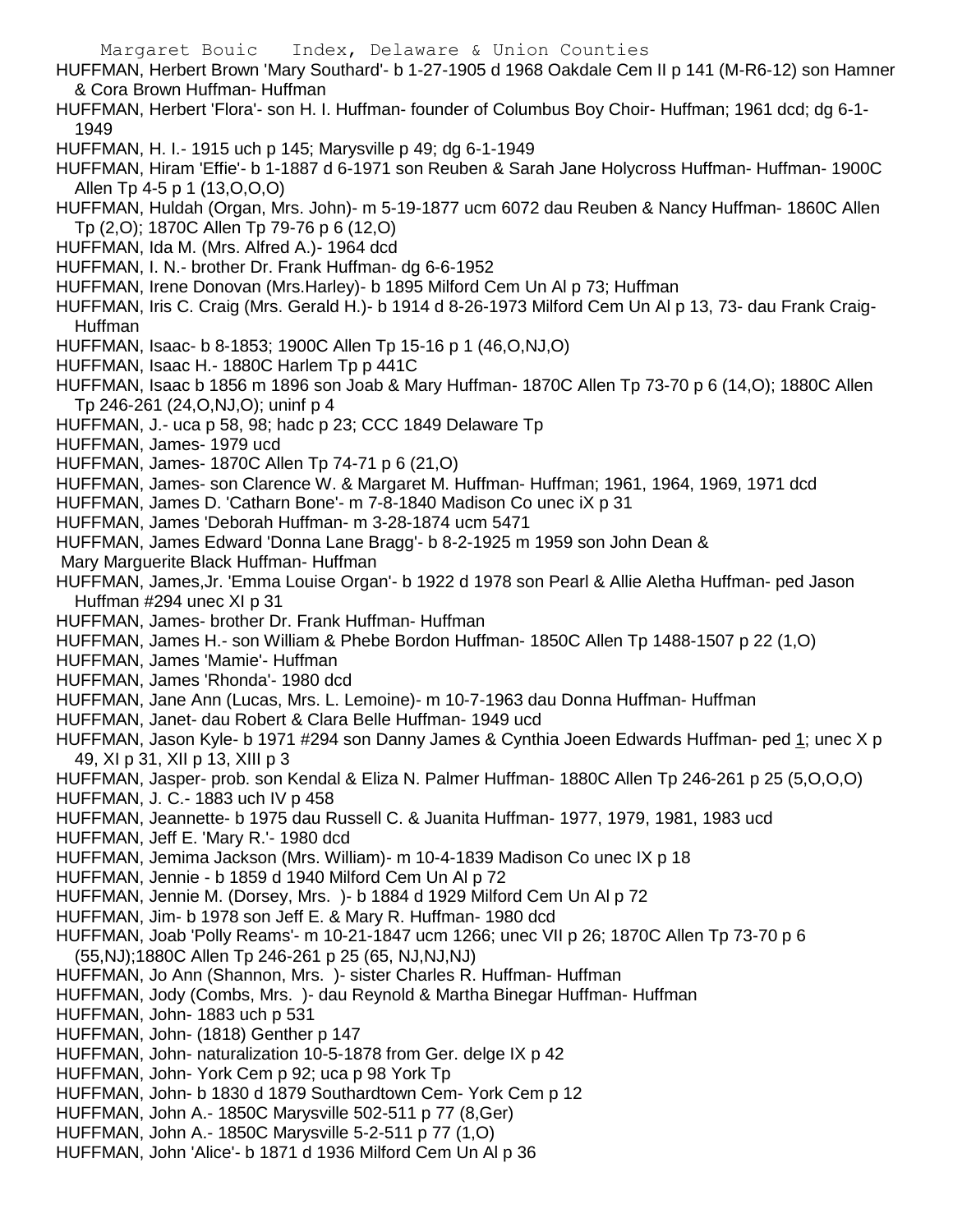HUFFMAN, Herbert Brown 'Mary Southard'- b 1-27-1905 d 1968 Oakdale Cem II p 141 (M-R6-12) son Hamner & Cora Brown Huffman- Huffman

HUFFMAN, Herbert 'Flora'- son H. I. Huffman- founder of Columbus Boy Choir- Huffman; 1961 dcd; dg 6-1- 1949

HUFFMAN, H. I.- 1915 uch p 145; Marysville p 49; dg 6-1-1949

- HUFFMAN, Hiram 'Effie'- b 1-1887 d 6-1971 son Reuben & Sarah Jane Holycross Huffman- Huffman- 1900C Allen Tp 4-5 p 1 (13,O,O,O)
- HUFFMAN, Huldah (Organ, Mrs. John)- m 5-19-1877 ucm 6072 dau Reuben & Nancy Huffman- 1860C Allen Tp (2,O); 1870C Allen Tp 79-76 p 6 (12,O)
- HUFFMAN, Ida M. (Mrs. Alfred A.)- 1964 dcd
- HUFFMAN, I. N.- brother Dr. Frank Huffman- dg 6-6-1952
- HUFFMAN, Irene Donovan (Mrs.Harley)- b 1895 Milford Cem Un Al p 73; Huffman
- HUFFMAN, Iris C. Craig (Mrs. Gerald H.)- b 1914 d 8-26-1973 Milford Cem Un Al p 13, 73- dau Frank Craig-Huffman
- HUFFMAN, Isaac- b 8-1853; 1900C Allen Tp 15-16 p 1 (46,O,NJ,O)
- HUFFMAN, Isaac H.- 1880C Harlem Tp p 441C
- HUFFMAN, Isaac b 1856 m 1896 son Joab & Mary Huffman- 1870C Allen Tp 73-70 p 6 (14,O); 1880C Allen Tp 246-261 (24,O,NJ,O); uninf p 4
- HUFFMAN, J.- uca p 58, 98; hadc p 23; CCC 1849 Delaware Tp
- HUFFMAN, James- 1979 ucd
- HUFFMAN, James- 1870C Allen Tp 74-71 p 6 (21,O)
- HUFFMAN, James- son Clarence W. & Margaret M. Huffman- Huffman; 1961, 1964, 1969, 1971 dcd
- HUFFMAN, James D. 'Catharn Bone'- m 7-8-1840 Madison Co unec iX p 31
- HUFFMAN, James 'Deborah Huffman- m 3-28-1874 ucm 5471
- HUFFMAN, James Edward 'Donna Lane Bragg'- b 8-2-1925 m 1959 son John Dean &
- Mary Marguerite Black Huffman- Huffman
- HUFFMAN, James,Jr. 'Emma Louise Organ'- b 1922 d 1978 son Pearl & Allie Aletha Huffman- ped Jason Huffman #294 unec XI p 31
- HUFFMAN, James- brother Dr. Frank Huffman- Huffman
- HUFFMAN, James H.- son William & Phebe Bordon Huffman- 1850C Allen Tp 1488-1507 p 22 (1,O)
- HUFFMAN, James 'Mamie'- Huffman
- HUFFMAN, James 'Rhonda'- 1980 dcd
- HUFFMAN, Jane Ann (Lucas, Mrs. L. Lemoine)- m 10-7-1963 dau Donna Huffman- Huffman
- HUFFMAN, Janet- dau Robert & Clara Belle Huffman- 1949 ucd
- HUFFMAN, Jason Kyle- b 1971 #294 son Danny James & Cynthia Joeen Edwards Huffman- ped 1; unec X p 49, XI p 31, XII p 13, XIII p 3
- HUFFMAN, Jasper- prob. son Kendal & Eliza N. Palmer Huffman- 1880C Allen Tp 246-261 p 25 (5,O,O,O)
- HUFFMAN, J. C.- 1883 uch IV p 458
- HUFFMAN, Jeannette- b 1975 dau Russell C. & Juanita Huffman- 1977, 1979, 1981, 1983 ucd
- HUFFMAN, Jeff E. 'Mary R.'- 1980 dcd
- HUFFMAN, Jemima Jackson (Mrs. William)- m 10-4-1839 Madison Co unec IX p 18
- HUFFMAN, Jennie b 1859 d 1940 Milford Cem Un Al p 72
- HUFFMAN, Jennie M. (Dorsey, Mrs. )- b 1884 d 1929 Milford Cem Un Al p 72
- HUFFMAN, Jim- b 1978 son Jeff E. & Mary R. Huffman- 1980 dcd
- HUFFMAN, Joab 'Polly Reams'- m 10-21-1847 ucm 1266; unec VII p 26; 1870C Allen Tp 73-70 p 6 (55,NJ);1880C Allen Tp 246-261 p 25 (65, NJ,NJ,NJ)
- HUFFMAN, Jo Ann (Shannon, Mrs. )- sister Charles R. Huffman- Huffman
- HUFFMAN, Jody (Combs, Mrs. )- dau Reynold & Martha Binegar Huffman- Huffman
- HUFFMAN, John- 1883 uch p 531
- HUFFMAN, John- (1818) Genther p 147
- HUFFMAN, John- naturalization 10-5-1878 from Ger, delge IX p 42
- HUFFMAN, John- York Cem p 92; uca p 98 York Tp
- HUFFMAN, John- b 1830 d 1879 Southardtown Cem- York Cem p 12
- HUFFMAN, John A.- 1850C Marysville 502-511 p 77 (8,Ger)
- HUFFMAN, John A.- 1850C Marysville 5-2-511 p 77 (1,O)
- HUFFMAN, John 'Alice'- b 1871 d 1936 Milford Cem Un Al p 36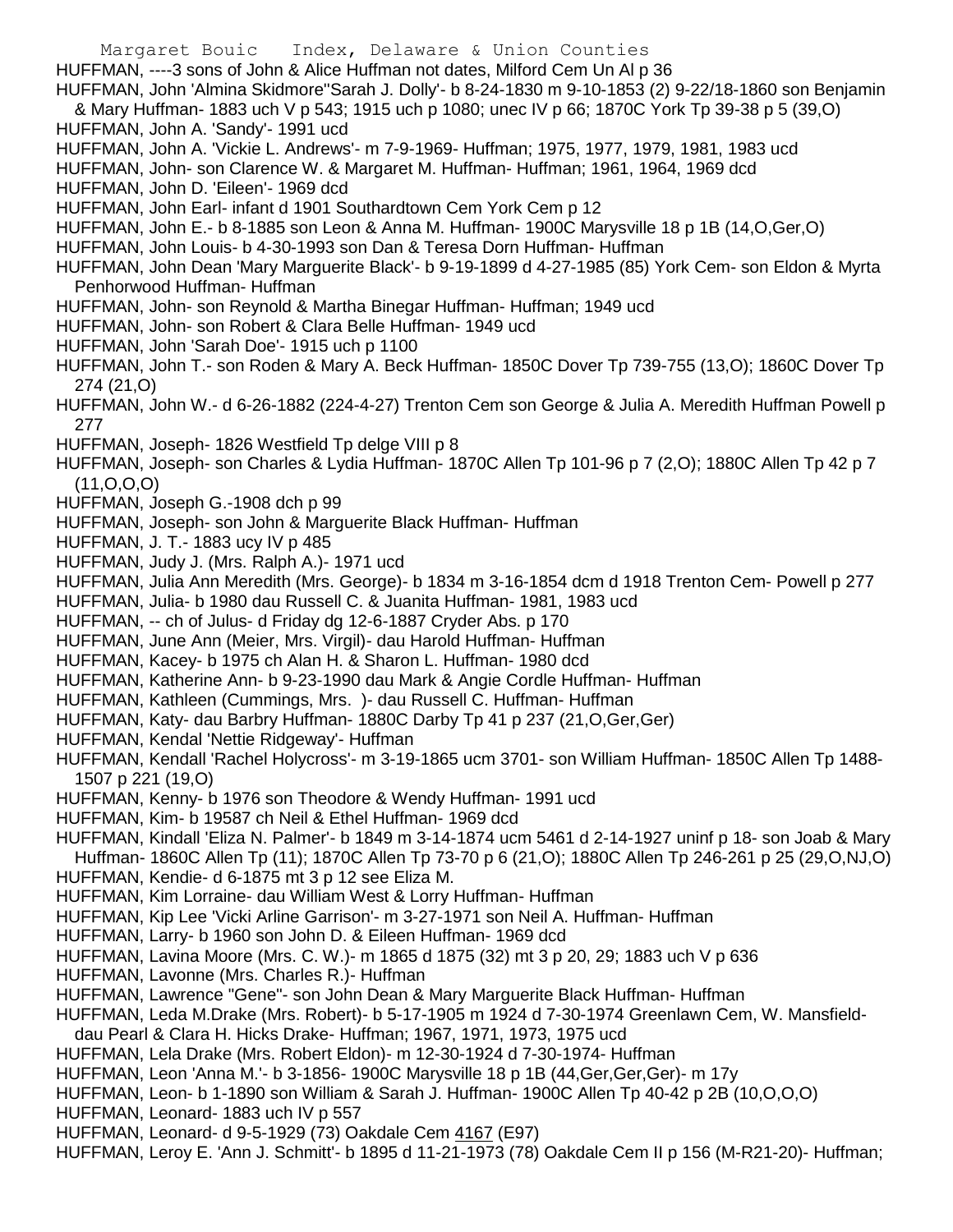HUFFMAN, ----3 sons of John & Alice Huffman not dates, Milford Cem Un Al p 36

HUFFMAN, John 'Almina Skidmore''Sarah J. Dolly'- b 8-24-1830 m 9-10-1853 (2) 9-22/18-1860 son Benjamin & Mary Huffman- 1883 uch V p 543; 1915 uch p 1080; unec IV p 66; 1870C York Tp 39-38 p 5 (39,O)

HUFFMAN, John A. 'Sandy'- 1991 ucd

HUFFMAN, John A. 'Vickie L. Andrews'- m 7-9-1969- Huffman; 1975, 1977, 1979, 1981, 1983 ucd

HUFFMAN, John- son Clarence W. & Margaret M. Huffman- Huffman; 1961, 1964, 1969 dcd

HUFFMAN, John D. 'Eileen'- 1969 dcd

HUFFMAN, John Earl- infant d 1901 Southardtown Cem York Cem p 12

HUFFMAN, John E.- b 8-1885 son Leon & Anna M. Huffman- 1900C Marysville 18 p 1B (14,O,Ger,O)

HUFFMAN, John Louis- b 4-30-1993 son Dan & Teresa Dorn Huffman- Huffman

HUFFMAN, John Dean 'Mary Marguerite Black'- b 9-19-1899 d 4-27-1985 (85) York Cem- son Eldon & Myrta Penhorwood Huffman- Huffman

- HUFFMAN, John- son Reynold & Martha Binegar Huffman- Huffman; 1949 ucd
- HUFFMAN, John- son Robert & Clara Belle Huffman- 1949 ucd
- HUFFMAN, John 'Sarah Doe'- 1915 uch p 1100
- HUFFMAN, John T.- son Roden & Mary A. Beck Huffman- 1850C Dover Tp 739-755 (13,O); 1860C Dover Tp 274 (21,O)
- HUFFMAN, John W.- d 6-26-1882 (224-4-27) Trenton Cem son George & Julia A. Meredith Huffman Powell p 277
- HUFFMAN, Joseph- 1826 Westfield Tp delge VIII p 8
- HUFFMAN, Joseph- son Charles & Lydia Huffman- 1870C Allen Tp 101-96 p 7 (2,O); 1880C Allen Tp 42 p 7 (11,O,O,O)
- HUFFMAN, Joseph G.-1908 dch p 99
- HUFFMAN, Joseph- son John & Marguerite Black Huffman- Huffman
- HUFFMAN, J. T.- 1883 ucy IV p 485
- HUFFMAN, Judy J. (Mrs. Ralph A.)- 1971 ucd
- HUFFMAN, Julia Ann Meredith (Mrs. George)- b 1834 m 3-16-1854 dcm d 1918 Trenton Cem- Powell p 277
- HUFFMAN, Julia- b 1980 dau Russell C. & Juanita Huffman- 1981, 1983 ucd
- HUFFMAN, -- ch of Julus- d Friday dg 12-6-1887 Cryder Abs. p 170
- HUFFMAN, June Ann (Meier, Mrs. Virgil)- dau Harold Huffman- Huffman
- HUFFMAN, Kacey- b 1975 ch Alan H. & Sharon L. Huffman- 1980 dcd
- HUFFMAN, Katherine Ann- b 9-23-1990 dau Mark & Angie Cordle Huffman- Huffman
- HUFFMAN, Kathleen (Cummings, Mrs. )- dau Russell C. Huffman- Huffman
- HUFFMAN, Katy- dau Barbry Huffman- 1880C Darby Tp 41 p 237 (21,O,Ger,Ger)

HUFFMAN, Kendal 'Nettie Ridgeway'- Huffman

- HUFFMAN, Kendall 'Rachel Holycross'- m 3-19-1865 ucm 3701- son William Huffman- 1850C Allen Tp 1488- 1507 p 221 (19,O)
- HUFFMAN, Kenny- b 1976 son Theodore & Wendy Huffman- 1991 ucd
- HUFFMAN, Kim- b 19587 ch Neil & Ethel Huffman- 1969 dcd
- HUFFMAN, Kindall 'Eliza N. Palmer'- b 1849 m 3-14-1874 ucm 5461 d 2-14-1927 uninf p 18- son Joab & Mary Huffman- 1860C Allen Tp (11); 1870C Allen Tp 73-70 p 6 (21,O); 1880C Allen Tp 246-261 p 25 (29,O,NJ,O)
- HUFFMAN, Kendie- d 6-1875 mt 3 p 12 see Eliza M.
- HUFFMAN, Kim Lorraine- dau William West & Lorry Huffman- Huffman
- HUFFMAN, Kip Lee 'Vicki Arline Garrison'- m 3-27-1971 son Neil A. Huffman- Huffman
- HUFFMAN, Larry- b 1960 son John D. & Eileen Huffman- 1969 dcd
- HUFFMAN, Lavina Moore (Mrs. C. W.)- m 1865 d 1875 (32) mt 3 p 20, 29; 1883 uch V p 636
- HUFFMAN, Lavonne (Mrs. Charles R.)- Huffman
- HUFFMAN, Lawrence "Gene"- son John Dean & Mary Marguerite Black Huffman- Huffman
- HUFFMAN, Leda M.Drake (Mrs. Robert)- b 5-17-1905 m 1924 d 7-30-1974 Greenlawn Cem, W. Mansfield-
- dau Pearl & Clara H. Hicks Drake- Huffman; 1967, 1971, 1973, 1975 ucd
- HUFFMAN, Lela Drake (Mrs. Robert Eldon)- m 12-30-1924 d 7-30-1974- Huffman
- HUFFMAN, Leon 'Anna M.'- b 3-1856- 1900C Marysville 18 p 1B (44,Ger,Ger,Ger)- m 17y
- HUFFMAN, Leon- b 1-1890 son William & Sarah J. Huffman- 1900C Allen Tp 40-42 p 2B (10,O,O,O)
- HUFFMAN, Leonard- 1883 uch IV p 557
- HUFFMAN, Leonard- d 9-5-1929 (73) Oakdale Cem 4167 (E97)
- HUFFMAN, Leroy E. 'Ann J. Schmitt'- b 1895 d 11-21-1973 (78) Oakdale Cem II p 156 (M-R21-20)- Huffman;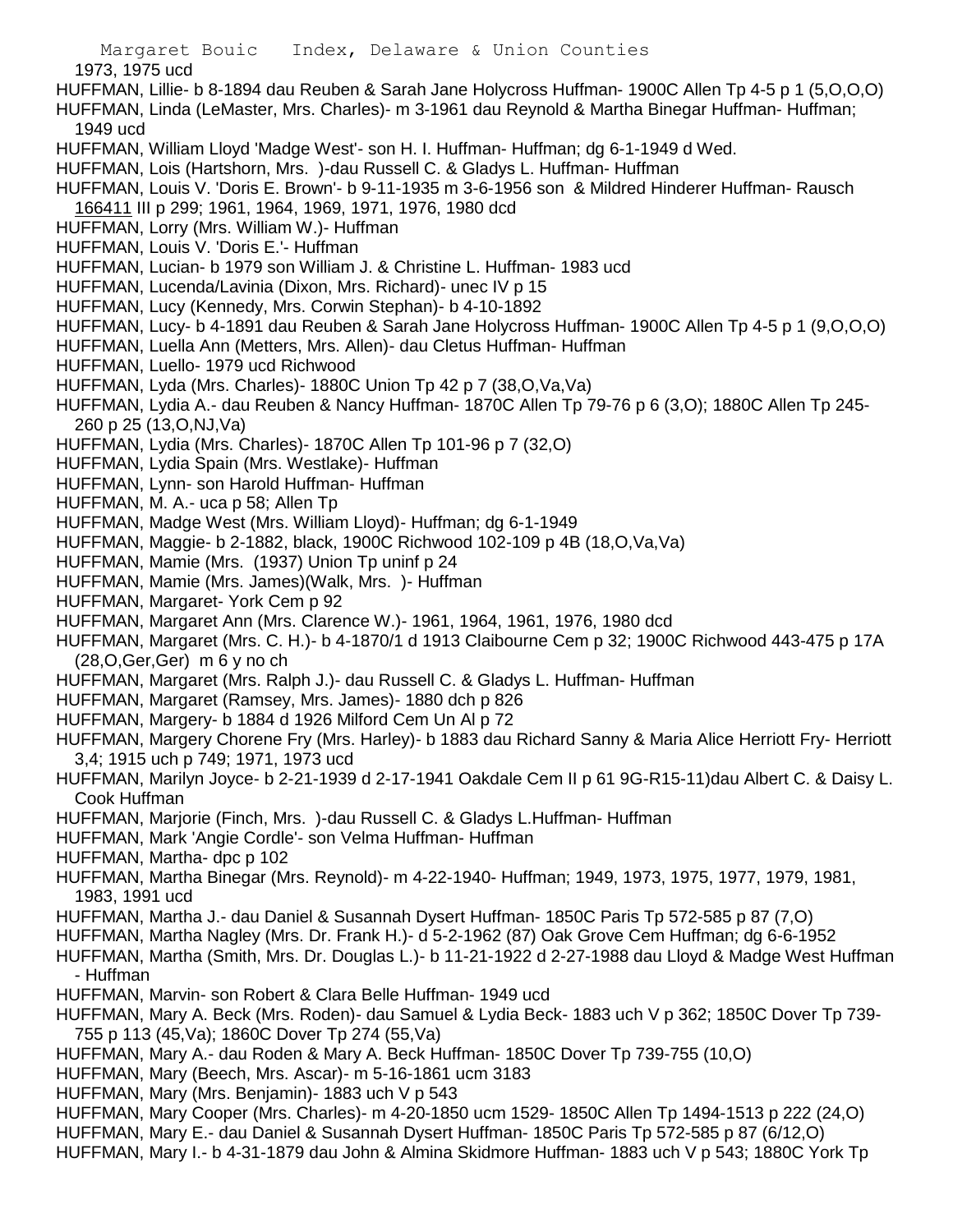1973, 1975 ucd

- HUFFMAN, Lillie- b 8-1894 dau Reuben & Sarah Jane Holycross Huffman- 1900C Allen Tp 4-5 p 1 (5,O,O,O)
- HUFFMAN, Linda (LeMaster, Mrs. Charles)- m 3-1961 dau Reynold & Martha Binegar Huffman- Huffman;
- 1949 ucd
- HUFFMAN, William Lloyd 'Madge West'- son H. I. Huffman- Huffman; dg 6-1-1949 d Wed.
- HUFFMAN, Lois (Hartshorn, Mrs. )-dau Russell C. & Gladys L. Huffman- Huffman
- HUFFMAN, Louis V. 'Doris E. Brown'- b 9-11-1935 m 3-6-1956 son & Mildred Hinderer Huffman- Rausch 166411 III p 299; 1961, 1964, 1969, 1971, 1976, 1980 dcd
- HUFFMAN, Lorry (Mrs. William W.)- Huffman
- HUFFMAN, Louis V. 'Doris E.'- Huffman
- HUFFMAN, Lucian- b 1979 son William J. & Christine L. Huffman- 1983 ucd
- HUFFMAN, Lucenda/Lavinia (Dixon, Mrs. Richard)- unec IV p 15
- HUFFMAN, Lucy (Kennedy, Mrs. Corwin Stephan)- b 4-10-1892
- HUFFMAN, Lucy- b 4-1891 dau Reuben & Sarah Jane Holycross Huffman- 1900C Allen Tp 4-5 p 1 (9,O,O,O)
- HUFFMAN, Luella Ann (Metters, Mrs. Allen)- dau Cletus Huffman- Huffman
- HUFFMAN, Luello- 1979 ucd Richwood
- HUFFMAN, Lyda (Mrs. Charles)- 1880C Union Tp 42 p 7 (38,O,Va,Va)
- HUFFMAN, Lydia A.- dau Reuben & Nancy Huffman- 1870C Allen Tp 79-76 p 6 (3,O); 1880C Allen Tp 245- 260 p 25 (13,O,NJ,Va)
- HUFFMAN, Lydia (Mrs. Charles)- 1870C Allen Tp 101-96 p 7 (32,O)
- HUFFMAN, Lydia Spain (Mrs. Westlake)- Huffman
- HUFFMAN, Lynn- son Harold Huffman- Huffman
- HUFFMAN, M. A.- uca p 58; Allen Tp
- HUFFMAN, Madge West (Mrs. William Lloyd)- Huffman; dg 6-1-1949
- HUFFMAN, Maggie- b 2-1882, black, 1900C Richwood 102-109 p 4B (18,O,Va,Va)
- HUFFMAN, Mamie (Mrs. (1937) Union Tp uninf p 24
- HUFFMAN, Mamie (Mrs. James)(Walk, Mrs. )- Huffman
- HUFFMAN, Margaret- York Cem p 92
- HUFFMAN, Margaret Ann (Mrs. Clarence W.)- 1961, 1964, 1961, 1976, 1980 dcd
- HUFFMAN, Margaret (Mrs. C. H.)- b 4-1870/1 d 1913 Claibourne Cem p 32; 1900C Richwood 443-475 p 17A (28,O,Ger,Ger) m 6 y no ch
- HUFFMAN, Margaret (Mrs. Ralph J.)- dau Russell C. & Gladys L. Huffman- Huffman
- HUFFMAN, Margaret (Ramsey, Mrs. James)- 1880 dch p 826
- HUFFMAN, Margery- b 1884 d 1926 Milford Cem Un Al p 72
- HUFFMAN, Margery Chorene Fry (Mrs. Harley)- b 1883 dau Richard Sanny & Maria Alice Herriott Fry- Herriott 3,4; 1915 uch p 749; 1971, 1973 ucd
- HUFFMAN, Marilyn Joyce- b 2-21-1939 d 2-17-1941 Oakdale Cem II p 61 9G-R15-11)dau Albert C. & Daisy L. Cook Huffman
- HUFFMAN, Marjorie (Finch, Mrs. )-dau Russell C. & Gladys L.Huffman- Huffman
- HUFFMAN, Mark 'Angie Cordle'- son Velma Huffman- Huffman
- HUFFMAN, Martha- dpc p 102
- HUFFMAN, Martha Binegar (Mrs. Reynold)- m 4-22-1940- Huffman; 1949, 1973, 1975, 1977, 1979, 1981, 1983, 1991 ucd
- HUFFMAN, Martha J.- dau Daniel & Susannah Dysert Huffman- 1850C Paris Tp 572-585 p 87 (7,O)
- HUFFMAN, Martha Nagley (Mrs. Dr. Frank H.)- d 5-2-1962 (87) Oak Grove Cem Huffman; dg 6-6-1952
- HUFFMAN, Martha (Smith, Mrs. Dr. Douglas L.)- b 11-21-1922 d 2-27-1988 dau Lloyd & Madge West Huffman - Huffman
- HUFFMAN, Marvin- son Robert & Clara Belle Huffman- 1949 ucd
- HUFFMAN, Mary A. Beck (Mrs. Roden)- dau Samuel & Lydia Beck- 1883 uch V p 362; 1850C Dover Tp 739- 755 p 113 (45,Va); 1860C Dover Tp 274 (55,Va)
- HUFFMAN, Mary A.- dau Roden & Mary A. Beck Huffman- 1850C Dover Tp 739-755 (10,O)
- HUFFMAN, Mary (Beech, Mrs. Ascar)- m 5-16-1861 ucm 3183
- HUFFMAN, Mary (Mrs. Benjamin)- 1883 uch V p 543
- HUFFMAN, Mary Cooper (Mrs. Charles)- m 4-20-1850 ucm 1529- 1850C Allen Tp 1494-1513 p 222 (24,O)
- HUFFMAN, Mary E.- dau Daniel & Susannah Dysert Huffman- 1850C Paris Tp 572-585 p 87 (6/12,O)
- HUFFMAN, Mary I.- b 4-31-1879 dau John & Almina Skidmore Huffman- 1883 uch V p 543; 1880C York Tp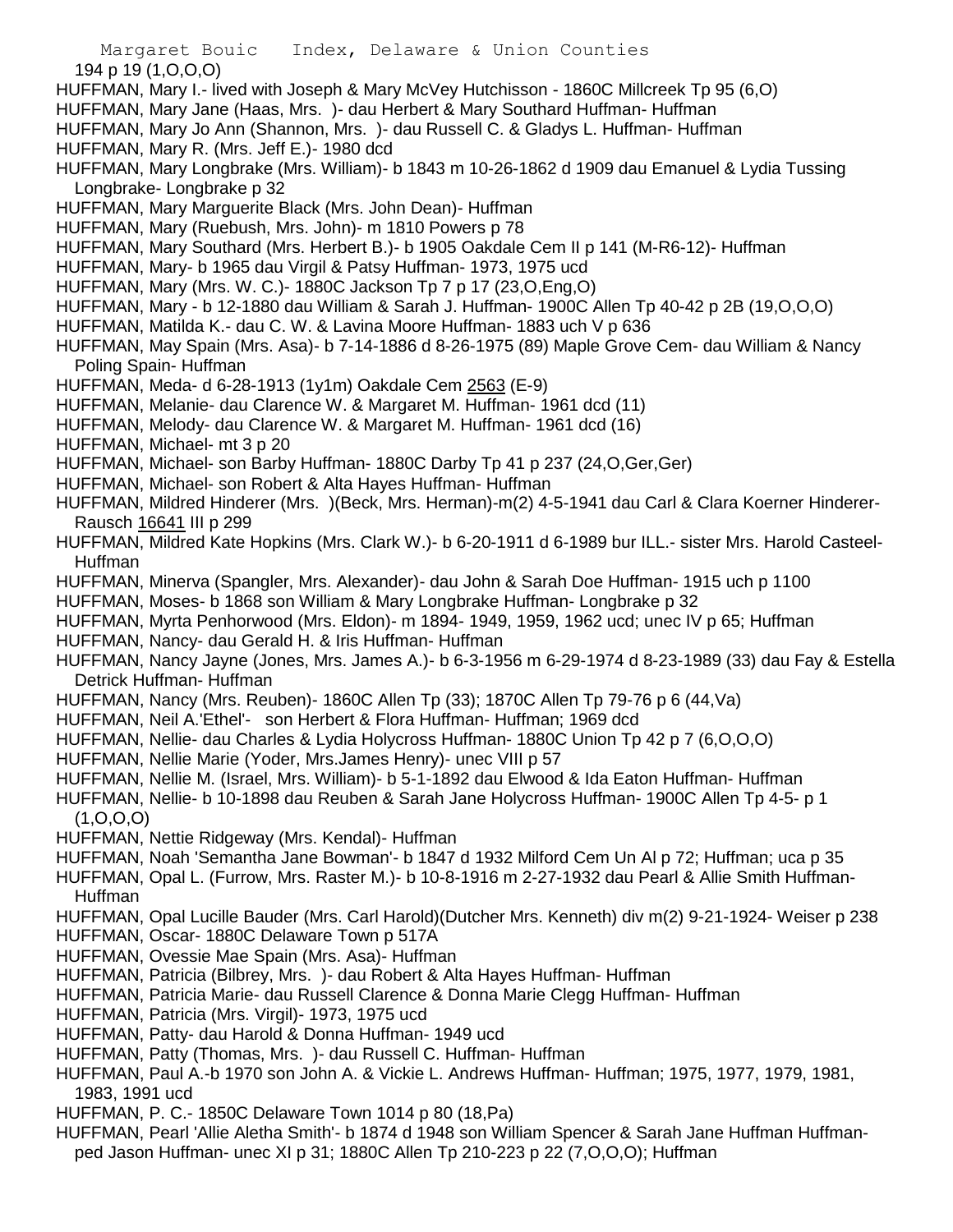Margaret Bouic Index, Delaware & Union Counties 194 p 19 (1,O,O,O)

- HUFFMAN, Mary I.- lived with Joseph & Mary McVey Hutchisson 1860C Millcreek Tp 95 (6,O)
- HUFFMAN, Mary Jane (Haas, Mrs. )- dau Herbert & Mary Southard Huffman- Huffman
- HUFFMAN, Mary Jo Ann (Shannon, Mrs. )- dau Russell C. & Gladys L. Huffman- Huffman HUFFMAN, Mary R. (Mrs. Jeff E.)- 1980 dcd
- HUFFMAN, Mary Longbrake (Mrs. William)- b 1843 m 10-26-1862 d 1909 dau Emanuel & Lydia Tussing Longbrake- Longbrake p 32
- HUFFMAN, Mary Marguerite Black (Mrs. John Dean)- Huffman
- HUFFMAN, Mary (Ruebush, Mrs. John)- m 1810 Powers p 78
- HUFFMAN, Mary Southard (Mrs. Herbert B.)- b 1905 Oakdale Cem II p 141 (M-R6-12)- Huffman
- HUFFMAN, Mary- b 1965 dau Virgil & Patsy Huffman- 1973, 1975 ucd
- HUFFMAN, Mary (Mrs. W. C.)- 1880C Jackson Tp 7 p 17 (23,O,Eng,O)
- HUFFMAN, Mary b 12-1880 dau William & Sarah J. Huffman- 1900C Allen Tp 40-42 p 2B (19,O,O,O)
- HUFFMAN, Matilda K.- dau C. W. & Lavina Moore Huffman- 1883 uch V p 636
- HUFFMAN, May Spain (Mrs. Asa)- b 7-14-1886 d 8-26-1975 (89) Maple Grove Cem- dau William & Nancy Poling Spain- Huffman
- HUFFMAN, Meda- d 6-28-1913 (1y1m) Oakdale Cem 2563 (E-9)
- HUFFMAN, Melanie- dau Clarence W. & Margaret M. Huffman- 1961 dcd (11)
- HUFFMAN, Melody- dau Clarence W. & Margaret M. Huffman- 1961 dcd (16)
- HUFFMAN, Michael- mt 3 p 20
- HUFFMAN, Michael- son Barby Huffman- 1880C Darby Tp 41 p 237 (24,O,Ger,Ger)
- HUFFMAN, Michael- son Robert & Alta Hayes Huffman- Huffman
- HUFFMAN, Mildred Hinderer (Mrs. )(Beck, Mrs. Herman)-m(2) 4-5-1941 dau Carl & Clara Koerner Hinderer-Rausch 16641 III p 299
- HUFFMAN, Mildred Kate Hopkins (Mrs. Clark W.)- b 6-20-1911 d 6-1989 bur ILL.- sister Mrs. Harold Casteel-Huffman
- HUFFMAN, Minerva (Spangler, Mrs. Alexander)- dau John & Sarah Doe Huffman- 1915 uch p 1100
- HUFFMAN, Moses- b 1868 son William & Mary Longbrake Huffman- Longbrake p 32
- HUFFMAN, Myrta Penhorwood (Mrs. Eldon)- m 1894- 1949, 1959, 1962 ucd; unec IV p 65; Huffman
- HUFFMAN, Nancy- dau Gerald H. & Iris Huffman- Huffman
- HUFFMAN, Nancy Jayne (Jones, Mrs. James A.)- b 6-3-1956 m 6-29-1974 d 8-23-1989 (33) dau Fay & Estella Detrick Huffman- Huffman
- HUFFMAN, Nancy (Mrs. Reuben)- 1860C Allen Tp (33); 1870C Allen Tp 79-76 p 6 (44,Va)
- HUFFMAN, Neil A.'Ethel'- son Herbert & Flora Huffman- Huffman; 1969 dcd
- HUFFMAN, Nellie- dau Charles & Lydia Holycross Huffman- 1880C Union Tp 42 p 7 (6,O,O,O)
- HUFFMAN, Nellie Marie (Yoder, Mrs.James Henry)- unec VIII p 57
- HUFFMAN, Nellie M. (Israel, Mrs. William)- b 5-1-1892 dau Elwood & Ida Eaton Huffman- Huffman
- HUFFMAN, Nellie- b 10-1898 dau Reuben & Sarah Jane Holycross Huffman- 1900C Allen Tp 4-5- p 1  $(1, 0, 0, 0)$
- HUFFMAN, Nettie Ridgeway (Mrs. Kendal)- Huffman
- HUFFMAN, Noah 'Semantha Jane Bowman'- b 1847 d 1932 Milford Cem Un Al p 72; Huffman; uca p 35
- HUFFMAN, Opal L. (Furrow, Mrs. Raster M.)- b 10-8-1916 m 2-27-1932 dau Pearl & Allie Smith Huffman-Huffman
- HUFFMAN, Opal Lucille Bauder (Mrs. Carl Harold)(Dutcher Mrs. Kenneth) div m(2) 9-21-1924- Weiser p 238
- HUFFMAN, Oscar- 1880C Delaware Town p 517A
- HUFFMAN, Ovessie Mae Spain (Mrs. Asa)- Huffman
- HUFFMAN, Patricia (Bilbrey, Mrs. )- dau Robert & Alta Hayes Huffman- Huffman
- HUFFMAN, Patricia Marie- dau Russell Clarence & Donna Marie Clegg Huffman- Huffman
- HUFFMAN, Patricia (Mrs. Virgil)- 1973, 1975 ucd
- HUFFMAN, Patty- dau Harold & Donna Huffman- 1949 ucd
- HUFFMAN, Patty (Thomas, Mrs. )- dau Russell C. Huffman- Huffman
- HUFFMAN, Paul A.-b 1970 son John A. & Vickie L. Andrews Huffman- Huffman; 1975, 1977, 1979, 1981, 1983, 1991 ucd
- HUFFMAN, P. C.- 1850C Delaware Town 1014 p 80 (18,Pa)
- HUFFMAN, Pearl 'Allie Aletha Smith'- b 1874 d 1948 son William Spencer & Sarah Jane Huffman Huffmanped Jason Huffman- unec XI p 31; 1880C Allen Tp 210-223 p 22 (7,O,O,O); Huffman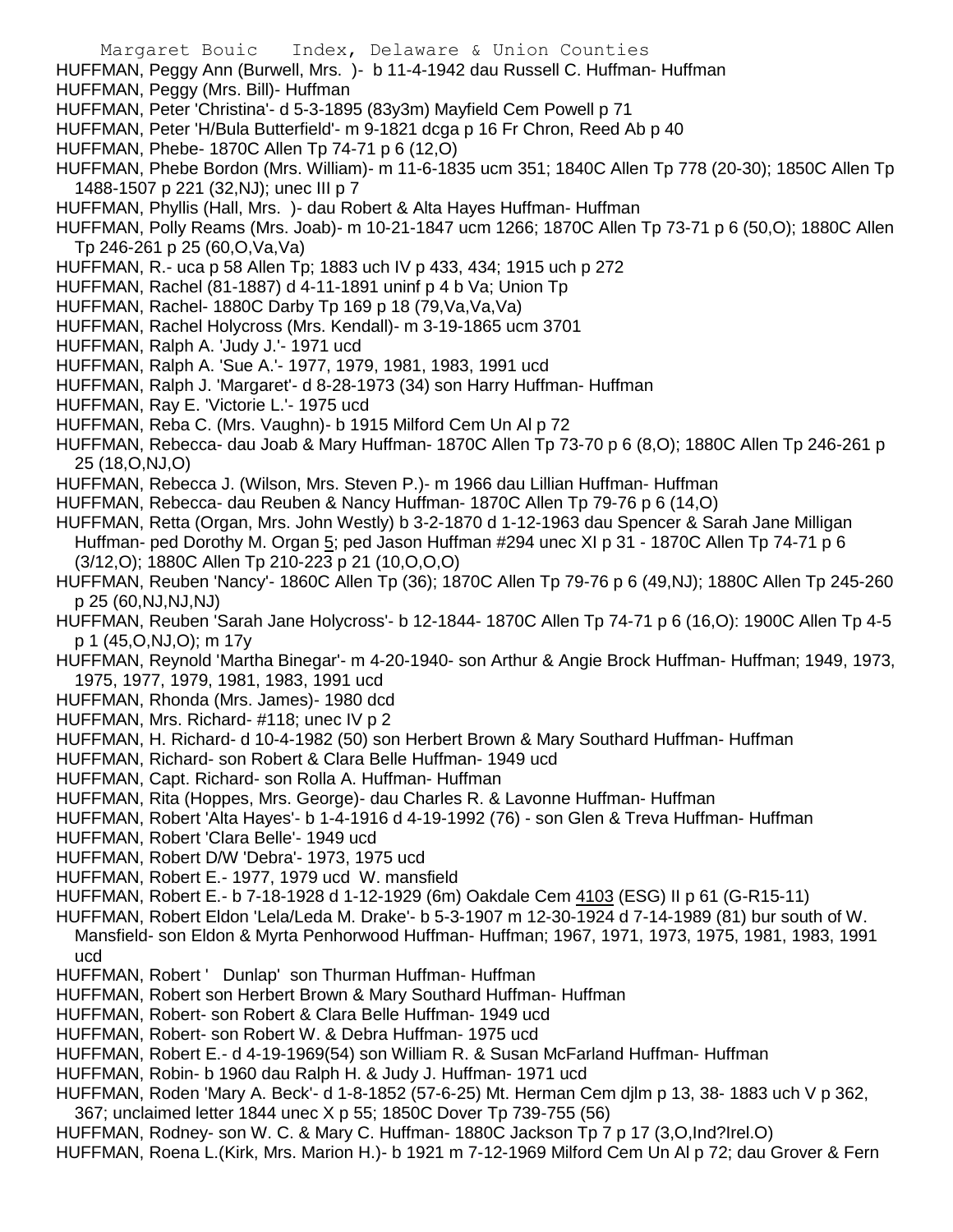- Margaret Bouic Index, Delaware & Union Counties HUFFMAN, Peggy Ann (Burwell, Mrs. )- b 11-4-1942 dau Russell C. Huffman- Huffman HUFFMAN, Peggy (Mrs. Bill)- Huffman HUFFMAN, Peter 'Christina'- d 5-3-1895 (83y3m) Mayfield Cem Powell p 71 HUFFMAN, Peter 'H/Bula Butterfield'- m 9-1821 dcga p 16 Fr Chron, Reed Ab p 40 HUFFMAN, Phebe- 1870C Allen Tp 74-71 p 6 (12,O) HUFFMAN, Phebe Bordon (Mrs. William)- m 11-6-1835 ucm 351; 1840C Allen Tp 778 (20-30); 1850C Allen Tp 1488-1507 p 221 (32,NJ); unec III p 7 HUFFMAN, Phyllis (Hall, Mrs. )- dau Robert & Alta Hayes Huffman- Huffman HUFFMAN, Polly Reams (Mrs. Joab)- m 10-21-1847 ucm 1266; 1870C Allen Tp 73-71 p 6 (50,O); 1880C Allen Tp 246-261 p 25 (60,O,Va,Va) HUFFMAN, R.- uca p 58 Allen Tp; 1883 uch IV p 433, 434; 1915 uch p 272 HUFFMAN, Rachel (81-1887) d 4-11-1891 uninf p 4 b Va; Union Tp HUFFMAN, Rachel- 1880C Darby Tp 169 p 18 (79,Va,Va,Va) HUFFMAN, Rachel Holycross (Mrs. Kendall)- m 3-19-1865 ucm 3701 HUFFMAN, Ralph A. 'Judy J.'- 1971 ucd HUFFMAN, Ralph A. 'Sue A.'- 1977, 1979, 1981, 1983, 1991 ucd HUFFMAN, Ralph J. 'Margaret'- d 8-28-1973 (34) son Harry Huffman- Huffman HUFFMAN, Ray E. 'Victorie L.'- 1975 ucd HUFFMAN, Reba C. (Mrs. Vaughn)- b 1915 Milford Cem Un Al p 72 HUFFMAN, Rebecca- dau Joab & Mary Huffman- 1870C Allen Tp 73-70 p 6 (8,O); 1880C Allen Tp 246-261 p 25 (18,O,NJ,O) HUFFMAN, Rebecca J. (Wilson, Mrs. Steven P.)- m 1966 dau Lillian Huffman- Huffman HUFFMAN, Rebecca- dau Reuben & Nancy Huffman- 1870C Allen Tp 79-76 p 6 (14,O) HUFFMAN, Retta (Organ, Mrs. John Westly) b 3-2-1870 d 1-12-1963 dau Spencer & Sarah Jane Milligan Huffman- ped Dorothy M. Organ 5; ped Jason Huffman #294 unec XI p 31 - 1870C Allen Tp 74-71 p 6 (3/12,O); 1880C Allen Tp 210-223 p 21 (10,O,O,O) HUFFMAN, Reuben 'Nancy'- 1860C Allen Tp (36); 1870C Allen Tp 79-76 p 6 (49,NJ); 1880C Allen Tp 245-260 p 25 (60,NJ,NJ,NJ) HUFFMAN, Reuben 'Sarah Jane Holycross'- b 12-1844- 1870C Allen Tp 74-71 p 6 (16,O): 1900C Allen Tp 4-5 p 1 (45,O,NJ,O); m 17y HUFFMAN, Reynold 'Martha Binegar'- m 4-20-1940- son Arthur & Angie Brock Huffman- Huffman; 1949, 1973, 1975, 1977, 1979, 1981, 1983, 1991 ucd HUFFMAN, Rhonda (Mrs. James)- 1980 dcd HUFFMAN, Mrs. Richard- #118; unec IV p 2 HUFFMAN, H. Richard- d 10-4-1982 (50) son Herbert Brown & Mary Southard Huffman- Huffman HUFFMAN, Richard- son Robert & Clara Belle Huffman- 1949 ucd HUFFMAN, Capt. Richard- son Rolla A. Huffman- Huffman HUFFMAN, Rita (Hoppes, Mrs. George)- dau Charles R. & Lavonne Huffman- Huffman HUFFMAN, Robert 'Alta Hayes'- b 1-4-1916 d 4-19-1992 (76) - son Glen & Treva Huffman- Huffman HUFFMAN, Robert 'Clara Belle'- 1949 ucd
- HUFFMAN, Robert D/W 'Debra'- 1973, 1975 ucd
- HUFFMAN, Robert E.- 1977, 1979 ucd W. mansfield
- HUFFMAN, Robert E.- b 7-18-1928 d 1-12-1929 (6m) Oakdale Cem 4103 (ESG) II p 61 (G-R15-11)
- HUFFMAN, Robert Eldon 'Lela/Leda M. Drake'- b 5-3-1907 m 12-30-1924 d 7-14-1989 (81) bur south of W. Mansfield- son Eldon & Myrta Penhorwood Huffman- Huffman; 1967, 1971, 1973, 1975, 1981, 1983, 1991 ucd
- HUFFMAN, Robert ' Dunlap' son Thurman Huffman- Huffman
- HUFFMAN, Robert son Herbert Brown & Mary Southard Huffman- Huffman
- HUFFMAN, Robert- son Robert & Clara Belle Huffman- 1949 ucd
- HUFFMAN, Robert- son Robert W. & Debra Huffman- 1975 ucd
- HUFFMAN, Robert E.- d 4-19-1969(54) son William R. & Susan McFarland Huffman- Huffman
- HUFFMAN, Robin- b 1960 dau Ralph H. & Judy J. Huffman- 1971 ucd
- HUFFMAN, Roden 'Mary A. Beck'- d 1-8-1852 (57-6-25) Mt. Herman Cem djlm p 13, 38- 1883 uch V p 362, 367; unclaimed letter 1844 unec X p 55; 1850C Dover Tp 739-755 (56)
- HUFFMAN, Rodney- son W. C. & Mary C. Huffman- 1880C Jackson Tp 7 p 17 (3,O,Ind?Irel.O)
- HUFFMAN, Roena L.(Kirk, Mrs. Marion H.)- b 1921 m 7-12-1969 Milford Cem Un Al p 72; dau Grover & Fern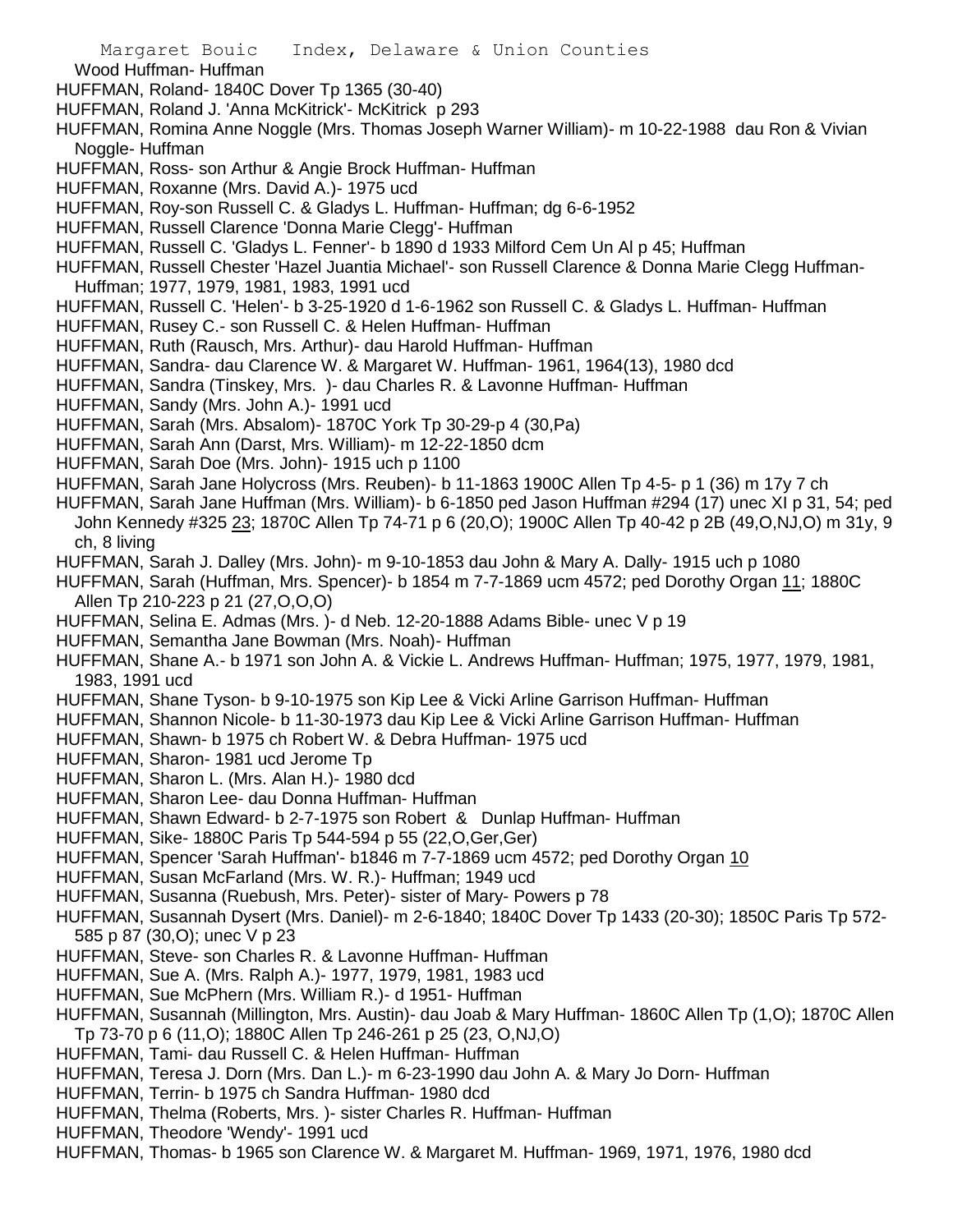Margaret Bouic Index, Delaware & Union Counties Wood Huffman- Huffman HUFFMAN, Roland- 1840C Dover Tp 1365 (30-40) HUFFMAN, Roland J. 'Anna McKitrick'- McKitrick p 293 HUFFMAN, Romina Anne Noggle (Mrs. Thomas Joseph Warner William)- m 10-22-1988 dau Ron & Vivian Noggle- Huffman HUFFMAN, Ross- son Arthur & Angie Brock Huffman- Huffman HUFFMAN, Roxanne (Mrs. David A.)- 1975 ucd HUFFMAN, Roy-son Russell C. & Gladys L. Huffman- Huffman; dg 6-6-1952 HUFFMAN, Russell Clarence 'Donna Marie Clegg'- Huffman HUFFMAN, Russell C. 'Gladys L. Fenner'- b 1890 d 1933 Milford Cem Un Al p 45; Huffman HUFFMAN, Russell Chester 'Hazel Juantia Michael'- son Russell Clarence & Donna Marie Clegg Huffman-Huffman; 1977, 1979, 1981, 1983, 1991 ucd HUFFMAN, Russell C. 'Helen'- b 3-25-1920 d 1-6-1962 son Russell C. & Gladys L. Huffman- Huffman HUFFMAN, Rusey C.- son Russell C. & Helen Huffman- Huffman HUFFMAN, Ruth (Rausch, Mrs. Arthur)- dau Harold Huffman- Huffman HUFFMAN, Sandra- dau Clarence W. & Margaret W. Huffman- 1961, 1964(13), 1980 dcd HUFFMAN, Sandra (Tinskey, Mrs. )- dau Charles R. & Lavonne Huffman- Huffman HUFFMAN, Sandy (Mrs. John A.)- 1991 ucd HUFFMAN, Sarah (Mrs. Absalom)- 1870C York Tp 30-29-p 4 (30,Pa) HUFFMAN, Sarah Ann (Darst, Mrs. William)- m 12-22-1850 dcm HUFFMAN, Sarah Doe (Mrs. John)- 1915 uch p 1100 HUFFMAN, Sarah Jane Holycross (Mrs. Reuben)- b 11-1863 1900C Allen Tp 4-5- p 1 (36) m 17y 7 ch HUFFMAN, Sarah Jane Huffman (Mrs. William)- b 6-1850 ped Jason Huffman #294 (17) unec XI p 31, 54; ped John Kennedy #325 23; 1870C Allen Tp 74-71 p 6 (20,O); 1900C Allen Tp 40-42 p 2B (49,O,NJ,O) m 31y, 9 ch, 8 living HUFFMAN, Sarah J. Dalley (Mrs. John)- m 9-10-1853 dau John & Mary A. Dally- 1915 uch p 1080 HUFFMAN, Sarah (Huffman, Mrs. Spencer)- b 1854 m 7-7-1869 ucm 4572; ped Dorothy Organ 11; 1880C Allen Tp 210-223 p 21 (27,O,O,O) HUFFMAN, Selina E. Admas (Mrs. )- d Neb. 12-20-1888 Adams Bible- unec V p 19 HUFFMAN, Semantha Jane Bowman (Mrs. Noah)- Huffman HUFFMAN, Shane A.- b 1971 son John A. & Vickie L. Andrews Huffman- Huffman; 1975, 1977, 1979, 1981, 1983, 1991 ucd HUFFMAN, Shane Tyson- b 9-10-1975 son Kip Lee & Vicki Arline Garrison Huffman- Huffman HUFFMAN, Shannon Nicole- b 11-30-1973 dau Kip Lee & Vicki Arline Garrison Huffman- Huffman HUFFMAN, Shawn- b 1975 ch Robert W. & Debra Huffman- 1975 ucd HUFFMAN, Sharon- 1981 ucd Jerome Tp HUFFMAN, Sharon L. (Mrs. Alan H.)- 1980 dcd HUFFMAN, Sharon Lee- dau Donna Huffman- Huffman HUFFMAN, Shawn Edward- b 2-7-1975 son Robert & Dunlap Huffman- Huffman HUFFMAN, Sike- 1880C Paris Tp 544-594 p 55 (22,O,Ger,Ger) HUFFMAN, Spencer 'Sarah Huffman'- b1846 m 7-7-1869 ucm 4572; ped Dorothy Organ 10 HUFFMAN, Susan McFarland (Mrs. W. R.)- Huffman; 1949 ucd HUFFMAN, Susanna (Ruebush, Mrs. Peter)- sister of Mary- Powers p 78 HUFFMAN, Susannah Dysert (Mrs. Daniel)- m 2-6-1840; 1840C Dover Tp 1433 (20-30); 1850C Paris Tp 572- 585 p 87 (30,O); unec V p 23 HUFFMAN, Steve- son Charles R. & Lavonne Huffman- Huffman HUFFMAN, Sue A. (Mrs. Ralph A.)- 1977, 1979, 1981, 1983 ucd HUFFMAN, Sue McPhern (Mrs. William R.)- d 1951- Huffman HUFFMAN, Susannah (Millington, Mrs. Austin)- dau Joab & Mary Huffman- 1860C Allen Tp (1,O); 1870C Allen Tp 73-70 p 6 (11,O); 1880C Allen Tp 246-261 p 25 (23, O,NJ,O) HUFFMAN, Tami- dau Russell C. & Helen Huffman- Huffman HUFFMAN, Teresa J. Dorn (Mrs. Dan L.)- m 6-23-1990 dau John A. & Mary Jo Dorn- Huffman HUFFMAN, Terrin- b 1975 ch Sandra Huffman- 1980 dcd HUFFMAN, Thelma (Roberts, Mrs. )- sister Charles R. Huffman- Huffman HUFFMAN, Theodore 'Wendy'- 1991 ucd HUFFMAN, Thomas- b 1965 son Clarence W. & Margaret M. Huffman- 1969, 1971, 1976, 1980 dcd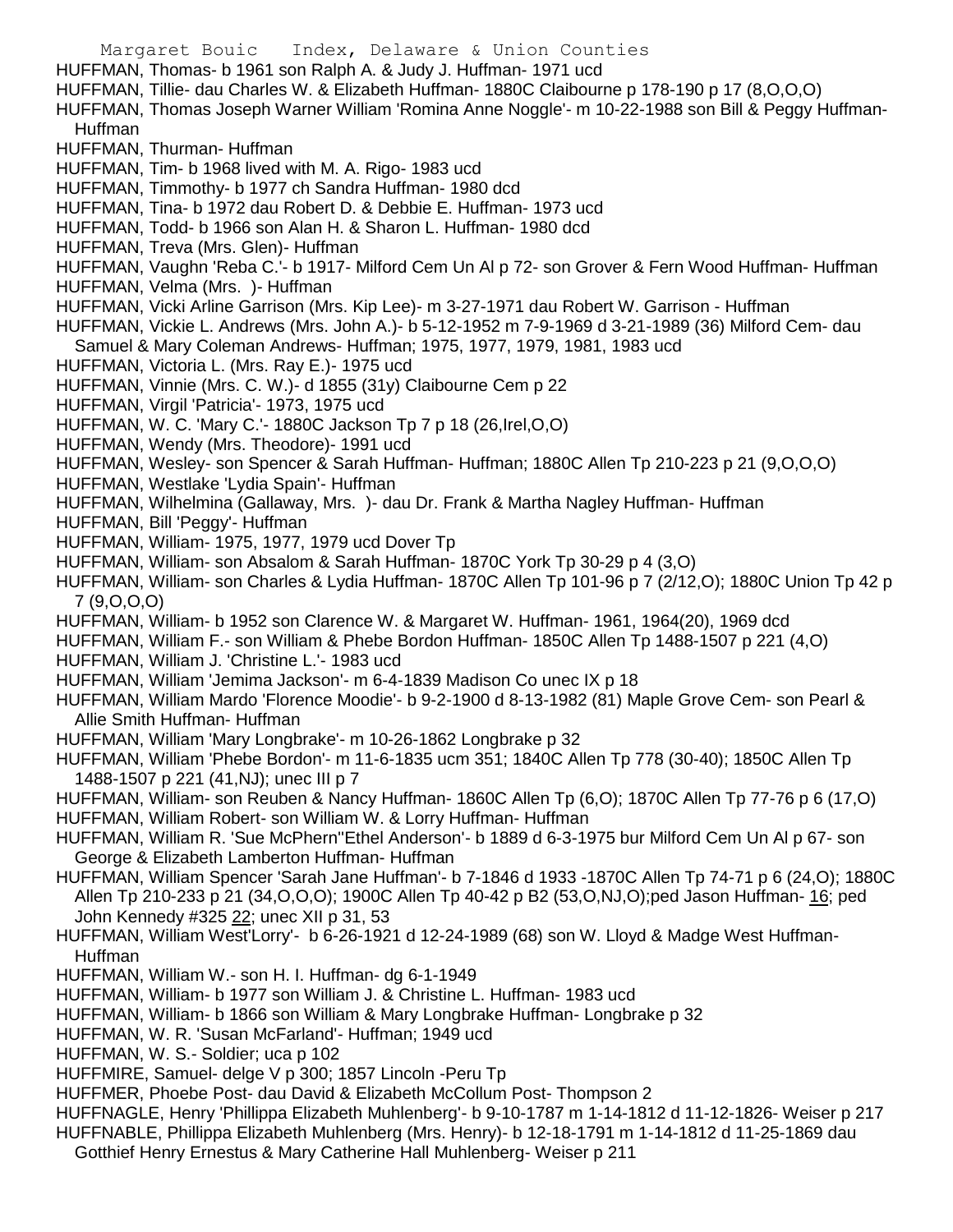Margaret Bouic Index, Delaware & Union Counties HUFFMAN, Thomas- b 1961 son Ralph A. & Judy J. Huffman- 1971 ucd HUFFMAN, Tillie- dau Charles W. & Elizabeth Huffman- 1880C Claibourne p 178-190 p 17 (8,O,O,O) HUFFMAN, Thomas Joseph Warner William 'Romina Anne Noggle'- m 10-22-1988 son Bill & Peggy Huffman-Huffman HUFFMAN, Thurman- Huffman HUFFMAN, Tim- b 1968 lived with M. A. Rigo- 1983 ucd HUFFMAN, Timmothy- b 1977 ch Sandra Huffman- 1980 dcd HUFFMAN, Tina- b 1972 dau Robert D. & Debbie E. Huffman- 1973 ucd HUFFMAN, Todd- b 1966 son Alan H. & Sharon L. Huffman- 1980 dcd HUFFMAN, Treva (Mrs. Glen)- Huffman HUFFMAN, Vaughn 'Reba C.'- b 1917- Milford Cem Un Al p 72- son Grover & Fern Wood Huffman- Huffman HUFFMAN, Velma (Mrs. )- Huffman HUFFMAN, Vicki Arline Garrison (Mrs. Kip Lee)- m 3-27-1971 dau Robert W. Garrison - Huffman HUFFMAN, Vickie L. Andrews (Mrs. John A.)- b 5-12-1952 m 7-9-1969 d 3-21-1989 (36) Milford Cem- dau Samuel & Mary Coleman Andrews- Huffman; 1975, 1977, 1979, 1981, 1983 ucd HUFFMAN, Victoria L. (Mrs. Ray E.)- 1975 ucd HUFFMAN, Vinnie (Mrs. C. W.)- d 1855 (31y) Claibourne Cem p 22 HUFFMAN, Virgil 'Patricia'- 1973, 1975 ucd HUFFMAN, W. C. 'Mary C.'- 1880C Jackson Tp 7 p 18 (26,Irel,O,O) HUFFMAN, Wendy (Mrs. Theodore)- 1991 ucd HUFFMAN, Wesley- son Spencer & Sarah Huffman- Huffman; 1880C Allen Tp 210-223 p 21 (9,O,O,O) HUFFMAN, Westlake 'Lydia Spain'- Huffman HUFFMAN, Wilhelmina (Gallaway, Mrs. )- dau Dr. Frank & Martha Nagley Huffman- Huffman HUFFMAN, Bill 'Peggy'- Huffman HUFFMAN, William- 1975, 1977, 1979 ucd Dover Tp HUFFMAN, William- son Absalom & Sarah Huffman- 1870C York Tp 30-29 p 4 (3,O) HUFFMAN, William- son Charles & Lydia Huffman- 1870C Allen Tp 101-96 p 7 (2/12,O); 1880C Union Tp 42 p 7 (9,O,O,O) HUFFMAN, William- b 1952 son Clarence W. & Margaret W. Huffman- 1961, 1964(20), 1969 dcd HUFFMAN, William F.- son William & Phebe Bordon Huffman- 1850C Allen Tp 1488-1507 p 221 (4,O) HUFFMAN, William J. 'Christine L.'- 1983 ucd HUFFMAN, William 'Jemima Jackson'- m 6-4-1839 Madison Co unec IX p 18 HUFFMAN, William Mardo 'Florence Moodie'- b 9-2-1900 d 8-13-1982 (81) Maple Grove Cem- son Pearl & Allie Smith Huffman- Huffman HUFFMAN, William 'Mary Longbrake'- m 10-26-1862 Longbrake p 32 HUFFMAN, William 'Phebe Bordon'- m 11-6-1835 ucm 351; 1840C Allen Tp 778 (30-40); 1850C Allen Tp 1488-1507 p 221 (41,NJ); unec III p 7 HUFFMAN, William- son Reuben & Nancy Huffman- 1860C Allen Tp (6,O); 1870C Allen Tp 77-76 p 6 (17,O) HUFFMAN, William Robert- son William W. & Lorry Huffman- Huffman HUFFMAN, William R. 'Sue McPhern''Ethel Anderson'- b 1889 d 6-3-1975 bur Milford Cem Un Al p 67- son George & Elizabeth Lamberton Huffman- Huffman HUFFMAN, William Spencer 'Sarah Jane Huffman'- b 7-1846 d 1933 -1870C Allen Tp 74-71 p 6 (24,O); 1880C Allen Tp 210-233 p 21 (34, O, O, O); 1900C Allen Tp 40-42 p B2 (53, O, NJ, O); ped Jason Huffman- 16; ped John Kennedy #325 22; unec XII p 31, 53 HUFFMAN, William West'Lorry'- b 6-26-1921 d 12-24-1989 (68) son W. Lloyd & Madge West Huffman-Huffman HUFFMAN, William W.- son H. I. Huffman- dg 6-1-1949 HUFFMAN, William- b 1977 son William J. & Christine L. Huffman- 1983 ucd HUFFMAN, William- b 1866 son William & Mary Longbrake Huffman- Longbrake p 32 HUFFMAN, W. R. 'Susan McFarland'- Huffman; 1949 ucd HUFFMAN, W. S.- Soldier; uca p 102 HUFFMIRE, Samuel- delge V p 300; 1857 Lincoln -Peru Tp HUFFMER, Phoebe Post- dau David & Elizabeth McCollum Post- Thompson 2 HUFFNAGLE, Henry 'Phillippa Elizabeth Muhlenberg'- b 9-10-1787 m 1-14-1812 d 11-12-1826- Weiser p 217

HUFFNABLE, Phillippa Elizabeth Muhlenberg (Mrs. Henry)- b 12-18-1791 m 1-14-1812 d 11-25-1869 dau Gotthief Henry Ernestus & Mary Catherine Hall Muhlenberg- Weiser p 211